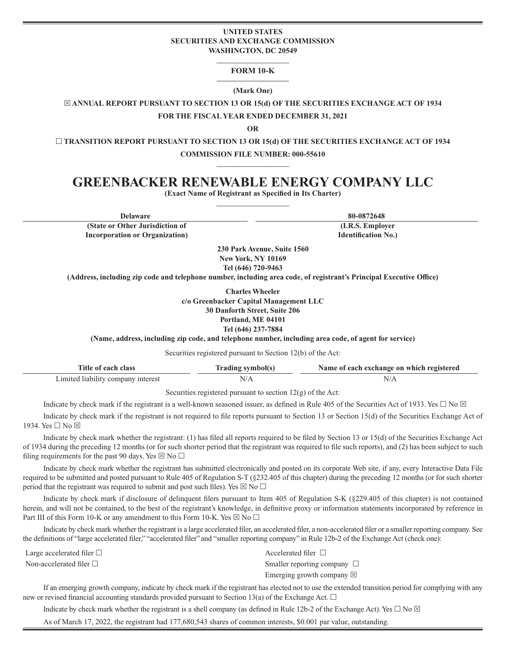#### **UNITED STATES SECURITIES AND EXCHANGE COMMISSION WASHINGTON, DC 20549**

#### **\_\_\_\_\_\_\_\_\_\_\_\_\_\_\_\_\_\_\_ FORM 10-K \_\_\_\_\_\_\_\_\_\_\_\_\_\_\_\_\_**

#### **(Mark One)**

 $\boxtimes$  **ANNUAL REPORT PURSUANT TO SECTION 13 OR 15(d) OF THE SECURITIES EXCHANGE ACT OF 1934** 

**FOR THE FISCAL YEAR ENDED DECEMBER 31, 2021**

**OR**

 **TRANSITION REPORT PURSUANT TO SECTION 13 OR 15(d) OF THE SECURITIES EXCHANGE ACT OF 1934 COMMISSION FILE NUMBER: 000-55610**

**\_\_\_\_\_\_\_\_\_\_\_\_\_\_\_\_\_\_\_**

# **GREENBACKER RENEWABLE ENERGY COMPANY LLC**

**(Exact Name of Registrant as Specified in Its Charter) \_\_\_\_\_\_\_\_\_\_\_\_\_\_\_\_\_\_\_**

**Delaware 80-0872648**

**(State or Other Jurisdiction of Incorporation or Organization)**

**(I.R.S. Employer Identification No.)**

**230 Park Avenue, Suite 1560 New York, NY 10169 Tel (646) 720-9463** 

**(Address, including zip code and telephone number, including area code, of registrant's Principal Executive Office)**

**Charles Wheeler c/o Greenbacker Capital Management LLC 30 Danforth Street, Suite 206 Portland, ME 04101 Tel (646) 237-7884** 

**(Name, address, including zip code, and telephone number, including area code, of agent for service)**

Securities registered pursuant to Section 12(b) of the Act:

| Title of each class                | <b>Trading symbol(s)</b> | Name of each exchange on which registered |  |  |  |  |
|------------------------------------|--------------------------|-------------------------------------------|--|--|--|--|
| Limited liability company interest |                          |                                           |  |  |  |  |

Securities registered pursuant to section  $12(g)$  of the Act:

Indicate by check mark if the registrant is a well-known seasoned issuer, as defined in Rule 405 of the Securities Act of 1933. Yes  $\Box$  No  $\boxtimes$ 

Indicate by check mark if the registrant is not required to file reports pursuant to Section 13 or Section 15(d) of the Securities Exchange Act of 1934. Yes □ No ⊠

Indicate by check mark whether the registrant: (1) has filed all reports required to be filed by Section 13 or 15(d) of the Securities Exchange Act of 1934 during the preceding 12 months (or for such shorter period that the registrant was required to file such reports), and (2) has been subject to such filing requirements for the past 90 days. Yes  $\boxtimes$  No  $\Box$ 

Indicate by check mark whether the registrant has submitted electronically and posted on its corporate Web site, if any, every Interactive Data File required to be submitted and posted pursuant to Rule 405 of Regulation S-T (§232.405 of this chapter) during the preceding 12 months (or for such shorter period that the registrant was required to submit and post such files). Yes  $\boxtimes$  No  $\Box$ 

Indicate by check mark if disclosure of delinquent filers pursuant to Item 405 of Regulation S-K (§229.405 of this chapter) is not contained herein, and will not be contained, to the best of the registrant's knowledge, in definitive proxy or information statements incorporated by reference in Part III of this Form 10-K or any amendment to this Form 10-K. Yes  $\boxtimes$  No  $\Box$ 

Indicate by check mark whether the registrant is a large accelerated filer, an accelerated filer, a non-accelerated filer or a smaller reporting company. See the definitions of "large accelerated filer," "accelerated filer" and "smaller reporting company" in Rule 12b-2 of the Exchange Act (check one):

Large accelerated filer  $\Box$  Accelerated filer  $\Box$ 

Non-accelerated filer  $\square$  Smaller reporting company  $\square$ Emerging growth company  $\boxtimes$ 

If an emerging growth company, indicate by check mark if the registrant has elected not to use the extended transition period for complying with any new or revised financial accounting standards provided pursuant to Section 13(a) of the Exchange Act.  $\Box$ 

Indicate by check mark whether the registrant is a shell company (as defined in Rule 12b-2 of the Exchange Act). Yes  $\Box$  No  $\boxtimes$ 

As of March 17, 2022, the registrant had 177,680,543 shares of common interests, \$0.001 par value, outstanding.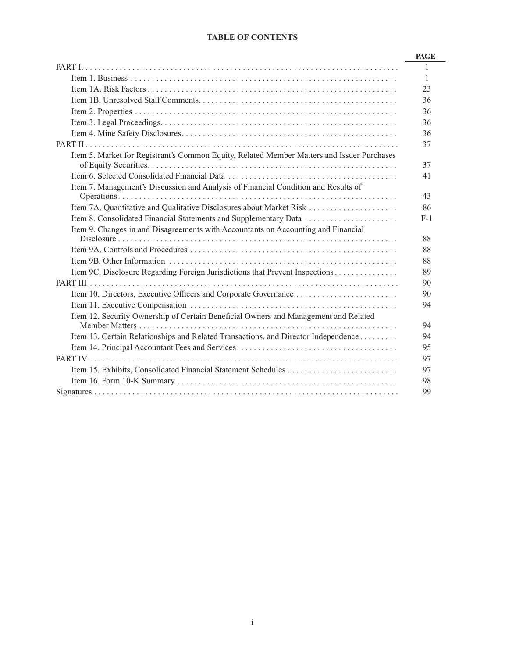# **TABLE OF CONTENTS**

|                                                                                            | <b>PAGE</b> |
|--------------------------------------------------------------------------------------------|-------------|
|                                                                                            |             |
|                                                                                            | -1          |
|                                                                                            | 23          |
|                                                                                            | 36          |
|                                                                                            | 36          |
|                                                                                            | 36          |
|                                                                                            | 36          |
|                                                                                            | 37          |
| Item 5. Market for Registrant's Common Equity, Related Member Matters and Issuer Purchases |             |
|                                                                                            | 37          |
|                                                                                            | 41          |
| Item 7. Management's Discussion and Analysis of Financial Condition and Results of         |             |
|                                                                                            | 43          |
|                                                                                            | 86          |
| Item 8. Consolidated Financial Statements and Supplementary Data                           | $F-1$       |
| Item 9. Changes in and Disagreements with Accountants on Accounting and Financial          |             |
|                                                                                            | 88          |
|                                                                                            | 88          |
|                                                                                            | 88          |
| Item 9C. Disclosure Regarding Foreign Jurisdictions that Prevent Inspections               | 89          |
|                                                                                            | 90          |
|                                                                                            | 90          |
|                                                                                            | 94          |
| Item 12. Security Ownership of Certain Beneficial Owners and Management and Related        |             |
|                                                                                            | 94          |
| Item 13. Certain Relationships and Related Transactions, and Director Independence         | 94          |
|                                                                                            | 95          |
|                                                                                            | 97          |
|                                                                                            | 97          |
|                                                                                            | 98          |
|                                                                                            | 99          |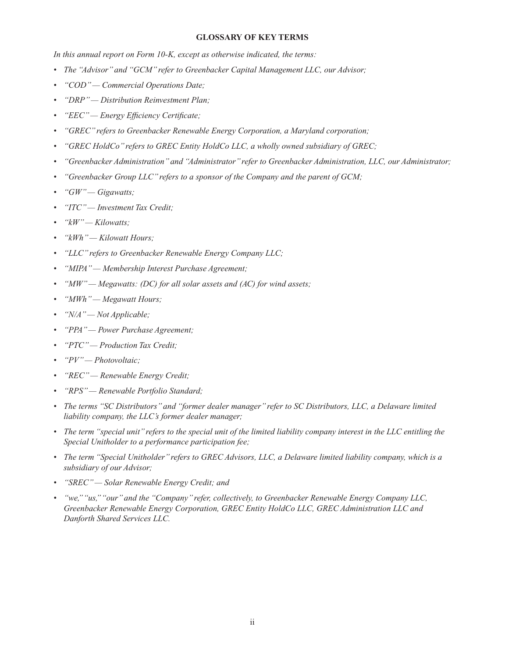### **GLOSSARY OF KEY TERMS**

*In this annual report on Form 10-K, except as otherwise indicated, the terms:*

- *The "Advisor" and "GCM" refer to Greenbacker Capital Management LLC, our Advisor;*
- *"COD" Commercial Operations Date;*
- *"DRP" Distribution Reinvestment Plan;*
- *"EEC" Energy Efficiency Certificate;*
- *"GREC" refers to Greenbacker Renewable Energy Corporation, a Maryland corporation;*
- *"GREC HoldCo" refers to GREC Entity HoldCo LLC, a wholly owned subsidiary of GREC;*
- *"Greenbacker Administration" and "Administrator" refer to Greenbacker Administration, LLC, our Administrator;*
- *"Greenbacker Group LLC" refers to a sponsor of the Company and the parent of GCM;*
- *"GW" Gigawatts;*
- *"ITC" Investment Tax Credit;*
- *"kW" Kilowatts;*
- *"kWh" Kilowatt Hours;*
- *"LLC" refers to Greenbacker Renewable Energy Company LLC;*
- *"MIPA" Membership Interest Purchase Agreement;*
- *"MW" Megawatts: (DC) for all solar assets and (AC) for wind assets;*
- *"MWh" Megawatt Hours;*
- *"N/A" Not Applicable;*
- *"PPA" Power Purchase Agreement;*
- *"PTC" Production Tax Credit;*
- *"PV" Photovoltaic;*
- *"REC" Renewable Energy Credit;*
- *"RPS" Renewable Portfolio Standard;*
- *The terms "SC Distributors" and "former dealer manager" refer to SC Distributors, LLC, a Delaware limited liability company, the LLC's former dealer manager;*
- The term "special unit" refers to the special unit of the limited liability company interest in the LLC entitling the *Special Unitholder to a performance participation fee;*
- *The term "Special Unitholder" refers to GREC Advisors, LLC, a Delaware limited liability company, which is a subsidiary of our Advisor;*
- *"SREC" Solar Renewable Energy Credit; and*
- *"we," "us," "our" and the "Company" refer, collectively, to Greenbacker Renewable Energy Company LLC, Greenbacker Renewable Energy Corporation, GREC Entity HoldCo LLC, GREC Administration LLC and Danforth Shared Services LLC.*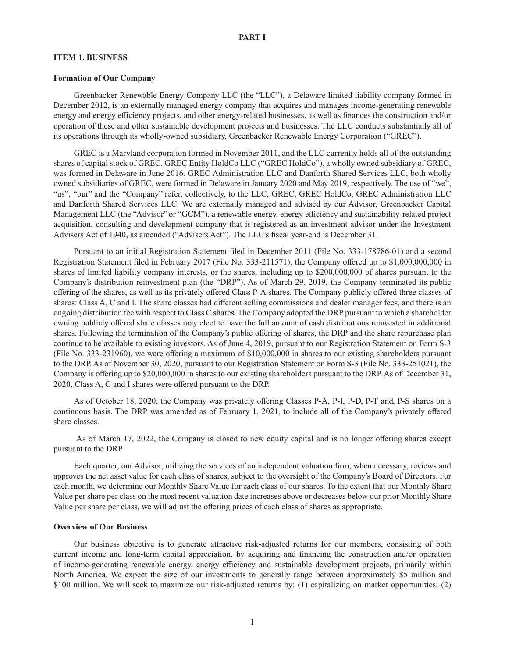#### **ITEM 1. BUSINESS**

#### **Formation of Our Company**

Greenbacker Renewable Energy Company LLC (the "LLC"), a Delaware limited liability company formed in December 2012, is an externally managed energy company that acquires and manages income-generating renewable energy and energy efficiency projects, and other energy-related businesses, as well as finances the construction and/or operation of these and other sustainable development projects and businesses. The LLC conducts substantially all of its operations through its wholly-owned subsidiary, Greenbacker Renewable Energy Corporation ("GREC").

GREC is a Maryland corporation formed in November 2011, and the LLC currently holds all of the outstanding shares of capital stock of GREC. GREC Entity HoldCo LLC ("GREC HoldCo"), a wholly owned subsidiary of GREC, was formed in Delaware in June 2016. GREC Administration LLC and Danforth Shared Services LLC, both wholly owned subsidiaries of GREC, were formed in Delaware in January 2020 and May 2019, respectively. The use of "we", "us", "our" and the "Company" refer, collectively, to the LLC, GREC, GREC HoldCo, GREC Administration LLC and Danforth Shared Services LLC. We are externally managed and advised by our Advisor, Greenbacker Capital Management LLC (the "Advisor" or "GCM"), a renewable energy, energy efficiency and sustainability-related project acquisition, consulting and development company that is registered as an investment advisor under the Investment Advisers Act of 1940, as amended ("Advisers Act"). The LLC's fiscal year-end is December 31.

Pursuant to an initial Registration Statement filed in December 2011 (File No. 333-178786-01) and a second Registration Statement filed in February 2017 (File No. 333-211571), the Company offered up to \$1,000,000,000 in shares of limited liability company interests, or the shares, including up to \$200,000,000 of shares pursuant to the Company's distribution reinvestment plan (the "DRP"). As of March 29, 2019, the Company terminated its public offering of the shares, as well as its privately offered Class P-A shares. The Company publicly offered three classes of shares: Class A, C and I. The share classes had different selling commissions and dealer manager fees, and there is an ongoing distribution fee with respect to Class C shares. The Company adopted the DRP pursuant to which a shareholder owning publicly offered share classes may elect to have the full amount of cash distributions reinvested in additional shares. Following the termination of the Company's public offering of shares, the DRP and the share repurchase plan continue to be available to existing investors. As of June 4, 2019, pursuant to our Registration Statement on Form S-3 (File No. 333-231960), we were offering a maximum of \$10,000,000 in shares to our existing shareholders pursuant to the DRP. As of November 30, 2020, pursuant to our Registration Statement on Form S-3 (File No. 333-251021), the Company is offering up to \$20,000,000 in shares to our existing shareholders pursuant to the DRP. As of December 31, 2020, Class A, C and I shares were offered pursuant to the DRP.

As of October 18, 2020, the Company was privately offering Classes P-A, P-I, P-D, P-T and, P-S shares on a continuous basis. The DRP was amended as of February 1, 2021, to include all of the Company's privately offered share classes.

 As of March 17, 2022, the Company is closed to new equity capital and is no longer offering shares except pursuant to the DRP.

Each quarter, our Advisor, utilizing the services of an independent valuation firm, when necessary, reviews and approves the net asset value for each class of shares, subject to the oversight of the Company's Board of Directors. For each month, we determine our Monthly Share Value for each class of our shares. To the extent that our Monthly Share Value per share per class on the most recent valuation date increases above or decreases below our prior Monthly Share Value per share per class, we will adjust the offering prices of each class of shares as appropriate.

#### **Overview of Our Business**

Our business objective is to generate attractive risk-adjusted returns for our members, consisting of both current income and long-term capital appreciation, by acquiring and financing the construction and/or operation of income-generating renewable energy, energy efficiency and sustainable development projects, primarily within North America. We expect the size of our investments to generally range between approximately \$5 million and \$100 million. We will seek to maximize our risk-adjusted returns by: (1) capitalizing on market opportunities; (2)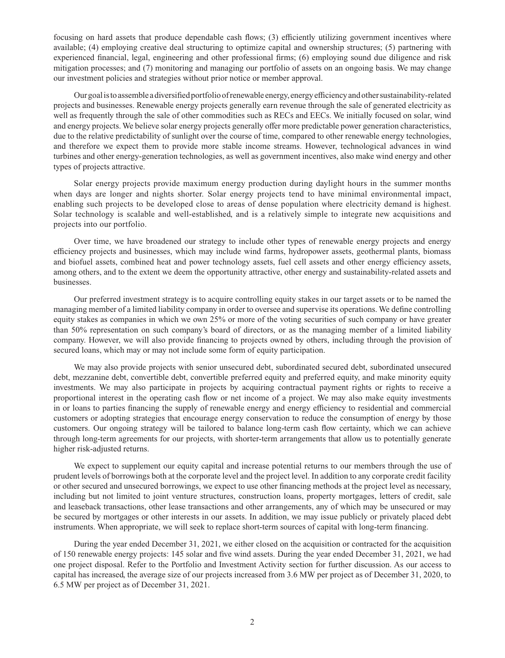focusing on hard assets that produce dependable cash flows; (3) efficiently utilizing government incentives where available; (4) employing creative deal structuring to optimize capital and ownership structures; (5) partnering with experienced financial, legal, engineering and other professional firms; (6) employing sound due diligence and risk mitigation processes; and (7) monitoring and managing our portfolio of assets on an ongoing basis. We may change our investment policies and strategies without prior notice or member approval.

Our goal is to assemble a diversified portfolio of renewable energy, energy efficiency and other sustainability-related projects and businesses. Renewable energy projects generally earn revenue through the sale of generated electricity as well as frequently through the sale of other commodities such as RECs and EECs. We initially focused on solar, wind and energy projects. We believe solar energy projects generally offer more predictable power generation characteristics, due to the relative predictability of sunlight over the course of time, compared to other renewable energy technologies, and therefore we expect them to provide more stable income streams. However, technological advances in wind turbines and other energy-generation technologies, as well as government incentives, also make wind energy and other types of projects attractive.

Solar energy projects provide maximum energy production during daylight hours in the summer months when days are longer and nights shorter. Solar energy projects tend to have minimal environmental impact, enabling such projects to be developed close to areas of dense population where electricity demand is highest. Solar technology is scalable and well-established, and is a relatively simple to integrate new acquisitions and projects into our portfolio.

Over time, we have broadened our strategy to include other types of renewable energy projects and energy efficiency projects and businesses, which may include wind farms, hydropower assets, geothermal plants, biomass and biofuel assets, combined heat and power technology assets, fuel cell assets and other energy efficiency assets, among others, and to the extent we deem the opportunity attractive, other energy and sustainability-related assets and businesses.

Our preferred investment strategy is to acquire controlling equity stakes in our target assets or to be named the managing member of a limited liability company in order to oversee and supervise its operations. We define controlling equity stakes as companies in which we own 25% or more of the voting securities of such company or have greater than 50% representation on such company's board of directors, or as the managing member of a limited liability company. However, we will also provide financing to projects owned by others, including through the provision of secured loans, which may or may not include some form of equity participation.

We may also provide projects with senior unsecured debt, subordinated secured debt, subordinated unsecured debt, mezzanine debt, convertible debt, convertible preferred equity and preferred equity, and make minority equity investments. We may also participate in projects by acquiring contractual payment rights or rights to receive a proportional interest in the operating cash flow or net income of a project. We may also make equity investments in or loans to parties financing the supply of renewable energy and energy efficiency to residential and commercial customers or adopting strategies that encourage energy conservation to reduce the consumption of energy by those customers. Our ongoing strategy will be tailored to balance long-term cash flow certainty, which we can achieve through long-term agreements for our projects, with shorter-term arrangements that allow us to potentially generate higher risk-adjusted returns.

We expect to supplement our equity capital and increase potential returns to our members through the use of prudent levels of borrowings both at the corporate level and the project level. In addition to any corporate credit facility or other secured and unsecured borrowings, we expect to use other financing methods at the project level as necessary, including but not limited to joint venture structures, construction loans, property mortgages, letters of credit, sale and leaseback transactions, other lease transactions and other arrangements, any of which may be unsecured or may be secured by mortgages or other interests in our assets. In addition, we may issue publicly or privately placed debt instruments. When appropriate, we will seek to replace short-term sources of capital with long-term financing.

During the year ended December 31, 2021, we either closed on the acquisition or contracted for the acquisition of 150 renewable energy projects: 145 solar and five wind assets. During the year ended December 31, 2021, we had one project disposal. Refer to the Portfolio and Investment Activity section for further discussion. As our access to capital has increased, the average size of our projects increased from 3.6 MW per project as of December 31, 2020, to 6.5 MW per project as of December 31, 2021.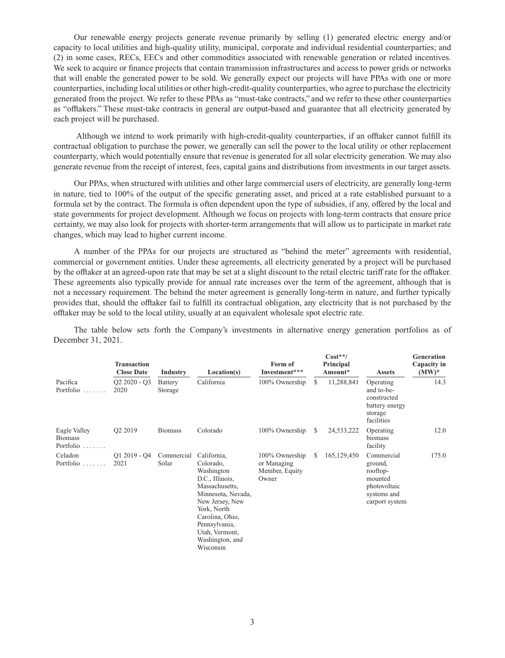Our renewable energy projects generate revenue primarily by selling (1) generated electric energy and/or capacity to local utilities and high-quality utility, municipal, corporate and individual residential counterparties; and (2) in some cases, RECs, EECs and other commodities associated with renewable generation or related incentives. We seek to acquire or finance projects that contain transmission infrastructures and access to power grids or networks that will enable the generated power to be sold. We generally expect our projects will have PPAs with one or more counterparties, including local utilities or other high-credit-quality counterparties, who agree to purchase the electricity generated from the project. We refer to these PPAs as "must-take contracts," and we refer to these other counterparties as "offtakers." These must-take contracts in general are output-based and guarantee that all electricity generated by each project will be purchased.

 Although we intend to work primarily with high-credit-quality counterparties, if an offtaker cannot fulfill its contractual obligation to purchase the power, we generally can sell the power to the local utility or other replacement counterparty, which would potentially ensure that revenue is generated for all solar electricity generation. We may also generate revenue from the receipt of interest, fees, capital gains and distributions from investments in our target assets.

Our PPAs, when structured with utilities and other large commercial users of electricity, are generally long-term in nature, tied to 100% of the output of the specific generating asset, and priced at a rate established pursuant to a formula set by the contract. The formula is often dependent upon the type of subsidies, if any, offered by the local and state governments for project development. Although we focus on projects with long-term contracts that ensure price certainty, we may also look for projects with shorter-term arrangements that will allow us to participate in market rate changes, which may lead to higher current income.

A number of the PPAs for our projects are structured as "behind the meter" agreements with residential, commercial or government entities. Under these agreements, all electricity generated by a project will be purchased by the offtaker at an agreed-upon rate that may be set at a slight discount to the retail electric tariff rate for the offtaker. These agreements also typically provide for annual rate increases over the term of the agreement, although that is not a necessary requirement. The behind the meter agreement is generally long-term in nature, and further typically provides that, should the offtaker fail to fulfill its contractual obligation, any electricity that is not purchased by the offtaker may be sold to the local utility, usually at an equivalent wholesale spot electric rate.

The table below sets forth the Company's investments in alternative energy generation portfolios as of December 31, 2021.

|                                                            | <b>Transaction</b><br><b>Close Date</b> | Industry            | Location(s)                                                                                                                                                                                                               | Form of<br>Investment***                                 |              | $Cost**/$<br>Principal<br>Amount* | <b>Assets</b>                                                                                 | Generation<br>Capacity in<br>$(MW)^*$ |  |
|------------------------------------------------------------|-----------------------------------------|---------------------|---------------------------------------------------------------------------------------------------------------------------------------------------------------------------------------------------------------------------|----------------------------------------------------------|--------------|-----------------------------------|-----------------------------------------------------------------------------------------------|---------------------------------------|--|
| Pacifica<br>Portfolio<br>1.1.1.1.1.1                       | $Q2 2020 - Q3$<br>2020                  | Battery<br>Storage  | California                                                                                                                                                                                                                | 100% Ownership                                           | <sup>S</sup> | 11,288,841                        | Operating<br>and to-be-<br>constructed<br>battery energy<br>storage<br>facilities             | 14.3                                  |  |
| Eagle Valley<br><b>Biomass</b><br>Portfolio<br>1.1.1.1.1.1 | Q2 2019                                 | <b>Biomass</b>      | Colorado                                                                                                                                                                                                                  | 100% Ownership                                           | <sup>S</sup> | 24,533,222                        | Operating<br>biomass<br>facility                                                              | 12.0                                  |  |
| Celadon<br>Portfolio $\ldots$                              | $Q1 2019 - Q4$<br>2021                  | Commercial<br>Solar | California,<br>Colorado,<br>Washington<br>D.C., Illinois,<br>Massachusetts,<br>Minnesota, Nevada,<br>New Jersey, New<br>York, North<br>Carolina, Ohio,<br>Pennsylvania,<br>Utah, Vermont,<br>Washington, and<br>Wisconsin | 100% Ownership<br>or Managing<br>Member, Equity<br>Owner | <sup>S</sup> | 165, 129, 450                     | Commercial<br>ground,<br>rooftop-<br>mounted<br>photovoltaic<br>systems and<br>carport system | 175.0                                 |  |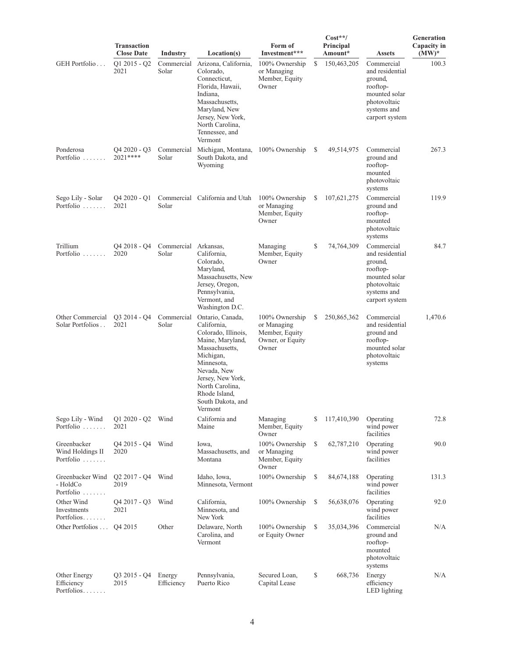| <b>Transaction</b>                           |                                              |                               |                                                                                                                                                                                                                                 |                                                                              | Generation<br>Capacity in |                      |                                                                                                                        |          |  |
|----------------------------------------------|----------------------------------------------|-------------------------------|---------------------------------------------------------------------------------------------------------------------------------------------------------------------------------------------------------------------------------|------------------------------------------------------------------------------|---------------------------|----------------------|------------------------------------------------------------------------------------------------------------------------|----------|--|
|                                              | <b>Close Date</b>                            | Industry                      | Location(s)                                                                                                                                                                                                                     | Form of<br>Investment***                                                     |                           | Principal<br>Amount* | <b>Assets</b>                                                                                                          | $(MW)^*$ |  |
| GEH Portfolio                                | $Q1 2015 - Q2$<br>2021                       | Commercial<br>Solar           | Arizona, California,<br>Colorado,<br>Connecticut,<br>Florida, Hawaii,<br>Indiana,<br>Massachusetts,<br>Maryland, New<br>Jersey, New York,<br>North Carolina,<br>Tennessee, and<br>Vermont                                       | 100% Ownership<br>or Managing<br>Member, Equity<br>Owner                     | \$                        | 150,463,205          | Commercial<br>and residential<br>ground,<br>rooftop-<br>mounted solar<br>photovoltaic<br>systems and<br>carport system | 100.3    |  |
| Ponderosa<br>Portfolio                       | $Q42020 - Q3$<br>2021 ****                   | Commercial<br>Solar           | Michigan, Montana,<br>South Dakota, and<br>Wyoming                                                                                                                                                                              | 100% Ownership                                                               | <sup>\$</sup>             | 49,514,975           | Commercial<br>ground and<br>rooftop-<br>mounted<br>photovoltaic<br>systems                                             | 267.3    |  |
| Sego Lily - Solar<br>Portfolio               | $Q4\,2020 - Q1$<br>2021                      | Solar                         | Commercial California and Utah                                                                                                                                                                                                  | 100% Ownership<br>or Managing<br>Member, Equity<br>Owner                     | S                         | 107,621,275          | Commercial<br>ground and<br>rooftop-<br>mounted<br>photovoltaic<br>systems                                             | 119.9    |  |
| Trillium<br>Portfolio                        | Q4 2018 - Q4<br>2020                         | Commercial Arkansas,<br>Solar | California,<br>Colorado,<br>Maryland,<br>Massachusetts, New<br>Jersey, Oregon,<br>Pennsylvania,<br>Vermont, and<br>Washington D.C.                                                                                              | Managing<br>Member, Equity<br>Owner                                          | \$                        | 74,764,309           | Commercial<br>and residential<br>ground,<br>rooftop-<br>mounted solar<br>photovoltaic<br>systems and<br>carport system | 84.7     |  |
| Other Commercial<br>Solar Portfolios         | $Q3 2014 - Q4$<br>2021                       | Commercial<br>Solar           | Ontario, Canada,<br>California,<br>Colorado, Illinois,<br>Maine, Maryland,<br>Massachusetts,<br>Michigan,<br>Minnesota,<br>Nevada, New<br>Jersey, New York,<br>North Carolina,<br>Rhode Island,<br>South Dakota, and<br>Vermont | 100% Ownership<br>or Managing<br>Member, Equity<br>Owner, or Equity<br>Owner | S                         | 250,865,362          | Commercial<br>and residential<br>ground and<br>rooftop-<br>mounted solar<br>photovoltaic<br>systems                    | 1,470.6  |  |
| Sego Lily - Wind<br>Portfolio                | $Q1 2020 - Q2$<br>2021                       | Wind                          | California and<br>Maine                                                                                                                                                                                                         | Managing<br>Member, Equity<br>Owner                                          | \$                        | 117,410,390          | Operating<br>wind power<br>facilities                                                                                  | 72.8     |  |
| Greenbacker<br>Wind Holdings II<br>Portfolio | Q4 2015 - Q4<br>2020                         | Wind                          | Iowa,<br>Massachusetts, and<br>Montana                                                                                                                                                                                          | 100% Ownership<br>or Managing<br>Member, Equity<br>Owner                     | \$                        | 62,787,210           | Operating<br>wind power<br>facilities                                                                                  | 90.0     |  |
| Greenbacker Wind<br>- HoldCo<br>Portfolio    | $Q2\,2017 - Q4$<br>2019                      | Wind                          | Idaho, Iowa,<br>Minnesota, Vermont                                                                                                                                                                                              | 100% Ownership                                                               | S                         | 84,674,188           | Operating<br>wind power<br>facilities                                                                                  | 131.3    |  |
| Other Wind<br>Investments<br>Portfolios      | O <sub>4</sub> 2017 - O <sub>3</sub><br>2021 | Wind                          | California,<br>Minnesota, and<br>New York                                                                                                                                                                                       | 100% Ownership                                                               | \$                        | 56,638,076           | Operating<br>wind power<br>facilities                                                                                  | 92.0     |  |
| Other Portfolios                             | Q4 2015                                      | Other                         | Delaware, North<br>Carolina, and<br>Vermont                                                                                                                                                                                     | 100% Ownership<br>or Equity Owner                                            | \$                        | 35,034,396           | Commercial<br>ground and<br>rooftop-<br>mounted<br>photovoltaic<br>systems                                             | N/A      |  |
| Other Energy<br>Efficiency<br>Portfolios     | $Q3 2015 - Q4$<br>2015                       | Energy<br>Efficiency          | Pennsylvania,<br>Puerto Rico                                                                                                                                                                                                    | Secured Loan,<br>Capital Lease                                               | \$                        | 668,736              | Energy<br>efficiency<br>LED lighting                                                                                   | N/A      |  |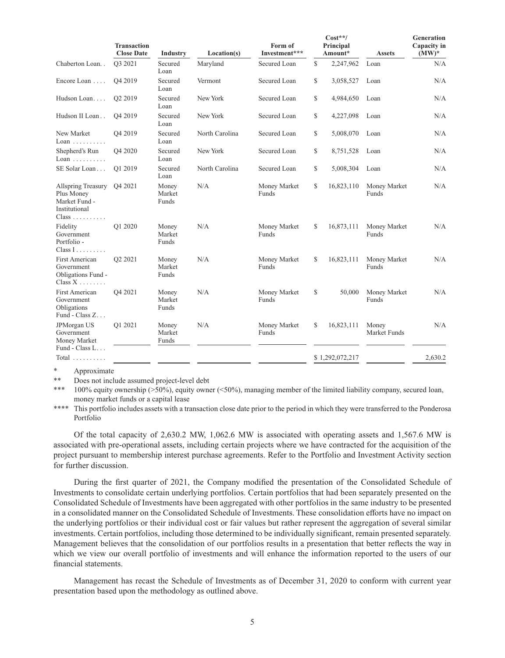| <b>Transaction</b><br><b>Close Date</b>                                                                |                     | <b>Industry</b>          | Location(s)    | Form of<br>Investment*** |                 | $Cost**/$<br>Principal<br>Amount* | <b>Assets</b>         | Generation<br>Capacity in<br>$(MW)^*$ |  |
|--------------------------------------------------------------------------------------------------------|---------------------|--------------------------|----------------|--------------------------|-----------------|-----------------------------------|-----------------------|---------------------------------------|--|
| Chaberton Loan                                                                                         | O3 2021             | Secured<br>Loan          | Maryland       | Secured Loan             | \$<br>2,247,962 |                                   | Loan                  | N/A                                   |  |
| Encore Loan                                                                                            | Q4 2019             | Secured<br>Loan          | Vermont        | Secured Loan             | \$              | 3,058,527                         | Loan                  | N/A                                   |  |
| Hudson Loan                                                                                            | O <sub>2</sub> 2019 | Secured<br>Loan          | New York       | Secured Loan             | \$              | 4,984,650                         | Loan                  | N/A                                   |  |
| Hudson II Loan                                                                                         | Q4 2019             | Secured<br>Loan          | New York       | Secured Loan             | \$              | 4,227,098                         | Loan                  | N/A                                   |  |
| New Market<br>$Loan \ldots \ldots$                                                                     | Q4 2019             | Secured<br>Loan          | North Carolina | Secured Loan             | \$              | 5,008,070                         | Loan                  | N/A                                   |  |
| Shepherd's Run<br>$Loan \ldots \ldots$                                                                 | Q4 2020             | Secured<br>Loan          | New York       | Secured Loan             | \$              | 8,751,528                         | Loan                  | N/A                                   |  |
| SE Solar Loan                                                                                          | O1 2019             | Secured<br>Loan          | North Carolina | Secured Loan             | \$              | 5,008,304                         | Loan                  | N/A                                   |  |
| <b>Allspring Treasury</b><br>Plus Money<br>Market Fund -<br>Institutional<br>$Class \dots \dots \dots$ | Q4 2021             | Money<br>Market<br>Funds | N/A            | Money Market<br>Funds    | \$              | 16,823,110                        | Money Market<br>Funds | N/A                                   |  |
| Fidelity<br>Government<br>Portfolio -<br>$Class I$                                                     | O1 2020             | Money<br>Market<br>Funds | N/A            | Money Market<br>Funds    | \$              | 16,873,111                        | Money Market<br>Funds | N/A                                   |  |
| <b>First American</b><br>Government<br>Obligations Fund -<br>Class $X$                                 | Q2 2021             | Money<br>Market<br>Funds | N/A            | Money Market<br>Funds    | \$              | 16,823,111                        | Money Market<br>Funds | N/A                                   |  |
| <b>First American</b><br>Government<br>Obligations<br>Fund - Class Z                                   | Q4 2021             | Money<br>Market<br>Funds | N/A            | Money Market<br>Funds    | \$              | 50,000                            | Money Market<br>Funds | N/A                                   |  |
| JPMorgan US<br>Government<br>Money Market<br>Fund - Class L                                            | Q1 2021             | Money<br>Market<br>Funds | N/A            | Money Market<br>Funds    | \$              | 16,823,111                        | Money<br>Market Funds | N/A                                   |  |
| Total $\ldots$                                                                                         |                     |                          |                |                          |                 | \$1,292,072,217                   |                       | 2,630.2                               |  |

Approximate

Does not include assumed project-level debt

100% equity ownership ( $>50\%$ ), equity owner ( $<50\%$ ), managing member of the limited liability company, secured loan, money market funds or a capital lease

\*\*\*\* This portfolio includes assets with a transaction close date prior to the period in which they were transferred to the Ponderosa Portfolio

Of the total capacity of 2,630.2 MW, 1,062.6 MW is associated with operating assets and 1,567.6 MW is associated with pre-operational assets, including certain projects where we have contracted for the acquisition of the project pursuant to membership interest purchase agreements. Refer to the Portfolio and Investment Activity section for further discussion.

During the first quarter of 2021, the Company modified the presentation of the Consolidated Schedule of Investments to consolidate certain underlying portfolios. Certain portfolios that had been separately presented on the Consolidated Schedule of Investments have been aggregated with other portfolios in the same industry to be presented in a consolidated manner on the Consolidated Schedule of Investments. These consolidation efforts have no impact on the underlying portfolios or their individual cost or fair values but rather represent the aggregation of several similar investments. Certain portfolios, including those determined to be individually significant, remain presented separately. Management believes that the consolidation of our portfolios results in a presentation that better reflects the way in which we view our overall portfolio of investments and will enhance the information reported to the users of our financial statements.

Management has recast the Schedule of Investments as of December 31, 2020 to conform with current year presentation based upon the methodology as outlined above.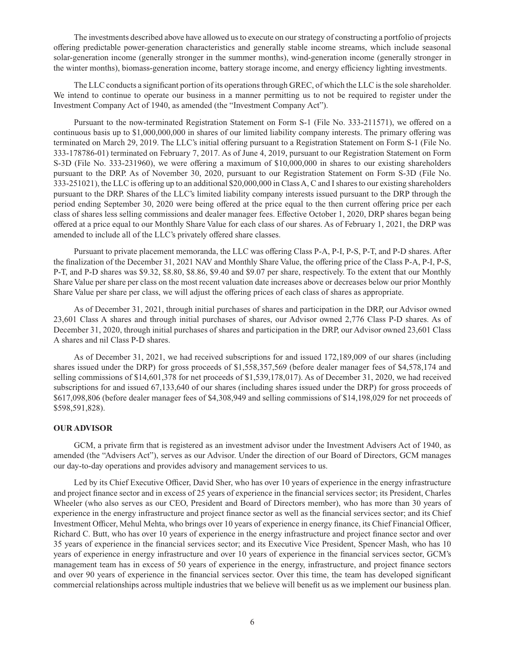The investments described above have allowed us to execute on our strategy of constructing a portfolio of projects offering predictable power-generation characteristics and generally stable income streams, which include seasonal solar-generation income (generally stronger in the summer months), wind-generation income (generally stronger in the winter months), biomass-generation income, battery storage income, and energy efficiency lighting investments.

The LLC conducts a significant portion of its operations through GREC, of which the LLC is the sole shareholder. We intend to continue to operate our business in a manner permitting us to not be required to register under the Investment Company Act of 1940, as amended (the "Investment Company Act").

Pursuant to the now-terminated Registration Statement on Form S-1 (File No. 333-211571), we offered on a continuous basis up to \$1,000,000,000 in shares of our limited liability company interests. The primary offering was terminated on March 29, 2019. The LLC's initial offering pursuant to a Registration Statement on Form S-1 (File No. 333-178786-01) terminated on February 7, 2017. As of June 4, 2019, pursuant to our Registration Statement on Form S-3D (File No. 333-231960), we were offering a maximum of \$10,000,000 in shares to our existing shareholders pursuant to the DRP. As of November 30, 2020, pursuant to our Registration Statement on Form S-3D (File No. 333-251021), the LLC is offering up to an additional \$20,000,000 in Class A, C and I shares to our existing shareholders pursuant to the DRP. Shares of the LLC's limited liability company interests issued pursuant to the DRP through the period ending September 30, 2020 were being offered at the price equal to the then current offering price per each class of shares less selling commissions and dealer manager fees. Effective October 1, 2020, DRP shares began being offered at a price equal to our Monthly Share Value for each class of our shares. As of February 1, 2021, the DRP was amended to include all of the LLC's privately offered share classes.

Pursuant to private placement memoranda, the LLC was offering Class P-A, P-I, P-S, P-T, and P-D shares. After the finalization of the December 31, 2021 NAV and Monthly Share Value, the offering price of the Class P-A, P-I, P-S, P-T, and P-D shares was \$9.32, \$8.80, \$8.86, \$9.40 and \$9.07 per share, respectively. To the extent that our Monthly Share Value per share per class on the most recent valuation date increases above or decreases below our prior Monthly Share Value per share per class, we will adjust the offering prices of each class of shares as appropriate.

As of December 31, 2021, through initial purchases of shares and participation in the DRP, our Advisor owned 23,601 Class A shares and through initial purchases of shares, our Advisor owned 2,776 Class P-D shares. As of December 31, 2020, through initial purchases of shares and participation in the DRP, our Advisor owned 23,601 Class A shares and nil Class P-D shares.

As of December 31, 2021, we had received subscriptions for and issued 172,189,009 of our shares (including shares issued under the DRP) for gross proceeds of \$1,558,357,569 (before dealer manager fees of \$4,578,174 and selling commissions of \$14,601,378 for net proceeds of \$1,539,178,017). As of December 31, 2020, we had received subscriptions for and issued 67,133,640 of our shares (including shares issued under the DRP) for gross proceeds of \$617,098,806 (before dealer manager fees of \$4,308,949 and selling commissions of \$14,198,029 for net proceeds of \$598,591,828).

#### **OUR ADVISOR**

GCM, a private firm that is registered as an investment advisor under the Investment Advisers Act of 1940, as amended (the "Advisers Act"), serves as our Advisor. Under the direction of our Board of Directors, GCM manages our day-to-day operations and provides advisory and management services to us.

Led by its Chief Executive Officer, David Sher, who has over 10 years of experience in the energy infrastructure and project finance sector and in excess of 25 years of experience in the financial services sector; its President, Charles Wheeler (who also serves as our CEO, President and Board of Directors member), who has more than 30 years of experience in the energy infrastructure and project finance sector as well as the financial services sector; and its Chief Investment Officer, Mehul Mehta, who brings over 10 years of experience in energy finance, its Chief Financial Officer, Richard C. Butt, who has over 10 years of experience in the energy infrastructure and project finance sector and over 35 years of experience in the financial services sector; and its Executive Vice President, Spencer Mash, who has 10 years of experience in energy infrastructure and over 10 years of experience in the financial services sector, GCM's management team has in excess of 50 years of experience in the energy, infrastructure, and project finance sectors and over 90 years of experience in the financial services sector. Over this time, the team has developed significant commercial relationships across multiple industries that we believe will benefit us as we implement our business plan.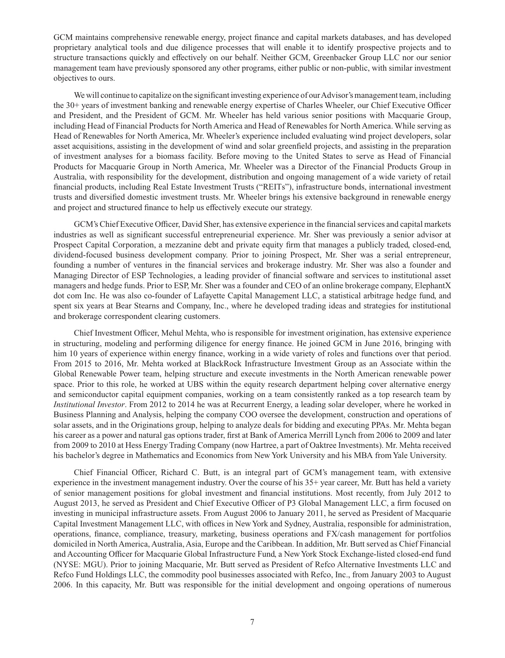GCM maintains comprehensive renewable energy, project finance and capital markets databases, and has developed proprietary analytical tools and due diligence processes that will enable it to identify prospective projects and to structure transactions quickly and effectively on our behalf. Neither GCM, Greenbacker Group LLC nor our senior management team have previously sponsored any other programs, either public or non-public, with similar investment objectives to ours.

We will continue to capitalize on the significant investing experience of our Advisor's management team, including the 30+ years of investment banking and renewable energy expertise of Charles Wheeler, our Chief Executive Officer and President, and the President of GCM. Mr. Wheeler has held various senior positions with Macquarie Group, including Head of Financial Products for North America and Head of Renewables for North America. While serving as Head of Renewables for North America, Mr. Wheeler's experience included evaluating wind project developers, solar asset acquisitions, assisting in the development of wind and solar greenfield projects, and assisting in the preparation of investment analyses for a biomass facility. Before moving to the United States to serve as Head of Financial Products for Macquarie Group in North America, Mr. Wheeler was a Director of the Financial Products Group in Australia, with responsibility for the development, distribution and ongoing management of a wide variety of retail financial products, including Real Estate Investment Trusts ("REITs"), infrastructure bonds, international investment trusts and diversified domestic investment trusts. Mr. Wheeler brings his extensive background in renewable energy and project and structured finance to help us effectively execute our strategy.

GCM's Chief Executive Officer, David Sher, has extensive experience in the financial services and capital markets industries as well as significant successful entrepreneurial experience. Mr. Sher was previously a senior advisor at Prospect Capital Corporation, a mezzanine debt and private equity firm that manages a publicly traded, closed-end, dividend-focused business development company. Prior to joining Prospect, Mr. Sher was a serial entrepreneur, founding a number of ventures in the financial services and brokerage industry. Mr. Sher was also a founder and Managing Director of ESP Technologies, a leading provider of financial software and services to institutional asset managers and hedge funds. Prior to ESP, Mr. Sher was a founder and CEO of an online brokerage company, ElephantX dot com Inc. He was also co-founder of Lafayette Capital Management LLC, a statistical arbitrage hedge fund, and spent six years at Bear Stearns and Company, Inc., where he developed trading ideas and strategies for institutional and brokerage correspondent clearing customers.

Chief Investment Officer, Mehul Mehta, who is responsible for investment origination, has extensive experience in structuring, modeling and performing diligence for energy finance. He joined GCM in June 2016, bringing with him 10 years of experience within energy finance, working in a wide variety of roles and functions over that period. From 2015 to 2016, Mr. Mehta worked at BlackRock Infrastructure Investment Group as an Associate within the Global Renewable Power team, helping structure and execute investments in the North American renewable power space. Prior to this role, he worked at UBS within the equity research department helping cover alternative energy and semiconductor capital equipment companies, working on a team consistently ranked as a top research team by *Institutional Investor*. From 2012 to 2014 he was at Recurrent Energy, a leading solar developer, where he worked in Business Planning and Analysis, helping the company COO oversee the development, construction and operations of solar assets, and in the Originations group, helping to analyze deals for bidding and executing PPAs. Mr. Mehta began his career as a power and natural gas options trader, first at Bank of America Merrill Lynch from 2006 to 2009 and later from 2009 to 2010 at Hess Energy Trading Company (now Hartree, a part of Oaktree Investments). Mr. Mehta received his bachelor's degree in Mathematics and Economics from New York University and his MBA from Yale University.

Chief Financial Officer, Richard C. Butt, is an integral part of GCM's management team, with extensive experience in the investment management industry. Over the course of his 35+ year career, Mr. Butt has held a variety of senior management positions for global investment and financial institutions. Most recently, from July 2012 to August 2013, he served as President and Chief Executive Officer of P3 Global Management LLC, a firm focused on investing in municipal infrastructure assets. From August 2006 to January 2011, he served as President of Macquarie Capital Investment Management LLC, with offices in New York and Sydney, Australia, responsible for administration, operations, finance, compliance, treasury, marketing, business operations and FX/cash management for portfolios domiciled in North America, Australia, Asia, Europe and the Caribbean. In addition, Mr. Butt served as Chief Financial and Accounting Officer for Macquarie Global Infrastructure Fund, a New York Stock Exchange-listed closed-end fund (NYSE: MGU). Prior to joining Macquarie, Mr. Butt served as President of Refco Alternative Investments LLC and Refco Fund Holdings LLC, the commodity pool businesses associated with Refco, Inc., from January 2003 to August 2006. In this capacity, Mr. Butt was responsible for the initial development and ongoing operations of numerous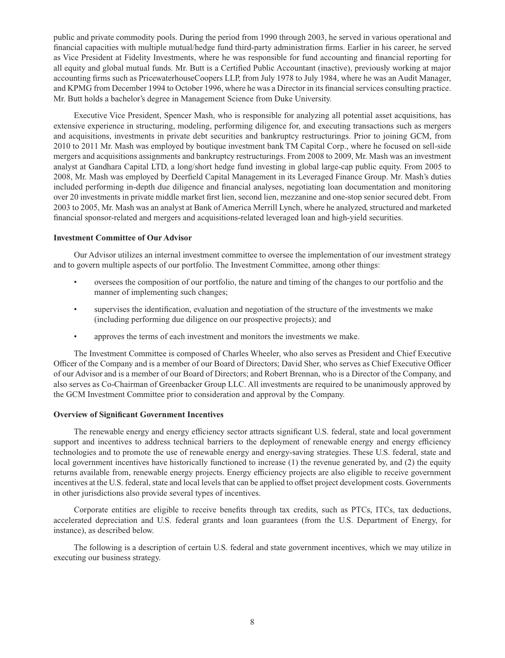public and private commodity pools. During the period from 1990 through 2003, he served in various operational and financial capacities with multiple mutual/hedge fund third-party administration firms. Earlier in his career, he served as Vice President at Fidelity Investments, where he was responsible for fund accounting and financial reporting for all equity and global mutual funds. Mr. Butt is a Certified Public Accountant (inactive), previously working at major accounting firms such as PricewaterhouseCoopers LLP, from July 1978 to July 1984, where he was an Audit Manager, and KPMG from December 1994 to October 1996, where he was a Director in its financial services consulting practice. Mr. Butt holds a bachelor's degree in Management Science from Duke University.

Executive Vice President, Spencer Mash, who is responsible for analyzing all potential asset acquisitions, has extensive experience in structuring, modeling, performing diligence for, and executing transactions such as mergers and acquisitions, investments in private debt securities and bankruptcy restructurings. Prior to joining GCM, from 2010 to 2011 Mr. Mash was employed by boutique investment bank TM Capital Corp., where he focused on sell-side mergers and acquisitions assignments and bankruptcy restructurings. From 2008 to 2009, Mr. Mash was an investment analyst at Gandhara Capital LTD, a long/short hedge fund investing in global large-cap public equity. From 2005 to 2008, Mr. Mash was employed by Deerfield Capital Management in its Leveraged Finance Group. Mr. Mash's duties included performing in-depth due diligence and financial analyses, negotiating loan documentation and monitoring over 20 investments in private middle market first lien, second lien, mezzanine and one-stop senior secured debt. From 2003 to 2005, Mr. Mash was an analyst at Bank of America Merrill Lynch, where he analyzed, structured and marketed financial sponsor-related and mergers and acquisitions-related leveraged loan and high-yield securities.

### **Investment Committee of Our Advisor**

Our Advisor utilizes an internal investment committee to oversee the implementation of our investment strategy and to govern multiple aspects of our portfolio. The Investment Committee, among other things:

- oversees the composition of our portfolio, the nature and timing of the changes to our portfolio and the manner of implementing such changes;
- supervises the identification, evaluation and negotiation of the structure of the investments we make (including performing due diligence on our prospective projects); and
- approves the terms of each investment and monitors the investments we make.

The Investment Committee is composed of Charles Wheeler, who also serves as President and Chief Executive Officer of the Company and is a member of our Board of Directors; David Sher, who serves as Chief Executive Officer of our Advisor and is a member of our Board of Directors; and Robert Brennan, who is a Director of the Company, and also serves as Co-Chairman of Greenbacker Group LLC. All investments are required to be unanimously approved by the GCM Investment Committee prior to consideration and approval by the Company.

### **Overview of Significant Government Incentives**

The renewable energy and energy efficiency sector attracts significant U.S. federal, state and local government support and incentives to address technical barriers to the deployment of renewable energy and energy efficiency technologies and to promote the use of renewable energy and energy-saving strategies. These U.S. federal, state and local government incentives have historically functioned to increase (1) the revenue generated by, and (2) the equity returns available from, renewable energy projects. Energy efficiency projects are also eligible to receive government incentives at the U.S. federal, state and local levels that can be applied to offset project development costs. Governments in other jurisdictions also provide several types of incentives.

Corporate entities are eligible to receive benefits through tax credits, such as PTCs, ITCs, tax deductions, accelerated depreciation and U.S. federal grants and loan guarantees (from the U.S. Department of Energy, for instance), as described below.

The following is a description of certain U.S. federal and state government incentives, which we may utilize in executing our business strategy.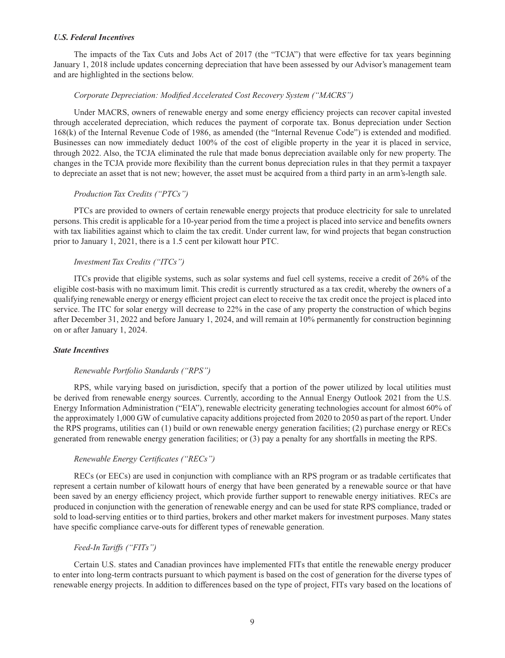#### *U.S. Federal Incentives*

The impacts of the Tax Cuts and Jobs Act of 2017 (the "TCJA") that were effective for tax years beginning January 1, 2018 include updates concerning depreciation that have been assessed by our Advisor's management team and are highlighted in the sections below.

#### *Corporate Depreciation: Modified Accelerated Cost Recovery System ("MACRS")*

Under MACRS, owners of renewable energy and some energy efficiency projects can recover capital invested through accelerated depreciation, which reduces the payment of corporate tax. Bonus depreciation under Section 168(k) of the Internal Revenue Code of 1986, as amended (the "Internal Revenue Code") is extended and modified. Businesses can now immediately deduct 100% of the cost of eligible property in the year it is placed in service, through 2022. Also, the TCJA eliminated the rule that made bonus depreciation available only for new property. The changes in the TCJA provide more flexibility than the current bonus depreciation rules in that they permit a taxpayer to depreciate an asset that is not new; however, the asset must be acquired from a third party in an arm's-length sale.

#### *Production Tax Credits ("PTCs")*

PTCs are provided to owners of certain renewable energy projects that produce electricity for sale to unrelated persons. This credit is applicable for a 10-year period from the time a project is placed into service and benefits owners with tax liabilities against which to claim the tax credit. Under current law, for wind projects that began construction prior to January 1, 2021, there is a 1.5 cent per kilowatt hour PTC.

### *Investment Tax Credits ("ITCs")*

ITCs provide that eligible systems, such as solar systems and fuel cell systems, receive a credit of 26% of the eligible cost-basis with no maximum limit. This credit is currently structured as a tax credit, whereby the owners of a qualifying renewable energy or energy efficient project can elect to receive the tax credit once the project is placed into service. The ITC for solar energy will decrease to 22% in the case of any property the construction of which begins after December 31, 2022 and before January 1, 2024, and will remain at 10% permanently for construction beginning on or after January 1, 2024.

#### *State Incentives*

#### *Renewable Portfolio Standards ("RPS")*

RPS, while varying based on jurisdiction, specify that a portion of the power utilized by local utilities must be derived from renewable energy sources. Currently, according to the Annual Energy Outlook 2021 from the U.S. Energy Information Administration ("EIA"), renewable electricity generating technologies account for almost 60% of the approximately 1,000 GW of cumulative capacity additions projected from 2020 to 2050 as part of the report. Under the RPS programs, utilities can (1) build or own renewable energy generation facilities; (2) purchase energy or RECs generated from renewable energy generation facilities; or (3) pay a penalty for any shortfalls in meeting the RPS.

### *Renewable Energy Certificates ("RECs")*

RECs (or EECs) are used in conjunction with compliance with an RPS program or as tradable certificates that represent a certain number of kilowatt hours of energy that have been generated by a renewable source or that have been saved by an energy efficiency project, which provide further support to renewable energy initiatives. RECs are produced in conjunction with the generation of renewable energy and can be used for state RPS compliance, traded or sold to load-serving entities or to third parties, brokers and other market makers for investment purposes. Many states have specific compliance carve-outs for different types of renewable generation.

#### *Feed-In Tariffs ("FITs")*

Certain U.S. states and Canadian provinces have implemented FITs that entitle the renewable energy producer to enter into long-term contracts pursuant to which payment is based on the cost of generation for the diverse types of renewable energy projects. In addition to differences based on the type of project, FITs vary based on the locations of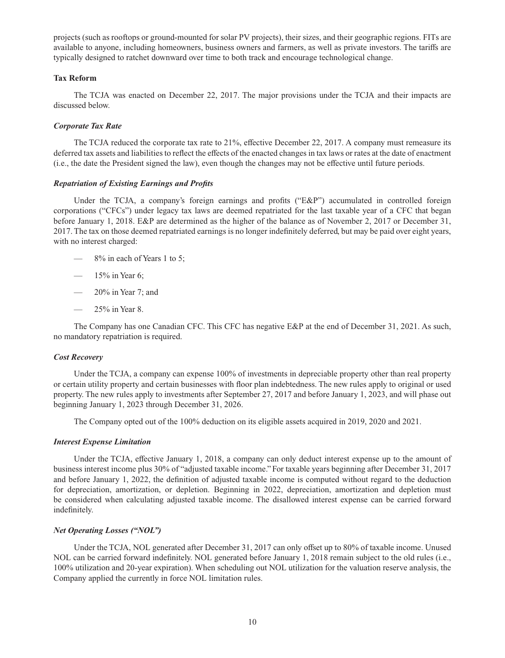projects (such as rooftops or ground-mounted for solar PV projects), their sizes, and their geographic regions. FITs are available to anyone, including homeowners, business owners and farmers, as well as private investors. The tariffs are typically designed to ratchet downward over time to both track and encourage technological change.

# **Tax Reform**

The TCJA was enacted on December 22, 2017. The major provisions under the TCJA and their impacts are discussed below.

#### *Corporate Tax Rate*

The TCJA reduced the corporate tax rate to 21%, effective December 22, 2017. A company must remeasure its deferred tax assets and liabilities to reflect the effects of the enacted changes in tax laws or rates at the date of enactment (i.e., the date the President signed the law), even though the changes may not be effective until future periods.

#### *Repatriation of Existing Earnings and Profits*

Under the TCJA, a company's foreign earnings and profits ("E&P") accumulated in controlled foreign corporations ("CFCs") under legacy tax laws are deemed repatriated for the last taxable year of a CFC that began before January 1, 2018. E&P are determined as the higher of the balance as of November 2, 2017 or December 31, 2017. The tax on those deemed repatriated earnings is no longer indefinitely deferred, but may be paid over eight years, with no interest charged:

- 8% in each of Years 1 to 5;
- $15\%$  in Year 6;
- 20% in Year 7; and
- 25% in Year 8.

The Company has one Canadian CFC. This CFC has negative E&P at the end of December 31, 2021. As such, no mandatory repatriation is required.

#### *Cost Recovery*

Under the TCJA, a company can expense 100% of investments in depreciable property other than real property or certain utility property and certain businesses with floor plan indebtedness. The new rules apply to original or used property. The new rules apply to investments after September 27, 2017 and before January 1, 2023, and will phase out beginning January 1, 2023 through December 31, 2026.

The Company opted out of the 100% deduction on its eligible assets acquired in 2019, 2020 and 2021.

#### *Interest Expense Limitation*

Under the TCJA, effective January 1, 2018, a company can only deduct interest expense up to the amount of business interest income plus 30% of "adjusted taxable income." For taxable years beginning after December 31, 2017 and before January 1, 2022, the definition of adjusted taxable income is computed without regard to the deduction for depreciation, amortization, or depletion. Beginning in 2022, depreciation, amortization and depletion must be considered when calculating adjusted taxable income. The disallowed interest expense can be carried forward indefinitely.

### *Net Operating Losses ("NOL")*

Under the TCJA, NOL generated after December 31, 2017 can only offset up to 80% of taxable income. Unused NOL can be carried forward indefinitely. NOL generated before January 1, 2018 remain subject to the old rules (i.e., 100% utilization and 20-year expiration). When scheduling out NOL utilization for the valuation reserve analysis, the Company applied the currently in force NOL limitation rules.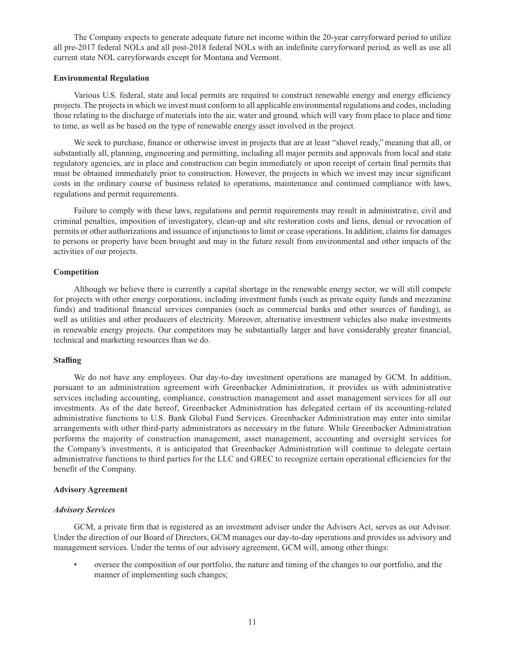The Company expects to generate adequate future net income within the 20-year carryforward period to utilize all pre-2017 federal NOLs and all post-2018 federal NOLs with an indefinite carryforward period, as well as use all current state NOL carryforwards except for Montana and Vermont.

### **Environmental Regulation**

Various U.S. federal, state and local permits are required to construct renewable energy and energy efficiency projects. The projects in which we invest must conform to all applicable environmental regulations and codes, including those relating to the discharge of materials into the air, water and ground, which will vary from place to place and time to time, as well as be based on the type of renewable energy asset involved in the project.

We seek to purchase, finance or otherwise invest in projects that are at least "shovel ready," meaning that all, or substantially all, planning, engineering and permitting, including all major permits and approvals from local and state regulatory agencies, are in place and construction can begin immediately or upon receipt of certain final permits that must be obtained immediately prior to construction. However, the projects in which we invest may incur significant costs in the ordinary course of business related to operations, maintenance and continued compliance with laws, regulations and permit requirements.

Failure to comply with these laws, regulations and permit requirements may result in administrative, civil and criminal penalties, imposition of investigatory, clean-up and site restoration costs and liens, denial or revocation of permits or other authorizations and issuance of injunctions to limit or cease operations. In addition, claims for damages to persons or property have been brought and may in the future result from environmental and other impacts of the activities of our projects.

# **Competition**

Although we believe there is currently a capital shortage in the renewable energy sector, we will still compete for projects with other energy corporations, including investment funds (such as private equity funds and mezzanine funds) and traditional financial services companies (such as commercial banks and other sources of funding), as well as utilities and other producers of electricity. Moreover, alternative investment vehicles also make investments in renewable energy projects. Our competitors may be substantially larger and have considerably greater financial, technical and marketing resources than we do.

# **Staffing**

We do not have any employees. Our day-to-day investment operations are managed by GCM. In addition, pursuant to an administration agreement with Greenbacker Administration, it provides us with administrative services including accounting, compliance, construction management and asset management services for all our investments. As of the date hereof, Greenbacker Administration has delegated certain of its accounting-related administrative functions to U.S. Bank Global Fund Services. Greenbacker Administration may enter into similar arrangements with other third-party administrators as necessary in the future. While Greenbacker Administration performs the majority of construction management, asset management, accounting and oversight services for the Company's investments, it is anticipated that Greenbacker Administration will continue to delegate certain administrative functions to third parties for the LLC and GREC to recognize certain operational efficiencies for the benefit of the Company.

### **Advisory Agreement**

### *Advisory Services*

GCM, a private firm that is registered as an investment adviser under the Advisers Act, serves as our Advisor. Under the direction of our Board of Directors, GCM manages our day-to-day operations and provides us advisory and management services. Under the terms of our advisory agreement, GCM will, among other things:

• oversee the composition of our portfolio, the nature and timing of the changes to our portfolio, and the manner of implementing such changes;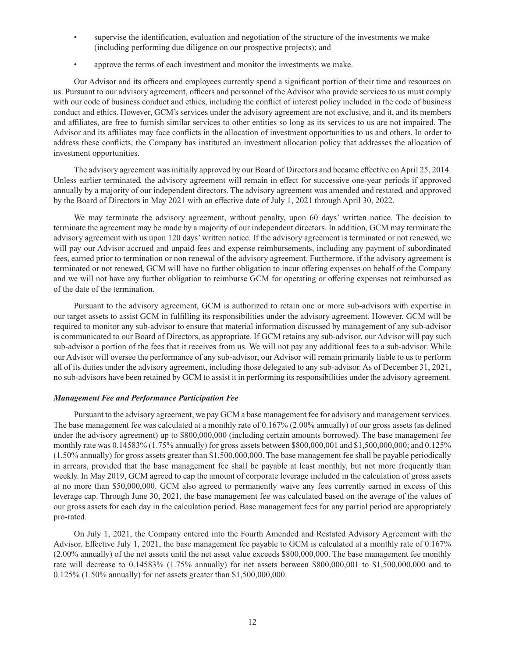- supervise the identification, evaluation and negotiation of the structure of the investments we make (including performing due diligence on our prospective projects); and
- approve the terms of each investment and monitor the investments we make.

Our Advisor and its officers and employees currently spend a significant portion of their time and resources on us. Pursuant to our advisory agreement, officers and personnel of the Advisor who provide services to us must comply with our code of business conduct and ethics, including the conflict of interest policy included in the code of business conduct and ethics. However, GCM's services under the advisory agreement are not exclusive, and it, and its members and affiliates, are free to furnish similar services to other entities so long as its services to us are not impaired. The Advisor and its affiliates may face conflicts in the allocation of investment opportunities to us and others. In order to address these conflicts, the Company has instituted an investment allocation policy that addresses the allocation of investment opportunities.

The advisory agreement was initially approved by our Board of Directors and became effective on April 25, 2014. Unless earlier terminated, the advisory agreement will remain in effect for successive one-year periods if approved annually by a majority of our independent directors. The advisory agreement was amended and restated, and approved by the Board of Directors in May 2021 with an effective date of July 1, 2021 through April 30, 2022.

We may terminate the advisory agreement, without penalty, upon 60 days' written notice. The decision to terminate the agreement may be made by a majority of our independent directors. In addition, GCM may terminate the advisory agreement with us upon 120 days' written notice. If the advisory agreement is terminated or not renewed, we will pay our Advisor accrued and unpaid fees and expense reimbursements, including any payment of subordinated fees, earned prior to termination or non renewal of the advisory agreement. Furthermore, if the advisory agreement is terminated or not renewed, GCM will have no further obligation to incur offering expenses on behalf of the Company and we will not have any further obligation to reimburse GCM for operating or offering expenses not reimbursed as of the date of the termination.

Pursuant to the advisory agreement, GCM is authorized to retain one or more sub-advisors with expertise in our target assets to assist GCM in fulfilling its responsibilities under the advisory agreement. However, GCM will be required to monitor any sub-advisor to ensure that material information discussed by management of any sub-advisor is communicated to our Board of Directors, as appropriate. If GCM retains any sub-advisor, our Advisor will pay such sub-advisor a portion of the fees that it receives from us. We will not pay any additional fees to a sub-advisor. While our Advisor will oversee the performance of any sub-advisor, our Advisor will remain primarily liable to us to perform all of its duties under the advisory agreement, including those delegated to any sub-advisor. As of December 31, 2021, no sub-advisors have been retained by GCM to assist it in performing its responsibilities under the advisory agreement.

# *Management Fee and Performance Participation Fee*

Pursuant to the advisory agreement, we pay GCM a base management fee for advisory and management services. The base management fee was calculated at a monthly rate of 0.167% (2.00% annually) of our gross assets (as defined under the advisory agreement) up to \$800,000,000 (including certain amounts borrowed). The base management fee monthly rate was 0.14583% (1.75% annually) for gross assets between \$800,000,001 and \$1,500,000,000; and 0.125% (1.50% annually) for gross assets greater than \$1,500,000,000. The base management fee shall be payable periodically in arrears, provided that the base management fee shall be payable at least monthly, but not more frequently than weekly. In May 2019, GCM agreed to cap the amount of corporate leverage included in the calculation of gross assets at no more than \$50,000,000. GCM also agreed to permanently waive any fees currently earned in excess of this leverage cap. Through June 30, 2021, the base management fee was calculated based on the average of the values of our gross assets for each day in the calculation period. Base management fees for any partial period are appropriately pro-rated.

On July 1, 2021, the Company entered into the Fourth Amended and Restated Advisory Agreement with the Advisor. Effective July 1, 2021, the base management fee payable to GCM is calculated at a monthly rate of 0.167% (2.00% annually) of the net assets until the net asset value exceeds \$800,000,000. The base management fee monthly rate will decrease to 0.14583% (1.75% annually) for net assets between \$800,000,001 to \$1,500,000,000 and to 0.125% (1.50% annually) for net assets greater than \$1,500,000,000.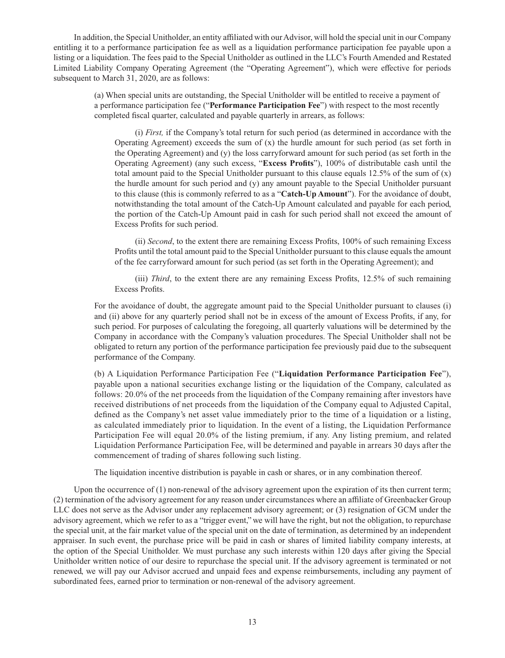In addition, the Special Unitholder, an entity affiliated with our Advisor, will hold the special unit in our Company entitling it to a performance participation fee as well as a liquidation performance participation fee payable upon a listing or a liquidation. The fees paid to the Special Unitholder as outlined in the LLC's Fourth Amended and Restated Limited Liability Company Operating Agreement (the "Operating Agreement"), which were effective for periods subsequent to March 31, 2020, are as follows:

> (a) When special units are outstanding, the Special Unitholder will be entitled to receive a payment of a performance participation fee ("**Performance Participation Fee**") with respect to the most recently completed fiscal quarter, calculated and payable quarterly in arrears, as follows:

(i) *First,* if the Company's total return for such period (as determined in accordance with the Operating Agreement) exceeds the sum of  $(x)$  the hurdle amount for such period (as set forth in the Operating Agreement) and (y) the loss carryforward amount for such period (as set forth in the Operating Agreement) (any such excess, "**Excess Profits**"), 100% of distributable cash until the total amount paid to the Special Unitholder pursuant to this clause equals  $12.5\%$  of the sum of (x) the hurdle amount for such period and (y) any amount payable to the Special Unitholder pursuant to this clause (this is commonly referred to as a "**Catch-Up Amount**"). For the avoidance of doubt, notwithstanding the total amount of the Catch-Up Amount calculated and payable for each period, the portion of the Catch-Up Amount paid in cash for such period shall not exceed the amount of Excess Profits for such period.

(ii) *Second*, to the extent there are remaining Excess Profits, 100% of such remaining Excess Profits until the total amount paid to the Special Unitholder pursuant to this clause equals the amount of the fee carryforward amount for such period (as set forth in the Operating Agreement); and

(iii) *Third*, to the extent there are any remaining Excess Profits, 12.5% of such remaining Excess Profits.

For the avoidance of doubt, the aggregate amount paid to the Special Unitholder pursuant to clauses (i) and (ii) above for any quarterly period shall not be in excess of the amount of Excess Profits, if any, for such period. For purposes of calculating the foregoing, all quarterly valuations will be determined by the Company in accordance with the Company's valuation procedures. The Special Unitholder shall not be obligated to return any portion of the performance participation fee previously paid due to the subsequent performance of the Company.

(b) A Liquidation Performance Participation Fee ("**Liquidation Performance Participation Fee**"), payable upon a national securities exchange listing or the liquidation of the Company, calculated as follows: 20.0% of the net proceeds from the liquidation of the Company remaining after investors have received distributions of net proceeds from the liquidation of the Company equal to Adjusted Capital, defined as the Company's net asset value immediately prior to the time of a liquidation or a listing, as calculated immediately prior to liquidation. In the event of a listing, the Liquidation Performance Participation Fee will equal 20.0% of the listing premium, if any. Any listing premium, and related Liquidation Performance Participation Fee, will be determined and payable in arrears 30 days after the commencement of trading of shares following such listing.

The liquidation incentive distribution is payable in cash or shares, or in any combination thereof.

Upon the occurrence of (1) non-renewal of the advisory agreement upon the expiration of its then current term; (2) termination of the advisory agreement for any reason under circumstances where an affiliate of Greenbacker Group LLC does not serve as the Advisor under any replacement advisory agreement; or (3) resignation of GCM under the advisory agreement, which we refer to as a "trigger event," we will have the right, but not the obligation, to repurchase the special unit, at the fair market value of the special unit on the date of termination, as determined by an independent appraiser. In such event, the purchase price will be paid in cash or shares of limited liability company interests, at the option of the Special Unitholder. We must purchase any such interests within 120 days after giving the Special Unitholder written notice of our desire to repurchase the special unit. If the advisory agreement is terminated or not renewed, we will pay our Advisor accrued and unpaid fees and expense reimbursements, including any payment of subordinated fees, earned prior to termination or non-renewal of the advisory agreement.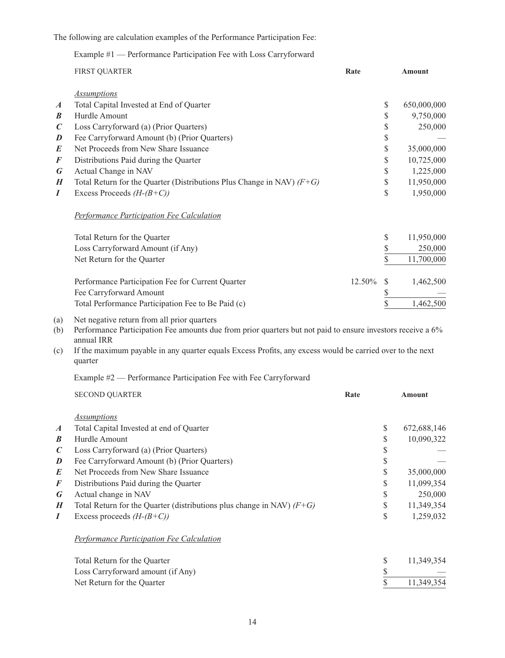The following are calculation examples of the Performance Participation Fee:

# Example #1 — Performance Participation Fee with Loss Carryforward

|                  | <b>FIRST QUARTER</b>                                                                                                                                                     | Rate   |              | <b>Amount</b> |
|------------------|--------------------------------------------------------------------------------------------------------------------------------------------------------------------------|--------|--------------|---------------|
|                  | <b>Assumptions</b>                                                                                                                                                       |        |              |               |
| $\boldsymbol{A}$ | Total Capital Invested at End of Quarter                                                                                                                                 |        | \$           | 650,000,000   |
| $\boldsymbol{B}$ | Hurdle Amount                                                                                                                                                            |        | \$           | 9,750,000     |
| $\boldsymbol{C}$ | Loss Carryforward (a) (Prior Quarters)                                                                                                                                   |        | \$           | 250,000       |
| D                | Fee Carryforward Amount (b) (Prior Quarters)                                                                                                                             |        | \$           |               |
| E                | Net Proceeds from New Share Issuance                                                                                                                                     |        | \$           | 35,000,000    |
| F                | Distributions Paid during the Quarter                                                                                                                                    |        | \$           | 10,725,000    |
| G                | Actual Change in NAV                                                                                                                                                     |        | \$           | 1,225,000     |
| H                | Total Return for the Quarter (Distributions Plus Change in NAV) $(F+G)$                                                                                                  |        | \$           | 11,950,000    |
| I                | Excess Proceeds $(H-(B+C))$                                                                                                                                              |        | \$           | 1,950,000     |
|                  | <b>Performance Participation Fee Calculation</b>                                                                                                                         |        |              |               |
|                  | Total Return for the Quarter                                                                                                                                             |        | \$           | 11,950,000    |
|                  | Loss Carryforward Amount (if Any)                                                                                                                                        |        | \$           | 250,000       |
|                  | Net Return for the Quarter                                                                                                                                               |        | \$           | 11,700,000    |
|                  | Performance Participation Fee for Current Quarter                                                                                                                        | 12.50% | <sup>S</sup> | 1,462,500     |
|                  | Fee Carryforward Amount                                                                                                                                                  |        | \$           |               |
|                  | Total Performance Participation Fee to Be Paid (c)                                                                                                                       |        | \$           | 1,462,500     |
| (a)<br>(b)       | Net negative return from all prior quarters<br>Performance Participation Fee amounts due from prior quarters but not paid to ensure investors receive a 6%<br>annual IRR |        |              |               |

(c) If the maximum payable in any quarter equals Excess Profits, any excess would be carried over to the next quarter

# Example #2 — Performance Participation Fee with Fee Carryforward

|                  | <b>SECOND QUARTER</b>                                                   | Rate |    | <b>Amount</b> |
|------------------|-------------------------------------------------------------------------|------|----|---------------|
|                  | <b>Assumptions</b>                                                      |      |    |               |
| $\boldsymbol{A}$ | Total Capital Invested at end of Quarter                                |      | \$ | 672,688,146   |
| $\boldsymbol{B}$ | Hurdle Amount                                                           |      | \$ | 10,090,322    |
| $\mathcal C$     | Loss Carryforward (a) (Prior Quarters)                                  |      | \$ |               |
| D                | Fee Carryforward Amount (b) (Prior Quarters)                            |      | \$ |               |
| E                | Net Proceeds from New Share Issuance                                    |      | \$ | 35,000,000    |
| F                | Distributions Paid during the Quarter                                   |      | S  | 11,099,354    |
| G                | Actual change in NAV                                                    |      | \$ | 250,000       |
| H                | Total Return for the Quarter (distributions plus change in NAV) $(F+G)$ |      | S  | 11,349,354    |
| I                | Excess proceeds $(H-(B+C))$                                             |      | \$ | 1,259,032     |
|                  | <b>Performance Participation Fee Calculation</b>                        |      |    |               |
|                  | Total Return for the Quarter                                            |      | \$ | 11,349,354    |
|                  | Loss Carryforward amount (if Any)                                       |      | \$ |               |
|                  | Net Return for the Quarter                                              |      |    | 11,349,354    |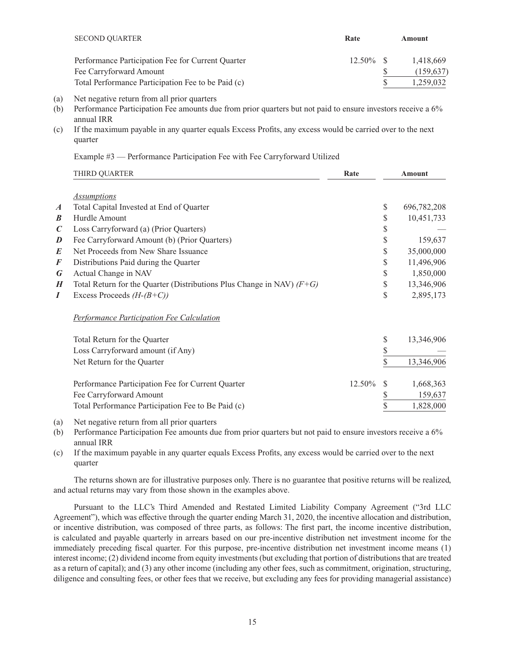| <b>SECOND QUARTER</b>                              | Rate         | Amount     |
|----------------------------------------------------|--------------|------------|
| Performance Participation Fee for Current Quarter  | $12.50\%$ \$ | 1.418.669  |
| Fee Carryforward Amount                            |              | (159, 637) |
| Total Performance Participation Fee to be Paid (c) |              | 1.259.032  |

- (a) Net negative return from all prior quarters
- (b) Performance Participation Fee amounts due from prior quarters but not paid to ensure investors receive a 6% annual IRR
- (c) If the maximum payable in any quarter equals Excess Profits, any excess would be carried over to the next quarter

Example #3 — Performance Participation Fee with Fee Carryforward Utilized

|                  | THIRD QUARTER                                                           | Rate   |               | <b>Amount</b> |
|------------------|-------------------------------------------------------------------------|--------|---------------|---------------|
|                  | <b>Assumptions</b>                                                      |        |               |               |
| $\boldsymbol{A}$ | Total Capital Invested at End of Quarter                                |        | \$            | 696,782,208   |
| B                | Hurdle Amount                                                           |        | \$            | 10,451,733    |
| $\mathcal C$     | Loss Carryforward (a) (Prior Quarters)                                  |        | \$            |               |
| D                | Fee Carryforward Amount (b) (Prior Quarters)                            |        | \$            | 159,637       |
| E                | Net Proceeds from New Share Issuance                                    |        | \$            | 35,000,000    |
| F                | Distributions Paid during the Quarter                                   |        | \$            | 11,496,906    |
| G                | Actual Change in NAV                                                    |        | \$            | 1,850,000     |
| H                | Total Return for the Quarter (Distributions Plus Change in NAV) $(F+G)$ |        | \$            | 13,346,906    |
| I                | Excess Proceeds $(H-(B+C))$                                             |        | \$            | 2,895,173     |
|                  | <b>Performance Participation Fee Calculation</b>                        |        |               |               |
|                  | Total Return for the Quarter                                            |        | \$            | 13,346,906    |
|                  | Loss Carryforward amount (if Any)                                       |        | \$            |               |
|                  | Net Return for the Quarter                                              |        | \$            | 13,346,906    |
|                  | Performance Participation Fee for Current Quarter                       | 12.50% | <sup>\$</sup> | 1,668,363     |
|                  | Fee Carryforward Amount                                                 |        |               | 159,637       |
|                  | Total Performance Participation Fee to Be Paid (c)                      |        |               | 1,828,000     |

- (a) Net negative return from all prior quarters
- (b) Performance Participation Fee amounts due from prior quarters but not paid to ensure investors receive a 6% annual IRR
- (c) If the maximum payable in any quarter equals Excess Profits, any excess would be carried over to the next quarter

The returns shown are for illustrative purposes only. There is no guarantee that positive returns will be realized, and actual returns may vary from those shown in the examples above.

Pursuant to the LLC's Third Amended and Restated Limited Liability Company Agreement ("3rd LLC Agreement"), which was effective through the quarter ending March 31, 2020, the incentive allocation and distribution, or incentive distribution, was composed of three parts, as follows: The first part, the income incentive distribution, is calculated and payable quarterly in arrears based on our pre-incentive distribution net investment income for the immediately preceding fiscal quarter. For this purpose, pre-incentive distribution net investment income means (1) interest income; (2) dividend income from equity investments (but excluding that portion of distributions that are treated as a return of capital); and (3) any other income (including any other fees, such as commitment, origination, structuring, diligence and consulting fees, or other fees that we receive, but excluding any fees for providing managerial assistance)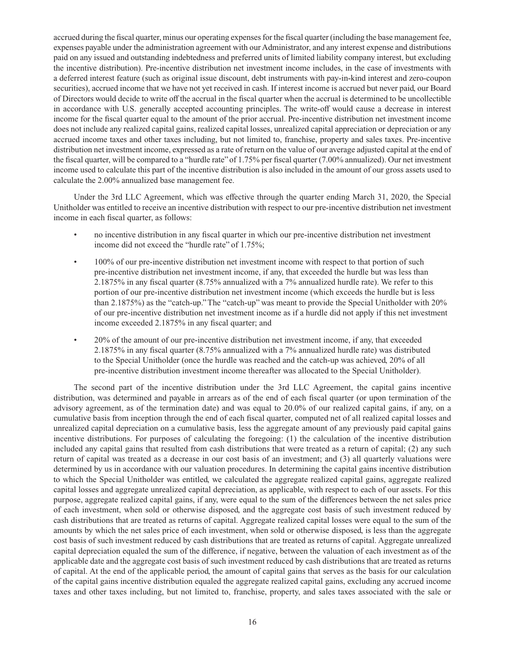accrued during the fiscal quarter, minus our operating expenses for the fiscal quarter (including the base management fee, expenses payable under the administration agreement with our Administrator, and any interest expense and distributions paid on any issued and outstanding indebtedness and preferred units of limited liability company interest, but excluding the incentive distribution). Pre-incentive distribution net investment income includes, in the case of investments with a deferred interest feature (such as original issue discount, debt instruments with pay-in-kind interest and zero-coupon securities), accrued income that we have not yet received in cash. If interest income is accrued but never paid, our Board of Directors would decide to write off the accrual in the fiscal quarter when the accrual is determined to be uncollectible in accordance with U.S. generally accepted accounting principles. The write-off would cause a decrease in interest income for the fiscal quarter equal to the amount of the prior accrual. Pre-incentive distribution net investment income does not include any realized capital gains, realized capital losses, unrealized capital appreciation or depreciation or any accrued income taxes and other taxes including, but not limited to, franchise, property and sales taxes. Pre-incentive distribution net investment income, expressed as a rate of return on the value of our average adjusted capital at the end of the fiscal quarter, will be compared to a "hurdle rate" of 1.75% per fiscal quarter (7.00% annualized). Our net investment income used to calculate this part of the incentive distribution is also included in the amount of our gross assets used to calculate the 2.00% annualized base management fee.

Under the 3rd LLC Agreement, which was effective through the quarter ending March 31, 2020, the Special Unitholder was entitled to receive an incentive distribution with respect to our pre-incentive distribution net investment income in each fiscal quarter, as follows:

- no incentive distribution in any fiscal quarter in which our pre-incentive distribution net investment income did not exceed the "hurdle rate" of 1.75%;
- 100% of our pre-incentive distribution net investment income with respect to that portion of such pre-incentive distribution net investment income, if any, that exceeded the hurdle but was less than 2.1875% in any fiscal quarter (8.75% annualized with a 7% annualized hurdle rate). We refer to this portion of our pre-incentive distribution net investment income (which exceeds the hurdle but is less than 2.1875%) as the "catch-up." The "catch-up" was meant to provide the Special Unitholder with 20% of our pre-incentive distribution net investment income as if a hurdle did not apply if this net investment income exceeded 2.1875% in any fiscal quarter; and
- 20% of the amount of our pre-incentive distribution net investment income, if any, that exceeded 2.1875% in any fiscal quarter (8.75% annualized with a 7% annualized hurdle rate) was distributed to the Special Unitholder (once the hurdle was reached and the catch-up was achieved, 20% of all pre-incentive distribution investment income thereafter was allocated to the Special Unitholder).

The second part of the incentive distribution under the 3rd LLC Agreement, the capital gains incentive distribution, was determined and payable in arrears as of the end of each fiscal quarter (or upon termination of the advisory agreement, as of the termination date) and was equal to 20.0% of our realized capital gains, if any, on a cumulative basis from inception through the end of each fiscal quarter, computed net of all realized capital losses and unrealized capital depreciation on a cumulative basis, less the aggregate amount of any previously paid capital gains incentive distributions. For purposes of calculating the foregoing: (1) the calculation of the incentive distribution included any capital gains that resulted from cash distributions that were treated as a return of capital; (2) any such return of capital was treated as a decrease in our cost basis of an investment; and (3) all quarterly valuations were determined by us in accordance with our valuation procedures. In determining the capital gains incentive distribution to which the Special Unitholder was entitled, we calculated the aggregate realized capital gains, aggregate realized capital losses and aggregate unrealized capital depreciation, as applicable, with respect to each of our assets. For this purpose, aggregate realized capital gains, if any, were equal to the sum of the differences between the net sales price of each investment, when sold or otherwise disposed, and the aggregate cost basis of such investment reduced by cash distributions that are treated as returns of capital. Aggregate realized capital losses were equal to the sum of the amounts by which the net sales price of each investment, when sold or otherwise disposed, is less than the aggregate cost basis of such investment reduced by cash distributions that are treated as returns of capital. Aggregate unrealized capital depreciation equaled the sum of the difference, if negative, between the valuation of each investment as of the applicable date and the aggregate cost basis of such investment reduced by cash distributions that are treated as returns of capital. At the end of the applicable period, the amount of capital gains that serves as the basis for our calculation of the capital gains incentive distribution equaled the aggregate realized capital gains, excluding any accrued income taxes and other taxes including, but not limited to, franchise, property, and sales taxes associated with the sale or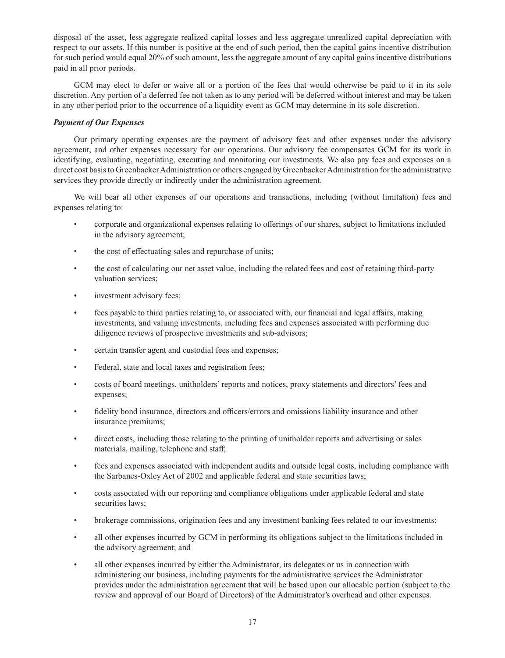disposal of the asset, less aggregate realized capital losses and less aggregate unrealized capital depreciation with respect to our assets. If this number is positive at the end of such period, then the capital gains incentive distribution for such period would equal 20% of such amount, less the aggregate amount of any capital gains incentive distributions paid in all prior periods.

GCM may elect to defer or waive all or a portion of the fees that would otherwise be paid to it in its sole discretion. Any portion of a deferred fee not taken as to any period will be deferred without interest and may be taken in any other period prior to the occurrence of a liquidity event as GCM may determine in its sole discretion.

# *Payment of Our Expenses*

Our primary operating expenses are the payment of advisory fees and other expenses under the advisory agreement, and other expenses necessary for our operations. Our advisory fee compensates GCM for its work in identifying, evaluating, negotiating, executing and monitoring our investments. We also pay fees and expenses on a direct cost basis to Greenbacker Administration or others engaged by Greenbacker Administration for the administrative services they provide directly or indirectly under the administration agreement.

We will bear all other expenses of our operations and transactions, including (without limitation) fees and expenses relating to:

- corporate and organizational expenses relating to offerings of our shares, subject to limitations included in the advisory agreement;
- the cost of effectuating sales and repurchase of units;
- the cost of calculating our net asset value, including the related fees and cost of retaining third-party valuation services;
- investment advisory fees;
- fees payable to third parties relating to, or associated with, our financial and legal affairs, making investments, and valuing investments, including fees and expenses associated with performing due diligence reviews of prospective investments and sub-advisors;
- certain transfer agent and custodial fees and expenses;
- Federal, state and local taxes and registration fees;
- costs of board meetings, unitholders' reports and notices, proxy statements and directors' fees and expenses;
- fidelity bond insurance, directors and officers/errors and omissions liability insurance and other insurance premiums;
- direct costs, including those relating to the printing of unitholder reports and advertising or sales materials, mailing, telephone and staff;
- fees and expenses associated with independent audits and outside legal costs, including compliance with the Sarbanes-Oxley Act of 2002 and applicable federal and state securities laws;
- costs associated with our reporting and compliance obligations under applicable federal and state securities laws;
- brokerage commissions, origination fees and any investment banking fees related to our investments;
- all other expenses incurred by GCM in performing its obligations subject to the limitations included in the advisory agreement; and
- all other expenses incurred by either the Administrator, its delegates or us in connection with administering our business, including payments for the administrative services the Administrator provides under the administration agreement that will be based upon our allocable portion (subject to the review and approval of our Board of Directors) of the Administrator's overhead and other expenses.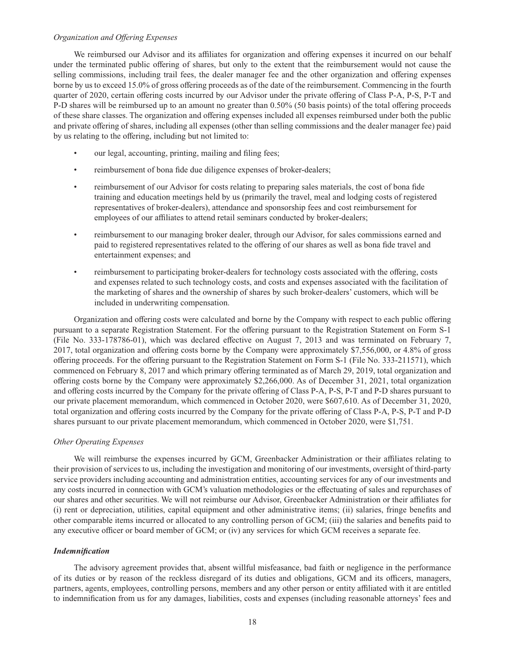#### *Organization and Offering Expenses*

We reimbursed our Advisor and its affiliates for organization and offering expenses it incurred on our behalf under the terminated public offering of shares, but only to the extent that the reimbursement would not cause the selling commissions, including trail fees, the dealer manager fee and the other organization and offering expenses borne by us to exceed 15.0% of gross offering proceeds as of the date of the reimbursement. Commencing in the fourth quarter of 2020, certain offering costs incurred by our Advisor under the private offering of Class P-A, P-S, P-T and P-D shares will be reimbursed up to an amount no greater than 0.50% (50 basis points) of the total offering proceeds of these share classes. The organization and offering expenses included all expenses reimbursed under both the public and private offering of shares, including all expenses (other than selling commissions and the dealer manager fee) paid by us relating to the offering, including but not limited to:

- our legal, accounting, printing, mailing and filing fees;
- reimbursement of bona fide due diligence expenses of broker-dealers;
- reimbursement of our Advisor for costs relating to preparing sales materials, the cost of bona fide training and education meetings held by us (primarily the travel, meal and lodging costs of registered representatives of broker-dealers), attendance and sponsorship fees and cost reimbursement for employees of our affiliates to attend retail seminars conducted by broker-dealers;
- reimbursement to our managing broker dealer, through our Advisor, for sales commissions earned and paid to registered representatives related to the offering of our shares as well as bona fide travel and entertainment expenses; and
- reimbursement to participating broker-dealers for technology costs associated with the offering, costs and expenses related to such technology costs, and costs and expenses associated with the facilitation of the marketing of shares and the ownership of shares by such broker-dealers' customers, which will be included in underwriting compensation.

Organization and offering costs were calculated and borne by the Company with respect to each public offering pursuant to a separate Registration Statement. For the offering pursuant to the Registration Statement on Form S-1 (File No. 333-178786-01), which was declared effective on August 7, 2013 and was terminated on February 7, 2017, total organization and offering costs borne by the Company were approximately \$7,556,000, or 4.8% of gross offering proceeds. For the offering pursuant to the Registration Statement on Form S-1 (File No. 333-211571), which commenced on February 8, 2017 and which primary offering terminated as of March 29, 2019, total organization and offering costs borne by the Company were approximately \$2,266,000. As of December 31, 2021, total organization and offering costs incurred by the Company for the private offering of Class P-A, P-S, P-T and P-D shares pursuant to our private placement memorandum, which commenced in October 2020, were \$607,610. As of December 31, 2020, total organization and offering costs incurred by the Company for the private offering of Class P-A, P-S, P-T and P-D shares pursuant to our private placement memorandum, which commenced in October 2020, were \$1,751.

#### *Other Operating Expenses*

We will reimburse the expenses incurred by GCM, Greenbacker Administration or their affiliates relating to their provision of services to us, including the investigation and monitoring of our investments, oversight of third-party service providers including accounting and administration entities, accounting services for any of our investments and any costs incurred in connection with GCM's valuation methodologies or the effectuating of sales and repurchases of our shares and other securities. We will not reimburse our Advisor, Greenbacker Administration or their affiliates for (i) rent or depreciation, utilities, capital equipment and other administrative items; (ii) salaries, fringe benefits and other comparable items incurred or allocated to any controlling person of GCM; (iii) the salaries and benefits paid to any executive officer or board member of GCM; or (iv) any services for which GCM receives a separate fee.

#### *Indemnification*

The advisory agreement provides that, absent willful misfeasance, bad faith or negligence in the performance of its duties or by reason of the reckless disregard of its duties and obligations, GCM and its officers, managers, partners, agents, employees, controlling persons, members and any other person or entity affiliated with it are entitled to indemnification from us for any damages, liabilities, costs and expenses (including reasonable attorneys' fees and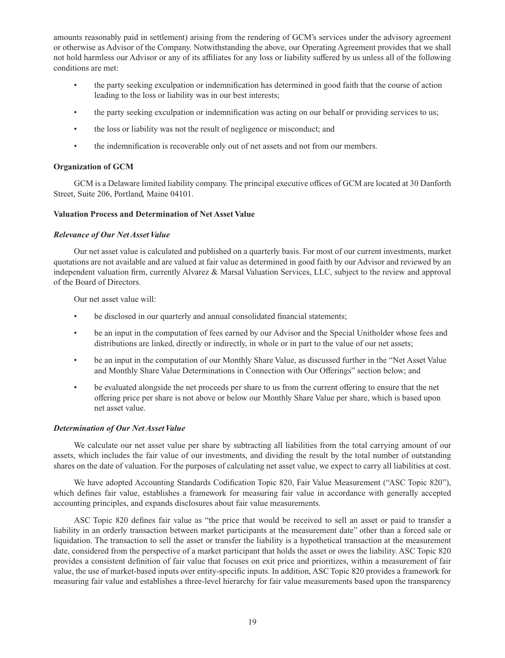amounts reasonably paid in settlement) arising from the rendering of GCM's services under the advisory agreement or otherwise as Advisor of the Company. Notwithstanding the above, our Operating Agreement provides that we shall not hold harmless our Advisor or any of its affiliates for any loss or liability suffered by us unless all of the following conditions are met:

- the party seeking exculpation or indemnification has determined in good faith that the course of action leading to the loss or liability was in our best interests;
- the party seeking exculpation or indemnification was acting on our behalf or providing services to us;
- the loss or liability was not the result of negligence or misconduct; and
- the indemnification is recoverable only out of net assets and not from our members.

## **Organization of GCM**

GCM is a Delaware limited liability company. The principal executive offices of GCM are located at 30 Danforth Street, Suite 206, Portland, Maine 04101.

### **Valuation Process and Determination of Net Asset Value**

### *Relevance of Our Net Asset Value*

Our net asset value is calculated and published on a quarterly basis. For most of our current investments, market quotations are not available and are valued at fair value as determined in good faith by our Advisor and reviewed by an independent valuation firm, currently Alvarez & Marsal Valuation Services, LLC, subject to the review and approval of the Board of Directors.

Our net asset value will:

- be disclosed in our quarterly and annual consolidated financial statements;
- be an input in the computation of fees earned by our Advisor and the Special Unitholder whose fees and distributions are linked, directly or indirectly, in whole or in part to the value of our net assets;
- be an input in the computation of our Monthly Share Value, as discussed further in the "Net Asset Value and Monthly Share Value Determinations in Connection with Our Offerings" section below; and
- be evaluated alongside the net proceeds per share to us from the current offering to ensure that the net offering price per share is not above or below our Monthly Share Value per share, which is based upon net asset value.

# *Determination of Our Net Asset Value*

We calculate our net asset value per share by subtracting all liabilities from the total carrying amount of our assets, which includes the fair value of our investments, and dividing the result by the total number of outstanding shares on the date of valuation. For the purposes of calculating net asset value, we expect to carry all liabilities at cost.

We have adopted Accounting Standards Codification Topic 820, Fair Value Measurement ("ASC Topic 820"), which defines fair value, establishes a framework for measuring fair value in accordance with generally accepted accounting principles, and expands disclosures about fair value measurements.

ASC Topic 820 defines fair value as "the price that would be received to sell an asset or paid to transfer a liability in an orderly transaction between market participants at the measurement date" other than a forced sale or liquidation. The transaction to sell the asset or transfer the liability is a hypothetical transaction at the measurement date, considered from the perspective of a market participant that holds the asset or owes the liability. ASC Topic 820 provides a consistent definition of fair value that focuses on exit price and prioritizes, within a measurement of fair value, the use of market-based inputs over entity-specific inputs. In addition, ASC Topic 820 provides a framework for measuring fair value and establishes a three-level hierarchy for fair value measurements based upon the transparency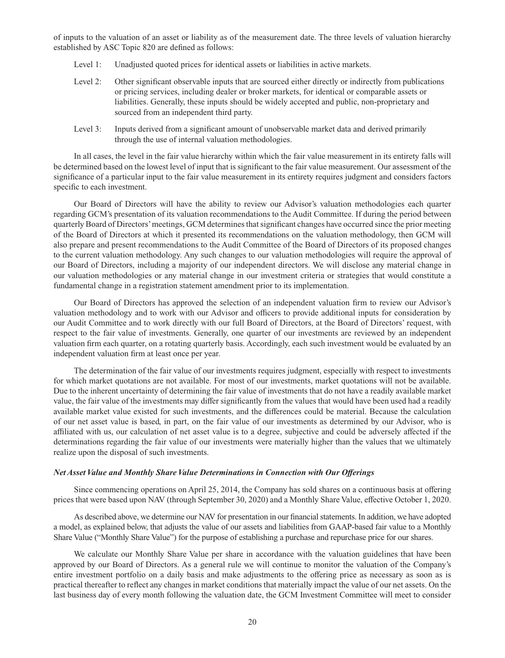of inputs to the valuation of an asset or liability as of the measurement date. The three levels of valuation hierarchy established by ASC Topic 820 are defined as follows:

- Level 1: Unadjusted quoted prices for identical assets or liabilities in active markets.
- Level 2: Other significant observable inputs that are sourced either directly or indirectly from publications or pricing services, including dealer or broker markets, for identical or comparable assets or liabilities. Generally, these inputs should be widely accepted and public, non-proprietary and sourced from an independent third party.
- Level 3: Inputs derived from a significant amount of unobservable market data and derived primarily through the use of internal valuation methodologies.

In all cases, the level in the fair value hierarchy within which the fair value measurement in its entirety falls will be determined based on the lowest level of input that is significant to the fair value measurement. Our assessment of the significance of a particular input to the fair value measurement in its entirety requires judgment and considers factors specific to each investment.

Our Board of Directors will have the ability to review our Advisor's valuation methodologies each quarter regarding GCM's presentation of its valuation recommendations to the Audit Committee. If during the period between quarterly Board of Directors' meetings, GCM determines that significant changes have occurred since the prior meeting of the Board of Directors at which it presented its recommendations on the valuation methodology, then GCM will also prepare and present recommendations to the Audit Committee of the Board of Directors of its proposed changes to the current valuation methodology. Any such changes to our valuation methodologies will require the approval of our Board of Directors, including a majority of our independent directors. We will disclose any material change in our valuation methodologies or any material change in our investment criteria or strategies that would constitute a fundamental change in a registration statement amendment prior to its implementation.

Our Board of Directors has approved the selection of an independent valuation firm to review our Advisor's valuation methodology and to work with our Advisor and officers to provide additional inputs for consideration by our Audit Committee and to work directly with our full Board of Directors, at the Board of Directors' request, with respect to the fair value of investments. Generally, one quarter of our investments are reviewed by an independent valuation firm each quarter, on a rotating quarterly basis. Accordingly, each such investment would be evaluated by an independent valuation firm at least once per year.

The determination of the fair value of our investments requires judgment, especially with respect to investments for which market quotations are not available. For most of our investments, market quotations will not be available. Due to the inherent uncertainty of determining the fair value of investments that do not have a readily available market value, the fair value of the investments may differ significantly from the values that would have been used had a readily available market value existed for such investments, and the differences could be material. Because the calculation of our net asset value is based, in part, on the fair value of our investments as determined by our Advisor, who is affiliated with us, our calculation of net asset value is to a degree, subjective and could be adversely affected if the determinations regarding the fair value of our investments were materially higher than the values that we ultimately realize upon the disposal of such investments.

#### *Net Asset Value and Monthly Share Value Determinations in Connection with Our Offerings*

Since commencing operations on April 25, 2014, the Company has sold shares on a continuous basis at offering prices that were based upon NAV (through September 30, 2020) and a Monthly Share Value, effective October 1, 2020.

As described above, we determine our NAV for presentation in our financial statements. In addition, we have adopted a model, as explained below, that adjusts the value of our assets and liabilities from GAAP-based fair value to a Monthly Share Value ("Monthly Share Value") for the purpose of establishing a purchase and repurchase price for our shares.

We calculate our Monthly Share Value per share in accordance with the valuation guidelines that have been approved by our Board of Directors. As a general rule we will continue to monitor the valuation of the Company's entire investment portfolio on a daily basis and make adjustments to the offering price as necessary as soon as is practical thereafter to reflect any changes in market conditions that materially impact the value of our net assets. On the last business day of every month following the valuation date, the GCM Investment Committee will meet to consider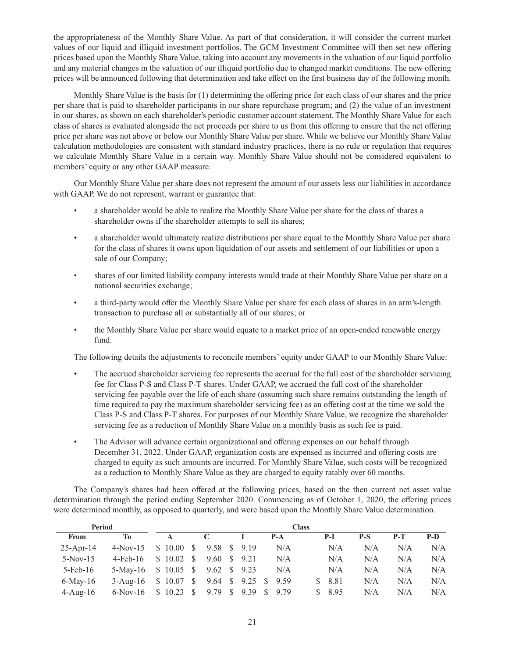the appropriateness of the Monthly Share Value. As part of that consideration, it will consider the current market values of our liquid and illiquid investment portfolios. The GCM Investment Committee will then set new offering prices based upon the Monthly Share Value, taking into account any movements in the valuation of our liquid portfolio and any material changes in the valuation of our illiquid portfolio due to changed market conditions. The new offering prices will be announced following that determination and take effect on the first business day of the following month.

Monthly Share Value is the basis for (1) determining the offering price for each class of our shares and the price per share that is paid to shareholder participants in our share repurchase program; and (2) the value of an investment in our shares, as shown on each shareholder's periodic customer account statement. The Monthly Share Value for each class of shares is evaluated alongside the net proceeds per share to us from this offering to ensure that the net offering price per share was not above or below our Monthly Share Value per share. While we believe our Monthly Share Value calculation methodologies are consistent with standard industry practices, there is no rule or regulation that requires we calculate Monthly Share Value in a certain way. Monthly Share Value should not be considered equivalent to members' equity or any other GAAP measure.

Our Monthly Share Value per share does not represent the amount of our assets less our liabilities in accordance with GAAP. We do not represent, warrant or guarantee that:

- a shareholder would be able to realize the Monthly Share Value per share for the class of shares a shareholder owns if the shareholder attempts to sell its shares;
- a shareholder would ultimately realize distributions per share equal to the Monthly Share Value per share for the class of shares it owns upon liquidation of our assets and settlement of our liabilities or upon a sale of our Company;
- shares of our limited liability company interests would trade at their Monthly Share Value per share on a national securities exchange;
- a third-party would offer the Monthly Share Value per share for each class of shares in an arm's-length transaction to purchase all or substantially all of our shares; or
- the Monthly Share Value per share would equate to a market price of an open-ended renewable energy fund.

The following details the adjustments to reconcile members' equity under GAAP to our Monthly Share Value:

- The accrued shareholder servicing fee represents the accrual for the full cost of the shareholder servicing fee for Class P-S and Class P-T shares. Under GAAP, we accrued the full cost of the shareholder servicing fee payable over the life of each share (assuming such share remains outstanding the length of time required to pay the maximum shareholder servicing fee) as an offering cost at the time we sold the Class P-S and Class P-T shares. For purposes of our Monthly Share Value, we recognize the shareholder servicing fee as a reduction of Monthly Share Value on a monthly basis as such fee is paid.
- The Advisor will advance certain organizational and offering expenses on our behalf through December 31, 2022. Under GAAP, organization costs are expensed as incurred and offering costs are charged to equity as such amounts are incurred. For Monthly Share Value, such costs will be recognized as a reduction to Monthly Share Value as they are charged to equity ratably over 60 months.

The Company's shares had been offered at the following prices, based on the then current net asset value determination through the period ending September 2020. Commencing as of October 1, 2020, the offering prices were determined monthly, as opposed to quarterly, and were based upon the Monthly Share Value determination.

| Period       |                      |          | <b>Class</b> |                    |              |                      |  |       |    |      |     |       |     |  |  |
|--------------|----------------------|----------|--------------|--------------------|--------------|----------------------|--|-------|----|------|-----|-------|-----|--|--|
| From         | Tо                   |          |              |                    |              |                      |  | $P-A$ |    | P-I  | P-S | $P-T$ | P-D |  |  |
| $25$ -Apr-14 | $4-Nov-15$           | \$10.00  | -S           | 9.58 \$ 9.19       |              |                      |  | N/A   |    | N/A  | N/A | N/A   | N/A |  |  |
| $5-Nov-15$   | $4$ -Feb-16          | \$10.02  | - S          | 9.60               | <sup>S</sup> | 9.21                 |  | N/A   |    | N/A  | N/A | N/A   | N/A |  |  |
| $5$ -Feb-16  | 5-May-16 $$10.05$ \$ |          |              | $9.62 \quad $9.23$ |              |                      |  | N/A   |    | N/A  | N/A | N/A   | N/A |  |  |
| $6$ -May-16  | 3-Aug-16 $$10.07$ \$ |          |              |                    |              | 9.64 \$ 9.25 \$ 9.59 |  |       | S. | 8.81 | N/A | N/A   | N/A |  |  |
| $4$ -Aug-16  | $6-Nov-16$           | \$ 10.23 | -S           | 9.79               | - S          | 9.39 S               |  | 9.79  | S. | 8.95 | N/A | N/A   | N/A |  |  |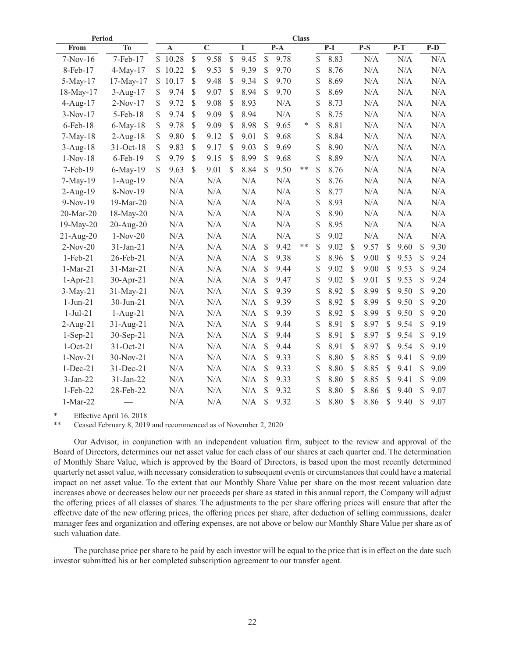| Period       |                |              |             |              |             |              |           |              | <b>Class</b> |    |    |       |              |           |            |               |       |
|--------------|----------------|--------------|-------------|--------------|-------------|--------------|-----------|--------------|--------------|----|----|-------|--------------|-----------|------------|---------------|-------|
| From         | T <sub>0</sub> |              | $\mathbf A$ |              | $\mathbf C$ |              | I         |              | $P-A$        |    |    | $P-I$ |              | $P-S$     | $P-T$      |               | $P-D$ |
| $7-Nov-16$   | 7-Feb-17       | $\mathbb{S}$ | 10.28       | $\mathbb{S}$ | 9.58        | $\mathbb{S}$ | 9.45      | $\mathbb{S}$ | 9.78         |    | \$ | 8.83  |              | N/A       | N/A        |               | N/A   |
| 8-Feb-17     | 4-May-17       | \$           | 10.22       | \$           | 9.53        | \$           | 9.39      | $\mathbb{S}$ | 9.70         |    | \$ | 8.76  |              | N/A       | N/A        |               | N/A   |
| 5-May-17     | 17-May-17      | S            | 10.17       | \$           | 9.48        | \$           | 9.34      | \$           | 9.70         |    | \$ | 8.69  |              | $\rm N/A$ | $\rm N/A$  |               | N/A   |
| 18-May-17    | 3-Aug-17       | \$           | 9.74        | \$           | 9.07        | \$           | 8.94      | $\mathbb{S}$ | 9.70         |    | \$ | 8.69  |              | $\rm N/A$ | N/A        |               | N/A   |
| $4-Aug-17$   | $2-Nov-17$     | \$           | 9.72        | \$           | 9.08        | \$           | 8.93      |              | N/A          |    | \$ | 8.73  |              | N/A       | N/A        |               | N/A   |
| $3-Nov-17$   | 5-Feb-18       | \$           | 9.74        | \$           | 9.09        | \$           | 8.94      |              | N/A          |    | \$ | 8.75  |              | N/A       | N/A        |               | N/A   |
| 6-Feb-18     | $6$ -May-18    | \$           | 9.78        | \$           | 9.09        | \$           | 8.98      | \$           | 9.65         | *  | \$ | 8.81  |              | N/A       | N/A        |               | N/A   |
| $7-May-18$   | $2-Aug-18$     | \$           | 9.80        | \$           | 9.12        | \$           | 9.01      | \$           | 9.68         |    | \$ | 8.84  |              | $\rm N/A$ | N/A        |               | N/A   |
| $3-Aug-18$   | 31-Oct-18      | \$           | 9.83        | \$           | 9.17        | \$           | 9.03      | \$           | 9.69         |    | \$ | 8.90  |              | $\rm N/A$ | N/A        |               | N/A   |
| $1-Nov-18$   | $6$ -Feb- $19$ | \$           | 9.79        | S            | 9.15        | S            | 8.99      | $\mathbb{S}$ | 9.68         |    | \$ | 8.89  |              | N/A       | N/A        |               | N/A   |
| 7-Feb-19     | 6-May-19       | \$.          | 9.63        | \$           | 9.01        | \$           | 8.84      | $\mathbb{S}$ | 9.50         | ** | \$ | 8.76  |              | N/A       | N/A        |               | N/A   |
| 7-May-19     | $1-Aug-19$     |              | N/A         |              | N/A         |              | N/A       |              | N/A          |    | \$ | 8.76  |              | $\rm N/A$ | N/A        |               | N/A   |
| $2-Aug-19$   | 8-Nov-19       |              | N/A         |              | N/A         |              | N/A       |              | N/A          |    | \$ | 8.77  |              | $\rm N/A$ | $\rm N/A$  |               | N/A   |
| 9-Nov-19     | 19-Mar-20      |              | N/A         |              | N/A         |              | N/A       |              | N/A          |    | \$ | 8.93  |              | N/A       | N/A        |               | N/A   |
| 20-Mar-20    | 18-May-20      |              | N/A         |              | N/A         |              | N/A       |              | N/A          |    | \$ | 8.90  |              | N/A       | N/A        |               | N/A   |
| $19$ -May-20 | 20-Aug-20      |              | N/A         |              | N/A         |              | N/A       |              | N/A          |    | \$ | 8.95  |              | N/A       | N/A        |               | N/A   |
| $21-Aug-20$  | $1-Nov-20$     |              | $\rm N/A$   |              | $\rm N/A$   |              | $\rm N/A$ |              | N/A          |    | \$ | 9.02  |              | N/A       | N/A        |               | N/A   |
| $2-Nov-20$   | 31-Jan-21      |              | $\rm N/A$   |              | $\rm N/A$   |              | N/A       | \$           | 9.42         | ** | \$ | 9.02  | $\mathbb{S}$ | 9.57      | \$<br>9.60 | $\mathcal{S}$ | 9.30  |
| $1-Feb-21$   | 26-Feb-21      |              | N/A         |              | N/A         |              | N/A       | \$           | 9.38         |    | \$ | 8.96  | \$           | 9.00      | \$<br>9.53 | $\mathbb{S}$  | 9.24  |
| $1-Mar-21$   | 31-Mar-21      |              | N/A         |              | N/A         |              | N/A       | $\mathbb{S}$ | 9.44         |    | \$ | 9.02  | \$           | 9.00      | \$<br>9.53 | \$            | 9.24  |
| $1-Apr-21$   | 30-Apr-21      |              | N/A         |              | N/A         |              | N/A       | \$           | 9.47         |    | \$ | 9.02  | \$           | 9.01      | \$<br>9.53 | \$            | 9.24  |
| $3-May-21$   | 31-May-21      |              | N/A         |              | $\rm N/A$   |              | N/A       | \$           | 9.39         |    | \$ | 8.92  | \$           | 8.99      | \$<br>9.50 | \$            | 9.20  |
| $1-Jun-21$   | 30-Jun-21      |              | N/A         |              | N/A         |              | N/A       | \$           | 9.39         |    | \$ | 8.92  | \$           | 8.99      | \$<br>9.50 | \$            | 9.20  |
| $1-Jul-21$   | $1-Aug-21$     |              | N/A         |              | N/A         |              | N/A       | \$           | 9.39         |    | \$ | 8.92  | \$           | 8.99      | \$<br>9.50 | \$            | 9.20  |
| 2-Aug-21     | $31-Aug-21$    |              | N/A         |              | N/A         |              | N/A       | \$           | 9.44         |    | \$ | 8.91  | \$           | 8.97      | \$<br>9.54 | \$            | 9.19  |
| $1-Sep-21$   | $30-Sep-21$    |              | N/A         |              | N/A         |              | N/A       | S            | 9.44         |    | \$ | 8.91  | \$           | 8.97      | \$<br>9.54 | S             | 9.19  |
| $1-Oct-21$   | 31-Oct-21      |              | $\rm N/A$   |              | $\rm N/A$   |              | N/A       | \$           | 9.44         |    | \$ | 8.91  | \$           | 8.97      | \$<br>9.54 | \$            | 9.19  |
| $1-Nov-21$   | 30-Nov-21      |              | N/A         |              | $\rm N/A$   |              | N/A       | $\mathbb{S}$ | 9.33         |    | \$ | 8.80  | \$           | 8.85      | \$<br>9.41 | \$            | 9.09  |
| $1-Dec-21$   | 31-Dec-21      |              | N/A         |              | N/A         |              | N/A       | \$           | 9.33         |    | \$ | 8.80  | \$           | 8.85      | \$<br>9.41 | \$            | 9.09  |
| $3-Jan-22$   | $31-Jan-22$    |              | N/A         |              | N/A         |              | N/A       | \$           | 9.33         |    | \$ | 8.80  | S            | 8.85      | \$<br>9.41 | \$            | 9.09  |
| $1$ -Feb-22  | 28-Feb-22      |              | N/A         |              | N/A         |              | N/A       | S            | 9.32         |    | S  | 8.80  | \$           | 8.86      | \$<br>9.40 | \$.           | 9.07  |
| 1-Mar-22     |                |              | N/A         |              | N/A         |              | N/A       | \$           | 9.32         |    | \$ | 8.80  | \$           | 8.86      | \$<br>9.40 | \$            | 9.07  |

Effective April 16, 2018

Ceased February 8, 2019 and recommenced as of November 2, 2020

Our Advisor, in conjunction with an independent valuation firm, subject to the review and approval of the Board of Directors, determines our net asset value for each class of our shares at each quarter end. The determination of Monthly Share Value, which is approved by the Board of Directors, is based upon the most recently determined quarterly net asset value, with necessary consideration to subsequent events or circumstances that could have a material impact on net asset value. To the extent that our Monthly Share Value per share on the most recent valuation date increases above or decreases below our net proceeds per share as stated in this annual report, the Company will adjust the offering prices of all classes of shares. The adjustments to the per share offering prices will ensure that after the effective date of the new offering prices, the offering prices per share, after deduction of selling commissions, dealer manager fees and organization and offering expenses, are not above or below our Monthly Share Value per share as of such valuation date.

The purchase price per share to be paid by each investor will be equal to the price that is in effect on the date such investor submitted his or her completed subscription agreement to our transfer agent.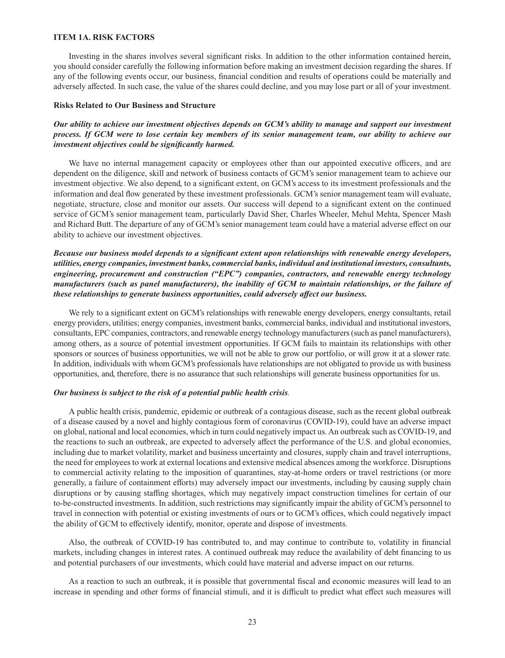### **ITEM 1A. RISK FACTORS**

Investing in the shares involves several significant risks. In addition to the other information contained herein, you should consider carefully the following information before making an investment decision regarding the shares. If any of the following events occur, our business, financial condition and results of operations could be materially and adversely affected. In such case, the value of the shares could decline, and you may lose part or all of your investment.

## **Risks Related to Our Business and Structure**

*Our ability to achieve our investment objectives depends on GCM's ability to manage and support our investment process. If GCM were to lose certain key members of its senior management team, our ability to achieve our investment objectives could be significantly harmed.*

We have no internal management capacity or employees other than our appointed executive officers, and are dependent on the diligence, skill and network of business contacts of GCM's senior management team to achieve our investment objective. We also depend, to a significant extent, on GCM's access to its investment professionals and the information and deal flow generated by these investment professionals. GCM's senior management team will evaluate, negotiate, structure, close and monitor our assets. Our success will depend to a significant extent on the continued service of GCM's senior management team, particularly David Sher, Charles Wheeler, Mehul Mehta, Spencer Mash and Richard Butt. The departure of any of GCM's senior management team could have a material adverse effect on our ability to achieve our investment objectives.

# *Because our business model depends to a significant extent upon relationships with renewable energy developers, utilities, energy companies, investment banks, commercial banks, individual and institutional investors, consultants, engineering, procurement and construction ("EPC") companies, contractors, and renewable energy technology manufacturers (such as panel manufacturers), the inability of GCM to maintain relationships, or the failure of these relationships to generate business opportunities, could adversely affect our business.*

We rely to a significant extent on GCM's relationships with renewable energy developers, energy consultants, retail energy providers, utilities; energy companies, investment banks, commercial banks, individual and institutional investors, consultants, EPC companies, contractors, and renewable energy technology manufacturers (such as panel manufacturers), among others, as a source of potential investment opportunities. If GCM fails to maintain its relationships with other sponsors or sources of business opportunities, we will not be able to grow our portfolio, or will grow it at a slower rate. In addition, individuals with whom GCM's professionals have relationships are not obligated to provide us with business opportunities, and, therefore, there is no assurance that such relationships will generate business opportunities for us.

#### *Our business is subject to the risk of a potential public health crisis.*

A public health crisis, pandemic, epidemic or outbreak of a contagious disease, such as the recent global outbreak of a disease caused by a novel and highly contagious form of coronavirus (COVID-19), could have an adverse impact on global, national and local economies, which in turn could negatively impact us. An outbreak such as COVID-19, and the reactions to such an outbreak, are expected to adversely affect the performance of the U.S. and global economies, including due to market volatility, market and business uncertainty and closures, supply chain and travel interruptions, the need for employees to work at external locations and extensive medical absences among the workforce. Disruptions to commercial activity relating to the imposition of quarantines, stay-at-home orders or travel restrictions (or more generally, a failure of containment efforts) may adversely impact our investments, including by causing supply chain disruptions or by causing staffing shortages, which may negatively impact construction timelines for certain of our to-be-constructed investments. In addition, such restrictions may significantly impair the ability of GCM's personnel to travel in connection with potential or existing investments of ours or to GCM's offices, which could negatively impact the ability of GCM to effectively identify, monitor, operate and dispose of investments.

Also, the outbreak of COVID-19 has contributed to, and may continue to contribute to, volatility in financial markets, including changes in interest rates. A continued outbreak may reduce the availability of debt financing to us and potential purchasers of our investments, which could have material and adverse impact on our returns.

As a reaction to such an outbreak, it is possible that governmental fiscal and economic measures will lead to an increase in spending and other forms of financial stimuli, and it is difficult to predict what effect such measures will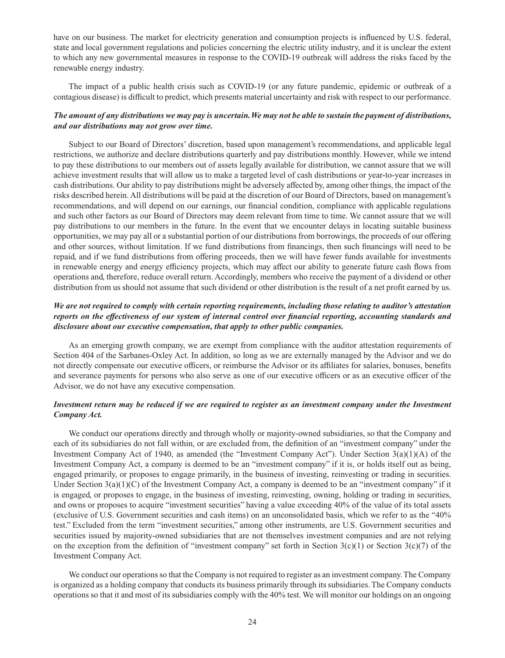have on our business. The market for electricity generation and consumption projects is influenced by U.S. federal, state and local government regulations and policies concerning the electric utility industry, and it is unclear the extent to which any new governmental measures in response to the COVID-19 outbreak will address the risks faced by the renewable energy industry.

The impact of a public health crisis such as COVID-19 (or any future pandemic, epidemic or outbreak of a contagious disease) is difficult to predict, which presents material uncertainty and risk with respect to our performance.

### *The amount of any distributions we may pay is uncertain. We may not be able to sustain the payment of distributions, and our distributions may not grow over time.*

Subject to our Board of Directors' discretion, based upon management's recommendations, and applicable legal restrictions, we authorize and declare distributions quarterly and pay distributions monthly. However, while we intend to pay these distributions to our members out of assets legally available for distribution, we cannot assure that we will achieve investment results that will allow us to make a targeted level of cash distributions or year-to-year increases in cash distributions. Our ability to pay distributions might be adversely affected by, among other things, the impact of the risks described herein. All distributions will be paid at the discretion of our Board of Directors, based on management's recommendations, and will depend on our earnings, our financial condition, compliance with applicable regulations and such other factors as our Board of Directors may deem relevant from time to time. We cannot assure that we will pay distributions to our members in the future. In the event that we encounter delays in locating suitable business opportunities, we may pay all or a substantial portion of our distributions from borrowings, the proceeds of our offering and other sources, without limitation. If we fund distributions from financings, then such financings will need to be repaid, and if we fund distributions from offering proceeds, then we will have fewer funds available for investments in renewable energy and energy efficiency projects, which may affect our ability to generate future cash flows from operations and, therefore, reduce overall return. Accordingly, members who receive the payment of a dividend or other distribution from us should not assume that such dividend or other distribution is the result of a net profit earned by us.

# *We are not required to comply with certain reporting requirements, including those relating to auditor's attestation reports on the effectiveness of our system of internal control over financial reporting, accounting standards and disclosure about our executive compensation, that apply to other public companies.*

As an emerging growth company, we are exempt from compliance with the auditor attestation requirements of Section 404 of the Sarbanes-Oxley Act. In addition, so long as we are externally managed by the Advisor and we do not directly compensate our executive officers, or reimburse the Advisor or its affiliates for salaries, bonuses, benefits and severance payments for persons who also serve as one of our executive officers or as an executive officer of the Advisor, we do not have any executive compensation.

### *Investment return may be reduced if we are required to register as an investment company under the Investment Company Act.*

We conduct our operations directly and through wholly or majority-owned subsidiaries, so that the Company and each of its subsidiaries do not fall within, or are excluded from, the definition of an "investment company" under the Investment Company Act of 1940, as amended (the "Investment Company Act"). Under Section 3(a)(1)(A) of the Investment Company Act, a company is deemed to be an "investment company" if it is, or holds itself out as being, engaged primarily, or proposes to engage primarily, in the business of investing, reinvesting or trading in securities. Under Section  $3(a)(1)(C)$  of the Investment Company Act, a company is deemed to be an "investment company" if it is engaged, or proposes to engage, in the business of investing, reinvesting, owning, holding or trading in securities, and owns or proposes to acquire "investment securities" having a value exceeding 40% of the value of its total assets (exclusive of U.S. Government securities and cash items) on an unconsolidated basis, which we refer to as the "40% test." Excluded from the term "investment securities," among other instruments, are U.S. Government securities and securities issued by majority-owned subsidiaries that are not themselves investment companies and are not relying on the exception from the definition of "investment company" set forth in Section 3(c)(1) or Section 3(c)(7) of the Investment Company Act.

We conduct our operations so that the Company is not required to register as an investment company. The Company is organized as a holding company that conducts its business primarily through its subsidiaries. The Company conducts operations so that it and most of its subsidiaries comply with the 40% test. We will monitor our holdings on an ongoing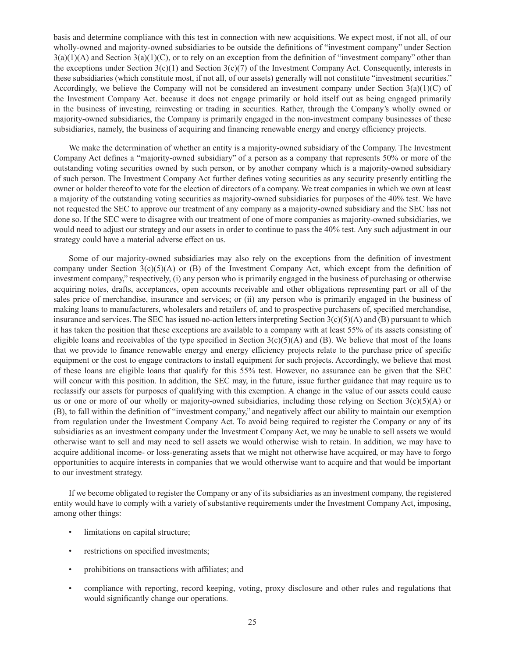basis and determine compliance with this test in connection with new acquisitions. We expect most, if not all, of our wholly-owned and majority-owned subsidiaries to be outside the definitions of "investment company" under Section  $3(a)(1)(A)$  and Section  $3(a)(1)(C)$ , or to rely on an exception from the definition of "investment company" other than the exceptions under Section  $3(c)(1)$  and Section  $3(c)(7)$  of the Investment Company Act. Consequently, interests in these subsidiaries (which constitute most, if not all, of our assets) generally will not constitute "investment securities." Accordingly, we believe the Company will not be considered an investment company under Section  $3(a)(1)(C)$  of the Investment Company Act. because it does not engage primarily or hold itself out as being engaged primarily in the business of investing, reinvesting or trading in securities. Rather, through the Company's wholly owned or majority-owned subsidiaries, the Company is primarily engaged in the non-investment company businesses of these subsidiaries, namely, the business of acquiring and financing renewable energy and energy efficiency projects.

We make the determination of whether an entity is a majority-owned subsidiary of the Company. The Investment Company Act defines a "majority-owned subsidiary" of a person as a company that represents 50% or more of the outstanding voting securities owned by such person, or by another company which is a majority-owned subsidiary of such person. The Investment Company Act further defines voting securities as any security presently entitling the owner or holder thereof to vote for the election of directors of a company. We treat companies in which we own at least a majority of the outstanding voting securities as majority-owned subsidiaries for purposes of the 40% test. We have not requested the SEC to approve our treatment of any company as a majority-owned subsidiary and the SEC has not done so. If the SEC were to disagree with our treatment of one of more companies as majority-owned subsidiaries, we would need to adjust our strategy and our assets in order to continue to pass the 40% test. Any such adjustment in our strategy could have a material adverse effect on us.

Some of our majority-owned subsidiaries may also rely on the exceptions from the definition of investment company under Section  $3(c)(5)(A)$  or (B) of the Investment Company Act, which except from the definition of investment company," respectively, (i) any person who is primarily engaged in the business of purchasing or otherwise acquiring notes, drafts, acceptances, open accounts receivable and other obligations representing part or all of the sales price of merchandise, insurance and services; or (ii) any person who is primarily engaged in the business of making loans to manufacturers, wholesalers and retailers of, and to prospective purchasers of, specified merchandise, insurance and services. The SEC has issued no-action letters interpreting Section  $3(c)(5)(A)$  and  $(B)$  pursuant to which it has taken the position that these exceptions are available to a company with at least 55% of its assets consisting of eligible loans and receivables of the type specified in Section  $3(c)(5)(A)$  and (B). We believe that most of the loans that we provide to finance renewable energy and energy efficiency projects relate to the purchase price of specific equipment or the cost to engage contractors to install equipment for such projects. Accordingly, we believe that most of these loans are eligible loans that qualify for this 55% test. However, no assurance can be given that the SEC will concur with this position. In addition, the SEC may, in the future, issue further guidance that may require us to reclassify our assets for purposes of qualifying with this exemption. A change in the value of our assets could cause us or one or more of our wholly or majority-owned subsidiaries, including those relying on Section  $3(c)(5)(A)$  or (B), to fall within the definition of "investment company," and negatively affect our ability to maintain our exemption from regulation under the Investment Company Act. To avoid being required to register the Company or any of its subsidiaries as an investment company under the Investment Company Act, we may be unable to sell assets we would otherwise want to sell and may need to sell assets we would otherwise wish to retain. In addition, we may have to acquire additional income- or loss-generating assets that we might not otherwise have acquired, or may have to forgo opportunities to acquire interests in companies that we would otherwise want to acquire and that would be important to our investment strategy.

If we become obligated to register the Company or any of its subsidiaries as an investment company, the registered entity would have to comply with a variety of substantive requirements under the Investment Company Act, imposing, among other things:

- limitations on capital structure;
- restrictions on specified investments;
- prohibitions on transactions with affiliates; and
- compliance with reporting, record keeping, voting, proxy disclosure and other rules and regulations that would significantly change our operations.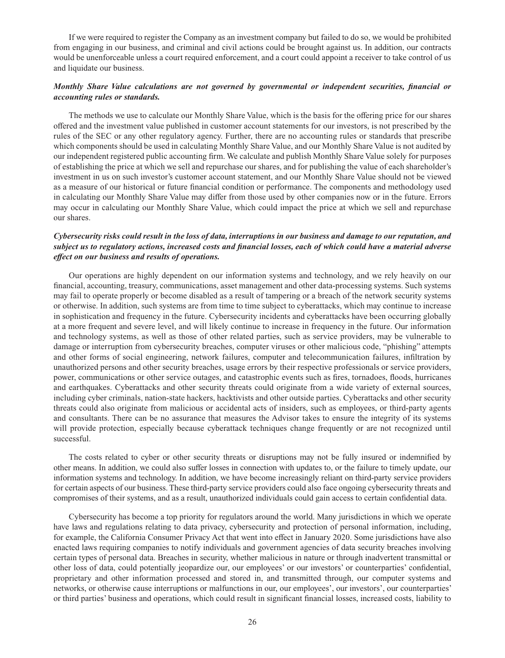If we were required to register the Company as an investment company but failed to do so, we would be prohibited from engaging in our business, and criminal and civil actions could be brought against us. In addition, our contracts would be unenforceable unless a court required enforcement, and a court could appoint a receiver to take control of us and liquidate our business.

# *Monthly Share Value calculations are not governed by governmental or independent securities, financial or accounting rules or standards.*

The methods we use to calculate our Monthly Share Value, which is the basis for the offering price for our shares offered and the investment value published in customer account statements for our investors, is not prescribed by the rules of the SEC or any other regulatory agency. Further, there are no accounting rules or standards that prescribe which components should be used in calculating Monthly Share Value, and our Monthly Share Value is not audited by our independent registered public accounting firm. We calculate and publish Monthly Share Value solely for purposes of establishing the price at which we sell and repurchase our shares, and for publishing the value of each shareholder's investment in us on such investor's customer account statement, and our Monthly Share Value should not be viewed as a measure of our historical or future financial condition or performance. The components and methodology used in calculating our Monthly Share Value may differ from those used by other companies now or in the future. Errors may occur in calculating our Monthly Share Value, which could impact the price at which we sell and repurchase our shares.

## *Cybersecurity risks could result in the loss of data, interruptions in our business and damage to our reputation, and subject us to regulatory actions, increased costs and financial losses, each of which could have a material adverse effect on our business and results of operations.*

Our operations are highly dependent on our information systems and technology, and we rely heavily on our financial, accounting, treasury, communications, asset management and other data-processing systems. Such systems may fail to operate properly or become disabled as a result of tampering or a breach of the network security systems or otherwise. In addition, such systems are from time to time subject to cyberattacks, which may continue to increase in sophistication and frequency in the future. Cybersecurity incidents and cyberattacks have been occurring globally at a more frequent and severe level, and will likely continue to increase in frequency in the future. Our information and technology systems, as well as those of other related parties, such as service providers, may be vulnerable to damage or interruption from cybersecurity breaches, computer viruses or other malicious code, "phishing" attempts and other forms of social engineering, network failures, computer and telecommunication failures, infiltration by unauthorized persons and other security breaches, usage errors by their respective professionals or service providers, power, communications or other service outages, and catastrophic events such as fires, tornadoes, floods, hurricanes and earthquakes. Cyberattacks and other security threats could originate from a wide variety of external sources, including cyber criminals, nation-state hackers, hacktivists and other outside parties. Cyberattacks and other security threats could also originate from malicious or accidental acts of insiders, such as employees, or third-party agents and consultants. There can be no assurance that measures the Advisor takes to ensure the integrity of its systems will provide protection, especially because cyberattack techniques change frequently or are not recognized until successful.

The costs related to cyber or other security threats or disruptions may not be fully insured or indemnified by other means. In addition, we could also suffer losses in connection with updates to, or the failure to timely update, our information systems and technology. In addition, we have become increasingly reliant on third-party service providers for certain aspects of our business. These third-party service providers could also face ongoing cybersecurity threats and compromises of their systems, and as a result, unauthorized individuals could gain access to certain confidential data.

Cybersecurity has become a top priority for regulators around the world. Many jurisdictions in which we operate have laws and regulations relating to data privacy, cybersecurity and protection of personal information, including, for example, the California Consumer Privacy Act that went into effect in January 2020. Some jurisdictions have also enacted laws requiring companies to notify individuals and government agencies of data security breaches involving certain types of personal data. Breaches in security, whether malicious in nature or through inadvertent transmittal or other loss of data, could potentially jeopardize our, our employees' or our investors' or counterparties' confidential, proprietary and other information processed and stored in, and transmitted through, our computer systems and networks, or otherwise cause interruptions or malfunctions in our, our employees', our investors', our counterparties' or third parties' business and operations, which could result in significant financial losses, increased costs, liability to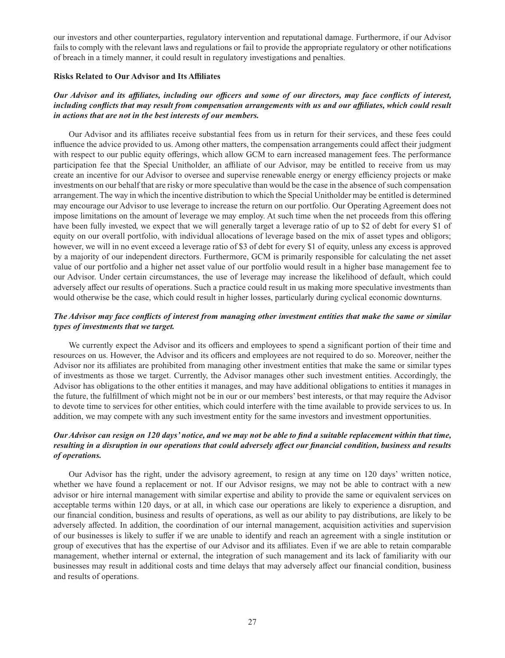our investors and other counterparties, regulatory intervention and reputational damage. Furthermore, if our Advisor fails to comply with the relevant laws and regulations or fail to provide the appropriate regulatory or other notifications of breach in a timely manner, it could result in regulatory investigations and penalties.

### **Risks Related to Our Advisor and Its Affiliates**

# *Our Advisor and its affiliates, including our officers and some of our directors, may face conflicts of interest,*  including conflicts that may result from compensation arrangements with us and our affiliates, which could result *in actions that are not in the best interests of our members.*

Our Advisor and its affiliates receive substantial fees from us in return for their services, and these fees could influence the advice provided to us. Among other matters, the compensation arrangements could affect their judgment with respect to our public equity offerings, which allow GCM to earn increased management fees. The performance participation fee that the Special Unitholder, an affiliate of our Advisor, may be entitled to receive from us may create an incentive for our Advisor to oversee and supervise renewable energy or energy efficiency projects or make investments on our behalf that are risky or more speculative than would be the case in the absence of such compensation arrangement. The way in which the incentive distribution to which the Special Unitholder may be entitled is determined may encourage our Advisor to use leverage to increase the return on our portfolio. Our Operating Agreement does not impose limitations on the amount of leverage we may employ. At such time when the net proceeds from this offering have been fully invested, we expect that we will generally target a leverage ratio of up to \$2 of debt for every \$1 of equity on our overall portfolio, with individual allocations of leverage based on the mix of asset types and obligors; however, we will in no event exceed a leverage ratio of \$3 of debt for every \$1 of equity, unless any excess is approved by a majority of our independent directors. Furthermore, GCM is primarily responsible for calculating the net asset value of our portfolio and a higher net asset value of our portfolio would result in a higher base management fee to our Advisor. Under certain circumstances, the use of leverage may increase the likelihood of default, which could adversely affect our results of operations. Such a practice could result in us making more speculative investments than would otherwise be the case, which could result in higher losses, particularly during cyclical economic downturns.

# *The Advisor may face conflicts of interest from managing other investment entities that make the same or similar types of investments that we target.*

We currently expect the Advisor and its officers and employees to spend a significant portion of their time and resources on us. However, the Advisor and its officers and employees are not required to do so. Moreover, neither the Advisor nor its affiliates are prohibited from managing other investment entities that make the same or similar types of investments as those we target. Currently, the Advisor manages other such investment entities. Accordingly, the Advisor has obligations to the other entities it manages, and may have additional obligations to entities it manages in the future, the fulfillment of which might not be in our or our members' best interests, or that may require the Advisor to devote time to services for other entities, which could interfere with the time available to provide services to us. In addition, we may compete with any such investment entity for the same investors and investment opportunities.

# *Our Advisor can resign on 120 days' notice, and we may not be able to find a suitable replacement within that time, resulting in a disruption in our operations that could adversely affect our financial condition, business and results of operations.*

Our Advisor has the right, under the advisory agreement, to resign at any time on 120 days' written notice, whether we have found a replacement or not. If our Advisor resigns, we may not be able to contract with a new advisor or hire internal management with similar expertise and ability to provide the same or equivalent services on acceptable terms within 120 days, or at all, in which case our operations are likely to experience a disruption, and our financial condition, business and results of operations, as well as our ability to pay distributions, are likely to be adversely affected. In addition, the coordination of our internal management, acquisition activities and supervision of our businesses is likely to suffer if we are unable to identify and reach an agreement with a single institution or group of executives that has the expertise of our Advisor and its affiliates. Even if we are able to retain comparable management, whether internal or external, the integration of such management and its lack of familiarity with our businesses may result in additional costs and time delays that may adversely affect our financial condition, business and results of operations.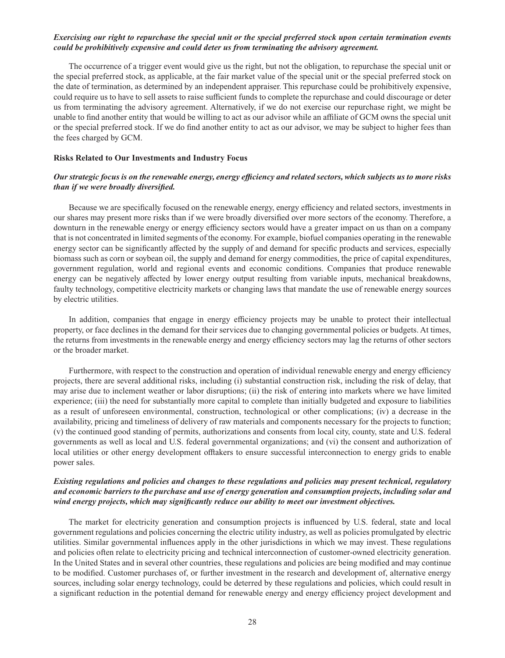# *Exercising our right to repurchase the special unit or the special preferred stock upon certain termination events could be prohibitively expensive and could deter us from terminating the advisory agreement.*

The occurrence of a trigger event would give us the right, but not the obligation, to repurchase the special unit or the special preferred stock, as applicable, at the fair market value of the special unit or the special preferred stock on the date of termination, as determined by an independent appraiser. This repurchase could be prohibitively expensive, could require us to have to sell assets to raise sufficient funds to complete the repurchase and could discourage or deter us from terminating the advisory agreement. Alternatively, if we do not exercise our repurchase right, we might be unable to find another entity that would be willing to act as our advisor while an affiliate of GCM owns the special unit or the special preferred stock. If we do find another entity to act as our advisor, we may be subject to higher fees than the fees charged by GCM.

#### **Risks Related to Our Investments and Industry Focus**

### *Our strategic focus is on the renewable energy, energy efficiency and related sectors, which subjects us to more risks than if we were broadly diversified.*

Because we are specifically focused on the renewable energy, energy efficiency and related sectors, investments in our shares may present more risks than if we were broadly diversified over more sectors of the economy. Therefore, a downturn in the renewable energy or energy efficiency sectors would have a greater impact on us than on a company that is not concentrated in limited segments of the economy. For example, biofuel companies operating in the renewable energy sector can be significantly affected by the supply of and demand for specific products and services, especially biomass such as corn or soybean oil, the supply and demand for energy commodities, the price of capital expenditures, government regulation, world and regional events and economic conditions. Companies that produce renewable energy can be negatively affected by lower energy output resulting from variable inputs, mechanical breakdowns, faulty technology, competitive electricity markets or changing laws that mandate the use of renewable energy sources by electric utilities.

In addition, companies that engage in energy efficiency projects may be unable to protect their intellectual property, or face declines in the demand for their services due to changing governmental policies or budgets. At times, the returns from investments in the renewable energy and energy efficiency sectors may lag the returns of other sectors or the broader market.

Furthermore, with respect to the construction and operation of individual renewable energy and energy efficiency projects, there are several additional risks, including (i) substantial construction risk, including the risk of delay, that may arise due to inclement weather or labor disruptions; (ii) the risk of entering into markets where we have limited experience; (iii) the need for substantially more capital to complete than initially budgeted and exposure to liabilities as a result of unforeseen environmental, construction, technological or other complications; (iv) a decrease in the availability, pricing and timeliness of delivery of raw materials and components necessary for the projects to function; (v) the continued good standing of permits, authorizations and consents from local city, county, state and U.S. federal governments as well as local and U.S. federal governmental organizations; and (vi) the consent and authorization of local utilities or other energy development offtakers to ensure successful interconnection to energy grids to enable power sales.

# *Existing regulations and policies and changes to these regulations and policies may present technical, regulatory and economic barriers to the purchase and use of energy generation and consumption projects, including solar and wind energy projects, which may significantly reduce our ability to meet our investment objectives.*

The market for electricity generation and consumption projects is influenced by U.S. federal, state and local government regulations and policies concerning the electric utility industry, as well as policies promulgated by electric utilities. Similar governmental influences apply in the other jurisdictions in which we may invest. These regulations and policies often relate to electricity pricing and technical interconnection of customer-owned electricity generation. In the United States and in several other countries, these regulations and policies are being modified and may continue to be modified. Customer purchases of, or further investment in the research and development of, alternative energy sources, including solar energy technology, could be deterred by these regulations and policies, which could result in a significant reduction in the potential demand for renewable energy and energy efficiency project development and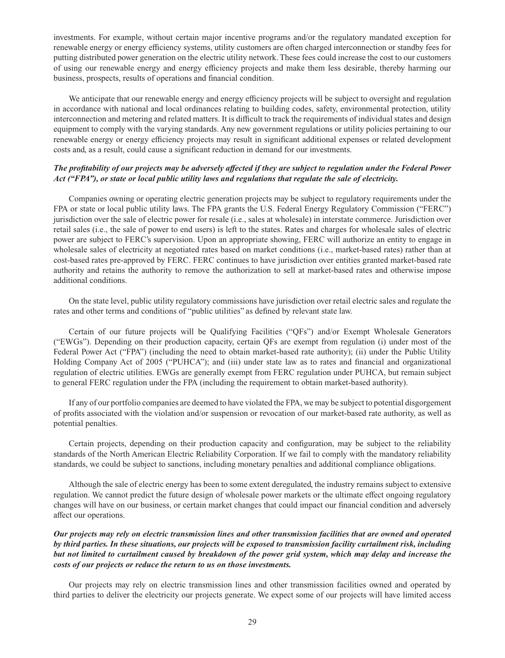investments. For example, without certain major incentive programs and/or the regulatory mandated exception for renewable energy or energy efficiency systems, utility customers are often charged interconnection or standby fees for putting distributed power generation on the electric utility network. These fees could increase the cost to our customers of using our renewable energy and energy efficiency projects and make them less desirable, thereby harming our business, prospects, results of operations and financial condition.

We anticipate that our renewable energy and energy efficiency projects will be subject to oversight and regulation in accordance with national and local ordinances relating to building codes, safety, environmental protection, utility interconnection and metering and related matters. It is difficult to track the requirements of individual states and design equipment to comply with the varying standards. Any new government regulations or utility policies pertaining to our renewable energy or energy efficiency projects may result in significant additional expenses or related development costs and, as a result, could cause a significant reduction in demand for our investments.

# *The profitability of our projects may be adversely affected if they are subject to regulation under the Federal Power Act ("FPA"), or state or local public utility laws and regulations that regulate the sale of electricity.*

Companies owning or operating electric generation projects may be subject to regulatory requirements under the FPA or state or local public utility laws. The FPA grants the U.S. Federal Energy Regulatory Commission ("FERC") jurisdiction over the sale of electric power for resale (i.e., sales at wholesale) in interstate commerce. Jurisdiction over retail sales (i.e., the sale of power to end users) is left to the states. Rates and charges for wholesale sales of electric power are subject to FERC's supervision. Upon an appropriate showing, FERC will authorize an entity to engage in wholesale sales of electricity at negotiated rates based on market conditions (i.e., market-based rates) rather than at cost-based rates pre-approved by FERC. FERC continues to have jurisdiction over entities granted market-based rate authority and retains the authority to remove the authorization to sell at market-based rates and otherwise impose additional conditions.

On the state level, public utility regulatory commissions have jurisdiction over retail electric sales and regulate the rates and other terms and conditions of "public utilities" as defined by relevant state law.

Certain of our future projects will be Qualifying Facilities ("QFs") and/or Exempt Wholesale Generators ("EWGs"). Depending on their production capacity, certain QFs are exempt from regulation (i) under most of the Federal Power Act ("FPA") (including the need to obtain market-based rate authority); (ii) under the Public Utility Holding Company Act of 2005 ("PUHCA"); and (iii) under state law as to rates and financial and organizational regulation of electric utilities. EWGs are generally exempt from FERC regulation under PUHCA, but remain subject to general FERC regulation under the FPA (including the requirement to obtain market-based authority).

If any of our portfolio companies are deemed to have violated the FPA, we may be subject to potential disgorgement of profits associated with the violation and/or suspension or revocation of our market-based rate authority, as well as potential penalties.

Certain projects, depending on their production capacity and configuration, may be subject to the reliability standards of the North American Electric Reliability Corporation. If we fail to comply with the mandatory reliability standards, we could be subject to sanctions, including monetary penalties and additional compliance obligations.

Although the sale of electric energy has been to some extent deregulated, the industry remains subject to extensive regulation. We cannot predict the future design of wholesale power markets or the ultimate effect ongoing regulatory changes will have on our business, or certain market changes that could impact our financial condition and adversely affect our operations.

# *Our projects may rely on electric transmission lines and other transmission facilities that are owned and operated by third parties. In these situations, our projects will be exposed to transmission facility curtailment risk, including but not limited to curtailment caused by breakdown of the power grid system, which may delay and increase the costs of our projects or reduce the return to us on those investments.*

Our projects may rely on electric transmission lines and other transmission facilities owned and operated by third parties to deliver the electricity our projects generate. We expect some of our projects will have limited access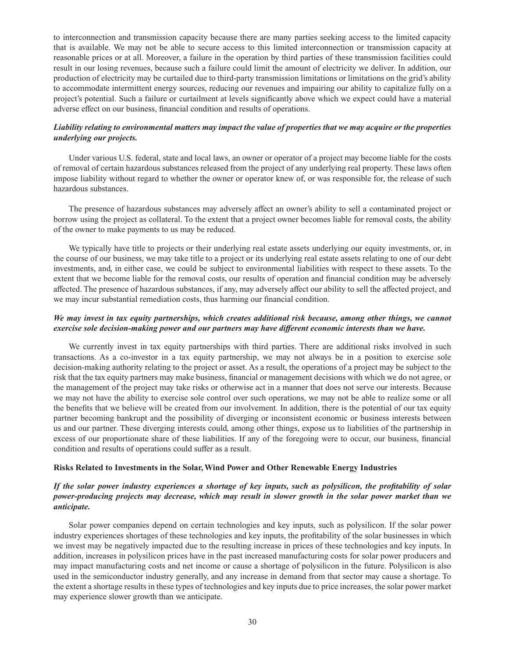to interconnection and transmission capacity because there are many parties seeking access to the limited capacity that is available. We may not be able to secure access to this limited interconnection or transmission capacity at reasonable prices or at all. Moreover, a failure in the operation by third parties of these transmission facilities could result in our losing revenues, because such a failure could limit the amount of electricity we deliver. In addition, our production of electricity may be curtailed due to third-party transmission limitations or limitations on the grid's ability to accommodate intermittent energy sources, reducing our revenues and impairing our ability to capitalize fully on a project's potential. Such a failure or curtailment at levels significantly above which we expect could have a material adverse effect on our business, financial condition and results of operations.

# *Liability relating to environmental matters may impact the value of properties that we may acquire or the properties underlying our projects.*

Under various U.S. federal, state and local laws, an owner or operator of a project may become liable for the costs of removal of certain hazardous substances released from the project of any underlying real property. These laws often impose liability without regard to whether the owner or operator knew of, or was responsible for, the release of such hazardous substances.

The presence of hazardous substances may adversely affect an owner's ability to sell a contaminated project or borrow using the project as collateral. To the extent that a project owner becomes liable for removal costs, the ability of the owner to make payments to us may be reduced.

We typically have title to projects or their underlying real estate assets underlying our equity investments, or, in the course of our business, we may take title to a project or its underlying real estate assets relating to one of our debt investments, and, in either case, we could be subject to environmental liabilities with respect to these assets. To the extent that we become liable for the removal costs, our results of operation and financial condition may be adversely affected. The presence of hazardous substances, if any, may adversely affect our ability to sell the affected project, and we may incur substantial remediation costs, thus harming our financial condition.

# *We may invest in tax equity partnerships, which creates additional risk because, among other things, we cannot exercise sole decision-making power and our partners may have different economic interests than we have.*

We currently invest in tax equity partnerships with third parties. There are additional risks involved in such transactions. As a co-investor in a tax equity partnership, we may not always be in a position to exercise sole decision-making authority relating to the project or asset. As a result, the operations of a project may be subject to the risk that the tax equity partners may make business, financial or management decisions with which we do not agree, or the management of the project may take risks or otherwise act in a manner that does not serve our interests. Because we may not have the ability to exercise sole control over such operations, we may not be able to realize some or all the benefits that we believe will be created from our involvement. In addition, there is the potential of our tax equity partner becoming bankrupt and the possibility of diverging or inconsistent economic or business interests between us and our partner. These diverging interests could, among other things, expose us to liabilities of the partnership in excess of our proportionate share of these liabilities. If any of the foregoing were to occur, our business, financial condition and results of operations could suffer as a result.

### **Risks Related to Investments in the Solar, Wind Power and Other Renewable Energy Industries**

# *If the solar power industry experiences a shortage of key inputs, such as polysilicon, the profitability of solar power-producing projects may decrease, which may result in slower growth in the solar power market than we anticipate.*

Solar power companies depend on certain technologies and key inputs, such as polysilicon. If the solar power industry experiences shortages of these technologies and key inputs, the profitability of the solar businesses in which we invest may be negatively impacted due to the resulting increase in prices of these technologies and key inputs. In addition, increases in polysilicon prices have in the past increased manufacturing costs for solar power producers and may impact manufacturing costs and net income or cause a shortage of polysilicon in the future. Polysilicon is also used in the semiconductor industry generally, and any increase in demand from that sector may cause a shortage. To the extent a shortage results in these types of technologies and key inputs due to price increases, the solar power market may experience slower growth than we anticipate.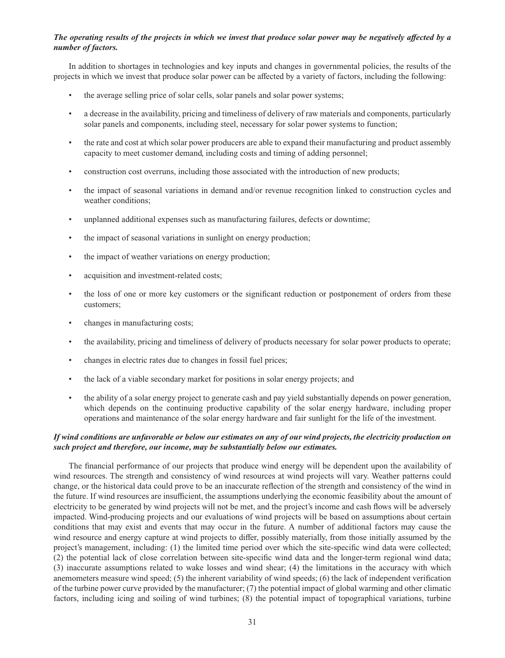# *The operating results of the projects in which we invest that produce solar power may be negatively affected by a number of factors.*

In addition to shortages in technologies and key inputs and changes in governmental policies, the results of the projects in which we invest that produce solar power can be affected by a variety of factors, including the following:

- the average selling price of solar cells, solar panels and solar power systems;
- a decrease in the availability, pricing and timeliness of delivery of raw materials and components, particularly solar panels and components, including steel, necessary for solar power systems to function;
- the rate and cost at which solar power producers are able to expand their manufacturing and product assembly capacity to meet customer demand, including costs and timing of adding personnel;
- construction cost overruns, including those associated with the introduction of new products;
- the impact of seasonal variations in demand and/or revenue recognition linked to construction cycles and weather conditions;
- unplanned additional expenses such as manufacturing failures, defects or downtime;
- the impact of seasonal variations in sunlight on energy production;
- the impact of weather variations on energy production;
- acquisition and investment-related costs;
- the loss of one or more key customers or the significant reduction or postponement of orders from these customers;
- changes in manufacturing costs;
- the availability, pricing and timeliness of delivery of products necessary for solar power products to operate;
- changes in electric rates due to changes in fossil fuel prices;
- the lack of a viable secondary market for positions in solar energy projects; and
- the ability of a solar energy project to generate cash and pay yield substantially depends on power generation, which depends on the continuing productive capability of the solar energy hardware, including proper operations and maintenance of the solar energy hardware and fair sunlight for the life of the investment.

## *If wind conditions are unfavorable or below our estimates on any of our wind projects, the electricity production on such project and therefore, our income, may be substantially below our estimates.*

The financial performance of our projects that produce wind energy will be dependent upon the availability of wind resources. The strength and consistency of wind resources at wind projects will vary. Weather patterns could change, or the historical data could prove to be an inaccurate reflection of the strength and consistency of the wind in the future. If wind resources are insufficient, the assumptions underlying the economic feasibility about the amount of electricity to be generated by wind projects will not be met, and the project's income and cash flows will be adversely impacted. Wind-producing projects and our evaluations of wind projects will be based on assumptions about certain conditions that may exist and events that may occur in the future. A number of additional factors may cause the wind resource and energy capture at wind projects to differ, possibly materially, from those initially assumed by the project's management, including: (1) the limited time period over which the site-specific wind data were collected; (2) the potential lack of close correlation between site-specific wind data and the longer-term regional wind data; (3) inaccurate assumptions related to wake losses and wind shear; (4) the limitations in the accuracy with which anemometers measure wind speed; (5) the inherent variability of wind speeds; (6) the lack of independent verification of the turbine power curve provided by the manufacturer; (7) the potential impact of global warming and other climatic factors, including icing and soiling of wind turbines; (8) the potential impact of topographical variations, turbine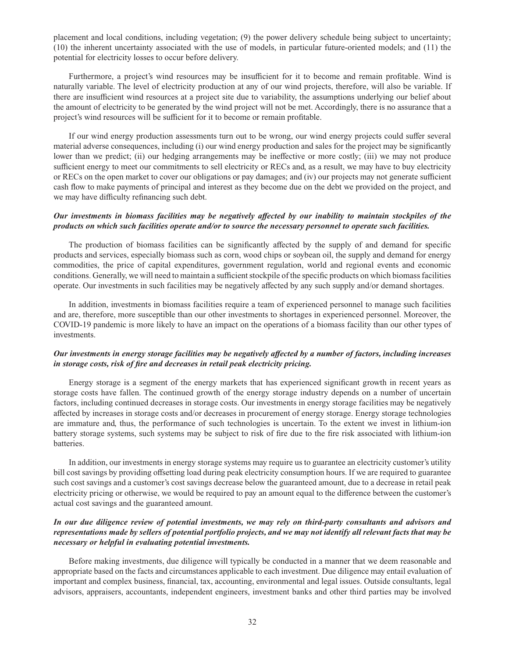placement and local conditions, including vegetation; (9) the power delivery schedule being subject to uncertainty; (10) the inherent uncertainty associated with the use of models, in particular future-oriented models; and (11) the potential for electricity losses to occur before delivery.

Furthermore, a project's wind resources may be insufficient for it to become and remain profitable. Wind is naturally variable. The level of electricity production at any of our wind projects, therefore, will also be variable. If there are insufficient wind resources at a project site due to variability, the assumptions underlying our belief about the amount of electricity to be generated by the wind project will not be met. Accordingly, there is no assurance that a project's wind resources will be sufficient for it to become or remain profitable.

If our wind energy production assessments turn out to be wrong, our wind energy projects could suffer several material adverse consequences, including (i) our wind energy production and sales for the project may be significantly lower than we predict; (ii) our hedging arrangements may be ineffective or more costly; (iii) we may not produce sufficient energy to meet our commitments to sell electricity or RECs and, as a result, we may have to buy electricity or RECs on the open market to cover our obligations or pay damages; and (iv) our projects may not generate sufficient cash flow to make payments of principal and interest as they become due on the debt we provided on the project, and we may have difficulty refinancing such debt.

# *Our investments in biomass facilities may be negatively affected by our inability to maintain stockpiles of the products on which such facilities operate and/or to source the necessary personnel to operate such facilities.*

The production of biomass facilities can be significantly affected by the supply of and demand for specific products and services, especially biomass such as corn, wood chips or soybean oil, the supply and demand for energy commodities, the price of capital expenditures, government regulation, world and regional events and economic conditions. Generally, we will need to maintain a sufficient stockpile of the specific products on which biomass facilities operate. Our investments in such facilities may be negatively affected by any such supply and/or demand shortages.

In addition, investments in biomass facilities require a team of experienced personnel to manage such facilities and are, therefore, more susceptible than our other investments to shortages in experienced personnel. Moreover, the COVID-19 pandemic is more likely to have an impact on the operations of a biomass facility than our other types of investments.

# *Our investments in energy storage facilities may be negatively affected by a number of factors, including increases in storage costs, risk of fire and decreases in retail peak electricity pricing.*

Energy storage is a segment of the energy markets that has experienced significant growth in recent years as storage costs have fallen. The continued growth of the energy storage industry depends on a number of uncertain factors, including continued decreases in storage costs. Our investments in energy storage facilities may be negatively affected by increases in storage costs and/or decreases in procurement of energy storage. Energy storage technologies are immature and, thus, the performance of such technologies is uncertain. To the extent we invest in lithium-ion battery storage systems, such systems may be subject to risk of fire due to the fire risk associated with lithium-ion batteries.

In addition, our investments in energy storage systems may require us to guarantee an electricity customer's utility bill cost savings by providing offsetting load during peak electricity consumption hours. If we are required to guarantee such cost savings and a customer's cost savings decrease below the guaranteed amount, due to a decrease in retail peak electricity pricing or otherwise, we would be required to pay an amount equal to the difference between the customer's actual cost savings and the guaranteed amount.

# *In our due diligence review of potential investments, we may rely on third-party consultants and advisors and representations made by sellers of potential portfolio projects, and we may not identify all relevant facts that may be necessary or helpful in evaluating potential investments.*

Before making investments, due diligence will typically be conducted in a manner that we deem reasonable and appropriate based on the facts and circumstances applicable to each investment. Due diligence may entail evaluation of important and complex business, financial, tax, accounting, environmental and legal issues. Outside consultants, legal advisors, appraisers, accountants, independent engineers, investment banks and other third parties may be involved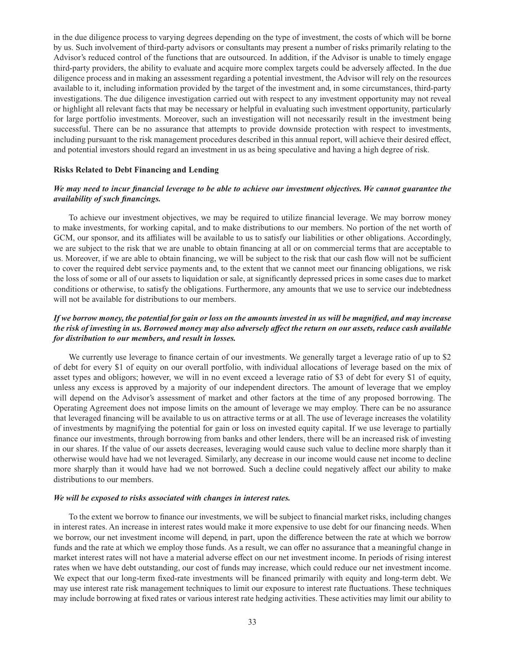in the due diligence process to varying degrees depending on the type of investment, the costs of which will be borne by us. Such involvement of third-party advisors or consultants may present a number of risks primarily relating to the Advisor's reduced control of the functions that are outsourced. In addition, if the Advisor is unable to timely engage third-party providers, the ability to evaluate and acquire more complex targets could be adversely affected. In the due diligence process and in making an assessment regarding a potential investment, the Advisor will rely on the resources available to it, including information provided by the target of the investment and, in some circumstances, third-party investigations. The due diligence investigation carried out with respect to any investment opportunity may not reveal or highlight all relevant facts that may be necessary or helpful in evaluating such investment opportunity, particularly for large portfolio investments. Moreover, such an investigation will not necessarily result in the investment being successful. There can be no assurance that attempts to provide downside protection with respect to investments, including pursuant to the risk management procedures described in this annual report, will achieve their desired effect, and potential investors should regard an investment in us as being speculative and having a high degree of risk.

#### **Risks Related to Debt Financing and Lending**

## *We may need to incur financial leverage to be able to achieve our investment objectives. We cannot guarantee the availability of such financings.*

To achieve our investment objectives, we may be required to utilize financial leverage. We may borrow money to make investments, for working capital, and to make distributions to our members. No portion of the net worth of GCM, our sponsor, and its affiliates will be available to us to satisfy our liabilities or other obligations. Accordingly, we are subject to the risk that we are unable to obtain financing at all or on commercial terms that are acceptable to us. Moreover, if we are able to obtain financing, we will be subject to the risk that our cash flow will not be sufficient to cover the required debt service payments and, to the extent that we cannot meet our financing obligations, we risk the loss of some or all of our assets to liquidation or sale, at significantly depressed prices in some cases due to market conditions or otherwise, to satisfy the obligations. Furthermore, any amounts that we use to service our indebtedness will not be available for distributions to our members.

# *If we borrow money, the potential for gain or loss on the amounts invested in us will be magnified, and may increase the risk of investing in us. Borrowed money may also adversely affect the return on our assets, reduce cash available for distribution to our members, and result in losses.*

We currently use leverage to finance certain of our investments. We generally target a leverage ratio of up to \$2 of debt for every \$1 of equity on our overall portfolio, with individual allocations of leverage based on the mix of asset types and obligors; however, we will in no event exceed a leverage ratio of \$3 of debt for every \$1 of equity, unless any excess is approved by a majority of our independent directors. The amount of leverage that we employ will depend on the Advisor's assessment of market and other factors at the time of any proposed borrowing. The Operating Agreement does not impose limits on the amount of leverage we may employ. There can be no assurance that leveraged financing will be available to us on attractive terms or at all. The use of leverage increases the volatility of investments by magnifying the potential for gain or loss on invested equity capital. If we use leverage to partially finance our investments, through borrowing from banks and other lenders, there will be an increased risk of investing in our shares. If the value of our assets decreases, leveraging would cause such value to decline more sharply than it otherwise would have had we not leveraged. Similarly, any decrease in our income would cause net income to decline more sharply than it would have had we not borrowed. Such a decline could negatively affect our ability to make distributions to our members.

#### *We will be exposed to risks associated with changes in interest rates.*

To the extent we borrow to finance our investments, we will be subject to financial market risks, including changes in interest rates. An increase in interest rates would make it more expensive to use debt for our financing needs. When we borrow, our net investment income will depend, in part, upon the difference between the rate at which we borrow funds and the rate at which we employ those funds. As a result, we can offer no assurance that a meaningful change in market interest rates will not have a material adverse effect on our net investment income. In periods of rising interest rates when we have debt outstanding, our cost of funds may increase, which could reduce our net investment income. We expect that our long-term fixed-rate investments will be financed primarily with equity and long-term debt. We may use interest rate risk management techniques to limit our exposure to interest rate fluctuations. These techniques may include borrowing at fixed rates or various interest rate hedging activities. These activities may limit our ability to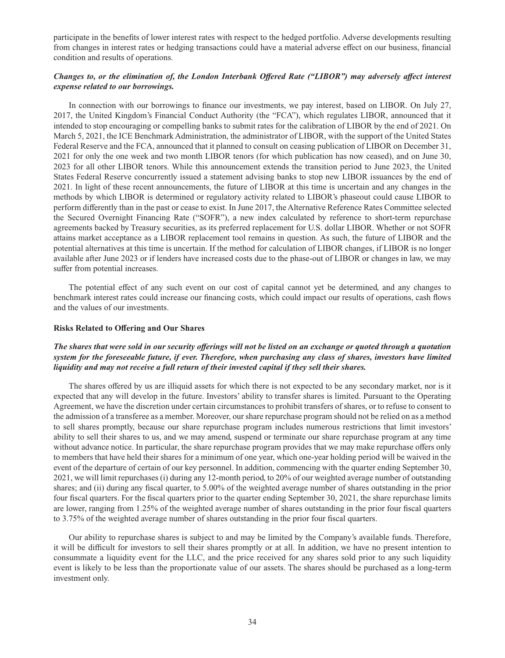participate in the benefits of lower interest rates with respect to the hedged portfolio. Adverse developments resulting from changes in interest rates or hedging transactions could have a material adverse effect on our business, financial condition and results of operations.

# *Changes to, or the elimination of, the London Interbank Offered Rate ("LIBOR") may adversely affect interest expense related to our borrowings.*

In connection with our borrowings to finance our investments, we pay interest, based on LIBOR. On July 27, 2017, the United Kingdom's Financial Conduct Authority (the "FCA"), which regulates LIBOR, announced that it intended to stop encouraging or compelling banks to submit rates for the calibration of LIBOR by the end of 2021. On March 5, 2021, the ICE Benchmark Administration, the administrator of LIBOR, with the support of the United States Federal Reserve and the FCA, announced that it planned to consult on ceasing publication of LIBOR on December 31, 2021 for only the one week and two month LIBOR tenors (for which publication has now ceased), and on June 30, 2023 for all other LIBOR tenors. While this announcement extends the transition period to June 2023, the United States Federal Reserve concurrently issued a statement advising banks to stop new LIBOR issuances by the end of 2021. In light of these recent announcements, the future of LIBOR at this time is uncertain and any changes in the methods by which LIBOR is determined or regulatory activity related to LIBOR's phaseout could cause LIBOR to perform differently than in the past or cease to exist. In June 2017, the Alternative Reference Rates Committee selected the Secured Overnight Financing Rate ("SOFR"), a new index calculated by reference to short-term repurchase agreements backed by Treasury securities, as its preferred replacement for U.S. dollar LIBOR. Whether or not SOFR attains market acceptance as a LIBOR replacement tool remains in question. As such, the future of LIBOR and the potential alternatives at this time is uncertain. If the method for calculation of LIBOR changes, if LIBOR is no longer available after June 2023 or if lenders have increased costs due to the phase-out of LIBOR or changes in law, we may suffer from potential increases.

The potential effect of any such event on our cost of capital cannot yet be determined, and any changes to benchmark interest rates could increase our financing costs, which could impact our results of operations, cash flows and the values of our investments.

### **Risks Related to Offering and Our Shares**

# *The shares that were sold in our security offerings will not be listed on an exchange or quoted through a quotation system for the foreseeable future, if ever. Therefore, when purchasing any class of shares, investors have limited liquidity and may not receive a full return of their invested capital if they sell their shares.*

The shares offered by us are illiquid assets for which there is not expected to be any secondary market, nor is it expected that any will develop in the future. Investors' ability to transfer shares is limited. Pursuant to the Operating Agreement, we have the discretion under certain circumstances to prohibit transfers of shares, or to refuse to consent to the admission of a transferee as a member. Moreover, our share repurchase program should not be relied on as a method to sell shares promptly, because our share repurchase program includes numerous restrictions that limit investors' ability to sell their shares to us, and we may amend, suspend or terminate our share repurchase program at any time without advance notice. In particular, the share repurchase program provides that we may make repurchase offers only to members that have held their shares for a minimum of one year, which one-year holding period will be waived in the event of the departure of certain of our key personnel. In addition, commencing with the quarter ending September 30, 2021, we will limit repurchases (i) during any 12-month period, to 20% of our weighted average number of outstanding shares; and (ii) during any fiscal quarter, to 5.00% of the weighted average number of shares outstanding in the prior four fiscal quarters. For the fiscal quarters prior to the quarter ending September 30, 2021, the share repurchase limits are lower, ranging from 1.25% of the weighted average number of shares outstanding in the prior four fiscal quarters to 3.75% of the weighted average number of shares outstanding in the prior four fiscal quarters.

Our ability to repurchase shares is subject to and may be limited by the Company's available funds. Therefore, it will be difficult for investors to sell their shares promptly or at all. In addition, we have no present intention to consummate a liquidity event for the LLC, and the price received for any shares sold prior to any such liquidity event is likely to be less than the proportionate value of our assets. The shares should be purchased as a long-term investment only.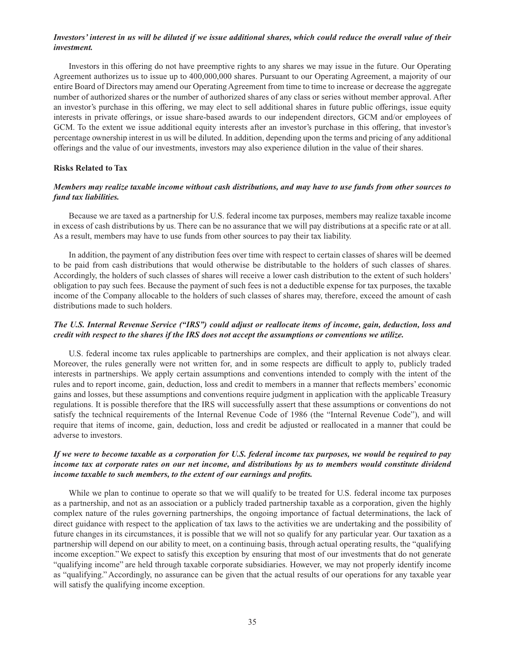# *Investors' interest in us will be diluted if we issue additional shares, which could reduce the overall value of their investment.*

Investors in this offering do not have preemptive rights to any shares we may issue in the future. Our Operating Agreement authorizes us to issue up to 400,000,000 shares. Pursuant to our Operating Agreement, a majority of our entire Board of Directors may amend our Operating Agreement from time to time to increase or decrease the aggregate number of authorized shares or the number of authorized shares of any class or series without member approval. After an investor's purchase in this offering, we may elect to sell additional shares in future public offerings, issue equity interests in private offerings, or issue share-based awards to our independent directors, GCM and/or employees of GCM. To the extent we issue additional equity interests after an investor's purchase in this offering, that investor's percentage ownership interest in us will be diluted. In addition, depending upon the terms and pricing of any additional offerings and the value of our investments, investors may also experience dilution in the value of their shares.

### **Risks Related to Tax**

# *Members may realize taxable income without cash distributions, and may have to use funds from other sources to fund tax liabilities.*

Because we are taxed as a partnership for U.S. federal income tax purposes, members may realize taxable income in excess of cash distributions by us. There can be no assurance that we will pay distributions at a specific rate or at all. As a result, members may have to use funds from other sources to pay their tax liability.

In addition, the payment of any distribution fees over time with respect to certain classes of shares will be deemed to be paid from cash distributions that would otherwise be distributable to the holders of such classes of shares. Accordingly, the holders of such classes of shares will receive a lower cash distribution to the extent of such holders' obligation to pay such fees. Because the payment of such fees is not a deductible expense for tax purposes, the taxable income of the Company allocable to the holders of such classes of shares may, therefore, exceed the amount of cash distributions made to such holders.

# *The U.S. Internal Revenue Service ("IRS") could adjust or reallocate items of income, gain, deduction, loss and credit with respect to the shares if the IRS does not accept the assumptions or conventions we utilize.*

U.S. federal income tax rules applicable to partnerships are complex, and their application is not always clear. Moreover, the rules generally were not written for, and in some respects are difficult to apply to, publicly traded interests in partnerships. We apply certain assumptions and conventions intended to comply with the intent of the rules and to report income, gain, deduction, loss and credit to members in a manner that reflects members' economic gains and losses, but these assumptions and conventions require judgment in application with the applicable Treasury regulations. It is possible therefore that the IRS will successfully assert that these assumptions or conventions do not satisfy the technical requirements of the Internal Revenue Code of 1986 (the "Internal Revenue Code"), and will require that items of income, gain, deduction, loss and credit be adjusted or reallocated in a manner that could be adverse to investors.

# *If we were to become taxable as a corporation for U.S. federal income tax purposes, we would be required to pay income tax at corporate rates on our net income, and distributions by us to members would constitute dividend income taxable to such members, to the extent of our earnings and profits.*

While we plan to continue to operate so that we will qualify to be treated for U.S. federal income tax purposes as a partnership, and not as an association or a publicly traded partnership taxable as a corporation, given the highly complex nature of the rules governing partnerships, the ongoing importance of factual determinations, the lack of direct guidance with respect to the application of tax laws to the activities we are undertaking and the possibility of future changes in its circumstances, it is possible that we will not so qualify for any particular year. Our taxation as a partnership will depend on our ability to meet, on a continuing basis, through actual operating results, the "qualifying income exception." We expect to satisfy this exception by ensuring that most of our investments that do not generate "qualifying income" are held through taxable corporate subsidiaries. However, we may not properly identify income as "qualifying." Accordingly, no assurance can be given that the actual results of our operations for any taxable year will satisfy the qualifying income exception.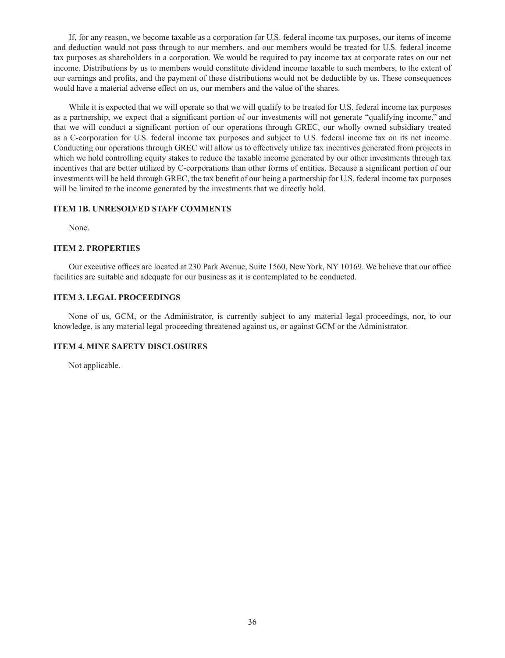If, for any reason, we become taxable as a corporation for U.S. federal income tax purposes, our items of income and deduction would not pass through to our members, and our members would be treated for U.S. federal income tax purposes as shareholders in a corporation. We would be required to pay income tax at corporate rates on our net income. Distributions by us to members would constitute dividend income taxable to such members, to the extent of our earnings and profits, and the payment of these distributions would not be deductible by us. These consequences would have a material adverse effect on us, our members and the value of the shares.

While it is expected that we will operate so that we will qualify to be treated for U.S. federal income tax purposes as a partnership, we expect that a significant portion of our investments will not generate "qualifying income," and that we will conduct a significant portion of our operations through GREC, our wholly owned subsidiary treated as a C-corporation for U.S. federal income tax purposes and subject to U.S. federal income tax on its net income. Conducting our operations through GREC will allow us to effectively utilize tax incentives generated from projects in which we hold controlling equity stakes to reduce the taxable income generated by our other investments through tax incentives that are better utilized by C-corporations than other forms of entities. Because a significant portion of our investments will be held through GREC, the tax benefit of our being a partnership for U.S. federal income tax purposes will be limited to the income generated by the investments that we directly hold.

# **ITEM 1B. UNRESOLVED STAFF COMMENTS**

None.

# **ITEM 2. PROPERTIES**

Our executive offices are located at 230 Park Avenue, Suite 1560, New York, NY 10169. We believe that our office facilities are suitable and adequate for our business as it is contemplated to be conducted.

# **ITEM 3. LEGAL PROCEEDINGS**

None of us, GCM, or the Administrator, is currently subject to any material legal proceedings, nor, to our knowledge, is any material legal proceeding threatened against us, or against GCM or the Administrator.

### **ITEM 4. MINE SAFETY DISCLOSURES**

Not applicable.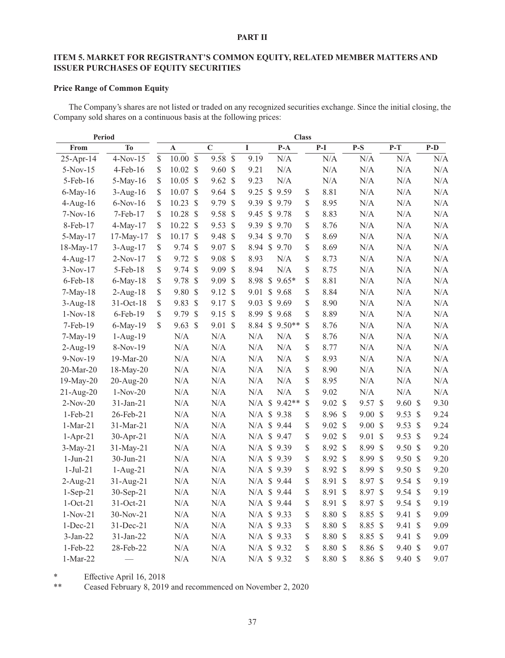# **PART II**

# **ITEM 5. MARKET FOR REGISTRANT'S COMMON EQUITY, RELATED MEMBER MATTERS AND ISSUER PURCHASES OF EQUITY SECURITIES**

# **Price Range of Common Equity**

The Company's shares are not listed or traded on any recognized securities exchange. Since the initial closing, the Company sold shares on a continuous basis at the following prices:

| Period          |             |               |                     |                 |               |             |                | <b>Class</b> |                 |              |                    |                  |               |       |
|-----------------|-------------|---------------|---------------------|-----------------|---------------|-------------|----------------|--------------|-----------------|--------------|--------------------|------------------|---------------|-------|
| From            | <b>To</b>   |               | $\mathbf A$         | $\overline{C}$  |               | $\mathbf I$ | $P-A$          |              | $P-I$           |              | $P-S$              | $P-T$            |               | $P-D$ |
| $25 - Apr - 14$ | $4-Nov-15$  | \$            | $10.00~\text{\$}$   | 9.58 \$         |               | 9.19        | N/A            |              | N/A             |              | N/A                | N/A              |               | N/A   |
| $5-Nov-15$      | 4-Feb-16    | \$            | $10.02 \text{ }$ \$ | $9.60 \text{ }$ |               | 9.21        | N/A            |              | $\rm N/A$       |              | N/A                | $\rm N/A$        |               | N/A   |
| 5-Feb-16        | 5-May-16    | \$            | $10.05~\text{S}$    | $9.62 \text{ }$ |               | 9.23        | N/A            |              | $\rm N/A$       |              | N/A                | N/A              |               | N/A   |
| 6-May-16        | $3-Aug-16$  | \$            | 10.07 \$            | $9.64$ \$       |               |             | 9.25 \$ 9.59   | \$           | 8.81            |              | N/A                | $\rm N/A$        |               | N/A   |
| $4-Aug-16$      | $6-Nov-16$  | \$            | $10.23$ \$          | 9.79S           |               |             | 9.39 \$ 9.79   | \$           | 8.95            |              | N/A                | N/A              |               | N/A   |
| $7-Nov-16$      | 7-Feb-17    | \$            | $10.28$ \$          | 9.58            | $\mathcal{S}$ | 9.45        | \$9.78         | \$           | 8.83            |              | N/A                | N/A              |               | N/A   |
| 8-Feb-17        | 4-May-17    | \$            | 10.22 S             | 9.53            | $\mathcal{S}$ |             | 9.39 \$ 9.70   | \$           | 8.76            |              | $\rm N/A$          | N/A              |               | N/A   |
| 5-May-17        | 17-May-17   | \$            | 10.17S              | 9.48S           |               |             | 9.34 \$ 9.70   | \$           | 8.69            |              | $\rm N/A$          | N/A              |               | N/A   |
| 18-May-17       | $3-Aug-17$  | \$            | $9.74$ \$           | $9.07$ \$       |               |             | 8.94 \$ 9.70   | \$           | 8.69            |              | $\rm N/A$          | N/A              |               | N/A   |
| $4$ -Aug-17     | $2-Nov-17$  | \$            | $9.72$ \$           | 9.08            | $\mathcal{S}$ | 8.93        | N/A            | \$           | 8.73            |              | N/A                | N/A              |               | N/A   |
| $3-Nov-17$      | 5-Feb-18    | \$            | $9.74$ \$           | $9.09$ \$       |               | 8.94        | N/A            | \$           | 8.75            |              | N/A                | $\rm N/A$        |               | N/A   |
| 6-Feb-18        | $6$ -May-18 | $\mathbb{S}$  | 9.78 \$             | $9.09$ \$       |               |             | 8.98 \$ 9.65*  | \$           | 8.81            |              | N/A                | $\rm N/A$        |               | N/A   |
| $7-May-18$      | $2$ -Aug-18 | \$            | 9.80 \$             | 9.12 \$         |               | 9.01        | \$9.68         | \$           | 8.84            |              | N/A                | $\rm N/A$        |               | N/A   |
| $3$ -Aug-18     | 31-Oct-18   | \$            | 9.83 \$             | 9.17 \$         |               | 9.03        | \$9.69         | \$           | 8.90            |              | N/A                | N/A              |               | N/A   |
| $1-Nov-18$      | 6-Feb-19    | \$            | 9.79 \$             | $9.15$ \$       |               |             | 8.99 \$ 9.68   | \$           | 8.89            |              | N/A                | N/A              |               | N/A   |
| 7-Feb-19        | 6-May-19    | $\mathcal{S}$ | $9.63$ \$           | $9.01$ \$       |               |             | 8.84 \$ 9.50** | \$           | 8.76            |              | N/A                | $\rm N/A$        |               | N/A   |
| 7-May-19        | $1-Aug-19$  |               | N/A                 | N/A             |               | N/A         | N/A            | \$           | 8.76            |              | N/A                | $\rm N/A$        |               | N/A   |
| 2-Aug-19        | $8-Nov-19$  |               | N/A                 | N/A             |               | N/A         | N/A            | \$           | 8.77            |              | N/A                | N/A              |               | N/A   |
| $9-Nov-19$      | 19-Mar-20   |               | N/A                 | N/A             |               | N/A         | N/A            | \$           | 8.93            |              | N/A                | N/A              |               | N/A   |
| 20-Mar-20       | 18-May-20   |               | N/A                 | N/A             |               | N/A         | N/A            | \$           | 8.90            |              | N/A                | N/A              |               | N/A   |
| 19-May-20       | 20-Aug-20   |               | N/A                 | N/A             |               | N/A         | N/A            | \$           | 8.95            |              | N/A                | N/A              |               | N/A   |
| 21-Aug-20       | $1-Nov-20$  |               | N/A                 | $\rm N/A$       |               | N/A         | N/A            | \$           | 9.02            |              | $\rm N/A$          | $\rm N/A$        |               | N/A   |
| $2-Nov-20$      | 31-Jan-21   |               | N/A                 | $\rm N/A$       |               | $N/A$ \$    | $9.42**$       | \$           | $9.02 \text{ }$ |              | 9.57 \$            | $9.60 \text{ s}$ |               | 9.30  |
| $1-Feb-21$      | 26-Feb-21   |               | N/A                 | $\rm N/A$       |               |             | N/A \$ 9.38    | \$           | 8.96 \$         |              | $9.00 \text{ }$ \$ | 9.53 \$          |               | 9.24  |
| $1-Mar-21$      | 31-Mar-21   |               | $\rm N/A$           | $\rm N/A$       |               |             | N/A \$ 9.44    | \$           | $9.02 \text{ }$ |              | $9.00\text{ }$$    | 9.53 \$          |               | 9.24  |
| $1-Apr-21$      | $30-Apr-21$ |               | N/A                 | $\rm N/A$       |               |             | N/A \$ 9.47    | \$           | $9.02 \text{ }$ |              | 9.01 \$            | 9.53 \$          |               | 9.24  |
| $3-May-21$      | 31-May-21   |               | $\rm N/A$           | $\rm N/A$       |               |             | N/A \$ 9.39    | \$           | 8.92 \$         |              | 8.99 \$            | 9.50 \$          |               | 9.20  |
| $1-Jun-21$      | 30-Jun-21   |               | N/A                 | $\rm N/A$       |               |             | N/A \$ 9.39    | \$           | 8.92 \$         |              | 8.99 \$            | 9.50 \$          |               | 9.20  |
| $1-Jul-21$      | $1-Aug-21$  |               | $\rm N/A$           | $\rm N/A$       |               |             | N/A \$ 9.39    | \$           | 8.92 \$         |              | 8.99 \$            | 9.50 \$          |               | 9.20  |
| $2-Aug-21$      | 31-Aug-21   |               | N/A                 | $\rm N/A$       |               |             | N/A \$ 9.44    | \$           | 8.91            | $\mathbb{S}$ | 8.97 \$            | 9.54 \$          |               | 9.19  |
| $1-Sep-21$      | 30-Sep-21   |               | N/A                 | N/A             |               |             | N/A \$ 9.44    | \$           | 8.91 \$         |              | 8.97 \$            | $9.54$ \$        |               | 9.19  |
| $1-Oct-21$      | 31-Oct-21   |               | N/A                 | N/A             |               |             | N/A \$ 9.44    | \$           | 8.91 \$         |              | 8.97 \$            | $9.54$ \$        |               | 9.19  |
| $1-Nov-21$      | $30-Nov-21$ |               | N/A                 | N/A             |               |             | N/A \$ 9.33    | \$           | 8.80 \$         |              | 8.85 \$            | 9.41             | $\mathcal{S}$ | 9.09  |
| $1-Dec-21$      | 31-Dec-21   |               | N/A                 | N/A             |               |             | N/A \$ 9.33    | \$           | 8.80 \$         |              | 8.85 \$            | 9.41             | $\mathcal{S}$ | 9.09  |
| 3-Jan-22        | 31-Jan-22   |               | N/A                 | $\rm N/A$       |               |             | N/A \$ 9.33    | \$           | 8.80 \$         |              | 8.85 \$            | 9.41             | $\mathcal{S}$ | 9.09  |
| 1-Feb-22        | 28-Feb-22   |               | N/A                 | N/A             |               |             | N/A \$ 9.32    | \$           | 8.80 \$         |              | 8.86 \$            | 9.40 \$          |               | 9.07  |
| $1-Mar-22$      |             |               | N/A                 | N/A             |               |             | N/A \$ 9.32    | \$           | 8.80 \$         |              | 8.86 \$            | 9.40 \$          |               | 9.07  |

\* Effective April 16, 2018<br>\*\* Ceased February 8, 2019

Ceased February 8, 2019 and recommenced on November 2, 2020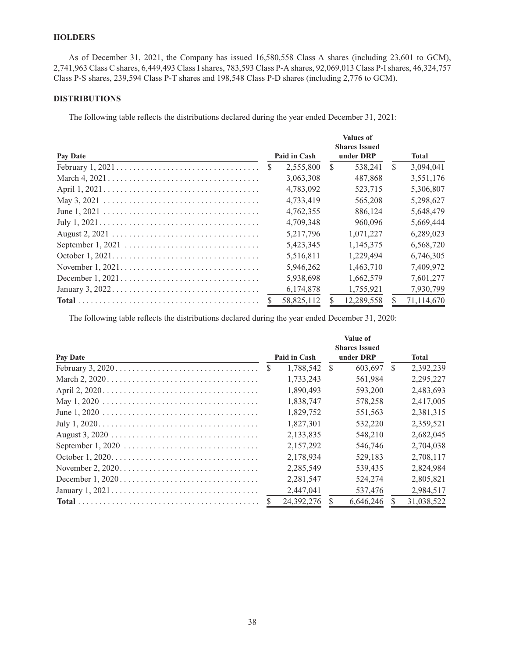# **HOLDERS**

As of December 31, 2021, the Company has issued 16,580,558 Class A shares (including 23,601 to GCM), 2,741,963 Class C shares, 6,449,493 Class I shares, 783,593 Class P-A shares, 92,069,013 Class P-I shares, 46,324,757 Class P-S shares, 239,594 Class P-T shares and 198,548 Class P-D shares (including 2,776 to GCM).

# **DISTRIBUTIONS**

The following table reflects the distributions declared during the year ended December 31, 2021:

|                                                                                              |               |              |           | <b>Values of</b><br><b>Shares Issued</b> |               |              |
|----------------------------------------------------------------------------------------------|---------------|--------------|-----------|------------------------------------------|---------------|--------------|
| Pay Date                                                                                     |               | Paid in Cash | under DRP |                                          |               | <b>Total</b> |
|                                                                                              | <sup>\$</sup> | 2,555,800    | S.        | 538.241                                  | <sup>\$</sup> | 3,094,041    |
|                                                                                              |               | 3,063,308    |           | 487,868                                  |               | 3,551,176    |
|                                                                                              |               | 4,783,092    |           | 523,715                                  |               | 5,306,807    |
|                                                                                              |               | 4,733,419    |           | 565,208                                  |               | 5,298,627    |
|                                                                                              |               | 4,762,355    |           | 886,124                                  |               | 5,648,479    |
| July $1, 2021. \ldots \ldots \ldots \ldots \ldots \ldots \ldots \ldots \ldots \ldots \ldots$ |               | 4,709,348    |           | 960,096                                  |               | 5,669,444    |
|                                                                                              |               | 5,217,796    |           | 1,071,227                                |               | 6,289,023    |
|                                                                                              |               | 5,423,345    |           | 1,145,375                                |               | 6,568,720    |
| October $1, 2021. \ldots \ldots \ldots \ldots \ldots \ldots \ldots \ldots \ldots \ldots$     |               | 5,516,811    |           | 1.229.494                                |               | 6,746,305    |
|                                                                                              |               | 5,946,262    |           | 1,463,710                                |               | 7,409,972    |
|                                                                                              |               | 5,938,698    |           | 1.662.579                                |               | 7,601,277    |
|                                                                                              |               | 6,174,878    |           | 1,755,921                                |               | 7,930,799    |
|                                                                                              | <b>S</b>      | 58,825,112   |           | 12,289,558                               |               | 71,114,670   |

The following table reflects the distributions declared during the year ended December 31, 2020:

|          |              |              |               | <b>Value of</b><br><b>Shares Issued</b> |    |              |
|----------|--------------|--------------|---------------|-----------------------------------------|----|--------------|
| Pay Date |              | Paid in Cash |               | under DRP                               |    | <b>Total</b> |
|          | <sup>S</sup> | 1.788.542    | $\mathcal{S}$ | 603.697                                 | S. | 2,392,239    |
|          |              | 1,733,243    |               | 561,984                                 |    | 2,295,227    |
|          |              | 1,890,493    |               | 593,200                                 |    | 2,483,693    |
|          |              | 1,838,747    |               | 578,258                                 |    | 2,417,005    |
|          |              | 1,829,752    |               | 551,563                                 |    | 2,381,315    |
|          |              | 1.827.301    |               | 532,220                                 |    | 2.359.521    |
|          |              | 2,133,835    |               | 548,210                                 |    | 2,682,045    |
|          |              | 2.157.292    |               | 546,746                                 |    | 2.704.038    |
|          |              | 2,178,934    |               | 529,183                                 |    | 2,708,117    |
|          |              | 2,285,549    |               | 539.435                                 |    | 2,824,984    |
|          |              | 2,281,547    |               | 524,274                                 |    | 2,805,821    |
|          |              | 2.447.041    |               | 537,476                                 |    | 2,984,517    |
|          |              | 24.392.276   |               | 6.646.246                               |    | 31.038.522   |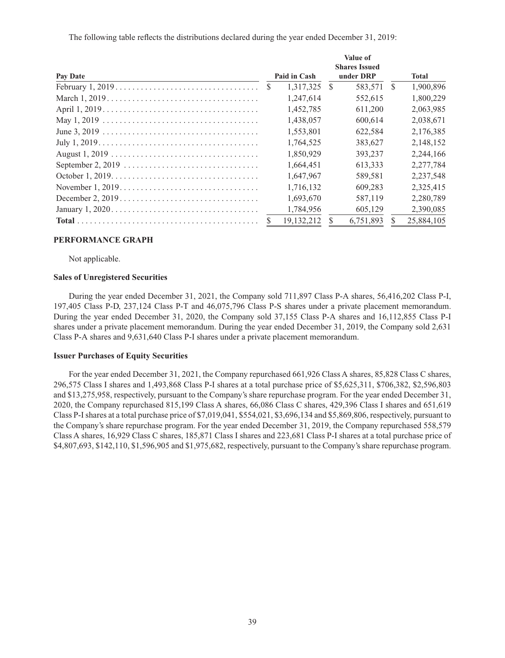The following table reflects the distributions declared during the year ended December 31, 2019:

|                                                                                          | <b>Value of</b> |              |               |                      |               |              |  |  |
|------------------------------------------------------------------------------------------|-----------------|--------------|---------------|----------------------|---------------|--------------|--|--|
|                                                                                          |                 |              |               | <b>Shares Issued</b> |               |              |  |  |
| Pay Date                                                                                 |                 | Paid in Cash |               | under DRP            |               | <b>Total</b> |  |  |
|                                                                                          | <sup>S</sup>    | 1,317,325    | $\mathcal{S}$ | 583,571              | <sup>\$</sup> | 1,900,896    |  |  |
|                                                                                          |                 | 1,247,614    |               | 552,615              |               | 1,800,229    |  |  |
|                                                                                          |                 | 1,452,785    |               | 611,200              |               | 2,063,985    |  |  |
|                                                                                          |                 | 1,438,057    |               | 600,614              |               | 2,038,671    |  |  |
|                                                                                          |                 | 1,553,801    |               | 622,584              |               | 2,176,385    |  |  |
|                                                                                          |                 | 1,764,525    |               | 383,627              |               | 2,148,152    |  |  |
|                                                                                          |                 | 1,850,929    |               | 393,237              |               | 2,244,166    |  |  |
|                                                                                          |                 | 1.664.451    |               | 613.333              |               | 2,277,784    |  |  |
| October $1, 2019. \ldots \ldots \ldots \ldots \ldots \ldots \ldots \ldots \ldots \ldots$ |                 | 1,647,967    |               | 589,581              |               | 2,237,548    |  |  |
|                                                                                          |                 | 1,716,132    |               | 609.283              |               | 2,325,415    |  |  |
|                                                                                          |                 | 1,693,670    |               | 587,119              |               | 2,280,789    |  |  |
| January $1, 2020 \ldots \ldots \ldots \ldots \ldots \ldots \ldots \ldots \ldots \ldots$  |                 | 1,784,956    |               | 605,129              |               | 2,390,085    |  |  |
|                                                                                          |                 | 19, 132, 212 |               | 6,751,893            |               | 25,884,105   |  |  |

# **PERFORMANCE GRAPH**

Not applicable.

### **Sales of Unregistered Securities**

During the year ended December 31, 2021, the Company sold 711,897 Class P-A shares, 56,416,202 Class P-I, 197,405 Class P-D, 237,124 Class P-T and 46,075,796 Class P-S shares under a private placement memorandum. During the year ended December 31, 2020, the Company sold 37,155 Class P-A shares and 16,112,855 Class P-I shares under a private placement memorandum. During the year ended December 31, 2019, the Company sold 2,631 Class P-A shares and 9,631,640 Class P-I shares under a private placement memorandum.

#### **Issuer Purchases of Equity Securities**

For the year ended December 31, 2021, the Company repurchased 661,926 Class A shares, 85,828 Class C shares, 296,575 Class I shares and 1,493,868 Class P-I shares at a total purchase price of \$5,625,311, \$706,382, \$2,596,803 and \$13,275,958, respectively, pursuant to the Company's share repurchase program. For the year ended December 31, 2020, the Company repurchased 815,199 Class A shares, 66,086 Class C shares, 429,396 Class I shares and 651,619 Class P-I shares at a total purchase price of \$7,019,041, \$554,021, \$3,696,134 and \$5,869,806, respectively, pursuant to the Company's share repurchase program. For the year ended December 31, 2019, the Company repurchased 558,579 Class A shares, 16,929 Class C shares, 185,871 Class I shares and 223,681 Class P-I shares at a total purchase price of \$4,807,693, \$142,110, \$1,596,905 and \$1,975,682, respectively, pursuant to the Company's share repurchase program.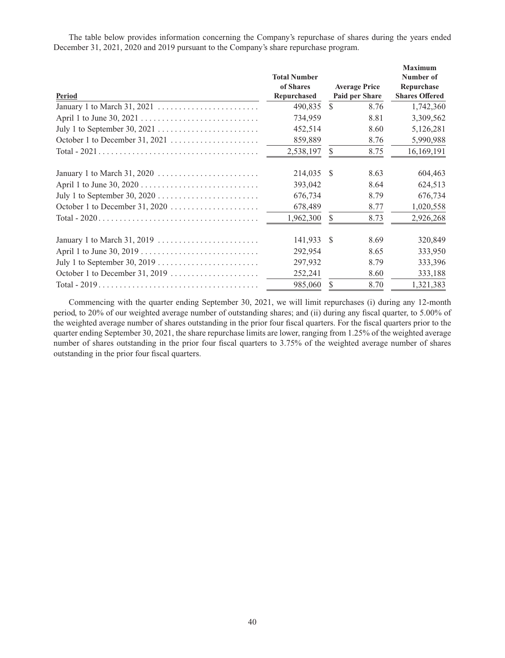The table below provides information concerning the Company's repurchase of shares during the years ended December 31, 2021, 2020 and 2019 pursuant to the Company's share repurchase program.

|                                                                                |                     |               |                      | <b>Maximum</b>        |
|--------------------------------------------------------------------------------|---------------------|---------------|----------------------|-----------------------|
|                                                                                | <b>Total Number</b> |               |                      | Number of             |
|                                                                                | of Shares           |               | <b>Average Price</b> | Repurchase            |
| <b>Period</b>                                                                  | Repurchased         |               | Paid per Share       | <b>Shares Offered</b> |
|                                                                                | 490,835             | <sup>\$</sup> | 8.76                 | 1,742,360             |
|                                                                                | 734,959             |               | 8.81                 | 3,309,562             |
|                                                                                | 452,514             |               | 8.60                 | 5,126,281             |
|                                                                                | 859,889             |               | 8.76                 | 5,990,988             |
|                                                                                | 2,538,197           | $\mathbb{S}$  | 8.75                 | 16,169,191            |
|                                                                                | 214,035             | -S            | 8.63                 | 604,463               |
|                                                                                | 393,042             |               | 8.64                 | 624,513               |
|                                                                                | 676,734             |               | 8.79                 | 676,734               |
|                                                                                | 678,489             |               | 8.77                 | 1,020,558             |
|                                                                                | 1,962,300           | <sup>\$</sup> | 8.73                 | 2,926,268             |
| January 1 to March 31, 2019 $\ldots \ldots \ldots \ldots \ldots \ldots \ldots$ | 141,933             | -S            | 8.69                 | 320,849               |
|                                                                                | 292,954             |               | 8.65                 | 333,950               |
|                                                                                | 297,932             |               | 8.79                 | 333,396               |
|                                                                                | 252,241             |               | 8.60                 | 333,188               |
|                                                                                | 985,060             | <sup>\$</sup> | 8.70                 | 1,321,383             |

Commencing with the quarter ending September 30, 2021, we will limit repurchases (i) during any 12-month period, to 20% of our weighted average number of outstanding shares; and (ii) during any fiscal quarter, to 5.00% of the weighted average number of shares outstanding in the prior four fiscal quarters. For the fiscal quarters prior to the quarter ending September 30, 2021, the share repurchase limits are lower, ranging from 1.25% of the weighted average number of shares outstanding in the prior four fiscal quarters to 3.75% of the weighted average number of shares outstanding in the prior four fiscal quarters.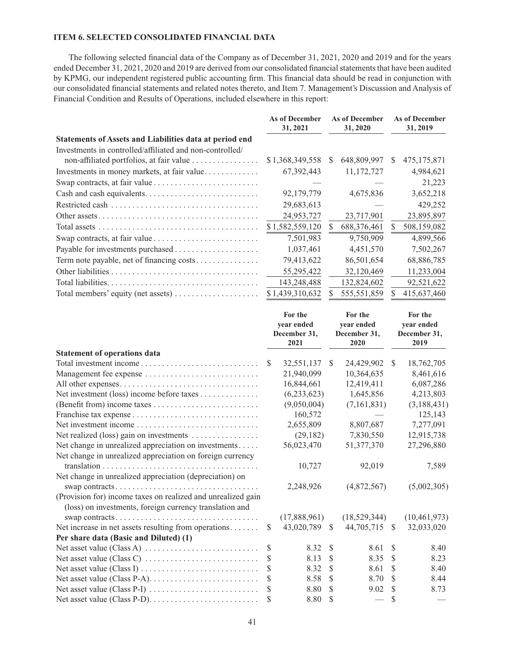# **ITEM 6. SELECTED CONSOLIDATED FINANCIAL DATA**

The following selected financial data of the Company as of December 31, 2021, 2020 and 2019 and for the years ended December 31, 2021, 2020 and 2019 are derived from our consolidated financial statements that have been audited by KPMG, our independent registered public accounting firm. This financial data should be read in conjunction with our consolidated financial statements and related notes thereto, and Item 7. Management's Discussion and Analysis of Financial Condition and Results of Operations, included elsewhere in this report:

|                                                          | <b>As of December</b><br>31, 2021 |   | <b>As of December</b><br>31, 2020 |   | <b>As of December</b><br>31, 2019 |
|----------------------------------------------------------|-----------------------------------|---|-----------------------------------|---|-----------------------------------|
| Statements of Assets and Liabilities data at period end  |                                   |   |                                   |   |                                   |
| Investments in controlled/affiliated and non-controlled/ |                                   |   |                                   |   |                                   |
| non-affiliated portfolios, at fair value                 | \$1,368,349,558                   | S | 648,809,997                       | S | 475,175,871                       |
| Investments in money markets, at fair value              | 67, 392, 443                      |   | 11,172,727                        |   | 4,984,621                         |
|                                                          |                                   |   |                                   |   | 21,223                            |
|                                                          | 92,179,779                        |   | 4,675,836                         |   | 3,652,218                         |
|                                                          | 29,683,613                        |   |                                   |   | 429,252                           |
|                                                          | 24,953,727                        |   | 23,717,901                        |   | 23,895,897                        |
|                                                          | \$1,582,559,120                   |   | 688,376,461                       | S | 508,159,082                       |
|                                                          | 7,501,983                         |   | 9,750,909                         |   | 4,899,566                         |
|                                                          | 1,037,461                         |   | 4,451,570                         |   | 7,502,267                         |
| Term note payable, net of financing costs                | 79,413,622                        |   | 86,501,654                        |   | 68,886,785                        |
|                                                          | 55,295,422                        |   | 32,120,469                        |   | 11,233,004                        |
|                                                          | 143,248,488                       |   | 132,824,602                       |   | 92,521,622                        |
| Total members' equity (net assets)                       | \$1,439,310,632                   |   | 555,551,859                       | S | 415,637,460                       |

|                                                                                                                         |               | For the<br>year ended<br>December 31,<br>2021 |               | For the<br>year ended<br>December 31,<br>2020 |               | For the<br>year ended<br>December 31,<br>2019 |  |
|-------------------------------------------------------------------------------------------------------------------------|---------------|-----------------------------------------------|---------------|-----------------------------------------------|---------------|-----------------------------------------------|--|
| <b>Statement of operations data</b>                                                                                     |               |                                               |               |                                               |               |                                               |  |
|                                                                                                                         | <sup>S</sup>  | 32,551,137                                    | <sup>S</sup>  | 24,429,902                                    | <sup>S</sup>  | 18,762,705                                    |  |
| Management fee expense                                                                                                  |               | 21,940,099                                    |               | 10,364,635                                    |               | 8,461,616                                     |  |
|                                                                                                                         |               | 16,844,661                                    |               | 12,419,411                                    |               | 6,087,286                                     |  |
| Net investment (loss) income before taxes                                                                               |               | (6,233,623)                                   |               | 1,645,856                                     |               | 4,213,803                                     |  |
|                                                                                                                         |               | (9,050,004)                                   |               | (7,161,831)                                   |               | (3, 188, 431)                                 |  |
|                                                                                                                         |               | 160,572                                       |               |                                               |               | 125,143                                       |  |
|                                                                                                                         |               | 2,655,809                                     |               | 8,807,687                                     |               | 7,277,091                                     |  |
| Net realized (loss) gain on investments                                                                                 |               | (29, 182)                                     |               | 7,830,550                                     |               | 12,915,738                                    |  |
| Net change in unrealized appreciation on investments                                                                    |               | 56,023,470                                    |               | 51,377,370                                    |               | 27,296,880                                    |  |
| Net change in unrealized appreciation on foreign currency                                                               |               | 10,727                                        |               | 92,019                                        |               | 7,589                                         |  |
| Net change in unrealized appreciation (depreciation) on<br>swap contracts                                               |               | 2,248,926                                     |               | (4,872,567)                                   |               | (5,002,305)                                   |  |
| (Provision for) income taxes on realized and unrealized gain<br>(loss) on investments, foreign currency translation and |               |                                               |               |                                               |               |                                               |  |
| swap contracts                                                                                                          |               | (17,888,961)                                  |               | (18, 529, 344)                                |               | (10, 461, 973)                                |  |
| Net increase in net assets resulting from operations                                                                    | S.            | 43,020,789                                    | <sup>\$</sup> | 44,705,715                                    | <sup>S</sup>  | 32,033,020                                    |  |
| Per share data (Basic and Diluted) (1)                                                                                  |               |                                               |               |                                               |               |                                               |  |
|                                                                                                                         | <sup>\$</sup> | 8.32                                          | <sup>\$</sup> | 8.61                                          | <sup>\$</sup> | 8.40                                          |  |
| Net asset value (Class C) $\dots \dots \dots \dots \dots \dots \dots \dots$                                             |               | 8.13                                          | S             | 8.35                                          | <sup>\$</sup> | 8.23                                          |  |
|                                                                                                                         | S             | 8.32                                          | <sup>S</sup>  | 8.61                                          | <sup>S</sup>  | 8.40                                          |  |
| Net asset value (Class P-A). $\dots \dots \dots \dots \dots \dots \dots \dots$                                          | <sup>\$</sup> | 8.58                                          | S             | 8.70                                          | <sup>\$</sup> | 8.44                                          |  |
|                                                                                                                         | S             | 8.80                                          | S             | 9.02                                          | -S            | 8.73                                          |  |
|                                                                                                                         |               | 8.80                                          | S             |                                               | S             |                                               |  |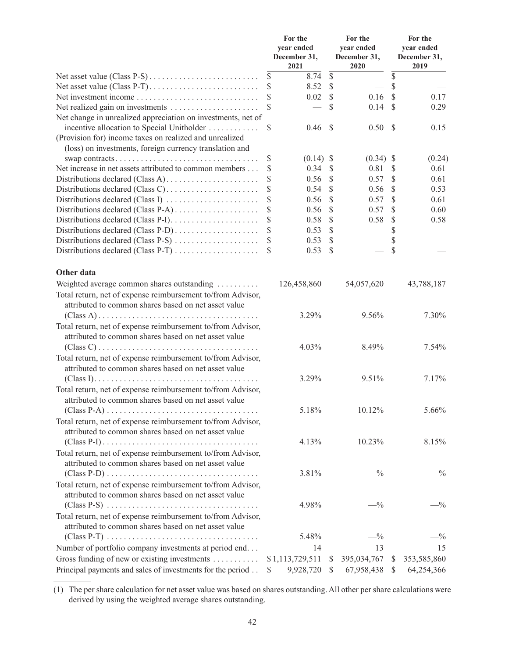|                                                                                                                     |                         | For the<br>year ended<br>December 31,<br>2021 |                         | For the<br>year ended<br>December 31,<br>2020 | For the<br>year ended<br>December 31,<br>2019 |                 |
|---------------------------------------------------------------------------------------------------------------------|-------------------------|-----------------------------------------------|-------------------------|-----------------------------------------------|-----------------------------------------------|-----------------|
|                                                                                                                     | $\overline{\mathbb{S}}$ | 8.74                                          | $\overline{\mathbb{S}}$ |                                               | $\overline{\$}$                               |                 |
| Net asset value (Class P-T)                                                                                         | \$                      | 8.52                                          | $\mathbb{S}$            |                                               | $\mathcal{S}$                                 |                 |
| Net investment income                                                                                               | S                       | 0.02                                          | $\mathcal{S}$           | 0.16                                          | $\mathcal{S}$                                 | 0.17            |
| Net realized gain on investments                                                                                    | S                       |                                               | \$                      | 0.14                                          | \$.                                           | 0.29            |
| Net change in unrealized appreciation on investments, net of<br>incentive allocation to Special Unitholder          | \$                      | 0.46                                          | <sup>\$</sup>           | 0.50                                          | <sup>S</sup>                                  | 0.15            |
| (Provision for) income taxes on realized and unrealized<br>(loss) on investments, foreign currency translation and  |                         |                                               |                         |                                               |                                               |                 |
| swap contracts                                                                                                      | \$                      | $(0.14)$ \$                                   |                         | $(0.34)$ \$                                   |                                               | (0.24)          |
| Net increase in net assets attributed to common members                                                             | \$                      | 0.34                                          | \$                      | 0.81                                          | S                                             | 0.61            |
|                                                                                                                     | \$                      | 0.56                                          | \$                      | 0.57                                          | S                                             | 0.61            |
|                                                                                                                     | \$                      | 0.54                                          | \$                      | 0.56                                          | S                                             | 0.53            |
| Distributions declared (Class I)                                                                                    | \$                      | 0.56                                          | \$                      | 0.57                                          | \$                                            | 0.61            |
| Distributions declared (Class P-A)                                                                                  | \$                      | 0.56                                          | \$                      | 0.57                                          | \$                                            | 0.60            |
|                                                                                                                     | \$                      | 0.58                                          | \$                      | 0.58                                          | $\mathcal{S}$                                 | 0.58            |
| Distributions declared (Class P-D)                                                                                  | \$                      | 0.53                                          | \$                      |                                               | \$                                            |                 |
| Distributions declared (Class P-S)                                                                                  | \$                      | 0.53                                          | \$                      |                                               | \$                                            |                 |
| Distributions declared (Class P-T)                                                                                  | S                       | 0.53                                          | \$                      |                                               | \$                                            |                 |
| Other data                                                                                                          |                         |                                               |                         |                                               |                                               |                 |
| Weighted average common shares outstanding                                                                          |                         | 126,458,860                                   |                         | 54,057,620                                    |                                               | 43,788,187      |
| Total return, net of expense reimbursement to/from Advisor,                                                         |                         |                                               |                         |                                               |                                               |                 |
| attributed to common shares based on net asset value                                                                |                         | 3.29%                                         |                         | 9.56%                                         |                                               | 7.30%           |
|                                                                                                                     |                         |                                               |                         |                                               |                                               |                 |
| Total return, net of expense reimbursement to/from Advisor,<br>attributed to common shares based on net asset value |                         |                                               |                         |                                               |                                               |                 |
| $(Class C) \ldots \ldots \ldots \ldots \ldots \ldots \ldots \ldots \ldots \ldots \ldots \ldots$                     |                         | 4.03%                                         |                         | 8.49%                                         |                                               | 7.54%           |
| Total return, net of expense reimbursement to/from Advisor,<br>attributed to common shares based on net asset value |                         |                                               |                         |                                               |                                               |                 |
|                                                                                                                     |                         | 3.29%                                         |                         | 9.51%                                         |                                               | 7.17%           |
| Total return, net of expense reimbursement to/from Advisor,<br>attributed to common shares based on net asset value |                         |                                               |                         |                                               |                                               |                 |
| $(Class P-A) \ldots \ldots \ldots \ldots \ldots \ldots \ldots \ldots \ldots \ldots \ldots$                          |                         | 5.18%                                         |                         | 10.12%                                        |                                               | 5.66%           |
| Total return, net of expense reimbursement to/from Advisor,<br>attributed to common shares based on net asset value |                         |                                               |                         |                                               |                                               |                 |
|                                                                                                                     |                         | 4.13%                                         |                         | 10.23%                                        |                                               | 8.15%           |
| Total return, net of expense reimbursement to/from Advisor,<br>attributed to common shares based on net asset value |                         |                                               |                         |                                               |                                               |                 |
|                                                                                                                     |                         | 3.81%                                         |                         | $-$ %                                         |                                               | $-$ %           |
| Total return, net of expense reimbursement to/from Advisor,                                                         |                         |                                               |                         |                                               |                                               |                 |
| attributed to common shares based on net asset value                                                                |                         |                                               |                         |                                               |                                               |                 |
|                                                                                                                     |                         | 4.98%                                         |                         | $-$ %                                         |                                               | $- \frac{0}{0}$ |
| Total return, net of expense reimbursement to/from Advisor,                                                         |                         |                                               |                         |                                               |                                               |                 |
| attributed to common shares based on net asset value                                                                |                         |                                               |                         |                                               |                                               |                 |
|                                                                                                                     |                         | 5.48%                                         |                         | $-$ %                                         |                                               | $- \frac{0}{0}$ |
| Number of portfolio company investments at period end                                                               |                         | 14                                            |                         | 13                                            |                                               | 15              |
| Gross funding of new or existing investments                                                                        |                         | \$1,113,729,511                               | \$                      | 395,034,767                                   | \$                                            | 353,585,860     |
| Principal payments and sales of investments for the period                                                          | \$                      | 9,928,720                                     | -S                      | 67,958,438                                    | S                                             | 64,254,366      |

<sup>(1)</sup> The per share calculation for net asset value was based on shares outstanding. All other per share calculations were derived by using the weighted average shares outstanding.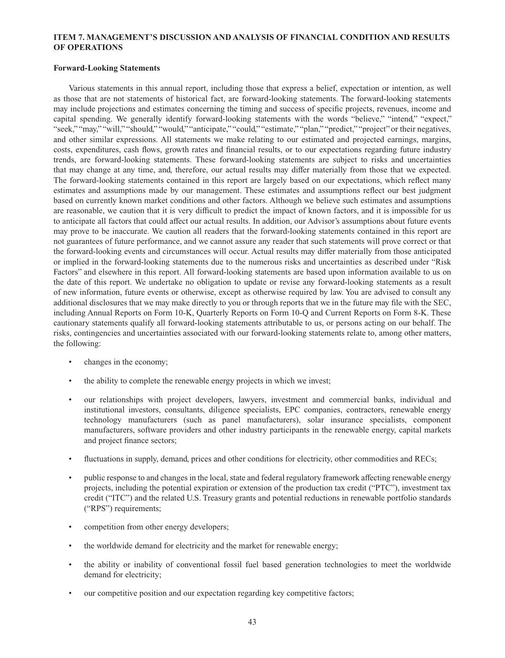# **ITEM 7. MANAGEMENT'S DISCUSSION AND ANALYSIS OF FINANCIAL CONDITION AND RESULTS OF OPERATIONS**

### **Forward-Looking Statements**

Various statements in this annual report, including those that express a belief, expectation or intention, as well as those that are not statements of historical fact, are forward-looking statements. The forward-looking statements may include projections and estimates concerning the timing and success of specific projects, revenues, income and capital spending. We generally identify forward-looking statements with the words "believe," "intend," "expect," "seek," "may," "will," "should," "would," "anticipate," "could," "estimate," "plan," "predict," "project" or their negatives, and other similar expressions. All statements we make relating to our estimated and projected earnings, margins, costs, expenditures, cash flows, growth rates and financial results, or to our expectations regarding future industry trends, are forward-looking statements. These forward-looking statements are subject to risks and uncertainties that may change at any time, and, therefore, our actual results may differ materially from those that we expected. The forward-looking statements contained in this report are largely based on our expectations, which reflect many estimates and assumptions made by our management. These estimates and assumptions reflect our best judgment based on currently known market conditions and other factors. Although we believe such estimates and assumptions are reasonable, we caution that it is very difficult to predict the impact of known factors, and it is impossible for us to anticipate all factors that could affect our actual results. In addition, our Advisor's assumptions about future events may prove to be inaccurate. We caution all readers that the forward-looking statements contained in this report are not guarantees of future performance, and we cannot assure any reader that such statements will prove correct or that the forward-looking events and circumstances will occur. Actual results may differ materially from those anticipated or implied in the forward-looking statements due to the numerous risks and uncertainties as described under "Risk Factors" and elsewhere in this report. All forward-looking statements are based upon information available to us on the date of this report. We undertake no obligation to update or revise any forward-looking statements as a result of new information, future events or otherwise, except as otherwise required by law. You are advised to consult any additional disclosures that we may make directly to you or through reports that we in the future may file with the SEC, including Annual Reports on Form 10-K, Quarterly Reports on Form 10-Q and Current Reports on Form 8-K. These cautionary statements qualify all forward-looking statements attributable to us, or persons acting on our behalf. The risks, contingencies and uncertainties associated with our forward-looking statements relate to, among other matters, the following:

- changes in the economy;
- the ability to complete the renewable energy projects in which we invest;
- our relationships with project developers, lawyers, investment and commercial banks, individual and institutional investors, consultants, diligence specialists, EPC companies, contractors, renewable energy technology manufacturers (such as panel manufacturers), solar insurance specialists, component manufacturers, software providers and other industry participants in the renewable energy, capital markets and project finance sectors;
- fluctuations in supply, demand, prices and other conditions for electricity, other commodities and RECs;
- public response to and changes in the local, state and federal regulatory framework affecting renewable energy projects, including the potential expiration or extension of the production tax credit ("PTC"), investment tax credit ("ITC") and the related U.S. Treasury grants and potential reductions in renewable portfolio standards ("RPS") requirements;
- competition from other energy developers;
- the worldwide demand for electricity and the market for renewable energy;
- the ability or inability of conventional fossil fuel based generation technologies to meet the worldwide demand for electricity;
- our competitive position and our expectation regarding key competitive factors;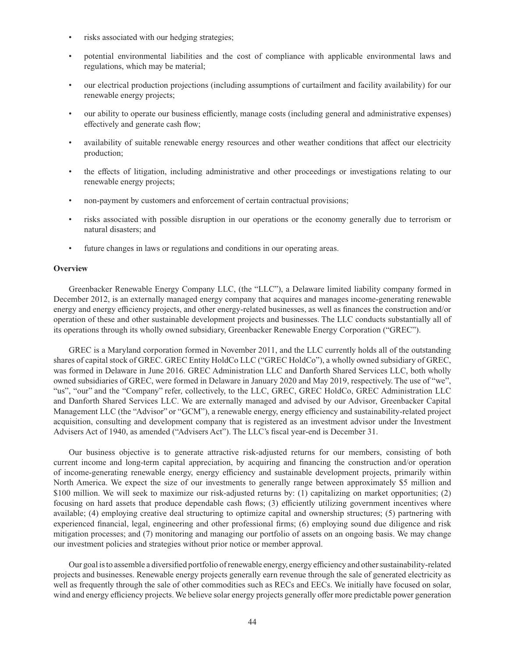- risks associated with our hedging strategies;
- potential environmental liabilities and the cost of compliance with applicable environmental laws and regulations, which may be material;
- our electrical production projections (including assumptions of curtailment and facility availability) for our renewable energy projects;
- our ability to operate our business efficiently, manage costs (including general and administrative expenses) effectively and generate cash flow;
- availability of suitable renewable energy resources and other weather conditions that affect our electricity production;
- the effects of litigation, including administrative and other proceedings or investigations relating to our renewable energy projects;
- non-payment by customers and enforcement of certain contractual provisions;
- risks associated with possible disruption in our operations or the economy generally due to terrorism or natural disasters; and
- future changes in laws or regulations and conditions in our operating areas.

#### **Overview**

Greenbacker Renewable Energy Company LLC, (the "LLC"), a Delaware limited liability company formed in December 2012, is an externally managed energy company that acquires and manages income-generating renewable energy and energy efficiency projects, and other energy-related businesses, as well as finances the construction and/or operation of these and other sustainable development projects and businesses. The LLC conducts substantially all of its operations through its wholly owned subsidiary, Greenbacker Renewable Energy Corporation ("GREC").

GREC is a Maryland corporation formed in November 2011, and the LLC currently holds all of the outstanding shares of capital stock of GREC. GREC Entity HoldCo LLC ("GREC HoldCo"), a wholly owned subsidiary of GREC, was formed in Delaware in June 2016. GREC Administration LLC and Danforth Shared Services LLC, both wholly owned subsidiaries of GREC, were formed in Delaware in January 2020 and May 2019, respectively. The use of "we", "us", "our" and the "Company" refer, collectively, to the LLC, GREC, GREC HoldCo, GREC Administration LLC and Danforth Shared Services LLC. We are externally managed and advised by our Advisor, Greenbacker Capital Management LLC (the "Advisor" or "GCM"), a renewable energy, energy efficiency and sustainability-related project acquisition, consulting and development company that is registered as an investment advisor under the Investment Advisers Act of 1940, as amended ("Advisers Act"). The LLC's fiscal year-end is December 31.

Our business objective is to generate attractive risk-adjusted returns for our members, consisting of both current income and long-term capital appreciation, by acquiring and financing the construction and/or operation of income-generating renewable energy, energy efficiency and sustainable development projects, primarily within North America. We expect the size of our investments to generally range between approximately \$5 million and \$100 million. We will seek to maximize our risk-adjusted returns by: (1) capitalizing on market opportunities; (2) focusing on hard assets that produce dependable cash flows; (3) efficiently utilizing government incentives where available; (4) employing creative deal structuring to optimize capital and ownership structures; (5) partnering with experienced financial, legal, engineering and other professional firms; (6) employing sound due diligence and risk mitigation processes; and (7) monitoring and managing our portfolio of assets on an ongoing basis. We may change our investment policies and strategies without prior notice or member approval.

Our goal is to assemble a diversified portfolio of renewable energy, energy efficiency and other sustainability-related projects and businesses. Renewable energy projects generally earn revenue through the sale of generated electricity as well as frequently through the sale of other commodities such as RECs and EECs. We initially have focused on solar, wind and energy efficiency projects. We believe solar energy projects generally offer more predictable power generation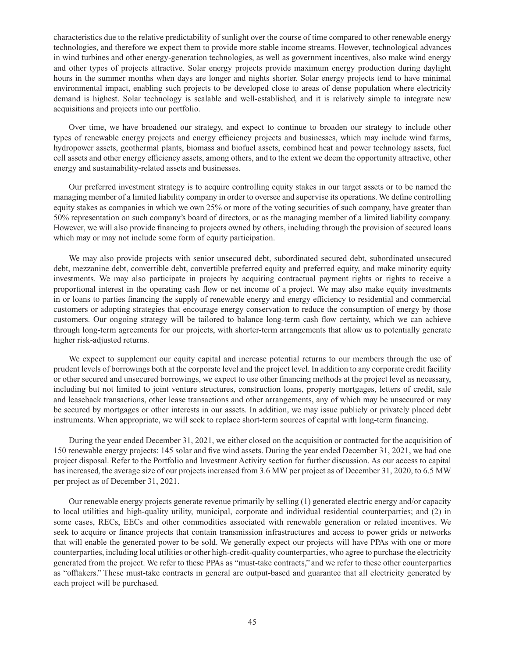characteristics due to the relative predictability of sunlight over the course of time compared to other renewable energy technologies, and therefore we expect them to provide more stable income streams. However, technological advances in wind turbines and other energy-generation technologies, as well as government incentives, also make wind energy and other types of projects attractive. Solar energy projects provide maximum energy production during daylight hours in the summer months when days are longer and nights shorter. Solar energy projects tend to have minimal environmental impact, enabling such projects to be developed close to areas of dense population where electricity demand is highest. Solar technology is scalable and well-established, and it is relatively simple to integrate new acquisitions and projects into our portfolio.

Over time, we have broadened our strategy, and expect to continue to broaden our strategy to include other types of renewable energy projects and energy efficiency projects and businesses, which may include wind farms, hydropower assets, geothermal plants, biomass and biofuel assets, combined heat and power technology assets, fuel cell assets and other energy efficiency assets, among others, and to the extent we deem the opportunity attractive, other energy and sustainability-related assets and businesses.

Our preferred investment strategy is to acquire controlling equity stakes in our target assets or to be named the managing member of a limited liability company in order to oversee and supervise its operations. We define controlling equity stakes as companies in which we own 25% or more of the voting securities of such company, have greater than 50% representation on such company's board of directors, or as the managing member of a limited liability company. However, we will also provide financing to projects owned by others, including through the provision of secured loans which may or may not include some form of equity participation.

We may also provide projects with senior unsecured debt, subordinated secured debt, subordinated unsecured debt, mezzanine debt, convertible debt, convertible preferred equity and preferred equity, and make minority equity investments. We may also participate in projects by acquiring contractual payment rights or rights to receive a proportional interest in the operating cash flow or net income of a project. We may also make equity investments in or loans to parties financing the supply of renewable energy and energy efficiency to residential and commercial customers or adopting strategies that encourage energy conservation to reduce the consumption of energy by those customers. Our ongoing strategy will be tailored to balance long-term cash flow certainty, which we can achieve through long-term agreements for our projects, with shorter-term arrangements that allow us to potentially generate higher risk-adjusted returns.

We expect to supplement our equity capital and increase potential returns to our members through the use of prudent levels of borrowings both at the corporate level and the project level. In addition to any corporate credit facility or other secured and unsecured borrowings, we expect to use other financing methods at the project level as necessary, including but not limited to joint venture structures, construction loans, property mortgages, letters of credit, sale and leaseback transactions, other lease transactions and other arrangements, any of which may be unsecured or may be secured by mortgages or other interests in our assets. In addition, we may issue publicly or privately placed debt instruments. When appropriate, we will seek to replace short-term sources of capital with long-term financing.

During the year ended December 31, 2021, we either closed on the acquisition or contracted for the acquisition of 150 renewable energy projects: 145 solar and five wind assets. During the year ended December 31, 2021, we had one project disposal. Refer to the Portfolio and Investment Activity section for further discussion. As our access to capital has increased, the average size of our projects increased from 3.6 MW per project as of December 31, 2020, to 6.5 MW per project as of December 31, 2021.

Our renewable energy projects generate revenue primarily by selling (1) generated electric energy and/or capacity to local utilities and high-quality utility, municipal, corporate and individual residential counterparties; and (2) in some cases, RECs, EECs and other commodities associated with renewable generation or related incentives. We seek to acquire or finance projects that contain transmission infrastructures and access to power grids or networks that will enable the generated power to be sold. We generally expect our projects will have PPAs with one or more counterparties, including local utilities or other high-credit-quality counterparties, who agree to purchase the electricity generated from the project. We refer to these PPAs as "must-take contracts," and we refer to these other counterparties as "offtakers." These must-take contracts in general are output-based and guarantee that all electricity generated by each project will be purchased.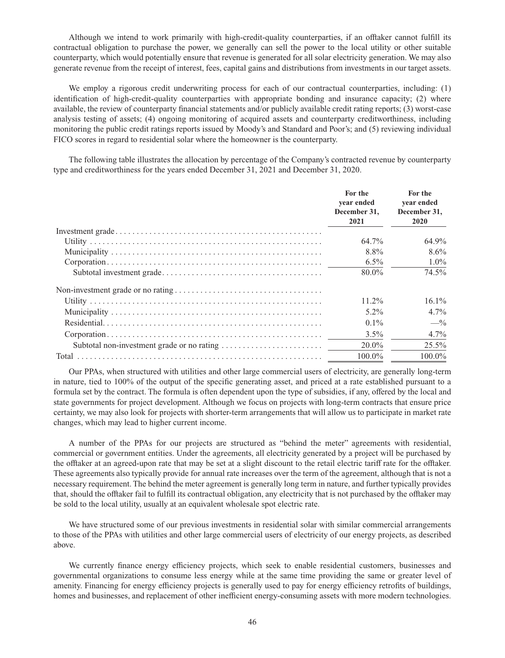Although we intend to work primarily with high-credit-quality counterparties, if an offtaker cannot fulfill its contractual obligation to purchase the power, we generally can sell the power to the local utility or other suitable counterparty, which would potentially ensure that revenue is generated for all solar electricity generation. We may also generate revenue from the receipt of interest, fees, capital gains and distributions from investments in our target assets.

We employ a rigorous credit underwriting process for each of our contractual counterparties, including: (1) identification of high-credit-quality counterparties with appropriate bonding and insurance capacity; (2) where available, the review of counterparty financial statements and/or publicly available credit rating reports; (3) worst-case analysis testing of assets; (4) ongoing monitoring of acquired assets and counterparty creditworthiness, including monitoring the public credit ratings reports issued by Moody's and Standard and Poor's; and (5) reviewing individual FICO scores in regard to residential solar where the homeowner is the counterparty.

The following table illustrates the allocation by percentage of the Company's contracted revenue by counterparty type and creditworthiness for the years ended December 31, 2021 and December 31, 2020.

| For the<br>vear ended<br>December 31.<br>2021 | For the<br>vear ended<br>December 31,<br>2020 |
|-----------------------------------------------|-----------------------------------------------|
|                                               |                                               |
| 64.7%                                         | 64.9%                                         |
| 8.8%                                          | $8.6\%$                                       |
| $6.5\%$                                       | $1.0\%$                                       |
| $80.0\%$                                      | 74.5%                                         |
|                                               |                                               |
| $11.2\%$                                      | $16.1\%$                                      |
| $5.2\%$                                       | $4.7\%$                                       |
| $0.1\%$                                       | $-$ <sup>0</sup> / <sub>0</sub>               |
| $3.5\%$                                       | $4.7\%$                                       |
| $20.0\%$                                      | $25.5\%$                                      |
| $100.0\%$                                     | $100.0\%$                                     |

Our PPAs, when structured with utilities and other large commercial users of electricity, are generally long-term in nature, tied to 100% of the output of the specific generating asset, and priced at a rate established pursuant to a formula set by the contract. The formula is often dependent upon the type of subsidies, if any, offered by the local and state governments for project development. Although we focus on projects with long-term contracts that ensure price certainty, we may also look for projects with shorter-term arrangements that will allow us to participate in market rate changes, which may lead to higher current income.

A number of the PPAs for our projects are structured as "behind the meter" agreements with residential, commercial or government entities. Under the agreements, all electricity generated by a project will be purchased by the offtaker at an agreed-upon rate that may be set at a slight discount to the retail electric tariff rate for the offtaker. These agreements also typically provide for annual rate increases over the term of the agreement, although that is not a necessary requirement. The behind the meter agreement is generally long term in nature, and further typically provides that, should the offtaker fail to fulfill its contractual obligation, any electricity that is not purchased by the offtaker may be sold to the local utility, usually at an equivalent wholesale spot electric rate.

We have structured some of our previous investments in residential solar with similar commercial arrangements to those of the PPAs with utilities and other large commercial users of electricity of our energy projects, as described above.

We currently finance energy efficiency projects, which seek to enable residential customers, businesses and governmental organizations to consume less energy while at the same time providing the same or greater level of amenity. Financing for energy efficiency projects is generally used to pay for energy efficiency retrofits of buildings, homes and businesses, and replacement of other inefficient energy-consuming assets with more modern technologies.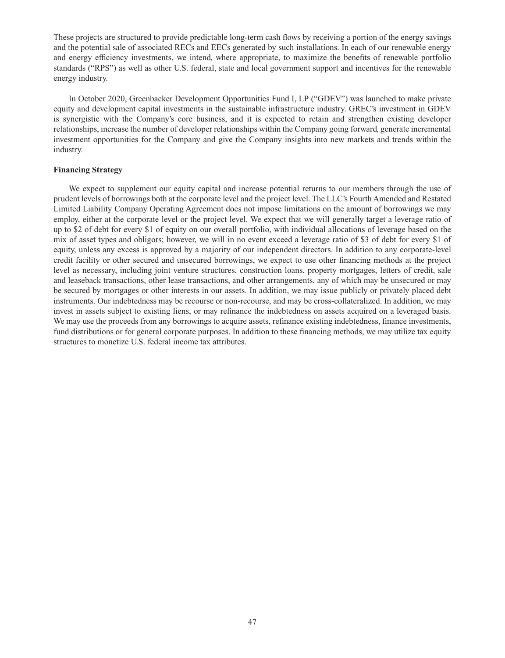These projects are structured to provide predictable long-term cash flows by receiving a portion of the energy savings and the potential sale of associated RECs and EECs generated by such installations. In each of our renewable energy and energy efficiency investments, we intend, where appropriate, to maximize the benefits of renewable portfolio standards ("RPS") as well as other U.S. federal, state and local government support and incentives for the renewable energy industry.

In October 2020, Greenbacker Development Opportunities Fund I, LP ("GDEV") was launched to make private equity and development capital investments in the sustainable infrastructure industry. GREC's investment in GDEV is synergistic with the Company's core business, and it is expected to retain and strengthen existing developer relationships, increase the number of developer relationships within the Company going forward, generate incremental investment opportunities for the Company and give the Company insights into new markets and trends within the industry.

# **Financing Strategy**

We expect to supplement our equity capital and increase potential returns to our members through the use of prudent levels of borrowings both at the corporate level and the project level. The LLC's Fourth Amended and Restated Limited Liability Company Operating Agreement does not impose limitations on the amount of borrowings we may employ, either at the corporate level or the project level. We expect that we will generally target a leverage ratio of up to \$2 of debt for every \$1 of equity on our overall portfolio, with individual allocations of leverage based on the mix of asset types and obligors; however, we will in no event exceed a leverage ratio of \$3 of debt for every \$1 of equity, unless any excess is approved by a majority of our independent directors. In addition to any corporate-level credit facility or other secured and unsecured borrowings, we expect to use other financing methods at the project level as necessary, including joint venture structures, construction loans, property mortgages, letters of credit, sale and leaseback transactions, other lease transactions, and other arrangements, any of which may be unsecured or may be secured by mortgages or other interests in our assets. In addition, we may issue publicly or privately placed debt instruments. Our indebtedness may be recourse or non-recourse, and may be cross-collateralized. In addition, we may invest in assets subject to existing liens, or may refinance the indebtedness on assets acquired on a leveraged basis. We may use the proceeds from any borrowings to acquire assets, refinance existing indebtedness, finance investments, fund distributions or for general corporate purposes. In addition to these financing methods, we may utilize tax equity structures to monetize U.S. federal income tax attributes.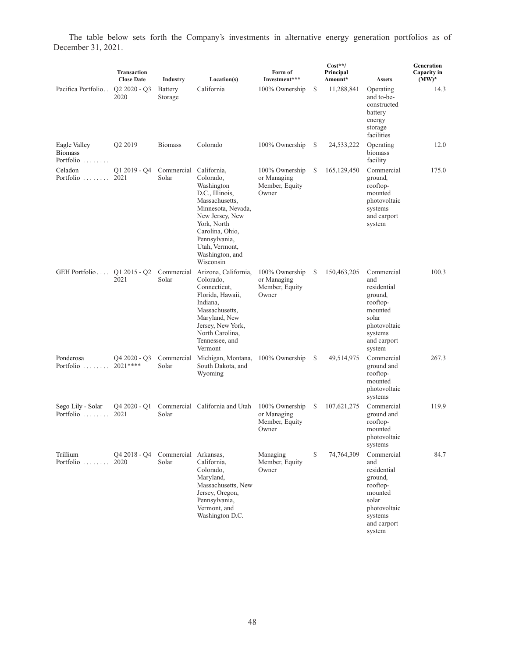The table below sets forth the Company's investments in alternative energy generation portfolios as of December 31, 2021.

|                                                     | Transaction<br><b>Close Date</b> | <b>Industry</b>                 | Location(s)                                                                                                                                                                                                | Form of<br>Investment***                                 |               | $Cost**/$<br>Principal<br>Amount* | <b>Assets</b>                                                                                                                   | Generation<br>Capacity in<br>$(MW)^*$ |
|-----------------------------------------------------|----------------------------------|---------------------------------|------------------------------------------------------------------------------------------------------------------------------------------------------------------------------------------------------------|----------------------------------------------------------|---------------|-----------------------------------|---------------------------------------------------------------------------------------------------------------------------------|---------------------------------------|
| Pacifica Portfolio                                  | $Q2 2020 - Q3$<br>2020           | <b>Battery</b><br>Storage       | California                                                                                                                                                                                                 | 100% Ownership                                           | $\mathbf S$   | 11,288,841                        | Operating<br>and to-be-<br>constructed<br>battery<br>energy<br>storage<br>facilities                                            | 14.3                                  |
| Eagle Valley<br><b>Biomass</b><br>Portfolio         | Q2 2019                          | <b>Biomass</b>                  | Colorado                                                                                                                                                                                                   | 100% Ownership                                           | S             | 24,533,222                        | Operating<br>biomass<br>facility                                                                                                | 12.0                                  |
| Celadon<br>Portfolio $\ldots$                       | $Q1 2019 - Q4$<br>2021           | Commercial California,<br>Solar | Colorado,<br>Washington<br>D.C., Illinois,<br>Massachusetts,<br>Minnesota, Nevada,<br>New Jersey, New<br>York, North<br>Carolina, Ohio,<br>Pennsylvania,<br>Utah, Vermont,<br>Washington, and<br>Wisconsin | 100% Ownership<br>or Managing<br>Member, Equity<br>Owner | S             | 165,129,450                       | Commercial<br>ground,<br>rooftop-<br>mounted<br>photovoltaic<br>systems<br>and carport<br>system                                | 175.0                                 |
| GEH Portfolio $\ldots$ Q1 2015 - Q2                 | 2021                             | Solar                           | Commercial Arizona, California,<br>Colorado,<br>Connecticut.<br>Florida, Hawaii,<br>Indiana,<br>Massachusetts,<br>Maryland, New<br>Jersey, New York,<br>North Carolina,<br>Tennessee, and<br>Vermont       | 100% Ownership<br>or Managing<br>Member, Equity<br>Owner | S             | 150,463,205                       | Commercial<br>and<br>residential<br>ground,<br>rooftop-<br>mounted<br>solar<br>photovoltaic<br>systems<br>and carport<br>system | 100.3                                 |
| Ponderosa<br>Portfolio                              | Q4 2020 - Q3<br>$2021***$        | Commercial<br>Solar             | Michigan, Montana,<br>South Dakota, and<br>Wyoming                                                                                                                                                         | 100% Ownership                                           | <sup>\$</sup> | 49,514,975                        | Commercial<br>ground and<br>rooftop-<br>mounted<br>photovoltaic<br>systems                                                      | 267.3                                 |
| Sego Lily - Solar<br>Portfolio $\ldots \ldots$ 2021 | Q4 2020 - Q1                     | Solar                           | Commercial California and Utah                                                                                                                                                                             | 100% Ownership<br>or Managing<br>Member, Equity<br>Owner | S             | 107,621,275                       | Commercial<br>ground and<br>rooftop-<br>mounted<br>photovoltaic<br>systems                                                      | 119.9                                 |
| Trillium<br>Portfolio  2020                         | O4 2018 - O4                     | Commercial Arkansas,<br>Solar   | California,<br>Colorado,<br>Maryland,<br>Massachusetts, New<br>Jersey, Oregon,<br>Pennsylvania,<br>Vermont, and<br>Washington D.C.                                                                         | Managing<br>Member, Equity<br>Owner                      | \$            | 74,764,309                        | Commercial<br>and<br>residential<br>ground,<br>rooftop-<br>mounted<br>solar<br>photovoltaic<br>systems<br>and carport<br>system | 84.7                                  |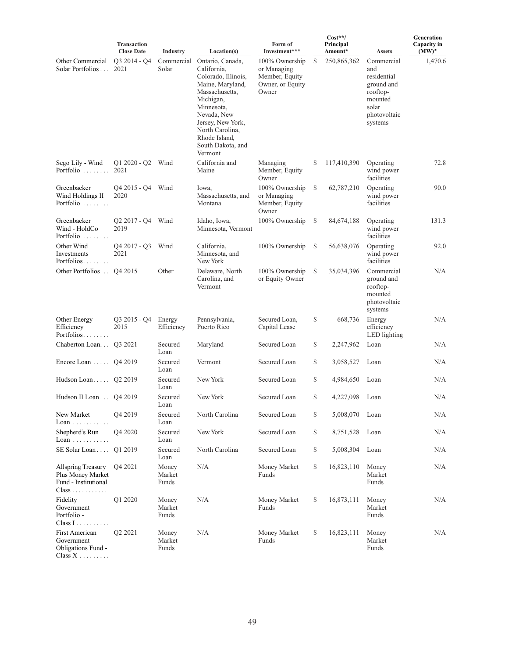|                                                                                                        | Transaction<br><b>Close Date</b>             | <b>Industry</b>          | Location(s)                                                                                                                                                                                                                     | Form of<br>Investment***                                                     |    | $Cost**/$<br>Principal<br>Amount* | <b>Assets</b>                                                                                             | Generation<br>Capacity in<br>$(MW)^*$ |
|--------------------------------------------------------------------------------------------------------|----------------------------------------------|--------------------------|---------------------------------------------------------------------------------------------------------------------------------------------------------------------------------------------------------------------------------|------------------------------------------------------------------------------|----|-----------------------------------|-----------------------------------------------------------------------------------------------------------|---------------------------------------|
| Other Commercial<br>Solar Portfolios                                                                   | O <sub>3</sub> 2014 - O <sub>4</sub><br>2021 | Commercial<br>Solar      | Ontario, Canada,<br>California,<br>Colorado, Illinois,<br>Maine, Maryland,<br>Massachusetts,<br>Michigan,<br>Minnesota,<br>Nevada, New<br>Jersey, New York,<br>North Carolina,<br>Rhode Island,<br>South Dakota, and<br>Vermont | 100% Ownership<br>or Managing<br>Member, Equity<br>Owner, or Equity<br>Owner | S  | 250,865,362                       | Commercial<br>and<br>residential<br>ground and<br>rooftop-<br>mounted<br>solar<br>photovoltaic<br>systems | 1,470.6                               |
| Sego Lily - Wind<br>Portfolio                                                                          | $Q1 2020 - Q2$<br>2021                       | Wind                     | California and<br>Maine                                                                                                                                                                                                         | Managing<br>Member, Equity<br>Owner                                          | \$ | 117,410,390                       | Operating<br>wind power<br>facilities                                                                     | 72.8                                  |
| Greenbacker<br>Wind Holdings II<br>Portfolio                                                           | Q4 2015 - Q4<br>2020                         | Wind                     | Iowa,<br>Massachusetts, and<br>Montana                                                                                                                                                                                          | 100% Ownership<br>or Managing<br>Member, Equity<br>Owner                     | S  | 62,787,210                        | Operating<br>wind power<br>facilities                                                                     | 90.0                                  |
| Greenbacker<br>Wind - HoldCo<br>Portfolio                                                              | $Q2 2017 - Q4$<br>2019                       | Wind                     | Idaho, Iowa,<br>Minnesota, Vermont                                                                                                                                                                                              | 100% Ownership                                                               | \$ | 84,674,188                        | Operating<br>wind power<br>facilities                                                                     | 131.3                                 |
| Other Wind<br>Investments<br>Portfolios                                                                | $Q4\,2017 - Q3$<br>2021                      | Wind                     | California,<br>Minnesota, and<br>New York                                                                                                                                                                                       | 100% Ownership                                                               | \$ | 56,638,076                        | Operating<br>wind power<br>facilities                                                                     | 92.0                                  |
| Other Portfolios Q4 2015                                                                               |                                              | Other                    | Delaware, North<br>Carolina, and<br>Vermont                                                                                                                                                                                     | 100% Ownership<br>or Equity Owner                                            | S  | 35,034,396                        | Commercial<br>ground and<br>rooftop-<br>mounted<br>photovoltaic<br>systems                                | N/A                                   |
| Other Energy<br>Efficiency<br>Portfolios                                                               | $Q3 2015 - Q4$<br>2015                       | Energy<br>Efficiency     | Pennsylvania,<br>Puerto Rico                                                                                                                                                                                                    | Secured Loan,<br>Capital Lease                                               | \$ | 668,736                           | Energy<br>efficiency<br>LED lighting                                                                      | N/A                                   |
| Chaberton Loan Q3 2021                                                                                 |                                              | Secured<br>Loan          | Maryland                                                                                                                                                                                                                        | Secured Loan                                                                 | \$ | 2,247,962                         | Loan                                                                                                      | N/A                                   |
| Encore Loan $Q4 2019$                                                                                  |                                              | Secured<br>Loan          | Vermont                                                                                                                                                                                                                         | Secured Loan                                                                 | \$ | 3,058,527                         | Loan                                                                                                      | N/A                                   |
| Hudson Loan $Q2 2019$                                                                                  |                                              | Secured<br>Loan          | New York                                                                                                                                                                                                                        | Secured Loan                                                                 | \$ | 4,984,650                         | Loan                                                                                                      | N/A                                   |
| Hudson II Loan  Q4 2019                                                                                |                                              | Secured<br>Loan          | New York                                                                                                                                                                                                                        | Secured Loan                                                                 | \$ | 4,227,098                         | Loan                                                                                                      | N/A                                   |
| New Market<br>$Loan \ldots \ldots \ldots$                                                              | Q4 2019                                      | Secured<br>Loan          | North Carolina                                                                                                                                                                                                                  | Secured Loan                                                                 | \$ | 5,008,070                         | Loan                                                                                                      | N/A                                   |
| Shepherd's Run<br>$Loan \ldots \ldots \ldots$                                                          | Q4 2020                                      | Secured<br>Loan          | New York                                                                                                                                                                                                                        | Secured Loan                                                                 | \$ | 8,751,528                         | Loan                                                                                                      | N/A                                   |
| SE Solar Loan  Q1 2019                                                                                 |                                              | Secured<br>Loan          | North Carolina                                                                                                                                                                                                                  | Secured Loan                                                                 | \$ | 5,008,304                         | Loan                                                                                                      | N/A                                   |
| <b>Allspring Treasury</b><br>Plus Money Market<br>Fund - Institutional<br>$Class \ldots \ldots \ldots$ | O <sub>4</sub> 2021                          | Money<br>Market<br>Funds | N/A                                                                                                                                                                                                                             | Money Market<br>Funds                                                        | \$ | 16,823,110                        | Money<br>Market<br>Funds                                                                                  | N/A                                   |
| Fidelity<br>Government<br>Portfolio -<br>$Class I$                                                     | Q1 2020                                      | Money<br>Market<br>Funds | N/A                                                                                                                                                                                                                             | Money Market<br>Funds                                                        | \$ | 16,873,111                        | Money<br>Market<br>Funds                                                                                  | N/A                                   |
| <b>First American</b><br>Government<br><b>Obligations Fund -</b>                                       | Q <sub>2</sub> 20 <sub>21</sub>              | Money<br>Market<br>Funds | N/A                                                                                                                                                                                                                             | Money Market<br>Funds                                                        | \$ | 16,823,111                        | Money<br>Market<br>Funds                                                                                  | N/A                                   |

 $Class X$  . . . . . . . . .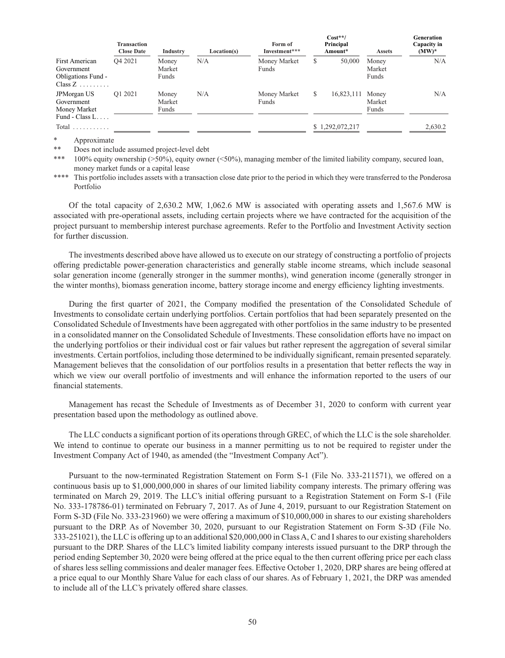|                                                                           | <b>Transaction</b><br><b>Close Date</b> | Industry                 | Location(s) | Form of<br>Investment*** |   | $Cost**/$<br>Principal<br>Amount* | <b>Assets</b>            | Generation<br>Capacity in<br>$(MW)^*$ |
|---------------------------------------------------------------------------|-----------------------------------------|--------------------------|-------------|--------------------------|---|-----------------------------------|--------------------------|---------------------------------------|
| <b>First American</b><br>Government<br>Obligations Fund -<br>$Class Z$    | O <sub>4</sub> 2021                     | Money<br>Market<br>Funds | N/A         | Money Market<br>Funds    | S | 50,000                            | Money<br>Market<br>Funds | N/A                                   |
| JPM organ US<br>Government<br>Money Market<br>Fund - Class $L_{\cdots}$ . | O1 2021                                 | Money<br>Market<br>Funds | N/A         | Money Market<br>Funds    | S | 16,823,111                        | Money<br>Market<br>Funds | N/A                                   |
| Total $\ldots \ldots \ldots$                                              |                                         |                          |             |                          |   | \$1,292,072,217                   |                          | 2,630.2                               |

\* Approximate

Does not include assumed project-level debt

\*\*\* 100% equity ownership (>50%), equity owner (<50%), managing member of the limited liability company, secured loan, money market funds or a capital lease

\*\*\*\* This portfolio includes assets with a transaction close date prior to the period in which they were transferred to the Ponderosa Portfolio

Of the total capacity of 2,630.2 MW, 1,062.6 MW is associated with operating assets and 1,567.6 MW is associated with pre-operational assets, including certain projects where we have contracted for the acquisition of the project pursuant to membership interest purchase agreements. Refer to the Portfolio and Investment Activity section for further discussion.

The investments described above have allowed us to execute on our strategy of constructing a portfolio of projects offering predictable power-generation characteristics and generally stable income streams, which include seasonal solar generation income (generally stronger in the summer months), wind generation income (generally stronger in the winter months), biomass generation income, battery storage income and energy efficiency lighting investments.

During the first quarter of 2021, the Company modified the presentation of the Consolidated Schedule of Investments to consolidate certain underlying portfolios. Certain portfolios that had been separately presented on the Consolidated Schedule of Investments have been aggregated with other portfolios in the same industry to be presented in a consolidated manner on the Consolidated Schedule of Investments. These consolidation efforts have no impact on the underlying portfolios or their individual cost or fair values but rather represent the aggregation of several similar investments. Certain portfolios, including those determined to be individually significant, remain presented separately. Management believes that the consolidation of our portfolios results in a presentation that better reflects the way in which we view our overall portfolio of investments and will enhance the information reported to the users of our financial statements.

Management has recast the Schedule of Investments as of December 31, 2020 to conform with current year presentation based upon the methodology as outlined above.

The LLC conducts a significant portion of its operations through GREC, of which the LLC is the sole shareholder. We intend to continue to operate our business in a manner permitting us to not be required to register under the Investment Company Act of 1940, as amended (the "Investment Company Act").

Pursuant to the now-terminated Registration Statement on Form S-1 (File No. 333-211571), we offered on a continuous basis up to \$1,000,000,000 in shares of our limited liability company interests. The primary offering was terminated on March 29, 2019. The LLC's initial offering pursuant to a Registration Statement on Form S-1 (File No. 333-178786-01) terminated on February 7, 2017. As of June 4, 2019, pursuant to our Registration Statement on Form S-3D (File No. 333-231960) we were offering a maximum of \$10,000,000 in shares to our existing shareholders pursuant to the DRP. As of November 30, 2020, pursuant to our Registration Statement on Form S-3D (File No. 333-251021), the LLC is offering up to an additional \$20,000,000 in Class A, C and I shares to our existing shareholders pursuant to the DRP. Shares of the LLC's limited liability company interests issued pursuant to the DRP through the period ending September 30, 2020 were being offered at the price equal to the then current offering price per each class of shares less selling commissions and dealer manager fees. Effective October 1, 2020, DRP shares are being offered at a price equal to our Monthly Share Value for each class of our shares. As of February 1, 2021, the DRP was amended to include all of the LLC's privately offered share classes.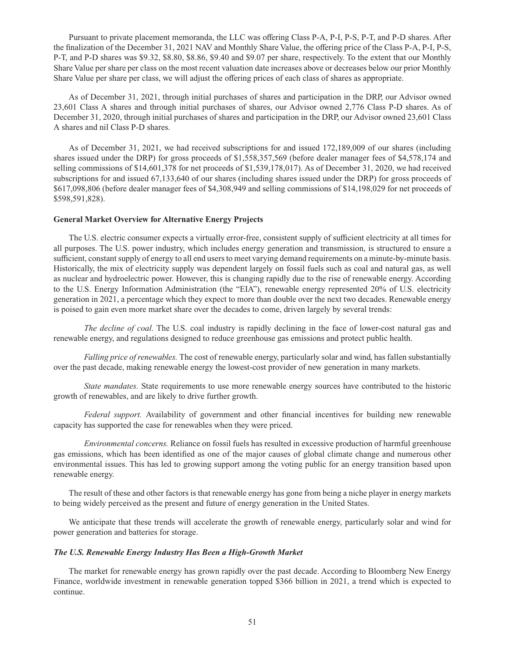Pursuant to private placement memoranda, the LLC was offering Class P-A, P-I, P-S, P-T, and P-D shares. After the finalization of the December 31, 2021 NAV and Monthly Share Value, the offering price of the Class P-A, P-I, P-S, P-T, and P-D shares was \$9.32, \$8.80, \$8.86, \$9.40 and \$9.07 per share, respectively. To the extent that our Monthly Share Value per share per class on the most recent valuation date increases above or decreases below our prior Monthly Share Value per share per class, we will adjust the offering prices of each class of shares as appropriate.

As of December 31, 2021, through initial purchases of shares and participation in the DRP, our Advisor owned 23,601 Class A shares and through initial purchases of shares, our Advisor owned 2,776 Class P-D shares. As of December 31, 2020, through initial purchases of shares and participation in the DRP, our Advisor owned 23,601 Class A shares and nil Class P-D shares.

As of December 31, 2021, we had received subscriptions for and issued 172,189,009 of our shares (including shares issued under the DRP) for gross proceeds of \$1,558,357,569 (before dealer manager fees of \$4,578,174 and selling commissions of \$14,601,378 for net proceeds of \$1,539,178,017). As of December 31, 2020, we had received subscriptions for and issued 67,133,640 of our shares (including shares issued under the DRP) for gross proceeds of \$617,098,806 (before dealer manager fees of \$4,308,949 and selling commissions of \$14,198,029 for net proceeds of \$598,591,828).

### **General Market Overview for Alternative Energy Projects**

The U.S. electric consumer expects a virtually error-free, consistent supply of sufficient electricity at all times for all purposes. The U.S. power industry, which includes energy generation and transmission, is structured to ensure a sufficient, constant supply of energy to all end users to meet varying demand requirements on a minute-by-minute basis. Historically, the mix of electricity supply was dependent largely on fossil fuels such as coal and natural gas, as well as nuclear and hydroelectric power. However, this is changing rapidly due to the rise of renewable energy. According to the U.S. Energy Information Administration (the "EIA"), renewable energy represented 20% of U.S. electricity generation in 2021, a percentage which they expect to more than double over the next two decades. Renewable energy is poised to gain even more market share over the decades to come, driven largely by several trends:

*The decline of coal.* The U.S. coal industry is rapidly declining in the face of lower-cost natural gas and renewable energy, and regulations designed to reduce greenhouse gas emissions and protect public health.

*Falling price of renewables.* The cost of renewable energy, particularly solar and wind, has fallen substantially over the past decade, making renewable energy the lowest-cost provider of new generation in many markets.

*State mandates.* State requirements to use more renewable energy sources have contributed to the historic growth of renewables, and are likely to drive further growth.

*Federal support.* Availability of government and other financial incentives for building new renewable capacity has supported the case for renewables when they were priced.

*Environmental concerns.* Reliance on fossil fuels has resulted in excessive production of harmful greenhouse gas emissions, which has been identified as one of the major causes of global climate change and numerous other environmental issues. This has led to growing support among the voting public for an energy transition based upon renewable energy.

The result of these and other factors is that renewable energy has gone from being a niche player in energy markets to being widely perceived as the present and future of energy generation in the United States.

We anticipate that these trends will accelerate the growth of renewable energy, particularly solar and wind for power generation and batteries for storage.

#### *The U.S. Renewable Energy Industry Has Been a High-Growth Market*

The market for renewable energy has grown rapidly over the past decade. According to Bloomberg New Energy Finance, worldwide investment in renewable generation topped \$366 billion in 2021, a trend which is expected to continue.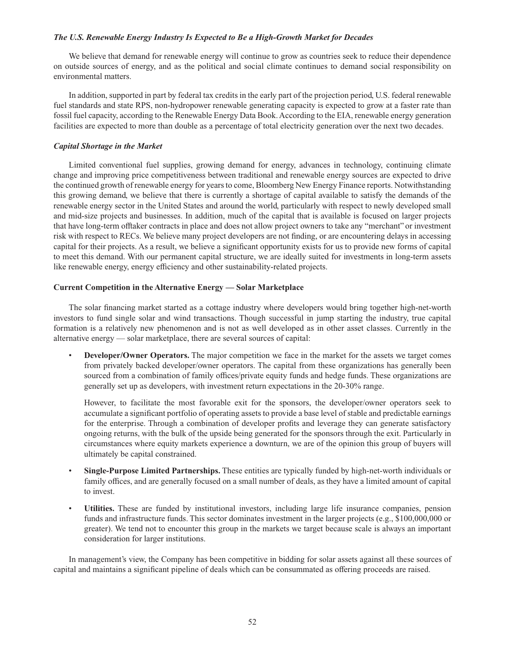### *The U.S. Renewable Energy Industry Is Expected to Be a High-Growth Market for Decades*

We believe that demand for renewable energy will continue to grow as countries seek to reduce their dependence on outside sources of energy, and as the political and social climate continues to demand social responsibility on environmental matters.

In addition, supported in part by federal tax credits in the early part of the projection period, U.S. federal renewable fuel standards and state RPS, non-hydropower renewable generating capacity is expected to grow at a faster rate than fossil fuel capacity, according to the Renewable Energy Data Book. According to the EIA, renewable energy generation facilities are expected to more than double as a percentage of total electricity generation over the next two decades.

# *Capital Shortage in the Market*

Limited conventional fuel supplies, growing demand for energy, advances in technology, continuing climate change and improving price competitiveness between traditional and renewable energy sources are expected to drive the continued growth of renewable energy for years to come, Bloomberg New Energy Finance reports. Notwithstanding this growing demand, we believe that there is currently a shortage of capital available to satisfy the demands of the renewable energy sector in the United States and around the world, particularly with respect to newly developed small and mid-size projects and businesses. In addition, much of the capital that is available is focused on larger projects that have long-term offtaker contracts in place and does not allow project owners to take any "merchant" or investment risk with respect to RECs. We believe many project developers are not finding, or are encountering delays in accessing capital for their projects. As a result, we believe a significant opportunity exists for us to provide new forms of capital to meet this demand. With our permanent capital structure, we are ideally suited for investments in long-term assets like renewable energy, energy efficiency and other sustainability-related projects.

# **Current Competition in the Alternative Energy — Solar Marketplace**

The solar financing market started as a cottage industry where developers would bring together high-net-worth investors to fund single solar and wind transactions. Though successful in jump starting the industry, true capital formation is a relatively new phenomenon and is not as well developed as in other asset classes. Currently in the alternative energy — solar marketplace, there are several sources of capital:

• **Developer/Owner Operators.** The major competition we face in the market for the assets we target comes from privately backed developer/owner operators. The capital from these organizations has generally been sourced from a combination of family offices/private equity funds and hedge funds. These organizations are generally set up as developers, with investment return expectations in the 20-30% range.

 However, to facilitate the most favorable exit for the sponsors, the developer/owner operators seek to accumulate a significant portfolio of operating assets to provide a base level of stable and predictable earnings for the enterprise. Through a combination of developer profits and leverage they can generate satisfactory ongoing returns, with the bulk of the upside being generated for the sponsors through the exit. Particularly in circumstances where equity markets experience a downturn, we are of the opinion this group of buyers will ultimately be capital constrained.

- **Single-Purpose Limited Partnerships.** These entities are typically funded by high-net-worth individuals or family offices, and are generally focused on a small number of deals, as they have a limited amount of capital to invest.
- **Utilities.** These are funded by institutional investors, including large life insurance companies, pension funds and infrastructure funds. This sector dominates investment in the larger projects (e.g., \$100,000,000 or greater). We tend not to encounter this group in the markets we target because scale is always an important consideration for larger institutions.

In management's view, the Company has been competitive in bidding for solar assets against all these sources of capital and maintains a significant pipeline of deals which can be consummated as offering proceeds are raised.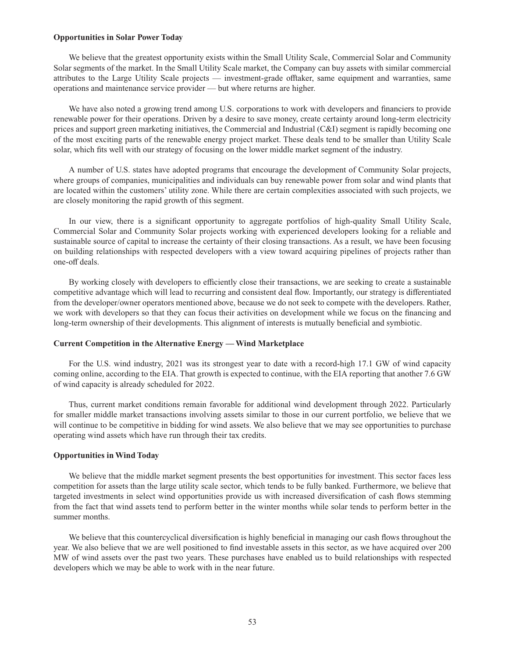### **Opportunities in Solar Power Today**

We believe that the greatest opportunity exists within the Small Utility Scale, Commercial Solar and Community Solar segments of the market. In the Small Utility Scale market, the Company can buy assets with similar commercial attributes to the Large Utility Scale projects — investment-grade offtaker, same equipment and warranties, same operations and maintenance service provider — but where returns are higher.

We have also noted a growing trend among U.S. corporations to work with developers and financiers to provide renewable power for their operations. Driven by a desire to save money, create certainty around long-term electricity prices and support green marketing initiatives, the Commercial and Industrial (C&I) segment is rapidly becoming one of the most exciting parts of the renewable energy project market. These deals tend to be smaller than Utility Scale solar, which fits well with our strategy of focusing on the lower middle market segment of the industry.

A number of U.S. states have adopted programs that encourage the development of Community Solar projects, where groups of companies, municipalities and individuals can buy renewable power from solar and wind plants that are located within the customers' utility zone. While there are certain complexities associated with such projects, we are closely monitoring the rapid growth of this segment.

In our view, there is a significant opportunity to aggregate portfolios of high-quality Small Utility Scale, Commercial Solar and Community Solar projects working with experienced developers looking for a reliable and sustainable source of capital to increase the certainty of their closing transactions. As a result, we have been focusing on building relationships with respected developers with a view toward acquiring pipelines of projects rather than one-off deals.

By working closely with developers to efficiently close their transactions, we are seeking to create a sustainable competitive advantage which will lead to recurring and consistent deal flow. Importantly, our strategy is differentiated from the developer/owner operators mentioned above, because we do not seek to compete with the developers. Rather, we work with developers so that they can focus their activities on development while we focus on the financing and long-term ownership of their developments. This alignment of interests is mutually beneficial and symbiotic.

#### **Current Competition in the Alternative Energy — Wind Marketplace**

For the U.S. wind industry, 2021 was its strongest year to date with a record-high 17.1 GW of wind capacity coming online, according to the EIA. That growth is expected to continue, with the EIA reporting that another 7.6 GW of wind capacity is already scheduled for 2022.

Thus, current market conditions remain favorable for additional wind development through 2022. Particularly for smaller middle market transactions involving assets similar to those in our current portfolio, we believe that we will continue to be competitive in bidding for wind assets. We also believe that we may see opportunities to purchase operating wind assets which have run through their tax credits.

#### **Opportunities in Wind Today**

We believe that the middle market segment presents the best opportunities for investment. This sector faces less competition for assets than the large utility scale sector, which tends to be fully banked. Furthermore, we believe that targeted investments in select wind opportunities provide us with increased diversification of cash flows stemming from the fact that wind assets tend to perform better in the winter months while solar tends to perform better in the summer months.

We believe that this countercyclical diversification is highly beneficial in managing our cash flows throughout the year. We also believe that we are well positioned to find investable assets in this sector, as we have acquired over 200 MW of wind assets over the past two years. These purchases have enabled us to build relationships with respected developers which we may be able to work with in the near future.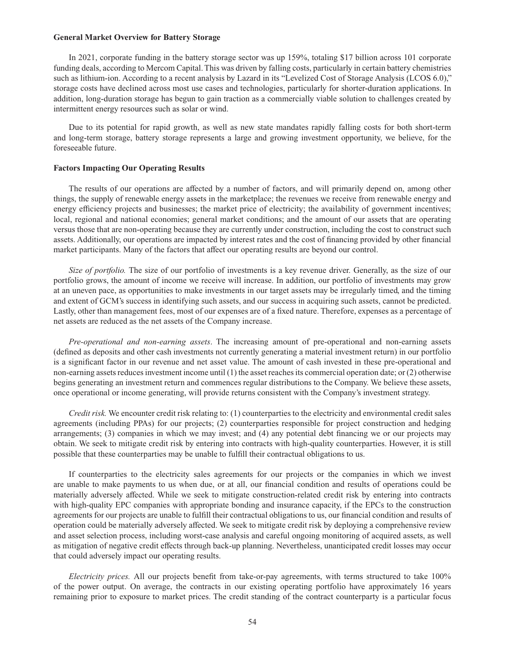# **General Market Overview for Battery Storage**

In 2021, corporate funding in the battery storage sector was up 159%, totaling \$17 billion across 101 corporate funding deals, according to Mercom Capital. This was driven by falling costs, particularly in certain battery chemistries such as lithium-ion. According to a recent analysis by Lazard in its "Levelized Cost of Storage Analysis (LCOS 6.0)," storage costs have declined across most use cases and technologies, particularly for shorter-duration applications. In addition, long-duration storage has begun to gain traction as a commercially viable solution to challenges created by intermittent energy resources such as solar or wind.

Due to its potential for rapid growth, as well as new state mandates rapidly falling costs for both short-term and long-term storage, battery storage represents a large and growing investment opportunity, we believe, for the foreseeable future.

#### **Factors Impacting Our Operating Results**

The results of our operations are affected by a number of factors, and will primarily depend on, among other things, the supply of renewable energy assets in the marketplace; the revenues we receive from renewable energy and energy efficiency projects and businesses; the market price of electricity; the availability of government incentives; local, regional and national economies; general market conditions; and the amount of our assets that are operating versus those that are non-operating because they are currently under construction, including the cost to construct such assets. Additionally, our operations are impacted by interest rates and the cost of financing provided by other financial market participants. Many of the factors that affect our operating results are beyond our control.

*Size of portfolio.* The size of our portfolio of investments is a key revenue driver. Generally, as the size of our portfolio grows, the amount of income we receive will increase. In addition, our portfolio of investments may grow at an uneven pace, as opportunities to make investments in our target assets may be irregularly timed, and the timing and extent of GCM's success in identifying such assets, and our success in acquiring such assets, cannot be predicted. Lastly, other than management fees, most of our expenses are of a fixed nature. Therefore, expenses as a percentage of net assets are reduced as the net assets of the Company increase.

*Pre-operational and non-earning assets*. The increasing amount of pre-operational and non-earning assets (defined as deposits and other cash investments not currently generating a material investment return) in our portfolio is a significant factor in our revenue and net asset value. The amount of cash invested in these pre-operational and non-earning assets reduces investment income until (1) the asset reaches its commercial operation date; or (2) otherwise begins generating an investment return and commences regular distributions to the Company. We believe these assets, once operational or income generating, will provide returns consistent with the Company's investment strategy.

*Credit risk.* We encounter credit risk relating to: (1) counterparties to the electricity and environmental credit sales agreements (including PPAs) for our projects; (2) counterparties responsible for project construction and hedging arrangements; (3) companies in which we may invest; and (4) any potential debt financing we or our projects may obtain. We seek to mitigate credit risk by entering into contracts with high-quality counterparties. However, it is still possible that these counterparties may be unable to fulfill their contractual obligations to us.

If counterparties to the electricity sales agreements for our projects or the companies in which we invest are unable to make payments to us when due, or at all, our financial condition and results of operations could be materially adversely affected. While we seek to mitigate construction-related credit risk by entering into contracts with high-quality EPC companies with appropriate bonding and insurance capacity, if the EPCs to the construction agreements for our projects are unable to fulfill their contractual obligations to us, our financial condition and results of operation could be materially adversely affected. We seek to mitigate credit risk by deploying a comprehensive review and asset selection process, including worst-case analysis and careful ongoing monitoring of acquired assets, as well as mitigation of negative credit effects through back-up planning. Nevertheless, unanticipated credit losses may occur that could adversely impact our operating results.

*Electricity prices.* All our projects benefit from take-or-pay agreements, with terms structured to take 100% of the power output. On average, the contracts in our existing operating portfolio have approximately 16 years remaining prior to exposure to market prices. The credit standing of the contract counterparty is a particular focus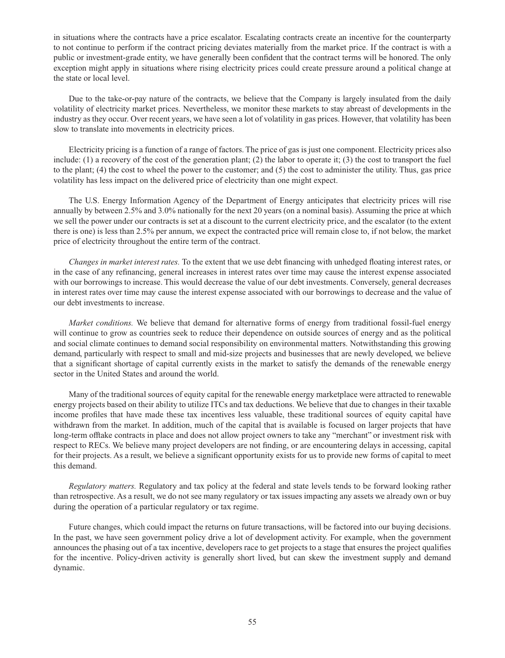in situations where the contracts have a price escalator. Escalating contracts create an incentive for the counterparty to not continue to perform if the contract pricing deviates materially from the market price. If the contract is with a public or investment-grade entity, we have generally been confident that the contract terms will be honored. The only exception might apply in situations where rising electricity prices could create pressure around a political change at the state or local level.

Due to the take-or-pay nature of the contracts, we believe that the Company is largely insulated from the daily volatility of electricity market prices. Nevertheless, we monitor these markets to stay abreast of developments in the industry as they occur. Over recent years, we have seen a lot of volatility in gas prices. However, that volatility has been slow to translate into movements in electricity prices.

Electricity pricing is a function of a range of factors. The price of gas is just one component. Electricity prices also include: (1) a recovery of the cost of the generation plant; (2) the labor to operate it; (3) the cost to transport the fuel to the plant; (4) the cost to wheel the power to the customer; and (5) the cost to administer the utility. Thus, gas price volatility has less impact on the delivered price of electricity than one might expect.

The U.S. Energy Information Agency of the Department of Energy anticipates that electricity prices will rise annually by between 2.5% and 3.0% nationally for the next 20 years (on a nominal basis). Assuming the price at which we sell the power under our contracts is set at a discount to the current electricity price, and the escalator (to the extent there is one) is less than 2.5% per annum, we expect the contracted price will remain close to, if not below, the market price of electricity throughout the entire term of the contract.

*Changes in market interest rates.* To the extent that we use debt financing with unhedged floating interest rates, or in the case of any refinancing, general increases in interest rates over time may cause the interest expense associated with our borrowings to increase. This would decrease the value of our debt investments. Conversely, general decreases in interest rates over time may cause the interest expense associated with our borrowings to decrease and the value of our debt investments to increase.

*Market conditions.* We believe that demand for alternative forms of energy from traditional fossil-fuel energy will continue to grow as countries seek to reduce their dependence on outside sources of energy and as the political and social climate continues to demand social responsibility on environmental matters. Notwithstanding this growing demand, particularly with respect to small and mid-size projects and businesses that are newly developed, we believe that a significant shortage of capital currently exists in the market to satisfy the demands of the renewable energy sector in the United States and around the world.

Many of the traditional sources of equity capital for the renewable energy marketplace were attracted to renewable energy projects based on their ability to utilize ITCs and tax deductions. We believe that due to changes in their taxable income profiles that have made these tax incentives less valuable, these traditional sources of equity capital have withdrawn from the market. In addition, much of the capital that is available is focused on larger projects that have long-term offtake contracts in place and does not allow project owners to take any "merchant" or investment risk with respect to RECs. We believe many project developers are not finding, or are encountering delays in accessing, capital for their projects. As a result, we believe a significant opportunity exists for us to provide new forms of capital to meet this demand.

*Regulatory matters.* Regulatory and tax policy at the federal and state levels tends to be forward looking rather than retrospective. As a result, we do not see many regulatory or tax issues impacting any assets we already own or buy during the operation of a particular regulatory or tax regime.

Future changes, which could impact the returns on future transactions, will be factored into our buying decisions. In the past, we have seen government policy drive a lot of development activity. For example, when the government announces the phasing out of a tax incentive, developers race to get projects to a stage that ensures the project qualifies for the incentive. Policy-driven activity is generally short lived, but can skew the investment supply and demand dynamic.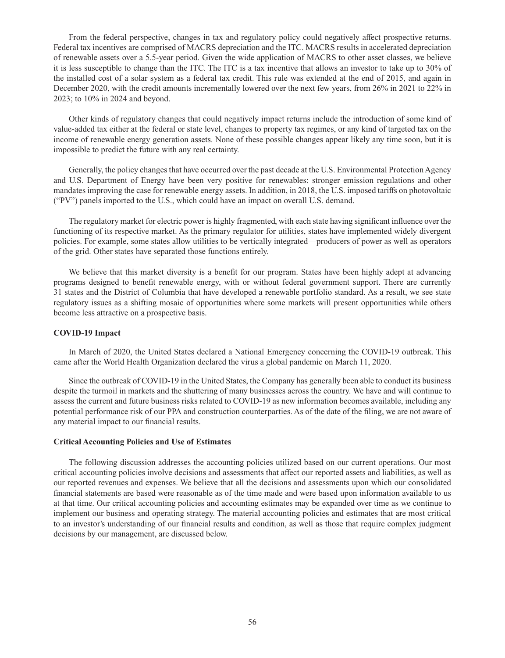From the federal perspective, changes in tax and regulatory policy could negatively affect prospective returns. Federal tax incentives are comprised of MACRS depreciation and the ITC. MACRS results in accelerated depreciation of renewable assets over a 5.5-year period. Given the wide application of MACRS to other asset classes, we believe it is less susceptible to change than the ITC. The ITC is a tax incentive that allows an investor to take up to 30% of the installed cost of a solar system as a federal tax credit. This rule was extended at the end of 2015, and again in December 2020, with the credit amounts incrementally lowered over the next few years, from 26% in 2021 to 22% in 2023; to 10% in 2024 and beyond.

Other kinds of regulatory changes that could negatively impact returns include the introduction of some kind of value-added tax either at the federal or state level, changes to property tax regimes, or any kind of targeted tax on the income of renewable energy generation assets. None of these possible changes appear likely any time soon, but it is impossible to predict the future with any real certainty.

Generally, the policy changes that have occurred over the past decade at the U.S. Environmental Protection Agency and U.S. Department of Energy have been very positive for renewables: stronger emission regulations and other mandates improving the case for renewable energy assets. In addition, in 2018, the U.S. imposed tariffs on photovoltaic ("PV") panels imported to the U.S., which could have an impact on overall U.S. demand.

The regulatory market for electric power is highly fragmented, with each state having significant influence over the functioning of its respective market. As the primary regulator for utilities, states have implemented widely divergent policies. For example, some states allow utilities to be vertically integrated—producers of power as well as operators of the grid. Other states have separated those functions entirely.

We believe that this market diversity is a benefit for our program. States have been highly adept at advancing programs designed to benefit renewable energy, with or without federal government support. There are currently 31 states and the District of Columbia that have developed a renewable portfolio standard. As a result, we see state regulatory issues as a shifting mosaic of opportunities where some markets will present opportunities while others become less attractive on a prospective basis.

### **COVID-19 Impact**

In March of 2020, the United States declared a National Emergency concerning the COVID-19 outbreak. This came after the World Health Organization declared the virus a global pandemic on March 11, 2020.

Since the outbreak of COVID-19 in the United States, the Company has generally been able to conduct its business despite the turmoil in markets and the shuttering of many businesses across the country. We have and will continue to assess the current and future business risks related to COVID-19 as new information becomes available, including any potential performance risk of our PPA and construction counterparties. As of the date of the filing, we are not aware of any material impact to our financial results.

#### **Critical Accounting Policies and Use of Estimates**

The following discussion addresses the accounting policies utilized based on our current operations. Our most critical accounting policies involve decisions and assessments that affect our reported assets and liabilities, as well as our reported revenues and expenses. We believe that all the decisions and assessments upon which our consolidated financial statements are based were reasonable as of the time made and were based upon information available to us at that time. Our critical accounting policies and accounting estimates may be expanded over time as we continue to implement our business and operating strategy. The material accounting policies and estimates that are most critical to an investor's understanding of our financial results and condition, as well as those that require complex judgment decisions by our management, are discussed below.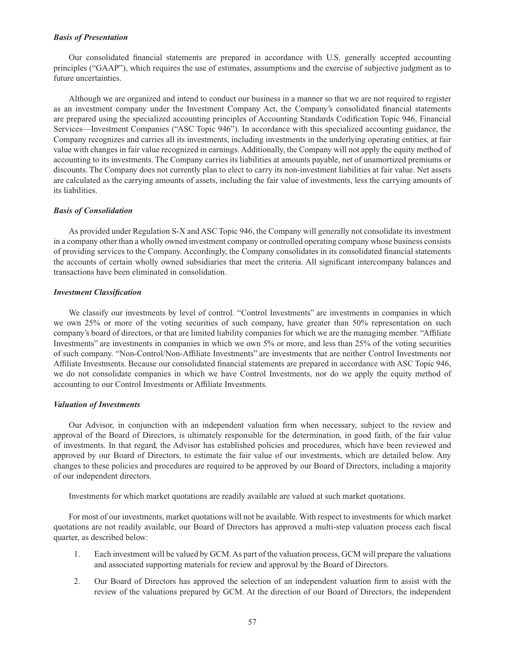### *Basis of Presentation*

Our consolidated financial statements are prepared in accordance with U.S. generally accepted accounting principles ("GAAP"), which requires the use of estimates, assumptions and the exercise of subjective judgment as to future uncertainties.

Although we are organized and intend to conduct our business in a manner so that we are not required to register as an investment company under the Investment Company Act, the Company's consolidated financial statements are prepared using the specialized accounting principles of Accounting Standards Codification Topic 946, Financial Services—Investment Companies ("ASC Topic 946"). In accordance with this specialized accounting guidance, the Company recognizes and carries all its investments, including investments in the underlying operating entities, at fair value with changes in fair value recognized in earnings. Additionally, the Company will not apply the equity method of accounting to its investments. The Company carries its liabilities at amounts payable, net of unamortized premiums or discounts. The Company does not currently plan to elect to carry its non-investment liabilities at fair value. Net assets are calculated as the carrying amounts of assets, including the fair value of investments, less the carrying amounts of its liabilities.

#### *Basis of Consolidation*

As provided under Regulation S-X and ASC Topic 946, the Company will generally not consolidate its investment in a company other than a wholly owned investment company or controlled operating company whose business consists of providing services to the Company. Accordingly, the Company consolidates in its consolidated financial statements the accounts of certain wholly owned subsidiaries that meet the criteria. All significant intercompany balances and transactions have been eliminated in consolidation.

### *Investment Classification*

We classify our investments by level of control. "Control Investments" are investments in companies in which we own 25% or more of the voting securities of such company, have greater than 50% representation on such company's board of directors, or that are limited liability companies for which we are the managing member. "Affiliate Investments" are investments in companies in which we own 5% or more, and less than 25% of the voting securities of such company. "Non-Control/Non-Affiliate Investments" are investments that are neither Control Investments nor Affiliate Investments. Because our consolidated financial statements are prepared in accordance with ASC Topic 946, we do not consolidate companies in which we have Control Investments, nor do we apply the equity method of accounting to our Control Investments or Affiliate Investments.

#### *Valuation of Investments*

Our Advisor, in conjunction with an independent valuation firm when necessary, subject to the review and approval of the Board of Directors, is ultimately responsible for the determination, in good faith, of the fair value of investments. In that regard, the Advisor has established policies and procedures, which have been reviewed and approved by our Board of Directors, to estimate the fair value of our investments, which are detailed below. Any changes to these policies and procedures are required to be approved by our Board of Directors, including a majority of our independent directors.

Investments for which market quotations are readily available are valued at such market quotations.

For most of our investments, market quotations will not be available. With respect to investments for which market quotations are not readily available, our Board of Directors has approved a multi-step valuation process each fiscal quarter, as described below:

- 1. Each investment will be valued by GCM. As part of the valuation process, GCM will prepare the valuations and associated supporting materials for review and approval by the Board of Directors.
- 2. Our Board of Directors has approved the selection of an independent valuation firm to assist with the review of the valuations prepared by GCM. At the direction of our Board of Directors, the independent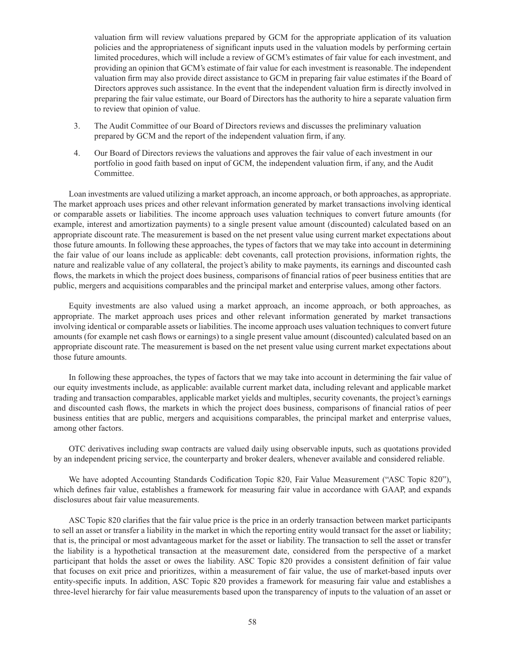valuation firm will review valuations prepared by GCM for the appropriate application of its valuation policies and the appropriateness of significant inputs used in the valuation models by performing certain limited procedures, which will include a review of GCM's estimates of fair value for each investment, and providing an opinion that GCM's estimate of fair value for each investment is reasonable. The independent valuation firm may also provide direct assistance to GCM in preparing fair value estimates if the Board of Directors approves such assistance. In the event that the independent valuation firm is directly involved in preparing the fair value estimate, our Board of Directors has the authority to hire a separate valuation firm to review that opinion of value.

- 3. The Audit Committee of our Board of Directors reviews and discusses the preliminary valuation prepared by GCM and the report of the independent valuation firm, if any.
- 4. Our Board of Directors reviews the valuations and approves the fair value of each investment in our portfolio in good faith based on input of GCM, the independent valuation firm, if any, and the Audit Committee.

Loan investments are valued utilizing a market approach, an income approach, or both approaches, as appropriate. The market approach uses prices and other relevant information generated by market transactions involving identical or comparable assets or liabilities. The income approach uses valuation techniques to convert future amounts (for example, interest and amortization payments) to a single present value amount (discounted) calculated based on an appropriate discount rate. The measurement is based on the net present value using current market expectations about those future amounts. In following these approaches, the types of factors that we may take into account in determining the fair value of our loans include as applicable: debt covenants, call protection provisions, information rights, the nature and realizable value of any collateral, the project's ability to make payments, its earnings and discounted cash flows, the markets in which the project does business, comparisons of financial ratios of peer business entities that are public, mergers and acquisitions comparables and the principal market and enterprise values, among other factors.

Equity investments are also valued using a market approach, an income approach, or both approaches, as appropriate. The market approach uses prices and other relevant information generated by market transactions involving identical or comparable assets or liabilities. The income approach uses valuation techniques to convert future amounts (for example net cash flows or earnings) to a single present value amount (discounted) calculated based on an appropriate discount rate. The measurement is based on the net present value using current market expectations about those future amounts.

In following these approaches, the types of factors that we may take into account in determining the fair value of our equity investments include, as applicable: available current market data, including relevant and applicable market trading and transaction comparables, applicable market yields and multiples, security covenants, the project's earnings and discounted cash flows, the markets in which the project does business, comparisons of financial ratios of peer business entities that are public, mergers and acquisitions comparables, the principal market and enterprise values, among other factors.

OTC derivatives including swap contracts are valued daily using observable inputs, such as quotations provided by an independent pricing service, the counterparty and broker dealers, whenever available and considered reliable.

We have adopted Accounting Standards Codification Topic 820, Fair Value Measurement ("ASC Topic 820"), which defines fair value, establishes a framework for measuring fair value in accordance with GAAP, and expands disclosures about fair value measurements.

ASC Topic 820 clarifies that the fair value price is the price in an orderly transaction between market participants to sell an asset or transfer a liability in the market in which the reporting entity would transact for the asset or liability; that is, the principal or most advantageous market for the asset or liability. The transaction to sell the asset or transfer the liability is a hypothetical transaction at the measurement date, considered from the perspective of a market participant that holds the asset or owes the liability. ASC Topic 820 provides a consistent definition of fair value that focuses on exit price and prioritizes, within a measurement of fair value, the use of market-based inputs over entity-specific inputs. In addition, ASC Topic 820 provides a framework for measuring fair value and establishes a three-level hierarchy for fair value measurements based upon the transparency of inputs to the valuation of an asset or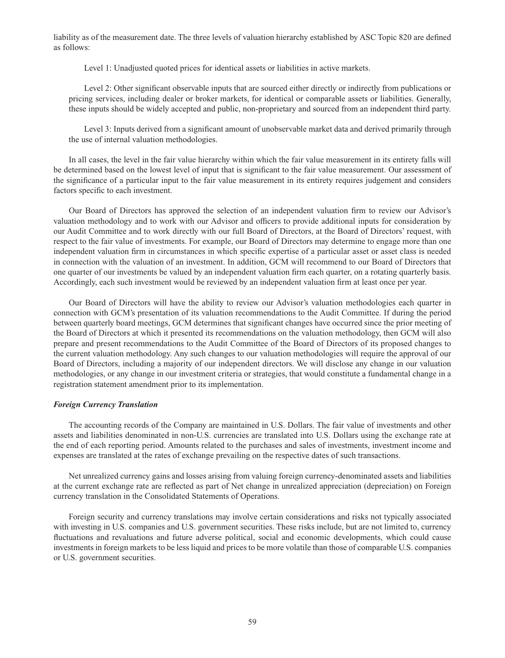liability as of the measurement date. The three levels of valuation hierarchy established by ASC Topic 820 are defined as follows:

Level 1: Unadjusted quoted prices for identical assets or liabilities in active markets.

Level 2: Other significant observable inputs that are sourced either directly or indirectly from publications or pricing services, including dealer or broker markets, for identical or comparable assets or liabilities. Generally, these inputs should be widely accepted and public, non-proprietary and sourced from an independent third party.

Level 3: Inputs derived from a significant amount of unobservable market data and derived primarily through the use of internal valuation methodologies.

In all cases, the level in the fair value hierarchy within which the fair value measurement in its entirety falls will be determined based on the lowest level of input that is significant to the fair value measurement. Our assessment of the significance of a particular input to the fair value measurement in its entirety requires judgement and considers factors specific to each investment.

Our Board of Directors has approved the selection of an independent valuation firm to review our Advisor's valuation methodology and to work with our Advisor and officers to provide additional inputs for consideration by our Audit Committee and to work directly with our full Board of Directors, at the Board of Directors' request, with respect to the fair value of investments. For example, our Board of Directors may determine to engage more than one independent valuation firm in circumstances in which specific expertise of a particular asset or asset class is needed in connection with the valuation of an investment. In addition, GCM will recommend to our Board of Directors that one quarter of our investments be valued by an independent valuation firm each quarter, on a rotating quarterly basis. Accordingly, each such investment would be reviewed by an independent valuation firm at least once per year.

Our Board of Directors will have the ability to review our Advisor's valuation methodologies each quarter in connection with GCM's presentation of its valuation recommendations to the Audit Committee. If during the period between quarterly board meetings, GCM determines that significant changes have occurred since the prior meeting of the Board of Directors at which it presented its recommendations on the valuation methodology, then GCM will also prepare and present recommendations to the Audit Committee of the Board of Directors of its proposed changes to the current valuation methodology. Any such changes to our valuation methodologies will require the approval of our Board of Directors, including a majority of our independent directors. We will disclose any change in our valuation methodologies, or any change in our investment criteria or strategies, that would constitute a fundamental change in a registration statement amendment prior to its implementation.

#### *Foreign Currency Translation*

The accounting records of the Company are maintained in U.S. Dollars. The fair value of investments and other assets and liabilities denominated in non-U.S. currencies are translated into U.S. Dollars using the exchange rate at the end of each reporting period. Amounts related to the purchases and sales of investments, investment income and expenses are translated at the rates of exchange prevailing on the respective dates of such transactions.

Net unrealized currency gains and losses arising from valuing foreign currency-denominated assets and liabilities at the current exchange rate are reflected as part of Net change in unrealized appreciation (depreciation) on Foreign currency translation in the Consolidated Statements of Operations.

Foreign security and currency translations may involve certain considerations and risks not typically associated with investing in U.S. companies and U.S. government securities. These risks include, but are not limited to, currency fluctuations and revaluations and future adverse political, social and economic developments, which could cause investments in foreign markets to be less liquid and prices to be more volatile than those of comparable U.S. companies or U.S. government securities.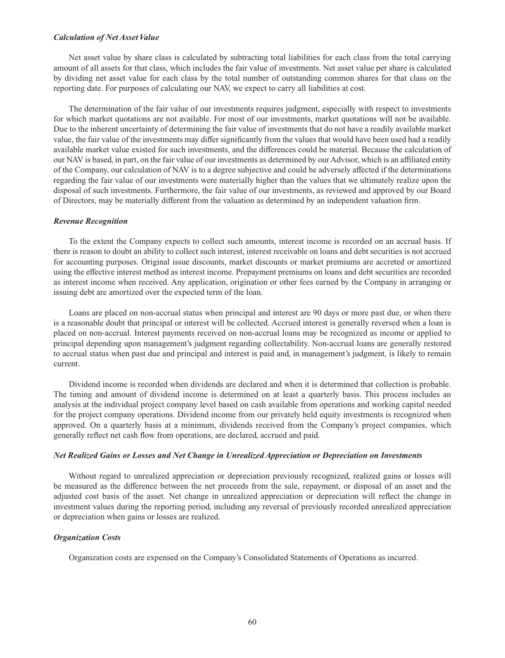### *Calculation of Net Asset Value*

Net asset value by share class is calculated by subtracting total liabilities for each class from the total carrying amount of all assets for that class, which includes the fair value of investments. Net asset value per share is calculated by dividing net asset value for each class by the total number of outstanding common shares for that class on the reporting date. For purposes of calculating our NAV, we expect to carry all liabilities at cost.

The determination of the fair value of our investments requires judgment, especially with respect to investments for which market quotations are not available. For most of our investments, market quotations will not be available. Due to the inherent uncertainty of determining the fair value of investments that do not have a readily available market value, the fair value of the investments may differ significantly from the values that would have been used had a readily available market value existed for such investments, and the differences could be material. Because the calculation of our NAV is based, in part, on the fair value of our investments as determined by our Advisor, which is an affiliated entity of the Company, our calculation of NAV is to a degree subjective and could be adversely affected if the determinations regarding the fair value of our investments were materially higher than the values that we ultimately realize upon the disposal of such investments. Furthermore, the fair value of our investments, as reviewed and approved by our Board of Directors, may be materially different from the valuation as determined by an independent valuation firm.

### *Revenue Recognition*

To the extent the Company expects to collect such amounts, interest income is recorded on an accrual basis. If there is reason to doubt an ability to collect such interest, interest receivable on loans and debt securities is not accrued for accounting purposes. Original issue discounts, market discounts or market premiums are accreted or amortized using the effective interest method as interest income. Prepayment premiums on loans and debt securities are recorded as interest income when received. Any application, origination or other fees earned by the Company in arranging or issuing debt are amortized over the expected term of the loan.

Loans are placed on non-accrual status when principal and interest are 90 days or more past due, or when there is a reasonable doubt that principal or interest will be collected. Accrued interest is generally reversed when a loan is placed on non-accrual. Interest payments received on non-accrual loans may be recognized as income or applied to principal depending upon management's judgment regarding collectability. Non-accrual loans are generally restored to accrual status when past due and principal and interest is paid and, in management's judgment, is likely to remain current.

Dividend income is recorded when dividends are declared and when it is determined that collection is probable. The timing and amount of dividend income is determined on at least a quarterly basis. This process includes an analysis at the individual project company level based on cash available from operations and working capital needed for the project company operations. Dividend income from our privately held equity investments is recognized when approved. On a quarterly basis at a minimum, dividends received from the Company's project companies, which generally reflect net cash flow from operations, are declared, accrued and paid.

#### *Net Realized Gains or Losses and Net Change in Unrealized Appreciation or Depreciation on Investments*

Without regard to unrealized appreciation or depreciation previously recognized, realized gains or losses will be measured as the difference between the net proceeds from the sale, repayment, or disposal of an asset and the adjusted cost basis of the asset. Net change in unrealized appreciation or depreciation will reflect the change in investment values during the reporting period, including any reversal of previously recorded unrealized appreciation or depreciation when gains or losses are realized.

### *Organization Costs*

Organization costs are expensed on the Company's Consolidated Statements of Operations as incurred.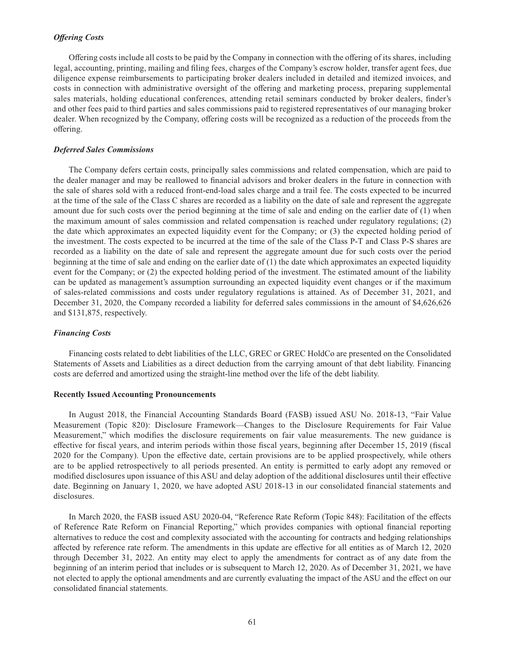### *Offering Costs*

Offering costs include all costs to be paid by the Company in connection with the offering of its shares, including legal, accounting, printing, mailing and filing fees, charges of the Company's escrow holder, transfer agent fees, due diligence expense reimbursements to participating broker dealers included in detailed and itemized invoices, and costs in connection with administrative oversight of the offering and marketing process, preparing supplemental sales materials, holding educational conferences, attending retail seminars conducted by broker dealers, finder's and other fees paid to third parties and sales commissions paid to registered representatives of our managing broker dealer. When recognized by the Company, offering costs will be recognized as a reduction of the proceeds from the offering.

### *Deferred Sales Commissions*

The Company defers certain costs, principally sales commissions and related compensation, which are paid to the dealer manager and may be reallowed to financial advisors and broker dealers in the future in connection with the sale of shares sold with a reduced front-end-load sales charge and a trail fee. The costs expected to be incurred at the time of the sale of the Class C shares are recorded as a liability on the date of sale and represent the aggregate amount due for such costs over the period beginning at the time of sale and ending on the earlier date of (1) when the maximum amount of sales commission and related compensation is reached under regulatory regulations; (2) the date which approximates an expected liquidity event for the Company; or (3) the expected holding period of the investment. The costs expected to be incurred at the time of the sale of the Class P-T and Class P-S shares are recorded as a liability on the date of sale and represent the aggregate amount due for such costs over the period beginning at the time of sale and ending on the earlier date of (1) the date which approximates an expected liquidity event for the Company; or (2) the expected holding period of the investment. The estimated amount of the liability can be updated as management's assumption surrounding an expected liquidity event changes or if the maximum of sales-related commissions and costs under regulatory regulations is attained. As of December 31, 2021, and December 31, 2020, the Company recorded a liability for deferred sales commissions in the amount of \$4,626,626 and \$131,875, respectively.

### *Financing Costs*

Financing costs related to debt liabilities of the LLC, GREC or GREC HoldCo are presented on the Consolidated Statements of Assets and Liabilities as a direct deduction from the carrying amount of that debt liability. Financing costs are deferred and amortized using the straight-line method over the life of the debt liability.

#### **Recently Issued Accounting Pronouncements**

In August 2018, the Financial Accounting Standards Board (FASB) issued ASU No. 2018-13, "Fair Value Measurement (Topic 820): Disclosure Framework—Changes to the Disclosure Requirements for Fair Value Measurement," which modifies the disclosure requirements on fair value measurements. The new guidance is effective for fiscal years, and interim periods within those fiscal years, beginning after December 15, 2019 (fiscal 2020 for the Company). Upon the effective date, certain provisions are to be applied prospectively, while others are to be applied retrospectively to all periods presented. An entity is permitted to early adopt any removed or modified disclosures upon issuance of this ASU and delay adoption of the additional disclosures until their effective date. Beginning on January 1, 2020, we have adopted ASU 2018-13 in our consolidated financial statements and disclosures.

In March 2020, the FASB issued ASU 2020-04, "Reference Rate Reform (Topic 848): Facilitation of the effects of Reference Rate Reform on Financial Reporting," which provides companies with optional financial reporting alternatives to reduce the cost and complexity associated with the accounting for contracts and hedging relationships affected by reference rate reform. The amendments in this update are effective for all entities as of March 12, 2020 through December 31, 2022. An entity may elect to apply the amendments for contract as of any date from the beginning of an interim period that includes or is subsequent to March 12, 2020. As of December 31, 2021, we have not elected to apply the optional amendments and are currently evaluating the impact of the ASU and the effect on our consolidated financial statements.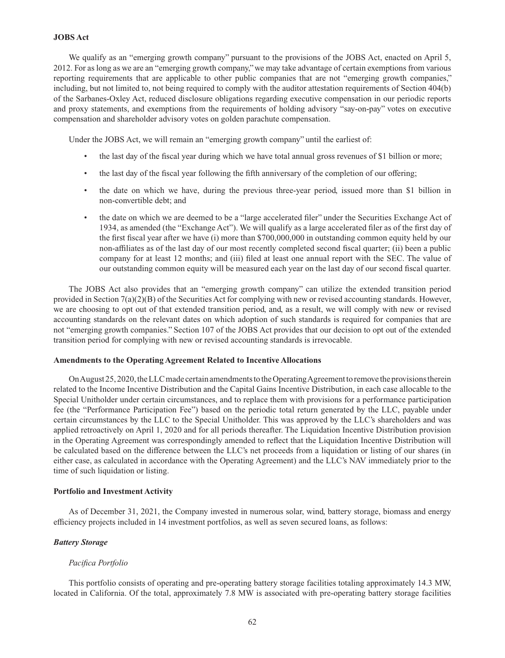### **JOBS Act**

We qualify as an "emerging growth company" pursuant to the provisions of the JOBS Act, enacted on April 5, 2012. For as long as we are an "emerging growth company," we may take advantage of certain exemptions from various reporting requirements that are applicable to other public companies that are not "emerging growth companies," including, but not limited to, not being required to comply with the auditor attestation requirements of Section 404(b) of the Sarbanes-Oxley Act, reduced disclosure obligations regarding executive compensation in our periodic reports and proxy statements, and exemptions from the requirements of holding advisory "say-on-pay" votes on executive compensation and shareholder advisory votes on golden parachute compensation.

Under the JOBS Act, we will remain an "emerging growth company" until the earliest of:

- the last day of the fiscal year during which we have total annual gross revenues of \$1 billion or more;
- the last day of the fiscal year following the fifth anniversary of the completion of our offering;
- the date on which we have, during the previous three-year period, issued more than \$1 billion in non-convertible debt; and
- the date on which we are deemed to be a "large accelerated filer" under the Securities Exchange Act of 1934, as amended (the "Exchange Act"). We will qualify as a large accelerated filer as of the first day of the first fiscal year after we have (i) more than \$700,000,000 in outstanding common equity held by our non-affiliates as of the last day of our most recently completed second fiscal quarter; (ii) been a public company for at least 12 months; and (iii) filed at least one annual report with the SEC. The value of our outstanding common equity will be measured each year on the last day of our second fiscal quarter.

The JOBS Act also provides that an "emerging growth company" can utilize the extended transition period provided in Section 7(a)(2)(B) of the Securities Act for complying with new or revised accounting standards. However, we are choosing to opt out of that extended transition period, and, as a result, we will comply with new or revised accounting standards on the relevant dates on which adoption of such standards is required for companies that are not "emerging growth companies." Section 107 of the JOBS Act provides that our decision to opt out of the extended transition period for complying with new or revised accounting standards is irrevocable.

### **Amendments to the Operating Agreement Related to Incentive Allocations**

On August 25, 2020, the LLC made certain amendments to the Operating Agreement to remove the provisions therein related to the Income Incentive Distribution and the Capital Gains Incentive Distribution, in each case allocable to the Special Unitholder under certain circumstances, and to replace them with provisions for a performance participation fee (the "Performance Participation Fee") based on the periodic total return generated by the LLC, payable under certain circumstances by the LLC to the Special Unitholder. This was approved by the LLC's shareholders and was applied retroactively on April 1, 2020 and for all periods thereafter. The Liquidation Incentive Distribution provision in the Operating Agreement was correspondingly amended to reflect that the Liquidation Incentive Distribution will be calculated based on the difference between the LLC's net proceeds from a liquidation or listing of our shares (in either case, as calculated in accordance with the Operating Agreement) and the LLC's NAV immediately prior to the time of such liquidation or listing.

### **Portfolio and Investment Activity**

As of December 31, 2021, the Company invested in numerous solar, wind, battery storage, biomass and energy efficiency projects included in 14 investment portfolios, as well as seven secured loans, as follows:

### *Battery Storage*

#### *Pacifica Portfolio*

This portfolio consists of operating and pre-operating battery storage facilities totaling approximately 14.3 MW, located in California. Of the total, approximately 7.8 MW is associated with pre-operating battery storage facilities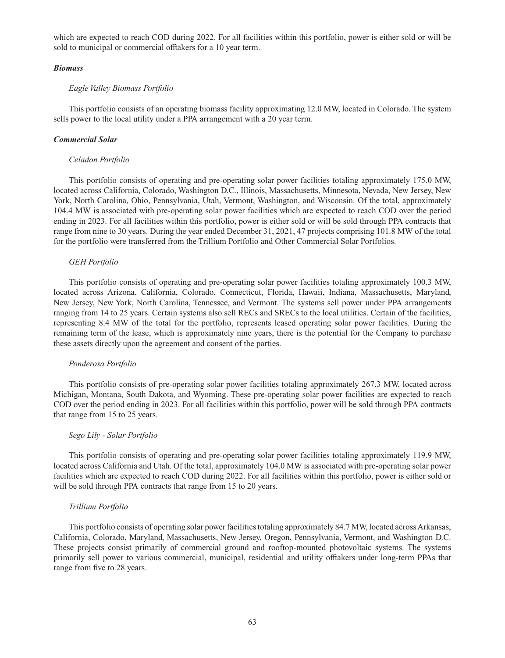which are expected to reach COD during 2022. For all facilities within this portfolio, power is either sold or will be sold to municipal or commercial offtakers for a 10 year term.

### *Biomass*

### *Eagle Valley Biomass Portfolio*

This portfolio consists of an operating biomass facility approximating 12.0 MW, located in Colorado. The system sells power to the local utility under a PPA arrangement with a 20 year term.

#### *Commercial Solar*

### *Celadon Portfolio*

This portfolio consists of operating and pre-operating solar power facilities totaling approximately 175.0 MW, located across California, Colorado, Washington D.C., Illinois, Massachusetts, Minnesota, Nevada, New Jersey, New York, North Carolina, Ohio, Pennsylvania, Utah, Vermont, Washington, and Wisconsin. Of the total, approximately 104.4 MW is associated with pre-operating solar power facilities which are expected to reach COD over the period ending in 2023. For all facilities within this portfolio, power is either sold or will be sold through PPA contracts that range from nine to 30 years. During the year ended December 31, 2021, 47 projects comprising 101.8 MW of the total for the portfolio were transferred from the Trillium Portfolio and Other Commercial Solar Portfolios.

### *GEH Portfolio*

This portfolio consists of operating and pre-operating solar power facilities totaling approximately 100.3 MW, located across Arizona, California, Colorado, Connecticut, Florida, Hawaii, Indiana, Massachusetts, Maryland, New Jersey, New York, North Carolina, Tennessee, and Vermont. The systems sell power under PPA arrangements ranging from 14 to 25 years. Certain systems also sell RECs and SRECs to the local utilities. Certain of the facilities, representing 8.4 MW of the total for the portfolio, represents leased operating solar power facilities. During the remaining term of the lease, which is approximately nine years, there is the potential for the Company to purchase these assets directly upon the agreement and consent of the parties.

#### *Ponderosa Portfolio*

This portfolio consists of pre-operating solar power facilities totaling approximately 267.3 MW, located across Michigan, Montana, South Dakota, and Wyoming. These pre-operating solar power facilities are expected to reach COD over the period ending in 2023. For all facilities within this portfolio, power will be sold through PPA contracts that range from 15 to 25 years.

#### *Sego Lily - Solar Portfolio*

This portfolio consists of operating and pre-operating solar power facilities totaling approximately 119.9 MW, located across California and Utah. Of the total, approximately 104.0 MW is associated with pre-operating solar power facilities which are expected to reach COD during 2022. For all facilities within this portfolio, power is either sold or will be sold through PPA contracts that range from 15 to 20 years.

#### *Trillium Portfolio*

This portfolio consists of operating solar power facilities totaling approximately 84.7 MW, located across Arkansas, California, Colorado, Maryland, Massachusetts, New Jersey, Oregon, Pennsylvania, Vermont, and Washington D.C. These projects consist primarily of commercial ground and rooftop-mounted photovoltaic systems. The systems primarily sell power to various commercial, municipal, residential and utility offtakers under long-term PPAs that range from five to 28 years.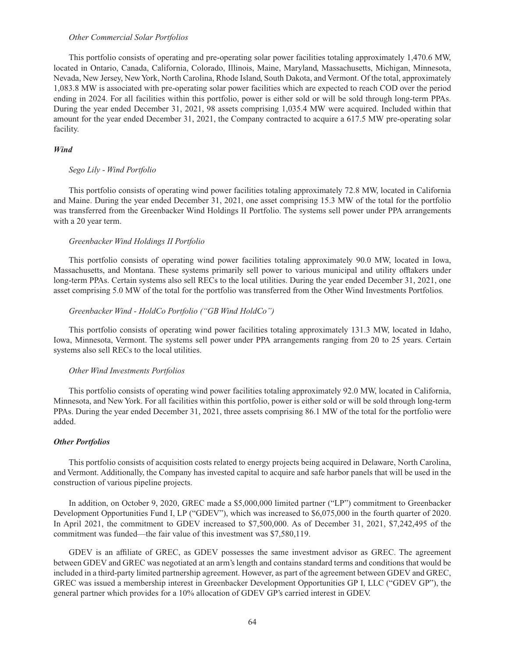### *Other Commercial Solar Portfolios*

This portfolio consists of operating and pre-operating solar power facilities totaling approximately 1,470.6 MW, located in Ontario, Canada, California, Colorado, Illinois, Maine, Maryland, Massachusetts, Michigan, Minnesota, Nevada, New Jersey, New York, North Carolina, Rhode Island, South Dakota, and Vermont. Of the total, approximately 1,083.8 MW is associated with pre-operating solar power facilities which are expected to reach COD over the period ending in 2024. For all facilities within this portfolio, power is either sold or will be sold through long-term PPAs. During the year ended December 31, 2021, 98 assets comprising 1,035.4 MW were acquired. Included within that amount for the year ended December 31, 2021, the Company contracted to acquire a 617.5 MW pre-operating solar facility.

# *Wind*

#### *Sego Lily - Wind Portfolio*

This portfolio consists of operating wind power facilities totaling approximately 72.8 MW, located in California and Maine. During the year ended December 31, 2021, one asset comprising 15.3 MW of the total for the portfolio was transferred from the Greenbacker Wind Holdings II Portfolio. The systems sell power under PPA arrangements with a 20 year term.

#### *Greenbacker Wind Holdings II Portfolio*

This portfolio consists of operating wind power facilities totaling approximately 90.0 MW, located in Iowa, Massachusetts, and Montana. These systems primarily sell power to various municipal and utility offtakers under long-term PPAs. Certain systems also sell RECs to the local utilities. During the year ended December 31, 2021, one asset comprising 5.0 MW of the total for the portfolio was transferred from the Other Wind Investments Portfolios*.*

#### *Greenbacker Wind - HoldCo Portfolio ("GB Wind HoldCo")*

This portfolio consists of operating wind power facilities totaling approximately 131.3 MW, located in Idaho, Iowa, Minnesota, Vermont. The systems sell power under PPA arrangements ranging from 20 to 25 years. Certain systems also sell RECs to the local utilities.

#### *Other Wind Investments Portfolios*

This portfolio consists of operating wind power facilities totaling approximately 92.0 MW, located in California, Minnesota, and New York. For all facilities within this portfolio, power is either sold or will be sold through long-term PPAs. During the year ended December 31, 2021, three assets comprising 86.1 MW of the total for the portfolio were added.

#### *Other Portfolios*

This portfolio consists of acquisition costs related to energy projects being acquired in Delaware, North Carolina, and Vermont. Additionally, the Company has invested capital to acquire and safe harbor panels that will be used in the construction of various pipeline projects.

In addition, on October 9, 2020, GREC made a \$5,000,000 limited partner ("LP") commitment to Greenbacker Development Opportunities Fund I, LP ("GDEV"), which was increased to \$6,075,000 in the fourth quarter of 2020. In April 2021, the commitment to GDEV increased to \$7,500,000. As of December 31, 2021, \$7,242,495 of the commitment was funded—the fair value of this investment was \$7,580,119.

GDEV is an affiliate of GREC, as GDEV possesses the same investment advisor as GREC. The agreement between GDEV and GREC was negotiated at an arm's length and contains standard terms and conditions that would be included in a third-party limited partnership agreement. However, as part of the agreement between GDEV and GREC, GREC was issued a membership interest in Greenbacker Development Opportunities GP I, LLC ("GDEV GP"), the general partner which provides for a 10% allocation of GDEV GP's carried interest in GDEV.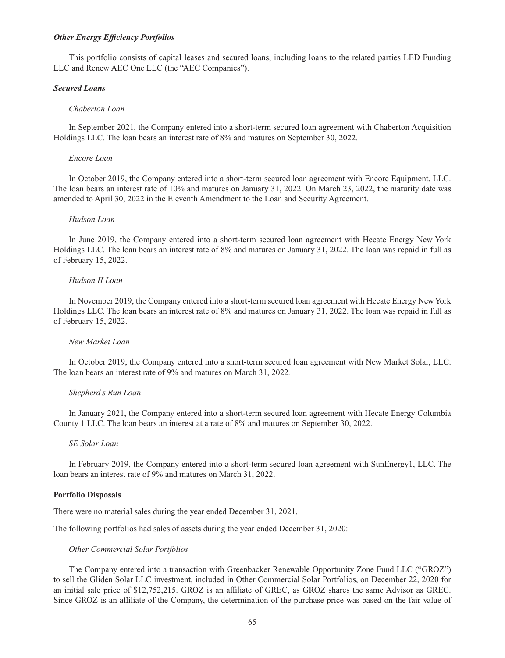### *Other Energy Efficiency Portfolios*

This portfolio consists of capital leases and secured loans, including loans to the related parties LED Funding LLC and Renew AEC One LLC (the "AEC Companies").

#### *Secured Loans*

#### *Chaberton Loan*

In September 2021, the Company entered into a short-term secured loan agreement with Chaberton Acquisition Holdings LLC. The loan bears an interest rate of 8% and matures on September 30, 2022.

#### *Encore Loan*

In October 2019, the Company entered into a short-term secured loan agreement with Encore Equipment, LLC. The loan bears an interest rate of 10% and matures on January 31, 2022. On March 23, 2022, the maturity date was amended to April 30, 2022 in the Eleventh Amendment to the Loan and Security Agreement.

#### *Hudson Loan*

In June 2019, the Company entered into a short-term secured loan agreement with Hecate Energy New York Holdings LLC. The loan bears an interest rate of 8% and matures on January 31, 2022. The loan was repaid in full as of February 15, 2022.

#### *Hudson II Loan*

In November 2019, the Company entered into a short-term secured loan agreement with Hecate Energy New York Holdings LLC. The loan bears an interest rate of 8% and matures on January 31, 2022. The loan was repaid in full as of February 15, 2022.

# *New Market Loan*

In October 2019, the Company entered into a short-term secured loan agreement with New Market Solar, LLC. The loan bears an interest rate of 9% and matures on March 31, 2022*.*

#### *Shepherd's Run Loan*

In January 2021, the Company entered into a short-term secured loan agreement with Hecate Energy Columbia County 1 LLC. The loan bears an interest at a rate of 8% and matures on September 30, 2022.

## *SE Solar Loan*

In February 2019, the Company entered into a short-term secured loan agreement with SunEnergy1, LLC. The loan bears an interest rate of 9% and matures on March 31, 2022.

### **Portfolio Disposals**

There were no material sales during the year ended December 31, 2021.

The following portfolios had sales of assets during the year ended December 31, 2020:

#### *Other Commercial Solar Portfolios*

The Company entered into a transaction with Greenbacker Renewable Opportunity Zone Fund LLC ("GROZ") to sell the Gliden Solar LLC investment, included in Other Commercial Solar Portfolios, on December 22, 2020 for an initial sale price of \$12,752,215. GROZ is an affiliate of GREC, as GROZ shares the same Advisor as GREC. Since GROZ is an affiliate of the Company, the determination of the purchase price was based on the fair value of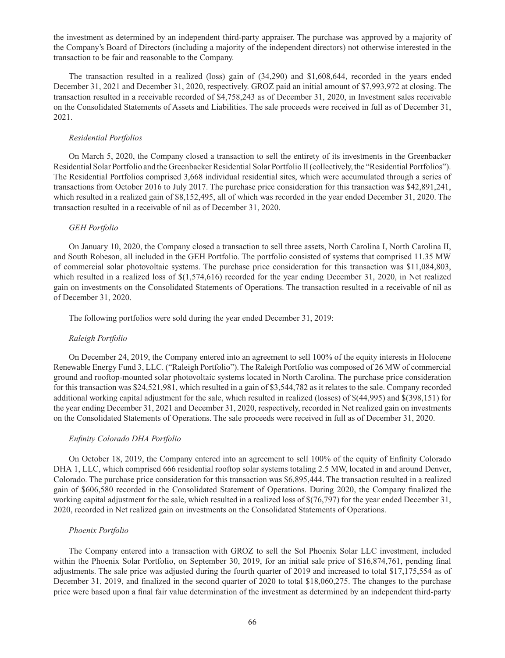the investment as determined by an independent third-party appraiser. The purchase was approved by a majority of the Company's Board of Directors (including a majority of the independent directors) not otherwise interested in the transaction to be fair and reasonable to the Company.

The transaction resulted in a realized (loss) gain of (34,290) and \$1,608,644, recorded in the years ended December 31, 2021 and December 31, 2020, respectively. GROZ paid an initial amount of \$7,993,972 at closing. The transaction resulted in a receivable recorded of \$4,758,243 as of December 31, 2020, in Investment sales receivable on the Consolidated Statements of Assets and Liabilities. The sale proceeds were received in full as of December 31, 2021.

### *Residential Portfolios*

On March 5, 2020, the Company closed a transaction to sell the entirety of its investments in the Greenbacker Residential Solar Portfolio and the Greenbacker Residential Solar Portfolio II (collectively, the "Residential Portfolios"). The Residential Portfolios comprised 3,668 individual residential sites, which were accumulated through a series of transactions from October 2016 to July 2017. The purchase price consideration for this transaction was \$42,891,241, which resulted in a realized gain of \$8,152,495, all of which was recorded in the year ended December 31, 2020. The transaction resulted in a receivable of nil as of December 31, 2020.

# *GEH Portfolio*

On January 10, 2020, the Company closed a transaction to sell three assets, North Carolina I, North Carolina II, and South Robeson, all included in the GEH Portfolio. The portfolio consisted of systems that comprised 11.35 MW of commercial solar photovoltaic systems. The purchase price consideration for this transaction was \$11,084,803, which resulted in a realized loss of \$(1,574,616) recorded for the year ending December 31, 2020, in Net realized gain on investments on the Consolidated Statements of Operations. The transaction resulted in a receivable of nil as of December 31, 2020.

The following portfolios were sold during the year ended December 31, 2019:

# *Raleigh Portfolio*

On December 24, 2019, the Company entered into an agreement to sell 100% of the equity interests in Holocene Renewable Energy Fund 3, LLC. ("Raleigh Portfolio"). The Raleigh Portfolio was composed of 26 MW of commercial ground and rooftop-mounted solar photovoltaic systems located in North Carolina. The purchase price consideration for this transaction was \$24,521,981, which resulted in a gain of \$3,544,782 as it relates to the sale. Company recorded additional working capital adjustment for the sale, which resulted in realized (losses) of \$(44,995) and \$(398,151) for the year ending December 31, 2021 and December 31, 2020, respectively, recorded in Net realized gain on investments on the Consolidated Statements of Operations. The sale proceeds were received in full as of December 31, 2020.

### *Enfinity Colorado DHA Portfolio*

On October 18, 2019, the Company entered into an agreement to sell 100% of the equity of Enfinity Colorado DHA 1, LLC, which comprised 666 residential rooftop solar systems totaling 2.5 MW, located in and around Denver, Colorado. The purchase price consideration for this transaction was \$6,895,444. The transaction resulted in a realized gain of \$606,580 recorded in the Consolidated Statement of Operations. During 2020, the Company finalized the working capital adjustment for the sale, which resulted in a realized loss of \$(76,797) for the year ended December 31, 2020, recorded in Net realized gain on investments on the Consolidated Statements of Operations.

### *Phoenix Portfolio*

The Company entered into a transaction with GROZ to sell the Sol Phoenix Solar LLC investment, included within the Phoenix Solar Portfolio, on September 30, 2019, for an initial sale price of \$16,874,761, pending final adjustments. The sale price was adjusted during the fourth quarter of 2019 and increased to total \$17,175,554 as of December 31, 2019, and finalized in the second quarter of 2020 to total \$18,060,275. The changes to the purchase price were based upon a final fair value determination of the investment as determined by an independent third-party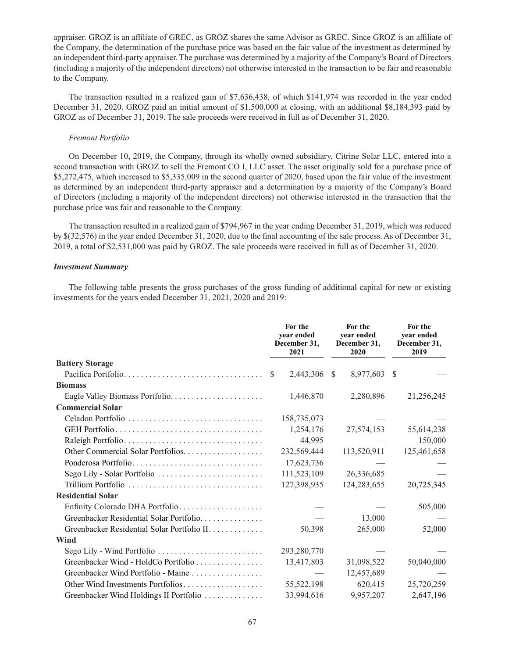appraiser. GROZ is an affiliate of GREC, as GROZ shares the same Advisor as GREC. Since GROZ is an affiliate of the Company, the determination of the purchase price was based on the fair value of the investment as determined by an independent third-party appraiser. The purchase was determined by a majority of the Company's Board of Directors (including a majority of the independent directors) not otherwise interested in the transaction to be fair and reasonable to the Company.

The transaction resulted in a realized gain of \$7,636,438, of which \$141,974 was recorded in the year ended December 31, 2020. GROZ paid an initial amount of \$1,500,000 at closing, with an additional \$8,184,393 paid by GROZ as of December 31, 2019. The sale proceeds were received in full as of December 31, 2020.

#### *Fremont Portfolio*

On December 10, 2019, the Company, through its wholly owned subsidiary, Citrine Solar LLC, entered into a second transaction with GROZ to sell the Fremont CO I, LLC asset. The asset originally sold for a purchase price of \$5,272,475, which increased to \$5,335,009 in the second quarter of 2020, based upon the fair value of the investment as determined by an independent third-party appraiser and a determination by a majority of the Company's Board of Directors (including a majority of the independent directors) not otherwise interested in the transaction that the purchase price was fair and reasonable to the Company.

The transaction resulted in a realized gain of \$794,967 in the year ending December 31, 2019, which was reduced by \$(32,576) in the year ended December 31, 2020, due to the final accounting of the sale process. As of December 31, 2019, a total of \$2,531,000 was paid by GROZ. The sale proceeds were received in full as of December 31, 2020.

### *Investment Summary*

The following table presents the gross purchases of the gross funding of additional capital for new or existing investments for the years ended December 31, 2021, 2020 and 2019:

|                                             | For the<br>year ended<br>December 31,<br>2021 | For the<br>year ended<br>December 31,<br>2020 | For the<br>year ended<br>December 31,<br>2019 |  |
|---------------------------------------------|-----------------------------------------------|-----------------------------------------------|-----------------------------------------------|--|
| <b>Battery Storage</b>                      |                                               |                                               |                                               |  |
|                                             | 2,443,306<br>-S                               | 8,977,603<br><sup>S</sup>                     | -S                                            |  |
| <b>Biomass</b>                              |                                               |                                               |                                               |  |
| Eagle Valley Biomass Portfolio              | 1,446,870                                     | 2,280,896                                     | 21,256,245                                    |  |
| <b>Commercial Solar</b>                     |                                               |                                               |                                               |  |
|                                             | 158,735,073                                   |                                               |                                               |  |
|                                             | 1,254,176                                     | 27,574,153                                    | 55,614,238                                    |  |
|                                             | 44,995                                        |                                               | 150,000                                       |  |
|                                             | 232,569,444                                   | 113,520,911                                   | 125,461,658                                   |  |
| Ponderosa Portfolio                         | 17,623,736                                    |                                               |                                               |  |
| Sego Lily - Solar Portfolio                 | 111,523,109                                   | 26,336,685                                    |                                               |  |
|                                             | 127,398,935                                   | 124,283,655                                   | 20,725,345                                    |  |
| <b>Residential Solar</b>                    |                                               |                                               |                                               |  |
| Enfinity Colorado DHA Portfolio             |                                               |                                               | 505,000                                       |  |
| Greenbacker Residential Solar Portfolio.    |                                               | 13,000                                        |                                               |  |
| Greenbacker Residential Solar Portfolio II. | 50,398                                        | 265,000                                       | 52,000                                        |  |
| Wind                                        |                                               |                                               |                                               |  |
| Sego Lily - Wind Portfolio                  | 293,280,770                                   |                                               |                                               |  |
| Greenbacker Wind - HoldCo Portfolio         | 13,417,803                                    | 31,098,522                                    | 50,040,000                                    |  |
| Greenbacker Wind Portfolio - Maine          |                                               | 12,457,689                                    |                                               |  |
| Other Wind Investments Portfolios           | 55,522,198                                    | 620,415                                       | 25,720,259                                    |  |
| Greenbacker Wind Holdings II Portfolio      | 33,994,616                                    | 9,957,207                                     | 2,647,196                                     |  |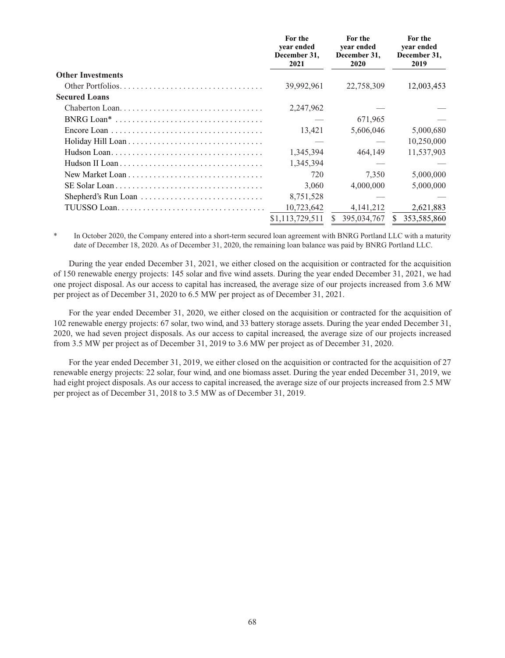|                          | For the<br>year ended<br>December 31,<br>2021 | For the<br>year ended<br>December 31,<br>2020 | For the<br>year ended<br>December 31,<br>2019 |
|--------------------------|-----------------------------------------------|-----------------------------------------------|-----------------------------------------------|
| <b>Other Investments</b> |                                               |                                               |                                               |
|                          | 39,992,961                                    | 22,758,309                                    | 12,003,453                                    |
| <b>Secured Loans</b>     |                                               |                                               |                                               |
| Chaberton Loan           | 2,247,962                                     |                                               |                                               |
|                          |                                               | 671,965                                       |                                               |
|                          | 13,421                                        | 5,606,046                                     | 5,000,680                                     |
|                          |                                               |                                               | 10,250,000                                    |
|                          | 1,345,394                                     | 464,149                                       | 11,537,903                                    |
|                          | 1,345,394                                     |                                               |                                               |
|                          | 720                                           | 7,350                                         | 5,000,000                                     |
|                          | 3,060                                         | 4,000,000                                     | 5,000,000                                     |
|                          | 8,751,528                                     |                                               |                                               |
|                          | 10,723,642                                    | 4, 141, 212                                   | 2,621,883                                     |
|                          | \$1,113,729,511                               | 395,034,767                                   | 353,585,860<br><sup>S</sup>                   |

In October 2020, the Company entered into a short-term secured loan agreement with BNRG Portland LLC with a maturity date of December 18, 2020. As of December 31, 2020, the remaining loan balance was paid by BNRG Portland LLC.

During the year ended December 31, 2021, we either closed on the acquisition or contracted for the acquisition of 150 renewable energy projects: 145 solar and five wind assets. During the year ended December 31, 2021, we had one project disposal. As our access to capital has increased, the average size of our projects increased from 3.6 MW per project as of December 31, 2020 to 6.5 MW per project as of December 31, 2021.

For the year ended December 31, 2020, we either closed on the acquisition or contracted for the acquisition of 102 renewable energy projects: 67 solar, two wind, and 33 battery storage assets. During the year ended December 31, 2020, we had seven project disposals. As our access to capital increased, the average size of our projects increased from 3.5 MW per project as of December 31, 2019 to 3.6 MW per project as of December 31, 2020.

For the year ended December 31, 2019, we either closed on the acquisition or contracted for the acquisition of 27 renewable energy projects: 22 solar, four wind, and one biomass asset. During the year ended December 31, 2019, we had eight project disposals. As our access to capital increased, the average size of our projects increased from 2.5 MW per project as of December 31, 2018 to 3.5 MW as of December 31, 2019.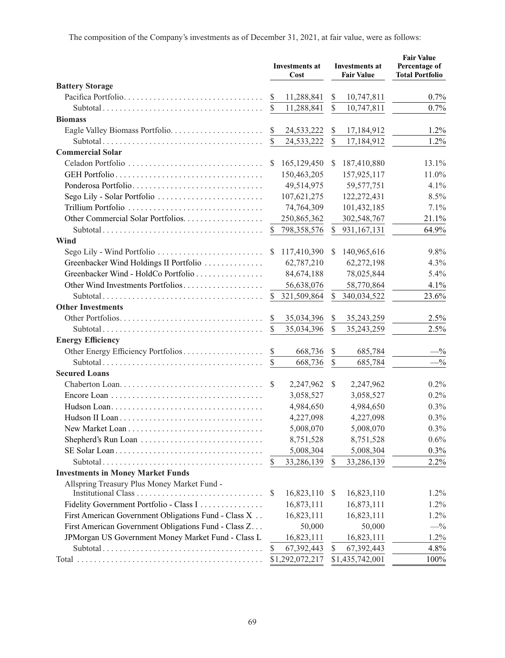| <b>Battery Storage</b><br>Pacifica Portfolio<br>11,288,841<br>0.7%<br>\$<br>10,747,811<br>S<br>\$<br>11,288,841<br>10,747,811<br>0.7%<br><b>Biomass</b><br>$\mathcal{S}$<br>24,533,222<br>1.2%<br>\$<br>17,184,912<br>$\mathcal{S}$<br>\$<br>1.2%<br>24,533,222<br>17,184,912<br><b>Commercial Solar</b><br>Celadon Portfolio<br>165,129,450<br>187,410,880<br>13.1%<br>S<br>\$<br>150,463,205<br>157,925,117<br>11.0%<br>49,514,975<br>59, 577, 751<br>Ponderosa Portfolio<br>4.1%<br>Sego Lily - Solar Portfolio<br>107,621,275<br>8.5%<br>122,272,431<br>Trillium Portfolio<br>74,764,309<br>101,432,185<br>7.1%<br>Other Commercial Solar Portfolios.<br>250,865,362<br>21.1%<br>302,548,767<br>64.9%<br>798,358,576<br>$\mathbb{S}$<br>931,167,131<br>\$<br>Wind<br>Sego Lily - Wind Portfolio<br>117,410,390<br>140,965,616<br>9.8%<br><sup>\$</sup><br>S.<br>Greenbacker Wind Holdings II Portfolio<br>62,787,210<br>4.3%<br>62,272,198<br>Greenbacker Wind - HoldCo Portfolio<br>84,674,188<br>78,025,844<br>5.4%<br>Other Wind Investments Portfolios<br>56,638,076<br>58,770,864<br>4.1%<br>23.6%<br>321,509,864<br>\$<br>340,034,522<br>S<br><b>Other Investments</b><br>35,034,396<br>35,243,259<br>2.5%<br>S<br>\$<br>$\mathcal{S}$<br>2.5%<br>35,243,259<br>35,034,396<br>S<br><b>Energy Efficiency</b><br>\$<br>668,736<br>685,784<br>$-$ %<br>\$<br>$-1/6$<br>$\mathbb{S}$<br>668,736<br>685,784<br><b>Secured Loans</b><br>S<br>2,247,962<br>2,247,962<br>0.2%<br>S<br>0.2%<br>3,058,527<br>3,058,527<br>4,984,650<br>4,984,650<br>0.3%<br>4,227,098<br>4,227,098<br>0.3%<br>5,008,070<br>5,008,070<br>0.3%<br>Shepherd's Run Loan<br>8,751,528<br>8,751,528<br>0.6%<br>5,008,304<br>5,008,304<br>0.3%<br>2.2%<br>33,286,139<br>33,286,139<br>S<br>S<br><b>Investments in Money Market Funds</b><br>Allspring Treasury Plus Money Market Fund -<br>16,823,110<br>16,823,110<br>1.2%<br><sup>\$</sup><br>\$<br>Fidelity Government Portfolio - Class I<br>16,873,111<br>16,873,111<br>1.2%<br>16,823,111<br>First American Government Obligations Fund - Class X<br>16,823,111<br>1.2%<br>First American Government Obligations Fund - Class Z<br>50,000<br>50,000<br>$-$ %<br>JPMorgan US Government Money Market Fund - Class L<br>16,823,111<br>16,823,111<br>1.2%<br>4.8%<br>67,392,443<br>67,392,443<br>S<br>S |  |  | <b>Investments at</b><br>Cost |  | <b>Investments at</b><br><b>Fair Value</b> | <b>Fair Value</b><br>Percentage of<br><b>Total Portfolio</b> |
|-------------------------------------------------------------------------------------------------------------------------------------------------------------------------------------------------------------------------------------------------------------------------------------------------------------------------------------------------------------------------------------------------------------------------------------------------------------------------------------------------------------------------------------------------------------------------------------------------------------------------------------------------------------------------------------------------------------------------------------------------------------------------------------------------------------------------------------------------------------------------------------------------------------------------------------------------------------------------------------------------------------------------------------------------------------------------------------------------------------------------------------------------------------------------------------------------------------------------------------------------------------------------------------------------------------------------------------------------------------------------------------------------------------------------------------------------------------------------------------------------------------------------------------------------------------------------------------------------------------------------------------------------------------------------------------------------------------------------------------------------------------------------------------------------------------------------------------------------------------------------------------------------------------------------------------------------------------------------------------------------------------------------------------------------------------------------------------------------------------------------------------------------------------------------------------------------------------------------------------------------------------------------------------------------------------------------------------|--|--|-------------------------------|--|--------------------------------------------|--------------------------------------------------------------|
|                                                                                                                                                                                                                                                                                                                                                                                                                                                                                                                                                                                                                                                                                                                                                                                                                                                                                                                                                                                                                                                                                                                                                                                                                                                                                                                                                                                                                                                                                                                                                                                                                                                                                                                                                                                                                                                                                                                                                                                                                                                                                                                                                                                                                                                                                                                                     |  |  |                               |  |                                            |                                                              |
|                                                                                                                                                                                                                                                                                                                                                                                                                                                                                                                                                                                                                                                                                                                                                                                                                                                                                                                                                                                                                                                                                                                                                                                                                                                                                                                                                                                                                                                                                                                                                                                                                                                                                                                                                                                                                                                                                                                                                                                                                                                                                                                                                                                                                                                                                                                                     |  |  |                               |  |                                            |                                                              |
|                                                                                                                                                                                                                                                                                                                                                                                                                                                                                                                                                                                                                                                                                                                                                                                                                                                                                                                                                                                                                                                                                                                                                                                                                                                                                                                                                                                                                                                                                                                                                                                                                                                                                                                                                                                                                                                                                                                                                                                                                                                                                                                                                                                                                                                                                                                                     |  |  |                               |  |                                            |                                                              |
|                                                                                                                                                                                                                                                                                                                                                                                                                                                                                                                                                                                                                                                                                                                                                                                                                                                                                                                                                                                                                                                                                                                                                                                                                                                                                                                                                                                                                                                                                                                                                                                                                                                                                                                                                                                                                                                                                                                                                                                                                                                                                                                                                                                                                                                                                                                                     |  |  |                               |  |                                            |                                                              |
|                                                                                                                                                                                                                                                                                                                                                                                                                                                                                                                                                                                                                                                                                                                                                                                                                                                                                                                                                                                                                                                                                                                                                                                                                                                                                                                                                                                                                                                                                                                                                                                                                                                                                                                                                                                                                                                                                                                                                                                                                                                                                                                                                                                                                                                                                                                                     |  |  |                               |  |                                            |                                                              |
|                                                                                                                                                                                                                                                                                                                                                                                                                                                                                                                                                                                                                                                                                                                                                                                                                                                                                                                                                                                                                                                                                                                                                                                                                                                                                                                                                                                                                                                                                                                                                                                                                                                                                                                                                                                                                                                                                                                                                                                                                                                                                                                                                                                                                                                                                                                                     |  |  |                               |  |                                            |                                                              |
|                                                                                                                                                                                                                                                                                                                                                                                                                                                                                                                                                                                                                                                                                                                                                                                                                                                                                                                                                                                                                                                                                                                                                                                                                                                                                                                                                                                                                                                                                                                                                                                                                                                                                                                                                                                                                                                                                                                                                                                                                                                                                                                                                                                                                                                                                                                                     |  |  |                               |  |                                            |                                                              |
|                                                                                                                                                                                                                                                                                                                                                                                                                                                                                                                                                                                                                                                                                                                                                                                                                                                                                                                                                                                                                                                                                                                                                                                                                                                                                                                                                                                                                                                                                                                                                                                                                                                                                                                                                                                                                                                                                                                                                                                                                                                                                                                                                                                                                                                                                                                                     |  |  |                               |  |                                            |                                                              |
|                                                                                                                                                                                                                                                                                                                                                                                                                                                                                                                                                                                                                                                                                                                                                                                                                                                                                                                                                                                                                                                                                                                                                                                                                                                                                                                                                                                                                                                                                                                                                                                                                                                                                                                                                                                                                                                                                                                                                                                                                                                                                                                                                                                                                                                                                                                                     |  |  |                               |  |                                            |                                                              |
|                                                                                                                                                                                                                                                                                                                                                                                                                                                                                                                                                                                                                                                                                                                                                                                                                                                                                                                                                                                                                                                                                                                                                                                                                                                                                                                                                                                                                                                                                                                                                                                                                                                                                                                                                                                                                                                                                                                                                                                                                                                                                                                                                                                                                                                                                                                                     |  |  |                               |  |                                            |                                                              |
|                                                                                                                                                                                                                                                                                                                                                                                                                                                                                                                                                                                                                                                                                                                                                                                                                                                                                                                                                                                                                                                                                                                                                                                                                                                                                                                                                                                                                                                                                                                                                                                                                                                                                                                                                                                                                                                                                                                                                                                                                                                                                                                                                                                                                                                                                                                                     |  |  |                               |  |                                            |                                                              |
|                                                                                                                                                                                                                                                                                                                                                                                                                                                                                                                                                                                                                                                                                                                                                                                                                                                                                                                                                                                                                                                                                                                                                                                                                                                                                                                                                                                                                                                                                                                                                                                                                                                                                                                                                                                                                                                                                                                                                                                                                                                                                                                                                                                                                                                                                                                                     |  |  |                               |  |                                            |                                                              |
|                                                                                                                                                                                                                                                                                                                                                                                                                                                                                                                                                                                                                                                                                                                                                                                                                                                                                                                                                                                                                                                                                                                                                                                                                                                                                                                                                                                                                                                                                                                                                                                                                                                                                                                                                                                                                                                                                                                                                                                                                                                                                                                                                                                                                                                                                                                                     |  |  |                               |  |                                            |                                                              |
|                                                                                                                                                                                                                                                                                                                                                                                                                                                                                                                                                                                                                                                                                                                                                                                                                                                                                                                                                                                                                                                                                                                                                                                                                                                                                                                                                                                                                                                                                                                                                                                                                                                                                                                                                                                                                                                                                                                                                                                                                                                                                                                                                                                                                                                                                                                                     |  |  |                               |  |                                            |                                                              |
|                                                                                                                                                                                                                                                                                                                                                                                                                                                                                                                                                                                                                                                                                                                                                                                                                                                                                                                                                                                                                                                                                                                                                                                                                                                                                                                                                                                                                                                                                                                                                                                                                                                                                                                                                                                                                                                                                                                                                                                                                                                                                                                                                                                                                                                                                                                                     |  |  |                               |  |                                            |                                                              |
|                                                                                                                                                                                                                                                                                                                                                                                                                                                                                                                                                                                                                                                                                                                                                                                                                                                                                                                                                                                                                                                                                                                                                                                                                                                                                                                                                                                                                                                                                                                                                                                                                                                                                                                                                                                                                                                                                                                                                                                                                                                                                                                                                                                                                                                                                                                                     |  |  |                               |  |                                            |                                                              |
|                                                                                                                                                                                                                                                                                                                                                                                                                                                                                                                                                                                                                                                                                                                                                                                                                                                                                                                                                                                                                                                                                                                                                                                                                                                                                                                                                                                                                                                                                                                                                                                                                                                                                                                                                                                                                                                                                                                                                                                                                                                                                                                                                                                                                                                                                                                                     |  |  |                               |  |                                            |                                                              |
|                                                                                                                                                                                                                                                                                                                                                                                                                                                                                                                                                                                                                                                                                                                                                                                                                                                                                                                                                                                                                                                                                                                                                                                                                                                                                                                                                                                                                                                                                                                                                                                                                                                                                                                                                                                                                                                                                                                                                                                                                                                                                                                                                                                                                                                                                                                                     |  |  |                               |  |                                            |                                                              |
|                                                                                                                                                                                                                                                                                                                                                                                                                                                                                                                                                                                                                                                                                                                                                                                                                                                                                                                                                                                                                                                                                                                                                                                                                                                                                                                                                                                                                                                                                                                                                                                                                                                                                                                                                                                                                                                                                                                                                                                                                                                                                                                                                                                                                                                                                                                                     |  |  |                               |  |                                            |                                                              |
|                                                                                                                                                                                                                                                                                                                                                                                                                                                                                                                                                                                                                                                                                                                                                                                                                                                                                                                                                                                                                                                                                                                                                                                                                                                                                                                                                                                                                                                                                                                                                                                                                                                                                                                                                                                                                                                                                                                                                                                                                                                                                                                                                                                                                                                                                                                                     |  |  |                               |  |                                            |                                                              |
|                                                                                                                                                                                                                                                                                                                                                                                                                                                                                                                                                                                                                                                                                                                                                                                                                                                                                                                                                                                                                                                                                                                                                                                                                                                                                                                                                                                                                                                                                                                                                                                                                                                                                                                                                                                                                                                                                                                                                                                                                                                                                                                                                                                                                                                                                                                                     |  |  |                               |  |                                            |                                                              |
|                                                                                                                                                                                                                                                                                                                                                                                                                                                                                                                                                                                                                                                                                                                                                                                                                                                                                                                                                                                                                                                                                                                                                                                                                                                                                                                                                                                                                                                                                                                                                                                                                                                                                                                                                                                                                                                                                                                                                                                                                                                                                                                                                                                                                                                                                                                                     |  |  |                               |  |                                            |                                                              |
|                                                                                                                                                                                                                                                                                                                                                                                                                                                                                                                                                                                                                                                                                                                                                                                                                                                                                                                                                                                                                                                                                                                                                                                                                                                                                                                                                                                                                                                                                                                                                                                                                                                                                                                                                                                                                                                                                                                                                                                                                                                                                                                                                                                                                                                                                                                                     |  |  |                               |  |                                            |                                                              |
|                                                                                                                                                                                                                                                                                                                                                                                                                                                                                                                                                                                                                                                                                                                                                                                                                                                                                                                                                                                                                                                                                                                                                                                                                                                                                                                                                                                                                                                                                                                                                                                                                                                                                                                                                                                                                                                                                                                                                                                                                                                                                                                                                                                                                                                                                                                                     |  |  |                               |  |                                            |                                                              |
|                                                                                                                                                                                                                                                                                                                                                                                                                                                                                                                                                                                                                                                                                                                                                                                                                                                                                                                                                                                                                                                                                                                                                                                                                                                                                                                                                                                                                                                                                                                                                                                                                                                                                                                                                                                                                                                                                                                                                                                                                                                                                                                                                                                                                                                                                                                                     |  |  |                               |  |                                            |                                                              |
|                                                                                                                                                                                                                                                                                                                                                                                                                                                                                                                                                                                                                                                                                                                                                                                                                                                                                                                                                                                                                                                                                                                                                                                                                                                                                                                                                                                                                                                                                                                                                                                                                                                                                                                                                                                                                                                                                                                                                                                                                                                                                                                                                                                                                                                                                                                                     |  |  |                               |  |                                            |                                                              |
|                                                                                                                                                                                                                                                                                                                                                                                                                                                                                                                                                                                                                                                                                                                                                                                                                                                                                                                                                                                                                                                                                                                                                                                                                                                                                                                                                                                                                                                                                                                                                                                                                                                                                                                                                                                                                                                                                                                                                                                                                                                                                                                                                                                                                                                                                                                                     |  |  |                               |  |                                            |                                                              |
|                                                                                                                                                                                                                                                                                                                                                                                                                                                                                                                                                                                                                                                                                                                                                                                                                                                                                                                                                                                                                                                                                                                                                                                                                                                                                                                                                                                                                                                                                                                                                                                                                                                                                                                                                                                                                                                                                                                                                                                                                                                                                                                                                                                                                                                                                                                                     |  |  |                               |  |                                            |                                                              |
|                                                                                                                                                                                                                                                                                                                                                                                                                                                                                                                                                                                                                                                                                                                                                                                                                                                                                                                                                                                                                                                                                                                                                                                                                                                                                                                                                                                                                                                                                                                                                                                                                                                                                                                                                                                                                                                                                                                                                                                                                                                                                                                                                                                                                                                                                                                                     |  |  |                               |  |                                            |                                                              |
|                                                                                                                                                                                                                                                                                                                                                                                                                                                                                                                                                                                                                                                                                                                                                                                                                                                                                                                                                                                                                                                                                                                                                                                                                                                                                                                                                                                                                                                                                                                                                                                                                                                                                                                                                                                                                                                                                                                                                                                                                                                                                                                                                                                                                                                                                                                                     |  |  |                               |  |                                            |                                                              |
|                                                                                                                                                                                                                                                                                                                                                                                                                                                                                                                                                                                                                                                                                                                                                                                                                                                                                                                                                                                                                                                                                                                                                                                                                                                                                                                                                                                                                                                                                                                                                                                                                                                                                                                                                                                                                                                                                                                                                                                                                                                                                                                                                                                                                                                                                                                                     |  |  |                               |  |                                            |                                                              |
|                                                                                                                                                                                                                                                                                                                                                                                                                                                                                                                                                                                                                                                                                                                                                                                                                                                                                                                                                                                                                                                                                                                                                                                                                                                                                                                                                                                                                                                                                                                                                                                                                                                                                                                                                                                                                                                                                                                                                                                                                                                                                                                                                                                                                                                                                                                                     |  |  |                               |  |                                            |                                                              |
|                                                                                                                                                                                                                                                                                                                                                                                                                                                                                                                                                                                                                                                                                                                                                                                                                                                                                                                                                                                                                                                                                                                                                                                                                                                                                                                                                                                                                                                                                                                                                                                                                                                                                                                                                                                                                                                                                                                                                                                                                                                                                                                                                                                                                                                                                                                                     |  |  |                               |  |                                            |                                                              |
|                                                                                                                                                                                                                                                                                                                                                                                                                                                                                                                                                                                                                                                                                                                                                                                                                                                                                                                                                                                                                                                                                                                                                                                                                                                                                                                                                                                                                                                                                                                                                                                                                                                                                                                                                                                                                                                                                                                                                                                                                                                                                                                                                                                                                                                                                                                                     |  |  |                               |  |                                            |                                                              |
|                                                                                                                                                                                                                                                                                                                                                                                                                                                                                                                                                                                                                                                                                                                                                                                                                                                                                                                                                                                                                                                                                                                                                                                                                                                                                                                                                                                                                                                                                                                                                                                                                                                                                                                                                                                                                                                                                                                                                                                                                                                                                                                                                                                                                                                                                                                                     |  |  |                               |  |                                            |                                                              |
|                                                                                                                                                                                                                                                                                                                                                                                                                                                                                                                                                                                                                                                                                                                                                                                                                                                                                                                                                                                                                                                                                                                                                                                                                                                                                                                                                                                                                                                                                                                                                                                                                                                                                                                                                                                                                                                                                                                                                                                                                                                                                                                                                                                                                                                                                                                                     |  |  |                               |  |                                            |                                                              |
|                                                                                                                                                                                                                                                                                                                                                                                                                                                                                                                                                                                                                                                                                                                                                                                                                                                                                                                                                                                                                                                                                                                                                                                                                                                                                                                                                                                                                                                                                                                                                                                                                                                                                                                                                                                                                                                                                                                                                                                                                                                                                                                                                                                                                                                                                                                                     |  |  |                               |  |                                            |                                                              |
|                                                                                                                                                                                                                                                                                                                                                                                                                                                                                                                                                                                                                                                                                                                                                                                                                                                                                                                                                                                                                                                                                                                                                                                                                                                                                                                                                                                                                                                                                                                                                                                                                                                                                                                                                                                                                                                                                                                                                                                                                                                                                                                                                                                                                                                                                                                                     |  |  |                               |  |                                            |                                                              |
|                                                                                                                                                                                                                                                                                                                                                                                                                                                                                                                                                                                                                                                                                                                                                                                                                                                                                                                                                                                                                                                                                                                                                                                                                                                                                                                                                                                                                                                                                                                                                                                                                                                                                                                                                                                                                                                                                                                                                                                                                                                                                                                                                                                                                                                                                                                                     |  |  |                               |  |                                            |                                                              |
|                                                                                                                                                                                                                                                                                                                                                                                                                                                                                                                                                                                                                                                                                                                                                                                                                                                                                                                                                                                                                                                                                                                                                                                                                                                                                                                                                                                                                                                                                                                                                                                                                                                                                                                                                                                                                                                                                                                                                                                                                                                                                                                                                                                                                                                                                                                                     |  |  |                               |  |                                            |                                                              |
|                                                                                                                                                                                                                                                                                                                                                                                                                                                                                                                                                                                                                                                                                                                                                                                                                                                                                                                                                                                                                                                                                                                                                                                                                                                                                                                                                                                                                                                                                                                                                                                                                                                                                                                                                                                                                                                                                                                                                                                                                                                                                                                                                                                                                                                                                                                                     |  |  |                               |  |                                            |                                                              |
|                                                                                                                                                                                                                                                                                                                                                                                                                                                                                                                                                                                                                                                                                                                                                                                                                                                                                                                                                                                                                                                                                                                                                                                                                                                                                                                                                                                                                                                                                                                                                                                                                                                                                                                                                                                                                                                                                                                                                                                                                                                                                                                                                                                                                                                                                                                                     |  |  |                               |  |                                            |                                                              |
|                                                                                                                                                                                                                                                                                                                                                                                                                                                                                                                                                                                                                                                                                                                                                                                                                                                                                                                                                                                                                                                                                                                                                                                                                                                                                                                                                                                                                                                                                                                                                                                                                                                                                                                                                                                                                                                                                                                                                                                                                                                                                                                                                                                                                                                                                                                                     |  |  |                               |  |                                            |                                                              |
|                                                                                                                                                                                                                                                                                                                                                                                                                                                                                                                                                                                                                                                                                                                                                                                                                                                                                                                                                                                                                                                                                                                                                                                                                                                                                                                                                                                                                                                                                                                                                                                                                                                                                                                                                                                                                                                                                                                                                                                                                                                                                                                                                                                                                                                                                                                                     |  |  | \$1,292,072,217               |  | \$1,435,742,001                            | 100%                                                         |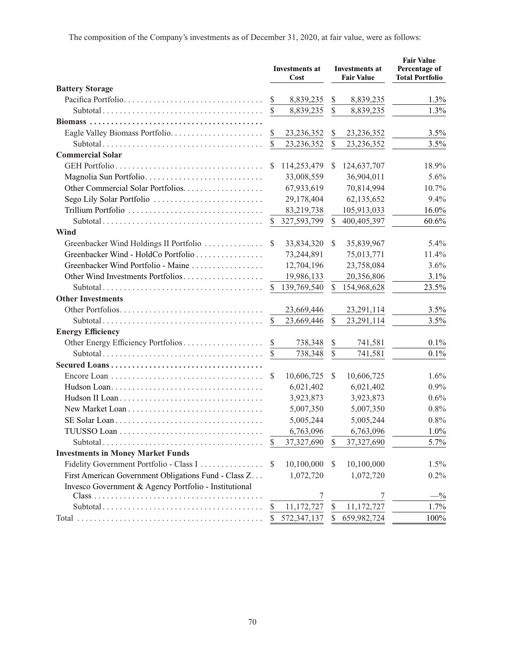|                                                       |               | <b>Investments at</b><br>Cost |               | <b>Investments at</b><br><b>Fair Value</b> | <b>Fair Value</b><br>Percentage of<br><b>Total Portfolio</b> |
|-------------------------------------------------------|---------------|-------------------------------|---------------|--------------------------------------------|--------------------------------------------------------------|
| <b>Battery Storage</b>                                |               |                               |               |                                            |                                                              |
| Pacifica Portfolio                                    | <sup>\$</sup> | 8,839,235                     | \$            | 8,839,235                                  | 1.3%                                                         |
|                                                       |               | 8,839,235                     | \$            | 8,839,235                                  | 1.3%                                                         |
|                                                       |               |                               |               |                                            |                                                              |
|                                                       | \$            | 23, 236, 352                  | \$            | 23,236,352                                 | 3.5%                                                         |
|                                                       | $\mathbb{S}$  | 23,236,352                    | $\mathcal{S}$ | 23,236,352                                 | 3.5%                                                         |
| <b>Commercial Solar</b>                               |               |                               |               |                                            |                                                              |
|                                                       | S             | 114,253,479                   | \$            | 124,637,707                                | 18.9%                                                        |
| Magnolia Sun Portfolio                                |               | 33,008,559                    |               | 36,904,011                                 | 5.6%                                                         |
| Other Commercial Solar Portfolios.                    |               | 67,933,619                    |               | 70,814,994                                 | 10.7%                                                        |
| Sego Lily Solar Portfolio                             |               | 29,178,404                    |               | 62,135,652                                 | 9.4%                                                         |
| Trillium Portfolio                                    |               | 83,219,738                    |               | 105,913,033                                | 16.0%                                                        |
|                                                       | $\mathbb{S}$  | 327,593,799                   | $\mathbb{S}$  | 400,405,397                                | 60.6%                                                        |
| Wind                                                  |               |                               |               |                                            |                                                              |
| Greenbacker Wind Holdings II Portfolio                | S             | 33,834,320                    | \$            | 35,839,967                                 | 5.4%                                                         |
| Greenbacker Wind - HoldCo Portfolio                   |               | 73,244,891                    |               | 75,013,771                                 | 11.4%                                                        |
| Greenbacker Wind Portfolio - Maine                    |               | 12,704,196                    |               | 23,758,084                                 | 3.6%                                                         |
| Other Wind Investments Portfolios                     |               | 19,986,133                    |               | 20,356,806                                 | 3.1%                                                         |
|                                                       | $\mathbb{S}$  | 139,769,540                   | $\mathcal{S}$ | 154,968,628                                | 23.5%                                                        |
| <b>Other Investments</b>                              |               |                               |               |                                            |                                                              |
|                                                       |               | 23,669,446                    |               | 23,291,114                                 | 3.5%                                                         |
|                                                       | <sup>\$</sup> | 23,669,446                    | \$            | 23,291,114                                 | 3.5%                                                         |
| <b>Energy Efficiency</b>                              |               |                               |               |                                            |                                                              |
|                                                       | <sup>\$</sup> | 738,348                       | \$            | 741,581                                    | $0.1\%$                                                      |
|                                                       | $\mathbb{S}$  | 738,348                       | $\mathbb{S}$  | 741,581                                    | 0.1%                                                         |
|                                                       |               |                               |               |                                            |                                                              |
|                                                       | S             | 10,606,725                    | \$            | 10,606,725                                 | $1.6\%$                                                      |
|                                                       |               | 6,021,402                     |               | 6,021,402                                  | 0.9%                                                         |
|                                                       |               | 3,923,873                     |               | 3,923,873                                  | 0.6%                                                         |
|                                                       |               | 5,007,350                     |               | 5,007,350                                  | 0.8%                                                         |
|                                                       |               | 5,005,244                     |               | 5,005,244                                  | 0.8%                                                         |
|                                                       |               | 6,763,096                     |               | 6,763,096                                  | 1.0%                                                         |
|                                                       | S             | 37,327,690                    | S             | 37,327,690                                 | 5.7%                                                         |
| <b>Investments in Money Market Funds</b>              |               |                               |               |                                            |                                                              |
| Fidelity Government Portfolio - Class I               | S             | 10,100,000                    | S             | 10,100,000                                 | 1.5%                                                         |
| First American Government Obligations Fund - Class Z  |               | 1,072,720                     |               | 1,072,720                                  | $0.2\%$                                                      |
| Invesco Government & Agency Portfolio - Institutional |               |                               |               |                                            |                                                              |
|                                                       |               |                               |               |                                            | $-$ %                                                        |
|                                                       | \$            | 11,172,727                    | \$            | 11,172,727                                 | 1.7%                                                         |
|                                                       |               | 572,347,137                   | \$            | 659,982,724                                | 100%                                                         |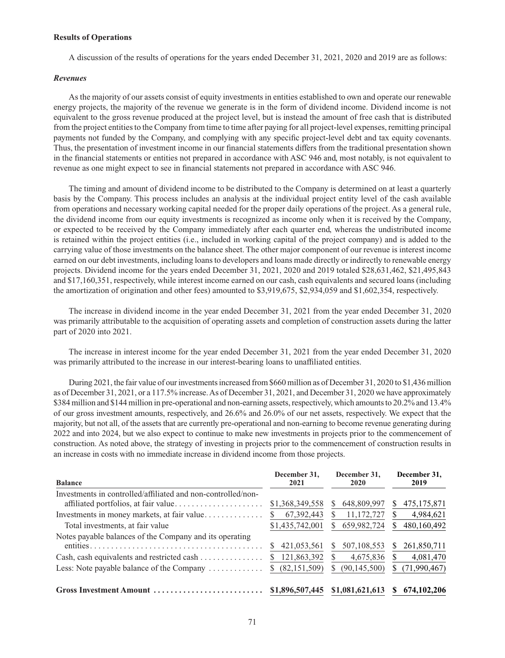### **Results of Operations**

A discussion of the results of operations for the years ended December 31, 2021, 2020 and 2019 are as follows:

# *Revenues*

As the majority of our assets consist of equity investments in entities established to own and operate our renewable energy projects, the majority of the revenue we generate is in the form of dividend income. Dividend income is not equivalent to the gross revenue produced at the project level, but is instead the amount of free cash that is distributed from the project entities to the Company from time to time after paying for all project-level expenses, remitting principal payments not funded by the Company, and complying with any specific project-level debt and tax equity covenants. Thus, the presentation of investment income in our financial statements differs from the traditional presentation shown in the financial statements or entities not prepared in accordance with ASC 946 and, most notably, is not equivalent to revenue as one might expect to see in financial statements not prepared in accordance with ASC 946.

The timing and amount of dividend income to be distributed to the Company is determined on at least a quarterly basis by the Company. This process includes an analysis at the individual project entity level of the cash available from operations and necessary working capital needed for the proper daily operations of the project. As a general rule, the dividend income from our equity investments is recognized as income only when it is received by the Company, or expected to be received by the Company immediately after each quarter end, whereas the undistributed income is retained within the project entities (i.e., included in working capital of the project company) and is added to the carrying value of those investments on the balance sheet. The other major component of our revenue is interest income earned on our debt investments, including loans to developers and loans made directly or indirectly to renewable energy projects. Dividend income for the years ended December 31, 2021, 2020 and 2019 totaled \$28,631,462, \$21,495,843 and \$17,160,351, respectively, while interest income earned on our cash, cash equivalents and secured loans (including the amortization of origination and other fees) amounted to \$3,919,675, \$2,934,059 and \$1,602,354, respectively.

The increase in dividend income in the year ended December 31, 2021 from the year ended December 31, 2020 was primarily attributable to the acquisition of operating assets and completion of construction assets during the latter part of 2020 into 2021.

The increase in interest income for the year ended December 31, 2021 from the year ended December 31, 2020 was primarily attributed to the increase in our interest-bearing loans to unaffiliated entities.

During 2021, the fair value of our investments increased from \$660 million as of December 31, 2020 to \$1,436 million as of December 31, 2021, or a 117.5% increase. As of December 31, 2021, and December 31, 2020 we have approximately \$384 million and \$144 million in pre-operational and non-earning assets, respectively, which amounts to 20.2% and 13.4% of our gross investment amounts, respectively, and 26.6% and 26.0% of our net assets, respectively. We expect that the majority, but not all, of the assets that are currently pre-operational and non-earning to become revenue generating during 2022 and into 2024, but we also expect to continue to make new investments in projects prior to the commencement of construction. As noted above, the strategy of investing in projects prior to the commencement of construction results in an increase in costs with no immediate increase in dividend income from those projects.

| <b>Balance</b>                                                       | December 31.<br>2021     | December 31.<br>2020 | December 31,<br>2019 |
|----------------------------------------------------------------------|--------------------------|----------------------|----------------------|
| Investments in controlled/affiliated and non-controlled/non-         | \$1,368,349,558          | 648,809,997<br>S.    | 475, 175, 871        |
| Investments in money markets, at fair value                          | 67, 392, 443<br><b>S</b> | 11,172,727           | 4,984,621            |
| Total investments, at fair value                                     | \$1,435,742,001          | 659,982,724<br>S.    | 480,160,492          |
| Notes payable balances of the Company and its operating              | 421,053,561<br>S         | 507, 108, 553<br>S   | 261,850,711<br>S.    |
| Cash, cash equivalents and restricted cash $\dots \dots \dots \dots$ | 121,863,392              | 4,675,836            | 4,081,470            |
| Less: Note payable balance of the Company                            | (82, 151, 509)<br>S.     | (90, 145, 500)<br>S  | (71, 990, 467)       |
| Gross Investment Amount                                              | \$1,896,507,445          | \$1,081,621,613      | 674, 102, 206        |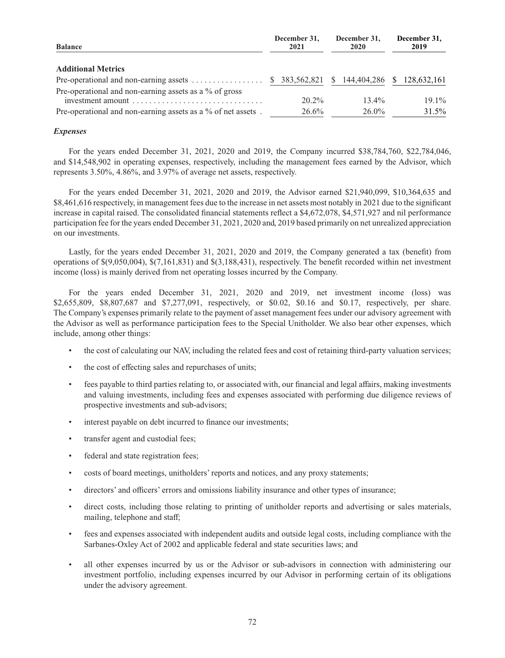| <b>Balance</b>                                                      | December 31,<br>2021 | December 31.<br>2020       | December 31,<br>2019 |
|---------------------------------------------------------------------|----------------------|----------------------------|----------------------|
| <b>Additional Metrics</b>                                           |                      |                            |                      |
| Pre-operational and non-earning assets $\dots \dots \dots \dots$ \$ |                      | 383,562,821 \$ 144,404,286 | \$ 128,632,161       |
| Pre-operational and non-earning assets as a % of gross              |                      |                            |                      |
|                                                                     | $20.2\%$             | $13.4\%$                   | $19.1\%$             |
| Pre-operational and non-earning assets as a % of net assets.        | 26.6%                | 26.0%                      | 31.5%                |

# *Expenses*

For the years ended December 31, 2021, 2020 and 2019, the Company incurred \$38,784,760, \$22,784,046, and \$14,548,902 in operating expenses, respectively, including the management fees earned by the Advisor, which represents 3.50%, 4.86%, and 3.97% of average net assets, respectively.

For the years ended December 31, 2021, 2020 and 2019, the Advisor earned \$21,940,099, \$10,364,635 and \$8,461,616 respectively, in management fees due to the increase in net assets most notably in 2021 due to the significant increase in capital raised. The consolidated financial statements reflect a \$4,672,078, \$4,571,927 and nil performance participation fee for the years ended December 31, 2021, 2020 and, 2019 based primarily on net unrealized appreciation on our investments.

Lastly, for the years ended December 31, 2021, 2020 and 2019, the Company generated a tax (benefit) from operations of \$(9,050,004), \$(7,161,831) and \$(3,188,431), respectively. The benefit recorded within net investment income (loss) is mainly derived from net operating losses incurred by the Company.

For the years ended December 31, 2021, 2020 and 2019, net investment income (loss) was \$2,655,809, \$8,807,687 and \$7,277,091, respectively, or \$0.02, \$0.16 and \$0.17, respectively, per share. The Company's expenses primarily relate to the payment of asset management fees under our advisory agreement with the Advisor as well as performance participation fees to the Special Unitholder. We also bear other expenses, which include, among other things:

- the cost of calculating our NAV, including the related fees and cost of retaining third-party valuation services;
- the cost of effecting sales and repurchases of units;
- fees payable to third parties relating to, or associated with, our financial and legal affairs, making investments and valuing investments, including fees and expenses associated with performing due diligence reviews of prospective investments and sub-advisors;
- interest payable on debt incurred to finance our investments;
- transfer agent and custodial fees;
- federal and state registration fees;
- costs of board meetings, unitholders' reports and notices, and any proxy statements;
- directors' and officers' errors and omissions liability insurance and other types of insurance;
- direct costs, including those relating to printing of unitholder reports and advertising or sales materials, mailing, telephone and staff;
- fees and expenses associated with independent audits and outside legal costs, including compliance with the Sarbanes-Oxley Act of 2002 and applicable federal and state securities laws; and
- all other expenses incurred by us or the Advisor or sub-advisors in connection with administering our investment portfolio, including expenses incurred by our Advisor in performing certain of its obligations under the advisory agreement.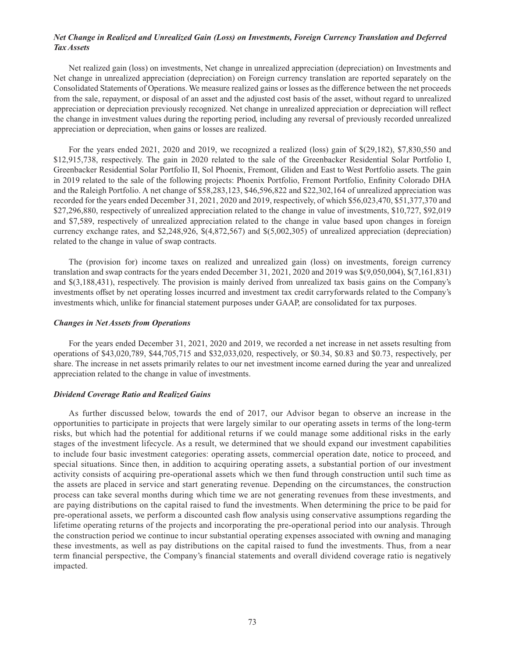# *Net Change in Realized and Unrealized Gain (Loss) on Investments, Foreign Currency Translation and Deferred Tax Assets*

Net realized gain (loss) on investments, Net change in unrealized appreciation (depreciation) on Investments and Net change in unrealized appreciation (depreciation) on Foreign currency translation are reported separately on the Consolidated Statements of Operations. We measure realized gains or losses as the difference between the net proceeds from the sale, repayment, or disposal of an asset and the adjusted cost basis of the asset, without regard to unrealized appreciation or depreciation previously recognized. Net change in unrealized appreciation or depreciation will reflect the change in investment values during the reporting period, including any reversal of previously recorded unrealized appreciation or depreciation, when gains or losses are realized.

For the years ended 2021, 2020 and 2019, we recognized a realized (loss) gain of \$(29,182), \$7,830,550 and \$12,915,738, respectively. The gain in 2020 related to the sale of the Greenbacker Residential Solar Portfolio I, Greenbacker Residential Solar Portfolio II, Sol Phoenix, Fremont, Gliden and East to West Portfolio assets. The gain in 2019 related to the sale of the following projects: Phoenix Portfolio, Fremont Portfolio, Enfinity Colorado DHA and the Raleigh Portfolio. A net change of \$58,283,123, \$46,596,822 and \$22,302,164 of unrealized appreciation was recorded for the years ended December 31, 2021, 2020 and 2019, respectively, of which \$56,023,470, \$51,377,370 and \$27,296,880, respectively of unrealized appreciation related to the change in value of investments, \$10,727, \$92,019 and \$7,589, respectively of unrealized appreciation related to the change in value based upon changes in foreign currency exchange rates, and \$2,248,926, \$(4,872,567) and \$(5,002,305) of unrealized appreciation (depreciation) related to the change in value of swap contracts.

The (provision for) income taxes on realized and unrealized gain (loss) on investments, foreign currency translation and swap contracts for the years ended December 31, 2021, 2020 and 2019 was \$(9,050,004), \$(7,161,831) and \$(3,188,431), respectively. The provision is mainly derived from unrealized tax basis gains on the Company's investments offset by net operating losses incurred and investment tax credit carryforwards related to the Company's investments which, unlike for financial statement purposes under GAAP, are consolidated for tax purposes.

# *Changes in Net Assets from Operations*

For the years ended December 31, 2021, 2020 and 2019, we recorded a net increase in net assets resulting from operations of \$43,020,789, \$44,705,715 and \$32,033,020, respectively, or \$0.34, \$0.83 and \$0.73, respectively, per share. The increase in net assets primarily relates to our net investment income earned during the year and unrealized appreciation related to the change in value of investments.

# *Dividend Coverage Ratio and Realized Gains*

As further discussed below, towards the end of 2017, our Advisor began to observe an increase in the opportunities to participate in projects that were largely similar to our operating assets in terms of the long-term risks, but which had the potential for additional returns if we could manage some additional risks in the early stages of the investment lifecycle. As a result, we determined that we should expand our investment capabilities to include four basic investment categories: operating assets, commercial operation date, notice to proceed, and special situations. Since then, in addition to acquiring operating assets, a substantial portion of our investment activity consists of acquiring pre-operational assets which we then fund through construction until such time as the assets are placed in service and start generating revenue. Depending on the circumstances, the construction process can take several months during which time we are not generating revenues from these investments, and are paying distributions on the capital raised to fund the investments. When determining the price to be paid for pre-operational assets, we perform a discounted cash flow analysis using conservative assumptions regarding the lifetime operating returns of the projects and incorporating the pre-operational period into our analysis. Through the construction period we continue to incur substantial operating expenses associated with owning and managing these investments, as well as pay distributions on the capital raised to fund the investments. Thus, from a near term financial perspective, the Company's financial statements and overall dividend coverage ratio is negatively impacted.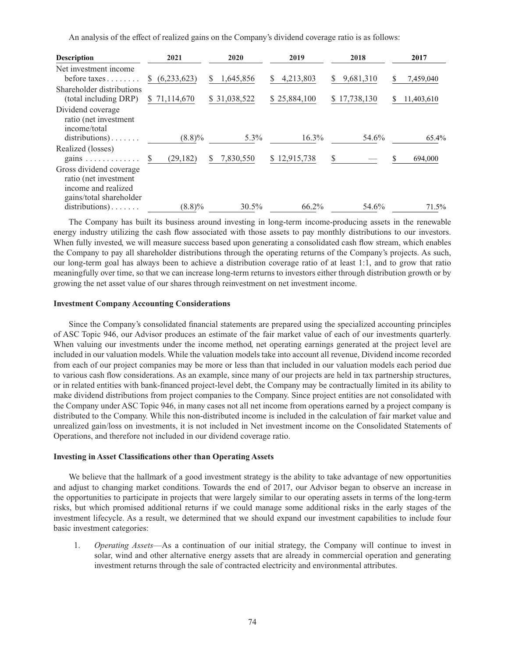An analysis of the effect of realized gains on the Company's dividend coverage ratio is as follows:

| <b>Description</b>                                                                                                                   | 2021                      | 2020            | 2019           | 2018            | 2017            |
|--------------------------------------------------------------------------------------------------------------------------------------|---------------------------|-----------------|----------------|-----------------|-----------------|
| Net investment income<br>before taxes                                                                                                | (6,233,623)<br>S.         | 1,645,856<br>S. | 4,213,803<br>S | 9,681,310<br>S. | 7,459,040<br>S. |
| Shareholder distributions<br>(total including DRP)                                                                                   | \$71,114,670              | \$31,038,522    | \$25,884,100   | \$17,738,130    | 11,403,610<br>S |
| Dividend coverage<br>ratio (net investment<br>income/total                                                                           | $(8.8)\%$                 | 5.3%            | $16.3\%$       | 54.6%           | 65.4%           |
| $distributions) \ldots \ldots$<br>Realized (losses)                                                                                  |                           |                 |                |                 |                 |
| gains $\ldots \ldots \ldots \ldots$                                                                                                  | (29, 182)<br><sup>S</sup> | 7,830,550       | \$12,915,738   | <sup>S</sup>    | 694,000<br>\$.  |
| Gross dividend coverage<br>ratio (net investment<br>income and realized<br>gains/total shareholder<br>$distributions) \ldots \ldots$ | $(8.8)\%$                 | $30.5\%$        | 66.2%          | 54.6%           | 71.5%           |

The Company has built its business around investing in long-term income-producing assets in the renewable energy industry utilizing the cash flow associated with those assets to pay monthly distributions to our investors. When fully invested, we will measure success based upon generating a consolidated cash flow stream, which enables the Company to pay all shareholder distributions through the operating returns of the Company's projects. As such, our long-term goal has always been to achieve a distribution coverage ratio of at least 1:1, and to grow that ratio meaningfully over time, so that we can increase long-term returns to investors either through distribution growth or by growing the net asset value of our shares through reinvestment on net investment income.

#### **Investment Company Accounting Considerations**

Since the Company's consolidated financial statements are prepared using the specialized accounting principles of ASC Topic 946, our Advisor produces an estimate of the fair market value of each of our investments quarterly. When valuing our investments under the income method, net operating earnings generated at the project level are included in our valuation models. While the valuation models take into account all revenue, Dividend income recorded from each of our project companies may be more or less than that included in our valuation models each period due to various cash flow considerations. As an example, since many of our projects are held in tax partnership structures, or in related entities with bank-financed project-level debt, the Company may be contractually limited in its ability to make dividend distributions from project companies to the Company. Since project entities are not consolidated with the Company under ASC Topic 946, in many cases not all net income from operations earned by a project company is distributed to the Company. While this non-distributed income is included in the calculation of fair market value and unrealized gain/loss on investments, it is not included in Net investment income on the Consolidated Statements of Operations, and therefore not included in our dividend coverage ratio.

#### **Investing in Asset Classifications other than Operating Assets**

We believe that the hallmark of a good investment strategy is the ability to take advantage of new opportunities and adjust to changing market conditions. Towards the end of 2017, our Advisor began to observe an increase in the opportunities to participate in projects that were largely similar to our operating assets in terms of the long-term risks, but which promised additional returns if we could manage some additional risks in the early stages of the investment lifecycle. As a result, we determined that we should expand our investment capabilities to include four basic investment categories:

1. *Operating Assets*—As a continuation of our initial strategy, the Company will continue to invest in solar, wind and other alternative energy assets that are already in commercial operation and generating investment returns through the sale of contracted electricity and environmental attributes.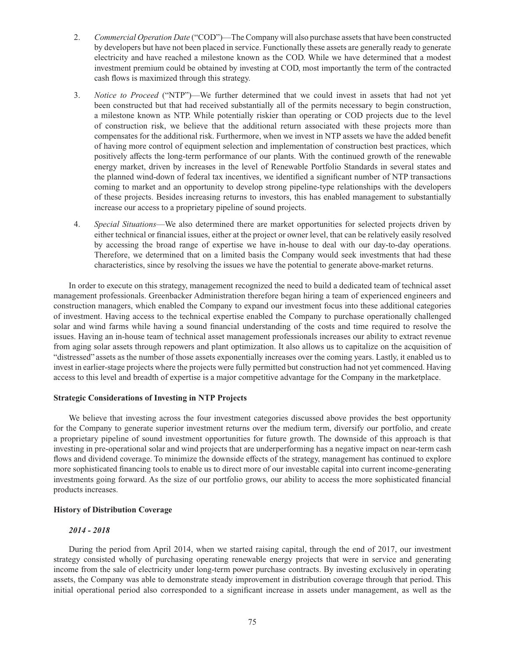- 2. *Commercial Operation Date* ("COD")—The Company will also purchase assets that have been constructed by developers but have not been placed in service. Functionally these assets are generally ready to generate electricity and have reached a milestone known as the COD. While we have determined that a modest investment premium could be obtained by investing at COD, most importantly the term of the contracted cash flows is maximized through this strategy.
- 3. *Notice to Proceed* ("NTP")—We further determined that we could invest in assets that had not yet been constructed but that had received substantially all of the permits necessary to begin construction, a milestone known as NTP. While potentially riskier than operating or COD projects due to the level of construction risk, we believe that the additional return associated with these projects more than compensates for the additional risk. Furthermore, when we invest in NTP assets we have the added benefit of having more control of equipment selection and implementation of construction best practices, which positively affects the long-term performance of our plants. With the continued growth of the renewable energy market, driven by increases in the level of Renewable Portfolio Standards in several states and the planned wind-down of federal tax incentives, we identified a significant number of NTP transactions coming to market and an opportunity to develop strong pipeline-type relationships with the developers of these projects. Besides increasing returns to investors, this has enabled management to substantially increase our access to a proprietary pipeline of sound projects.
- 4. *Special Situations*—We also determined there are market opportunities for selected projects driven by either technical or financial issues, either at the project or owner level, that can be relatively easily resolved by accessing the broad range of expertise we have in-house to deal with our day-to-day operations. Therefore, we determined that on a limited basis the Company would seek investments that had these characteristics, since by resolving the issues we have the potential to generate above-market returns.

In order to execute on this strategy, management recognized the need to build a dedicated team of technical asset management professionals. Greenbacker Administration therefore began hiring a team of experienced engineers and construction managers, which enabled the Company to expand our investment focus into these additional categories of investment. Having access to the technical expertise enabled the Company to purchase operationally challenged solar and wind farms while having a sound financial understanding of the costs and time required to resolve the issues. Having an in-house team of technical asset management professionals increases our ability to extract revenue from aging solar assets through repowers and plant optimization. It also allows us to capitalize on the acquisition of "distressed" assets as the number of those assets exponentially increases over the coming years. Lastly, it enabled us to invest in earlier-stage projects where the projects were fully permitted but construction had not yet commenced. Having access to this level and breadth of expertise is a major competitive advantage for the Company in the marketplace.

# **Strategic Considerations of Investing in NTP Projects**

We believe that investing across the four investment categories discussed above provides the best opportunity for the Company to generate superior investment returns over the medium term, diversify our portfolio, and create a proprietary pipeline of sound investment opportunities for future growth. The downside of this approach is that investing in pre-operational solar and wind projects that are underperforming has a negative impact on near-term cash flows and dividend coverage. To minimize the downside effects of the strategy, management has continued to explore more sophisticated financing tools to enable us to direct more of our investable capital into current income-generating investments going forward. As the size of our portfolio grows, our ability to access the more sophisticated financial products increases.

# **History of Distribution Coverage**

# *2014 - 2018*

During the period from April 2014, when we started raising capital, through the end of 2017, our investment strategy consisted wholly of purchasing operating renewable energy projects that were in service and generating income from the sale of electricity under long-term power purchase contracts. By investing exclusively in operating assets, the Company was able to demonstrate steady improvement in distribution coverage through that period. This initial operational period also corresponded to a significant increase in assets under management, as well as the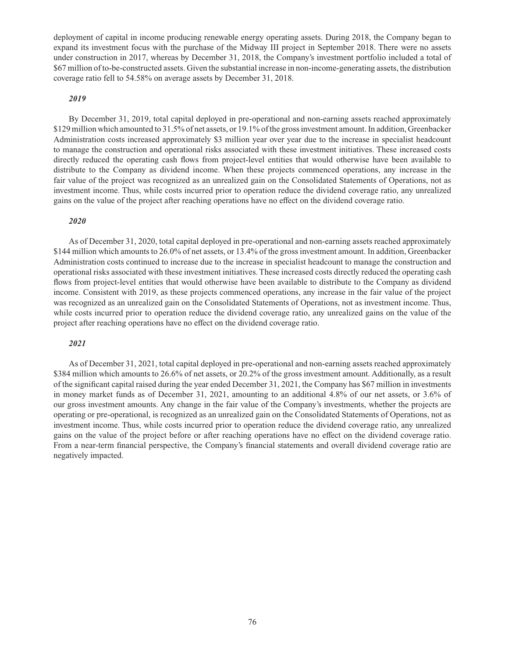deployment of capital in income producing renewable energy operating assets. During 2018, the Company began to expand its investment focus with the purchase of the Midway III project in September 2018. There were no assets under construction in 2017, whereas by December 31, 2018, the Company's investment portfolio included a total of \$67 million of to-be-constructed assets. Given the substantial increase in non-income-generating assets, the distribution coverage ratio fell to 54.58% on average assets by December 31, 2018.

# *2019*

By December 31, 2019, total capital deployed in pre-operational and non-earning assets reached approximately \$129 million which amounted to 31.5% of net assets, or 19.1% of the gross investment amount. In addition, Greenbacker Administration costs increased approximately \$3 million year over year due to the increase in specialist headcount to manage the construction and operational risks associated with these investment initiatives. These increased costs directly reduced the operating cash flows from project-level entities that would otherwise have been available to distribute to the Company as dividend income. When these projects commenced operations, any increase in the fair value of the project was recognized as an unrealized gain on the Consolidated Statements of Operations, not as investment income. Thus, while costs incurred prior to operation reduce the dividend coverage ratio, any unrealized gains on the value of the project after reaching operations have no effect on the dividend coverage ratio.

# *2020*

As of December 31, 2020, total capital deployed in pre-operational and non-earning assets reached approximately \$144 million which amounts to 26.0% of net assets, or 13.4% of the gross investment amount. In addition, Greenbacker Administration costs continued to increase due to the increase in specialist headcount to manage the construction and operational risks associated with these investment initiatives. These increased costs directly reduced the operating cash flows from project-level entities that would otherwise have been available to distribute to the Company as dividend income. Consistent with 2019, as these projects commenced operations, any increase in the fair value of the project was recognized as an unrealized gain on the Consolidated Statements of Operations, not as investment income. Thus, while costs incurred prior to operation reduce the dividend coverage ratio, any unrealized gains on the value of the project after reaching operations have no effect on the dividend coverage ratio.

# *2021*

As of December 31, 2021, total capital deployed in pre-operational and non-earning assets reached approximately \$384 million which amounts to 26.6% of net assets, or 20.2% of the gross investment amount. Additionally, as a result of the significant capital raised during the year ended December 31, 2021, the Company has \$67 million in investments in money market funds as of December 31, 2021, amounting to an additional 4.8% of our net assets, or 3.6% of our gross investment amounts. Any change in the fair value of the Company's investments, whether the projects are operating or pre-operational, is recognized as an unrealized gain on the Consolidated Statements of Operations, not as investment income. Thus, while costs incurred prior to operation reduce the dividend coverage ratio, any unrealized gains on the value of the project before or after reaching operations have no effect on the dividend coverage ratio. From a near-term financial perspective, the Company's financial statements and overall dividend coverage ratio are negatively impacted.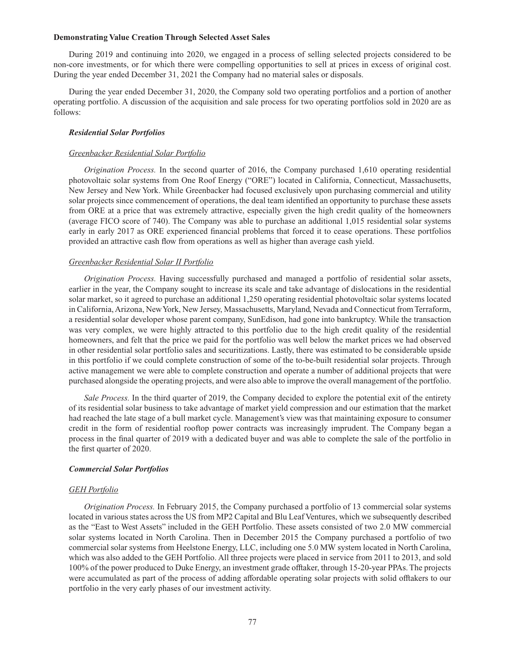### **Demonstrating Value Creation Through Selected Asset Sales**

During 2019 and continuing into 2020, we engaged in a process of selling selected projects considered to be non-core investments, or for which there were compelling opportunities to sell at prices in excess of original cost. During the year ended December 31, 2021 the Company had no material sales or disposals.

During the year ended December 31, 2020, the Company sold two operating portfolios and a portion of another operating portfolio. A discussion of the acquisition and sale process for two operating portfolios sold in 2020 are as follows:

### *Residential Solar Portfolios*

### *Greenbacker Residential Solar Portfolio*

*Origination Process.* In the second quarter of 2016, the Company purchased 1,610 operating residential photovoltaic solar systems from One Roof Energy ("ORE") located in California, Connecticut, Massachusetts, New Jersey and New York. While Greenbacker had focused exclusively upon purchasing commercial and utility solar projects since commencement of operations, the deal team identified an opportunity to purchase these assets from ORE at a price that was extremely attractive, especially given the high credit quality of the homeowners (average FICO score of 740). The Company was able to purchase an additional 1,015 residential solar systems early in early 2017 as ORE experienced financial problems that forced it to cease operations. These portfolios provided an attractive cash flow from operations as well as higher than average cash yield.

# *Greenbacker Residential Solar II Portfolio*

*Origination Process.* Having successfully purchased and managed a portfolio of residential solar assets, earlier in the year, the Company sought to increase its scale and take advantage of dislocations in the residential solar market, so it agreed to purchase an additional 1,250 operating residential photovoltaic solar systems located in California, Arizona, New York, New Jersey, Massachusetts, Maryland, Nevada and Connecticut from Terraform, a residential solar developer whose parent company, SunEdison, had gone into bankruptcy. While the transaction was very complex, we were highly attracted to this portfolio due to the high credit quality of the residential homeowners, and felt that the price we paid for the portfolio was well below the market prices we had observed in other residential solar portfolio sales and securitizations. Lastly, there was estimated to be considerable upside in this portfolio if we could complete construction of some of the to-be-built residential solar projects. Through active management we were able to complete construction and operate a number of additional projects that were purchased alongside the operating projects, and were also able to improve the overall management of the portfolio.

*Sale Process.* In the third quarter of 2019, the Company decided to explore the potential exit of the entirety of its residential solar business to take advantage of market yield compression and our estimation that the market had reached the late stage of a bull market cycle. Management's view was that maintaining exposure to consumer credit in the form of residential rooftop power contracts was increasingly imprudent. The Company began a process in the final quarter of 2019 with a dedicated buyer and was able to complete the sale of the portfolio in the first quarter of 2020.

#### *Commercial Solar Portfolios*

### *GEH Portfolio*

*Origination Process.* In February 2015, the Company purchased a portfolio of 13 commercial solar systems located in various states across the US from MP2 Capital and Blu Leaf Ventures, which we subsequently described as the "East to West Assets" included in the GEH Portfolio. These assets consisted of two 2.0 MW commercial solar systems located in North Carolina. Then in December 2015 the Company purchased a portfolio of two commercial solar systems from Heelstone Energy, LLC, including one 5.0 MW system located in North Carolina, which was also added to the GEH Portfolio. All three projects were placed in service from 2011 to 2013, and sold 100% of the power produced to Duke Energy, an investment grade offtaker, through 15-20-year PPAs. The projects were accumulated as part of the process of adding affordable operating solar projects with solid offtakers to our portfolio in the very early phases of our investment activity.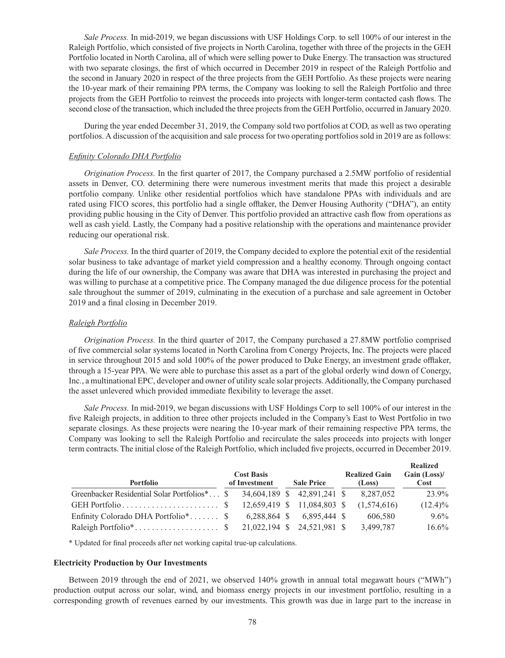*Sale Process.* In mid-2019, we began discussions with USF Holdings Corp. to sell 100% of our interest in the Raleigh Portfolio, which consisted of five projects in North Carolina, together with three of the projects in the GEH Portfolio located in North Carolina, all of which were selling power to Duke Energy. The transaction was structured with two separate closings, the first of which occurred in December 2019 in respect of the Raleigh Portfolio and the second in January 2020 in respect of the three projects from the GEH Portfolio. As these projects were nearing the 10-year mark of their remaining PPA terms, the Company was looking to sell the Raleigh Portfolio and three projects from the GEH Portfolio to reinvest the proceeds into projects with longer-term contacted cash flows. The second close of the transaction, which included the three projects from the GEH Portfolio, occurred in January 2020.

During the year ended December 31, 2019, the Company sold two portfolios at COD, as well as two operating portfolios. A discussion of the acquisition and sale process for two operating portfolios sold in 2019 are as follows:

### *Enfinity Colorado DHA Portfolio*

*Origination Process.* In the first quarter of 2017, the Company purchased a 2.5MW portfolio of residential assets in Denver, CO. determining there were numerous investment merits that made this project a desirable portfolio company. Unlike other residential portfolios which have standalone PPAs with individuals and are rated using FICO scores, this portfolio had a single offtaker, the Denver Housing Authority ("DHA"), an entity providing public housing in the City of Denver. This portfolio provided an attractive cash flow from operations as well as cash yield. Lastly, the Company had a positive relationship with the operations and maintenance provider reducing our operational risk.

*Sale Process.* In the third quarter of 2019, the Company decided to explore the potential exit of the residential solar business to take advantage of market yield compression and a healthy economy. Through ongoing contact during the life of our ownership, the Company was aware that DHA was interested in purchasing the project and was willing to purchase at a competitive price. The Company managed the due diligence process for the potential sale throughout the summer of 2019, culminating in the execution of a purchase and sale agreement in October 2019 and a final closing in December 2019.

### *Raleigh Portfolio*

*Origination Process.* In the third quarter of 2017, the Company purchased a 27.8MW portfolio comprised of five commercial solar systems located in North Carolina from Conergy Projects, Inc. The projects were placed in service throughout 2015 and sold 100% of the power produced to Duke Energy, an investment grade offtaker, through a 15-year PPA. We were able to purchase this asset as a part of the global orderly wind down of Conergy, Inc., a multinational EPC, developer and owner of utility scale solar projects. Additionally, the Company purchased the asset unlevered which provided immediate flexibility to leverage the asset.

*Sale Process.* In mid-2019, we began discussions with USF Holdings Corp to sell 100% of our interest in the five Raleigh projects, in addition to three other projects included in the Company's East to West Portfolio in two separate closings. As these projects were nearing the 10-year mark of their remaining respective PPA terms, the Company was looking to sell the Raleigh Portfolio and recirculate the sales proceeds into projects with longer term contracts. The initial close of the Raleigh Portfolio, which included five projects, occurred in December 2019.

| Portfolio                                                | <b>Cost Basis</b><br>of Investment | <b>Sale Price</b>           | <b>Realized Gain</b><br>(Loss) | Realized<br>Gain $(Loss)$ /<br>Cost |
|----------------------------------------------------------|------------------------------------|-----------------------------|--------------------------------|-------------------------------------|
| Greenbacker Residential Solar Portfolios <sup>*</sup> \$ |                                    | 34,604,189 \$42,891,241 \$  | 8,287,052                      | 23.9%                               |
|                                                          |                                    | 12,659,419 \$ 11,084,803 \$ | (1,574,616)                    | $(12.4)\%$                          |
| Enfinity Colorado DHA Portfolio <sup>*</sup> \$          | 6.288.864 \$                       | 6.895.444 \$                | 606.580                        | $9.6\%$                             |
|                                                          |                                    |                             | 3,499,787                      | $16.6\%$                            |

\* Updated for final proceeds after net working capital true-up calculations.

#### **Electricity Production by Our Investments**

Between 2019 through the end of 2021, we observed 140% growth in annual total megawatt hours ("MWh") production output across our solar, wind, and biomass energy projects in our investment portfolio, resulting in a corresponding growth of revenues earned by our investments. This growth was due in large part to the increase in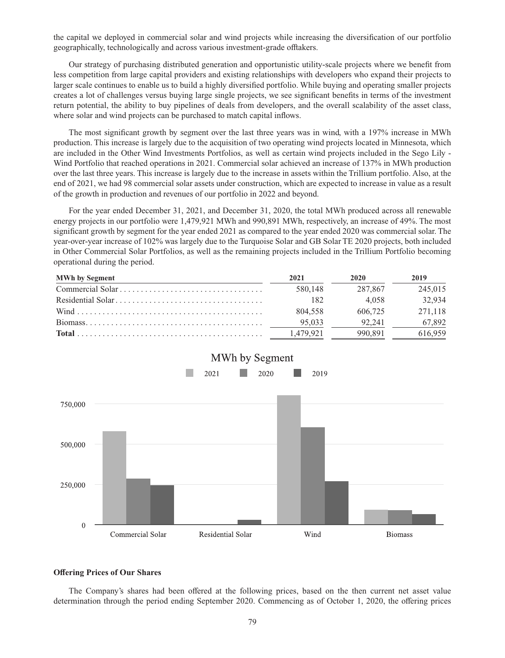the capital we deployed in commercial solar and wind projects while increasing the diversification of our portfolio geographically, technologically and across various investment-grade offtakers.

Our strategy of purchasing distributed generation and opportunistic utility-scale projects where we benefit from less competition from large capital providers and existing relationships with developers who expand their projects to larger scale continues to enable us to build a highly diversified portfolio. While buying and operating smaller projects creates a lot of challenges versus buying large single projects, we see significant benefits in terms of the investment return potential, the ability to buy pipelines of deals from developers, and the overall scalability of the asset class, where solar and wind projects can be purchased to match capital inflows.

The most significant growth by segment over the last three years was in wind, with a 197% increase in MWh production. This increase is largely due to the acquisition of two operating wind projects located in Minnesota, which are included in the Other Wind Investments Portfolios, as well as certain wind projects included in the Sego Lily - Wind Portfolio that reached operations in 2021. Commercial solar achieved an increase of 137% in MWh production over the last three years. This increase is largely due to the increase in assets within the Trillium portfolio. Also, at the end of 2021, we had 98 commercial solar assets under construction, which are expected to increase in value as a result of the growth in production and revenues of our portfolio in 2022 and beyond.

For the year ended December 31, 2021, and December 31, 2020, the total MWh produced across all renewable energy projects in our portfolio were 1,479,921 MWh and 990,891 MWh, respectively, an increase of 49%. The most significant growth by segment for the year ended 2021 as compared to the year ended 2020 was commercial solar. The year-over-year increase of 102% was largely due to the Turquoise Solar and GB Solar TE 2020 projects, both included in Other Commercial Solar Portfolios, as well as the remaining projects included in the Trillium Portfolio becoming operational during the period.

| <b>MWh by Segment</b> | 2021      | 2020    | 2019    |
|-----------------------|-----------|---------|---------|
|                       | 580,148   | 287.867 | 245,015 |
|                       | 182       | 4.058   | 32.934  |
|                       | 804.558   | 606,725 | 271.118 |
|                       | 95.033    | 92.241  | 67,892  |
|                       | 1.479.921 | 990.891 | 616,959 |



# **Offering Prices of Our Shares**

The Company's shares had been offered at the following prices, based on the then current net asset value determination through the period ending September 2020. Commencing as of October 1, 2020, the offering prices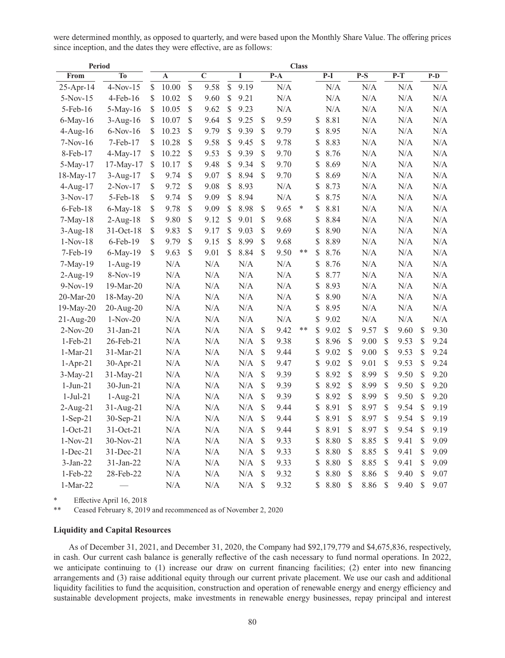were determined monthly, as opposed to quarterly, and were based upon the Monthly Share Value. The offering prices since inception, and the dates they were effective, are as follows:

| <b>Period</b>  |                | <b>Class</b> |           |              |                         |             |           |              |           |        |            |              |       |               |                  |              |       |
|----------------|----------------|--------------|-----------|--------------|-------------------------|-------------|-----------|--------------|-----------|--------|------------|--------------|-------|---------------|------------------|--------------|-------|
| From           | T <sub>0</sub> |              | A         |              | $\overline{\mathbf{C}}$ |             | I         |              | $P-A$     |        | $P-I$      |              | $P-S$ |               | $\overline{P-T}$ |              | $P-D$ |
| 25-Apr-14      | $4-Nov-15$     | \$           | 10.00     | \$           | 9.58                    | $\sqrt{\ }$ | 9.19      |              | N/A       |        | N/A        |              | N/A   |               | N/A              |              | N/A   |
| $5-Nov-15$     | 4-Feb-16       | \$           | 10.02     | $\mathbb{S}$ | 9.60                    | \$          | 9.21      |              | N/A       |        | N/A        |              | N/A   |               | N/A              |              | N/A   |
| $5$ -Feb-16    | $5-May-16$     | \$           | 10.05     | \$           | 9.62                    | \$          | 9.23      |              | N/A       |        | N/A        |              | N/A   |               | N/A              |              | N/A   |
| $6$ -May-16    | $3-Aug-16$     | \$           | 10.07     | \$           | 9.64                    | \$          | 9.25      | \$           | 9.59      |        | \$<br>8.81 |              | N/A   |               | N/A              |              | N/A   |
| $4$ -Aug-16    | $6-Nov-16$     | \$           | 10.23     | \$           | 9.79                    | \$          | 9.39      | \$           | 9.79      |        | \$<br>8.95 |              | N/A   |               | N/A              |              | N/A   |
| $7-Nov-16$     | 7-Feb-17       | \$           | 10.28     | \$           | 9.58                    | \$          | 9.45      | \$           | 9.78      |        | \$<br>8.83 |              | N/A   |               | $\rm N/A$        |              | N/A   |
| 8-Feb-17       | 4-May-17       | \$           | 10.22     | \$           | 9.53                    | \$          | 9.39      | \$           | 9.70      |        | \$<br>8.76 |              | N/A   |               | $\rm N/A$        |              | N/A   |
| 5-May-17       | 17-May-17      | \$           | 10.17     | \$           | 9.48                    | \$          | 9.34      | \$           | 9.70      |        | \$<br>8.69 |              | N/A   |               | $\rm N/A$        |              | N/A   |
| 18-May-17      | $3$ -Aug-17    | \$           | 9.74      | \$           | 9.07                    | \$          | 8.94      | \$           | 9.70      |        | \$<br>8.69 |              | N/A   |               | $\rm N/A$        |              | N/A   |
| $4-Aug-17$     | $2-Nov-17$     | \$           | 9.72      | \$           | 9.08                    | \$          | 8.93      |              | $\rm N/A$ |        | \$<br>8.73 |              | N/A   |               | $\rm N/A$        |              | N/A   |
| $3-Nov-17$     | 5-Feb-18       | \$           | 9.74      | \$           | 9.09                    | \$          | 8.94      |              | N/A       |        | \$<br>8.75 |              | N/A   |               | N/A              |              | N/A   |
| $6$ -Feb- $18$ | 6-May-18       | \$           | 9.78      | \$           | 9.09                    | \$          | 8.98      | $\mathbb{S}$ | 9.65      | $\ast$ | \$<br>8.81 |              | N/A   |               | N/A              |              | N/A   |
| $7-May-18$     | 2-Aug-18       | \$           | 9.80      | \$           | 9.12                    | \$          | 9.01      | \$           | 9.68      |        | \$<br>8.84 |              | N/A   |               | N/A              |              | N/A   |
| $3-Aug-18$     | 31-Oct-18      | \$           | 9.83      | \$           | 9.17                    | \$          | 9.03      | $\mathbb{S}$ | 9.69      |        | \$<br>8.90 |              | N/A   |               | N/A              |              | N/A   |
| $1-Nov-18$     | 6-Feb-19       | \$           | 9.79      | \$           | 9.15                    | \$          | 8.99      | $\mathbb{S}$ | 9.68      |        | \$<br>8.89 |              | N/A   |               | N/A              |              | N/A   |
| $7$ -Feb-19    | $6$ -May-19    | \$           | 9.63      | \$           | 9.01                    | \$          | 8.84      | $\mathbb{S}$ | 9.50      | **     | \$<br>8.76 |              | N/A   |               | N/A              |              | N/A   |
| $7-May-19$     | $1-Aug-19$     |              | N/A       |              | N/A                     |             | N/A       |              | N/A       |        | \$<br>8.76 |              | N/A   |               | N/A              |              | N/A   |
| $2$ -Aug-19    | $8-Nov-19$     |              | N/A       |              | N/A                     |             | N/A       |              | N/A       |        | \$<br>8.77 |              | N/A   |               | $\rm N/A$        |              | N/A   |
| $9-Nov-19$     | 19-Mar-20      |              | N/A       |              | N/A                     |             | $\rm N/A$ |              | $\rm N/A$ |        | \$<br>8.93 |              | N/A   |               | $\rm N/A$        |              | N/A   |
| 20-Mar-20      | 18-May-20      |              | N/A       |              | N/A                     |             | N/A       |              | N/A       |        | \$<br>8.90 |              | N/A   |               | $\rm N/A$        |              | N/A   |
| 19-May-20      | 20-Aug-20      |              | N/A       |              | N/A                     |             | $\rm N/A$ |              | $\rm N/A$ |        | \$<br>8.95 |              | N/A   |               | $\rm N/A$        |              | N/A   |
| 21-Aug-20      | $1-Nov-20$     |              | $\rm N/A$ |              | $\rm N/A$               |             | $\rm N/A$ |              | $\rm N/A$ |        | \$<br>9.02 |              | N/A   |               | $\rm N/A$        |              | N/A   |
| $2-Nov-20$     | 31-Jan-21      |              | N/A       |              | N/A                     |             | $\rm N/A$ | \$           | 9.42      | **     | \$<br>9.02 | $\mathbb{S}$ | 9.57  | $\mathcal{S}$ | 9.60             | $\mathbb{S}$ | 9.30  |
| $1-Feb-21$     | 26-Feb-21      |              | N/A       |              | N/A                     |             | N/A       | \$           | 9.38      |        | \$<br>8.96 | $\mathbb{S}$ | 9.00  | \$            | 9.53             | $\mathbb{S}$ | 9.24  |
| $1-Mar-21$     | 31-Mar-21      |              | N/A       |              | N/A                     |             | N/A       | \$           | 9.44      |        | \$<br>9.02 | $\mathbb{S}$ | 9.00  | \$            | 9.53             | \$           | 9.24  |
| $1-Apr-21$     | $30-Apr-21$    |              | N/A       |              | N/A                     |             | N/A       | \$           | 9.47      |        | \$<br>9.02 | \$           | 9.01  | \$            | 9.53             | \$           | 9.24  |
| $3-May-21$     | 31-May-21      |              | N/A       |              | N/A                     |             | $\rm N/A$ | \$           | 9.39      |        | \$<br>8.92 | $\mathbb{S}$ | 8.99  | \$            | 9.50             | \$           | 9.20  |
| $1-Jun-21$     | 30-Jun-21      |              | N/A       |              | N/A                     |             | N/A       | \$           | 9.39      |        | \$<br>8.92 | \$           | 8.99  | \$            | 9.50             | \$           | 9.20  |
| $1-Jul-21$     | $1-Aug-21$     |              | N/A       |              | N/A                     |             | N/A       | \$           | 9.39      |        | \$<br>8.92 | \$           | 8.99  | \$            | 9.50             | \$           | 9.20  |
| $2-Aug-21$     | 31-Aug-21      |              | N/A       |              | N/A                     |             | $\rm N/A$ | \$           | 9.44      |        | \$<br>8.91 | \$           | 8.97  | \$            | 9.54             | \$           | 9.19  |
| $1-Sep-21$     | 30-Sep-21      |              | N/A       |              | N/A                     |             | N/A       | \$           | 9.44      |        | \$<br>8.91 | \$           | 8.97  | \$            | 9.54             | \$           | 9.19  |
| $1-Oct-21$     | 31-Oct-21      |              | N/A       |              | N/A                     |             | N/A       | \$           | 9.44      |        | \$<br>8.91 | \$           | 8.97  | \$            | 9.54             | \$           | 9.19  |
| $1-Nov-21$     | 30-Nov-21      |              | N/A       |              | N/A                     |             | N/A       | \$           | 9.33      |        | \$<br>8.80 | $\mathbb{S}$ | 8.85  | \$            | 9.41             | \$           | 9.09  |
| $1-Dec-21$     | 31-Dec-21      |              | N/A       |              | N/A                     |             | $\rm N/A$ | \$           | 9.33      |        | \$<br>8.80 | $\mathbb{S}$ | 8.85  | \$            | 9.41             | \$           | 9.09  |
| $3-Jan-22$     | $31$ -Jan-22   |              | $\rm N/A$ |              | N/A                     |             | $\rm N/A$ | \$           | 9.33      |        | \$<br>8.80 | $\mathbb{S}$ | 8.85  | \$            | 9.41             | \$           | 9.09  |
| 1-Feb-22       | 28-Feb-22      |              | N/A       |              | N/A                     |             | N/A       | \$           | 9.32      |        | \$<br>8.80 | \$           | 8.86  | \$            | 9.40             | \$           | 9.07  |
| $1-Mar-22$     |                |              | N/A       |              | N/A                     |             | N/A       | \$           | 9.32      |        | \$<br>8.80 | $\mathbb{S}$ | 8.86  | \$            | 9.40             | $\mathbb{S}$ | 9.07  |

\* Effective April 16, 2018<br>\*\* Ceased February 8, 2019

Ceased February 8, 2019 and recommenced as of November 2, 2020

# **Liquidity and Capital Resources**

As of December 31, 2021, and December 31, 2020, the Company had \$92,179,779 and \$4,675,836, respectively, in cash. Our current cash balance is generally reflective of the cash necessary to fund normal operations. In 2022, we anticipate continuing to (1) increase our draw on current financing facilities; (2) enter into new financing arrangements and (3) raise additional equity through our current private placement. We use our cash and additional liquidity facilities to fund the acquisition, construction and operation of renewable energy and energy efficiency and sustainable development projects, make investments in renewable energy businesses, repay principal and interest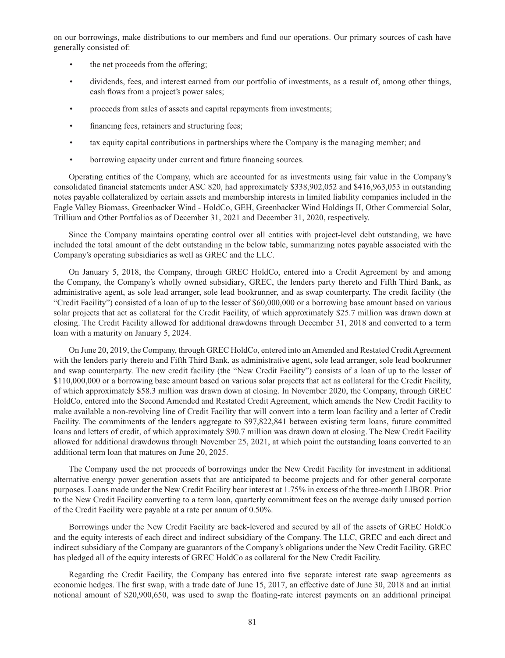on our borrowings, make distributions to our members and fund our operations. Our primary sources of cash have generally consisted of:

- the net proceeds from the offering;
- dividends, fees, and interest earned from our portfolio of investments, as a result of, among other things, cash flows from a project's power sales;
- proceeds from sales of assets and capital repayments from investments;
- financing fees, retainers and structuring fees;
- tax equity capital contributions in partnerships where the Company is the managing member; and
- borrowing capacity under current and future financing sources.

Operating entities of the Company, which are accounted for as investments using fair value in the Company's consolidated financial statements under ASC 820, had approximately \$338,902,052 and \$416,963,053 in outstanding notes payable collateralized by certain assets and membership interests in limited liability companies included in the Eagle Valley Biomass, Greenbacker Wind - HoldCo, GEH, Greenbacker Wind Holdings II, Other Commercial Solar, Trillium and Other Portfolios as of December 31, 2021 and December 31, 2020, respectively.

Since the Company maintains operating control over all entities with project-level debt outstanding, we have included the total amount of the debt outstanding in the below table, summarizing notes payable associated with the Company's operating subsidiaries as well as GREC and the LLC.

On January 5, 2018, the Company, through GREC HoldCo, entered into a Credit Agreement by and among the Company, the Company's wholly owned subsidiary, GREC, the lenders party thereto and Fifth Third Bank, as administrative agent, as sole lead arranger, sole lead bookrunner, and as swap counterparty. The credit facility (the "Credit Facility") consisted of a loan of up to the lesser of \$60,000,000 or a borrowing base amount based on various solar projects that act as collateral for the Credit Facility, of which approximately \$25.7 million was drawn down at closing. The Credit Facility allowed for additional drawdowns through December 31, 2018 and converted to a term loan with a maturity on January 5, 2024.

On June 20, 2019, the Company, through GREC HoldCo, entered into an Amended and Restated Credit Agreement with the lenders party thereto and Fifth Third Bank, as administrative agent, sole lead arranger, sole lead bookrunner and swap counterparty. The new credit facility (the "New Credit Facility") consists of a loan of up to the lesser of \$110,000,000 or a borrowing base amount based on various solar projects that act as collateral for the Credit Facility, of which approximately \$58.3 million was drawn down at closing. In November 2020, the Company, through GREC HoldCo, entered into the Second Amended and Restated Credit Agreement, which amends the New Credit Facility to make available a non-revolving line of Credit Facility that will convert into a term loan facility and a letter of Credit Facility. The commitments of the lenders aggregate to \$97,822,841 between existing term loans, future committed loans and letters of credit, of which approximately \$90.7 million was drawn down at closing. The New Credit Facility allowed for additional drawdowns through November 25, 2021, at which point the outstanding loans converted to an additional term loan that matures on June 20, 2025.

The Company used the net proceeds of borrowings under the New Credit Facility for investment in additional alternative energy power generation assets that are anticipated to become projects and for other general corporate purposes. Loans made under the New Credit Facility bear interest at 1.75% in excess of the three-month LIBOR. Prior to the New Credit Facility converting to a term loan, quarterly commitment fees on the average daily unused portion of the Credit Facility were payable at a rate per annum of 0.50%.

Borrowings under the New Credit Facility are back-levered and secured by all of the assets of GREC HoldCo and the equity interests of each direct and indirect subsidiary of the Company. The LLC, GREC and each direct and indirect subsidiary of the Company are guarantors of the Company's obligations under the New Credit Facility. GREC has pledged all of the equity interests of GREC HoldCo as collateral for the New Credit Facility.

Regarding the Credit Facility, the Company has entered into five separate interest rate swap agreements as economic hedges. The first swap, with a trade date of June 15, 2017, an effective date of June 30, 2018 and an initial notional amount of \$20,900,650, was used to swap the floating-rate interest payments on an additional principal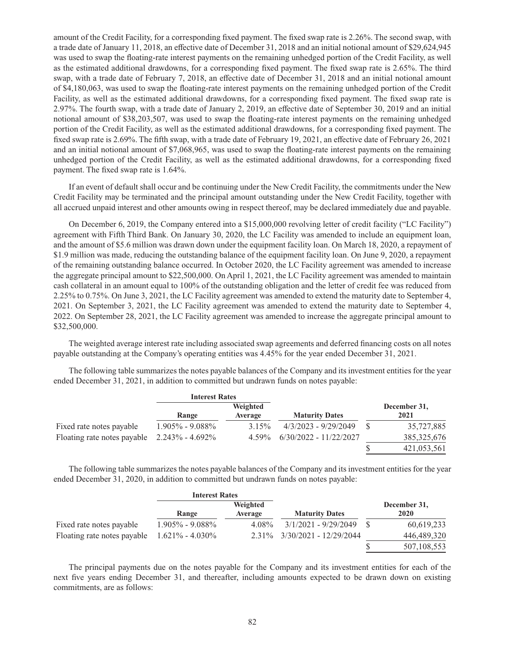amount of the Credit Facility, for a corresponding fixed payment. The fixed swap rate is 2.26%. The second swap, with a trade date of January 11, 2018, an effective date of December 31, 2018 and an initial notional amount of \$29,624,945 was used to swap the floating-rate interest payments on the remaining unhedged portion of the Credit Facility, as well as the estimated additional drawdowns, for a corresponding fixed payment. The fixed swap rate is 2.65%. The third swap, with a trade date of February 7, 2018, an effective date of December 31, 2018 and an initial notional amount of \$4,180,063, was used to swap the floating-rate interest payments on the remaining unhedged portion of the Credit Facility, as well as the estimated additional drawdowns, for a corresponding fixed payment. The fixed swap rate is 2.97%. The fourth swap, with a trade date of January 2, 2019, an effective date of September 30, 2019 and an initial notional amount of \$38,203,507, was used to swap the floating-rate interest payments on the remaining unhedged portion of the Credit Facility, as well as the estimated additional drawdowns, for a corresponding fixed payment. The fixed swap rate is 2.69%. The fifth swap, with a trade date of February 19, 2021, an effective date of February 26, 2021 and an initial notional amount of \$7,068,965, was used to swap the floating-rate interest payments on the remaining unhedged portion of the Credit Facility, as well as the estimated additional drawdowns, for a corresponding fixed payment. The fixed swap rate is 1.64%.

If an event of default shall occur and be continuing under the New Credit Facility, the commitments under the New Credit Facility may be terminated and the principal amount outstanding under the New Credit Facility, together with all accrued unpaid interest and other amounts owing in respect thereof, may be declared immediately due and payable.

On December 6, 2019, the Company entered into a \$15,000,000 revolving letter of credit facility ("LC Facility") agreement with Fifth Third Bank. On January 30, 2020, the LC Facility was amended to include an equipment loan, and the amount of \$5.6 million was drawn down under the equipment facility loan. On March 18, 2020, a repayment of \$1.9 million was made, reducing the outstanding balance of the equipment facility loan. On June 9, 2020, a repayment of the remaining outstanding balance occurred. In October 2020, the LC Facility agreement was amended to increase the aggregate principal amount to \$22,500,000. On April 1, 2021, the LC Facility agreement was amended to maintain cash collateral in an amount equal to 100% of the outstanding obligation and the letter of credit fee was reduced from 2.25% to 0.75%. On June 3, 2021, the LC Facility agreement was amended to extend the maturity date to September 4, 2021. On September 3, 2021, the LC Facility agreement was amended to extend the maturity date to September 4, 2022. On September 28, 2021, the LC Facility agreement was amended to increase the aggregate principal amount to \$32,500,000.

The weighted average interest rate including associated swap agreements and deferred financing costs on all notes payable outstanding at the Company's operating entities was 4.45% for the year ended December 31, 2021.

The following table summarizes the notes payable balances of the Company and its investment entities for the year ended December 31, 2021, in addition to committed but undrawn funds on notes payable:

|                                                 | <b>Interest Rates</b> |          |                          |               |
|-------------------------------------------------|-----------------------|----------|--------------------------|---------------|
|                                                 |                       | Weighted |                          | December 31,  |
|                                                 | Range                 | Average  | <b>Maturity Dates</b>    | 2021          |
| Fixed rate notes payable                        | $1.905\%$ - $9.088\%$ | 3.15%    | 4/3/2023 - 9/29/2049     | 35,727,885    |
| Floating rate notes payable $2.243\% - 4.692\%$ |                       | 4.59%    | $6/30/2022 - 11/22/2027$ | 385, 325, 676 |
|                                                 |                       |          |                          | 421,053,561   |

The following table summarizes the notes payable balances of the Company and its investment entities for the year ended December 31, 2020, in addition to committed but undrawn funds on notes payable:

|                             | <b>Interest Rates</b> |          |                        |              |
|-----------------------------|-----------------------|----------|------------------------|--------------|
|                             |                       | Weighted |                        | December 31, |
|                             | Range                 | Average  | <b>Maturity Dates</b>  | 2020         |
| Fixed rate notes payable    | $1.905\%$ - $9.088\%$ | 4.08%    | $3/1/2021 - 9/29/2049$ | 60,619,233   |
| Floating rate notes payable | $1.621\% - 4.030\%$   | 2.31%    | 3/30/2021 - 12/29/2044 | 446,489,320  |
|                             |                       |          |                        | 507,108,553  |

The principal payments due on the notes payable for the Company and its investment entities for each of the next five years ending December 31, and thereafter, including amounts expected to be drawn down on existing commitments, are as follows: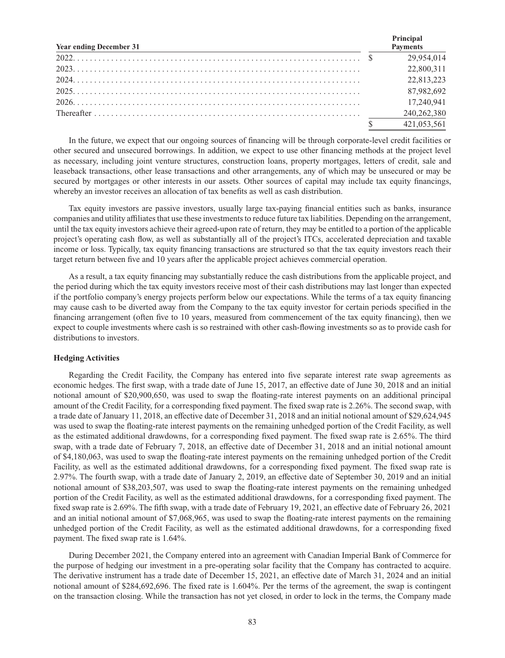| <b>Year ending December 31</b> | Principal<br><b>Payments</b> |
|--------------------------------|------------------------------|
|                                | 29,954,014                   |
|                                | 22,800,311                   |
|                                | 22,813,223                   |
|                                | 87,982,692                   |
|                                | 17,240,941                   |
|                                | 240,262,380                  |
|                                | 421,053,561                  |

In the future, we expect that our ongoing sources of financing will be through corporate-level credit facilities or other secured and unsecured borrowings. In addition, we expect to use other financing methods at the project level as necessary, including joint venture structures, construction loans, property mortgages, letters of credit, sale and leaseback transactions, other lease transactions and other arrangements, any of which may be unsecured or may be secured by mortgages or other interests in our assets. Other sources of capital may include tax equity financings, whereby an investor receives an allocation of tax benefits as well as cash distribution.

Tax equity investors are passive investors, usually large tax-paying financial entities such as banks, insurance companies and utility affiliates that use these investments to reduce future tax liabilities. Depending on the arrangement, until the tax equity investors achieve their agreed-upon rate of return, they may be entitled to a portion of the applicable project's operating cash flow, as well as substantially all of the project's ITCs, accelerated depreciation and taxable income or loss. Typically, tax equity financing transactions are structured so that the tax equity investors reach their target return between five and 10 years after the applicable project achieves commercial operation.

As a result, a tax equity financing may substantially reduce the cash distributions from the applicable project, and the period during which the tax equity investors receive most of their cash distributions may last longer than expected if the portfolio company's energy projects perform below our expectations. While the terms of a tax equity financing may cause cash to be diverted away from the Company to the tax equity investor for certain periods specified in the financing arrangement (often five to 10 years, measured from commencement of the tax equity financing), then we expect to couple investments where cash is so restrained with other cash-flowing investments so as to provide cash for distributions to investors.

# **Hedging Activities**

Regarding the Credit Facility, the Company has entered into five separate interest rate swap agreements as economic hedges. The first swap, with a trade date of June 15, 2017, an effective date of June 30, 2018 and an initial notional amount of \$20,900,650, was used to swap the floating-rate interest payments on an additional principal amount of the Credit Facility, for a corresponding fixed payment. The fixed swap rate is 2.26%. The second swap, with a trade date of January 11, 2018, an effective date of December 31, 2018 and an initial notional amount of \$29,624,945 was used to swap the floating-rate interest payments on the remaining unhedged portion of the Credit Facility, as well as the estimated additional drawdowns, for a corresponding fixed payment. The fixed swap rate is 2.65%. The third swap, with a trade date of February 7, 2018, an effective date of December 31, 2018 and an initial notional amount of \$4,180,063, was used to swap the floating-rate interest payments on the remaining unhedged portion of the Credit Facility, as well as the estimated additional drawdowns, for a corresponding fixed payment. The fixed swap rate is 2.97%. The fourth swap, with a trade date of January 2, 2019, an effective date of September 30, 2019 and an initial notional amount of \$38,203,507, was used to swap the floating-rate interest payments on the remaining unhedged portion of the Credit Facility, as well as the estimated additional drawdowns, for a corresponding fixed payment. The fixed swap rate is 2.69%. The fifth swap, with a trade date of February 19, 2021, an effective date of February 26, 2021 and an initial notional amount of \$7,068,965, was used to swap the floating-rate interest payments on the remaining unhedged portion of the Credit Facility, as well as the estimated additional drawdowns, for a corresponding fixed payment. The fixed swap rate is 1.64%.

During December 2021, the Company entered into an agreement with Canadian Imperial Bank of Commerce for the purpose of hedging our investment in a pre-operating solar facility that the Company has contracted to acquire. The derivative instrument has a trade date of December 15, 2021, an effective date of March 31, 2024 and an initial notional amount of \$284,692,696. The fixed rate is 1.604%. Per the terms of the agreement, the swap is contingent on the transaction closing. While the transaction has not yet closed, in order to lock in the terms, the Company made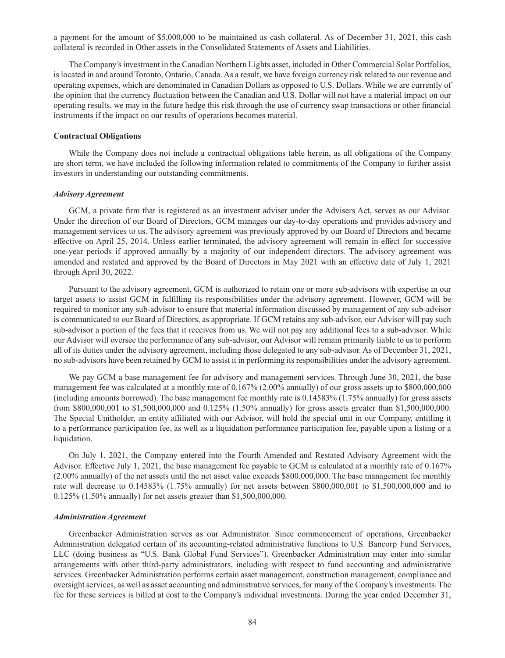a payment for the amount of \$5,000,000 to be maintained as cash collateral. As of December 31, 2021, this cash collateral is recorded in Other assets in the Consolidated Statements of Assets and Liabilities.

The Company's investment in the Canadian Northern Lights asset, included in Other Commercial Solar Portfolios, is located in and around Toronto, Ontario, Canada. As a result, we have foreign currency risk related to our revenue and operating expenses, which are denominated in Canadian Dollars as opposed to U.S. Dollars. While we are currently of the opinion that the currency fluctuation between the Canadian and U.S. Dollar will not have a material impact on our operating results, we may in the future hedge this risk through the use of currency swap transactions or other financial instruments if the impact on our results of operations becomes material.

### **Contractual Obligations**

While the Company does not include a contractual obligations table herein, as all obligations of the Company are short term, we have included the following information related to commitments of the Company to further assist investors in understanding our outstanding commitments.

#### *Advisory Agreement*

GCM, a private firm that is registered as an investment adviser under the Advisers Act, serves as our Advisor. Under the direction of our Board of Directors, GCM manages our day-to-day operations and provides advisory and management services to us. The advisory agreement was previously approved by our Board of Directors and became effective on April 25, 2014. Unless earlier terminated, the advisory agreement will remain in effect for successive one-year periods if approved annually by a majority of our independent directors. The advisory agreement was amended and restated and approved by the Board of Directors in May 2021 with an effective date of July 1, 2021 through April 30, 2022.

Pursuant to the advisory agreement, GCM is authorized to retain one or more sub-advisors with expertise in our target assets to assist GCM in fulfilling its responsibilities under the advisory agreement. However, GCM will be required to monitor any sub-advisor to ensure that material information discussed by management of any sub-advisor is communicated to our Board of Directors, as appropriate. If GCM retains any sub-advisor, our Advisor will pay such sub-advisor a portion of the fees that it receives from us. We will not pay any additional fees to a sub-advisor. While our Advisor will oversee the performance of any sub-advisor, our Advisor will remain primarily liable to us to perform all of its duties under the advisory agreement, including those delegated to any sub-advisor. As of December 31, 2021, no sub-advisors have been retained by GCM to assist it in performing its responsibilities under the advisory agreement.

We pay GCM a base management fee for advisory and management services. Through June 30, 2021, the base management fee was calculated at a monthly rate of 0.167% (2.00% annually) of our gross assets up to \$800,000,000 (including amounts borrowed). The base management fee monthly rate is 0.14583% (1.75% annually) for gross assets from \$800,000,001 to \$1,500,000,000 and 0.125% (1.50% annually) for gross assets greater than \$1,500,000,000. The Special Unitholder, an entity affiliated with our Advisor, will hold the special unit in our Company, entitling it to a performance participation fee, as well as a liquidation performance participation fee, payable upon a listing or a liquidation.

On July 1, 2021, the Company entered into the Fourth Amended and Restated Advisory Agreement with the Advisor. Effective July 1, 2021, the base management fee payable to GCM is calculated at a monthly rate of 0.167% (2.00% annually) of the net assets until the net asset value exceeds \$800,000,000. The base management fee monthly rate will decrease to 0.14583% (1.75% annually) for net assets between \$800,000,001 to \$1,500,000,000 and to 0.125% (1.50% annually) for net assets greater than \$1,500,000,000.

#### *Administration Agreement*

Greenbacker Administration serves as our Administrator. Since commencement of operations, Greenbacker Administration delegated certain of its accounting-related administrative functions to U.S. Bancorp Fund Services, LLC (doing business as "U.S. Bank Global Fund Services"). Greenbacker Administration may enter into similar arrangements with other third-party administrators, including with respect to fund accounting and administrative services. Greenbacker Administration performs certain asset management, construction management, compliance and oversight services, as well as asset accounting and administrative services, for many of the Company's investments. The fee for these services is billed at cost to the Company's individual investments. During the year ended December 31,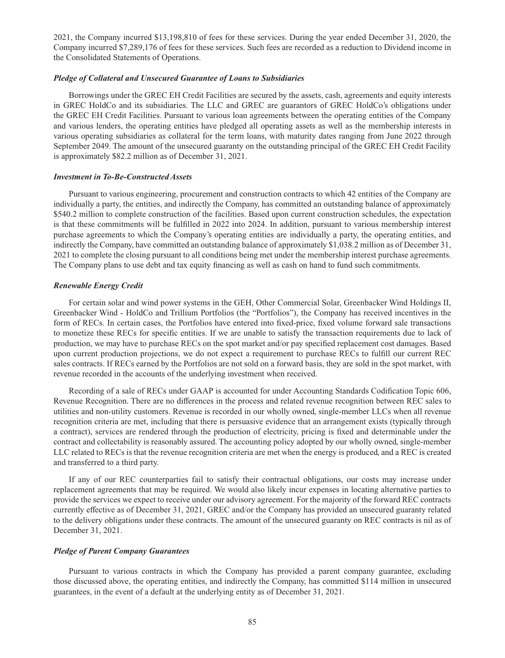2021, the Company incurred \$13,198,810 of fees for these services. During the year ended December 31, 2020, the Company incurred \$7,289,176 of fees for these services. Such fees are recorded as a reduction to Dividend income in the Consolidated Statements of Operations.

# *Pledge of Collateral and Unsecured Guarantee of Loans to Subsidiaries*

Borrowings under the GREC EH Credit Facilities are secured by the assets, cash, agreements and equity interests in GREC HoldCo and its subsidiaries. The LLC and GREC are guarantors of GREC HoldCo's obligations under the GREC EH Credit Facilities. Pursuant to various loan agreements between the operating entities of the Company and various lenders, the operating entities have pledged all operating assets as well as the membership interests in various operating subsidiaries as collateral for the term loans, with maturity dates ranging from June 2022 through September 2049. The amount of the unsecured guaranty on the outstanding principal of the GREC EH Credit Facility is approximately \$82.2 million as of December 31, 2021.

### *Investment in To-Be-Constructed Assets*

Pursuant to various engineering, procurement and construction contracts to which 42 entities of the Company are individually a party, the entities, and indirectly the Company, has committed an outstanding balance of approximately \$540.2 million to complete construction of the facilities. Based upon current construction schedules, the expectation is that these commitments will be fulfilled in 2022 into 2024. In addition, pursuant to various membership interest purchase agreements to which the Company's operating entities are individually a party, the operating entities, and indirectly the Company, have committed an outstanding balance of approximately \$1,038.2 million as of December 31, 2021 to complete the closing pursuant to all conditions being met under the membership interest purchase agreements. The Company plans to use debt and tax equity financing as well as cash on hand to fund such commitments.

### *Renewable Energy Credit*

For certain solar and wind power systems in the GEH, Other Commercial Solar, Greenbacker Wind Holdings II, Greenbacker Wind - HoldCo and Trillium Portfolios (the "Portfolios"), the Company has received incentives in the form of RECs. In certain cases, the Portfolios have entered into fixed-price, fixed volume forward sale transactions to monetize these RECs for specific entities. If we are unable to satisfy the transaction requirements due to lack of production, we may have to purchase RECs on the spot market and/or pay specified replacement cost damages. Based upon current production projections, we do not expect a requirement to purchase RECs to fulfill our current REC sales contracts. If RECs earned by the Portfolios are not sold on a forward basis, they are sold in the spot market, with revenue recorded in the accounts of the underlying investment when received.

Recording of a sale of RECs under GAAP is accounted for under Accounting Standards Codification Topic 606, Revenue Recognition. There are no differences in the process and related revenue recognition between REC sales to utilities and non-utility customers. Revenue is recorded in our wholly owned, single-member LLCs when all revenue recognition criteria are met, including that there is persuasive evidence that an arrangement exists (typically through a contract), services are rendered through the production of electricity, pricing is fixed and determinable under the contract and collectability is reasonably assured. The accounting policy adopted by our wholly owned, single-member LLC related to RECs is that the revenue recognition criteria are met when the energy is produced, and a REC is created and transferred to a third party.

If any of our REC counterparties fail to satisfy their contractual obligations, our costs may increase under replacement agreements that may be required. We would also likely incur expenses in locating alternative parties to provide the services we expect to receive under our advisory agreement. For the majority of the forward REC contracts currently effective as of December 31, 2021, GREC and/or the Company has provided an unsecured guaranty related to the delivery obligations under these contracts. The amount of the unsecured guaranty on REC contracts is nil as of December 31, 2021.

#### *Pledge of Parent Company Guarantees*

Pursuant to various contracts in which the Company has provided a parent company guarantee, excluding those discussed above, the operating entities, and indirectly the Company, has committed \$114 million in unsecured guarantees, in the event of a default at the underlying entity as of December 31, 2021.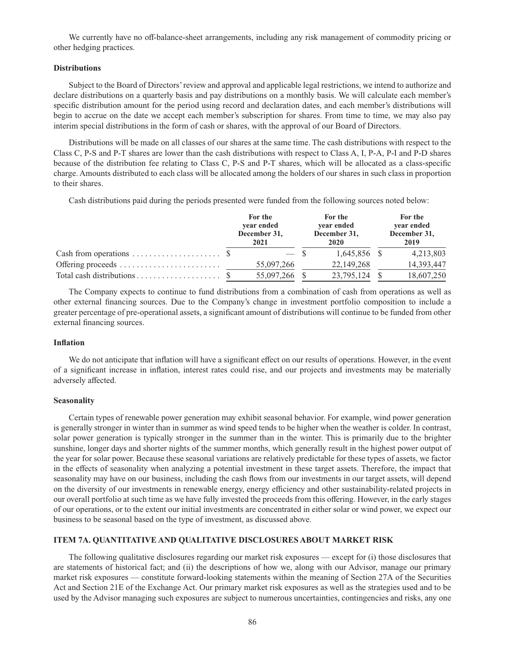We currently have no off-balance-sheet arrangements, including any risk management of commodity pricing or other hedging practices.

### **Distributions**

Subject to the Board of Directors' review and approval and applicable legal restrictions, we intend to authorize and declare distributions on a quarterly basis and pay distributions on a monthly basis. We will calculate each member's specific distribution amount for the period using record and declaration dates, and each member's distributions will begin to accrue on the date we accept each member's subscription for shares. From time to time, we may also pay interim special distributions in the form of cash or shares, with the approval of our Board of Directors.

Distributions will be made on all classes of our shares at the same time. The cash distributions with respect to the Class C, P-S and P-T shares are lower than the cash distributions with respect to Class A, I, P-A, P-I and P-D shares because of the distribution fee relating to Class C, P-S and P-T shares, which will be allocated as a class-specific charge. Amounts distributed to each class will be allocated among the holders of our shares in such class in proportion to their shares.

Cash distributions paid during the periods presented were funded from the following sources noted below:

|                   | For the<br>year ended<br>December 31,<br>2021 | For the<br>year ended<br>December 31,<br>2020 | For the<br>year ended<br>December 31,<br>2019 |
|-------------------|-----------------------------------------------|-----------------------------------------------|-----------------------------------------------|
|                   | $-$ \$                                        | 1.645.856 \$                                  | 4,213,803                                     |
| Offering proceeds | 55,097,266                                    | 22,149,268                                    | 14,393,447                                    |
|                   | 55.097.266                                    | 23,795,124                                    | 18,607,250                                    |

The Company expects to continue to fund distributions from a combination of cash from operations as well as other external financing sources. Due to the Company's change in investment portfolio composition to include a greater percentage of pre-operational assets, a significant amount of distributions will continue to be funded from other external financing sources.

# **Inflation**

We do not anticipate that inflation will have a significant effect on our results of operations. However, in the event of a significant increase in inflation, interest rates could rise, and our projects and investments may be materially adversely affected.

#### **Seasonality**

Certain types of renewable power generation may exhibit seasonal behavior. For example, wind power generation is generally stronger in winter than in summer as wind speed tends to be higher when the weather is colder. In contrast, solar power generation is typically stronger in the summer than in the winter. This is primarily due to the brighter sunshine, longer days and shorter nights of the summer months, which generally result in the highest power output of the year for solar power. Because these seasonal variations are relatively predictable for these types of assets, we factor in the effects of seasonality when analyzing a potential investment in these target assets. Therefore, the impact that seasonality may have on our business, including the cash flows from our investments in our target assets, will depend on the diversity of our investments in renewable energy, energy efficiency and other sustainability-related projects in our overall portfolio at such time as we have fully invested the proceeds from this offering. However, in the early stages of our operations, or to the extent our initial investments are concentrated in either solar or wind power, we expect our business to be seasonal based on the type of investment, as discussed above.

# **ITEM 7A. QUANTITATIVE AND QUALITATIVE DISCLOSURES ABOUT MARKET RISK**

The following qualitative disclosures regarding our market risk exposures — except for (i) those disclosures that are statements of historical fact; and (ii) the descriptions of how we, along with our Advisor, manage our primary market risk exposures — constitute forward-looking statements within the meaning of Section 27A of the Securities Act and Section 21E of the Exchange Act. Our primary market risk exposures as well as the strategies used and to be used by the Advisor managing such exposures are subject to numerous uncertainties, contingencies and risks, any one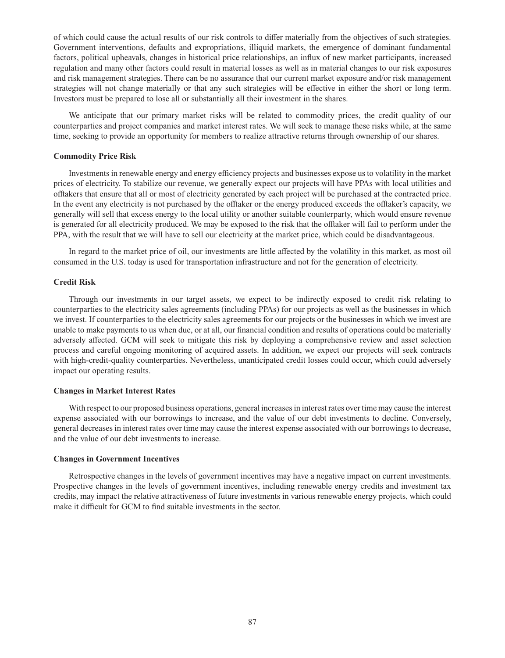of which could cause the actual results of our risk controls to differ materially from the objectives of such strategies. Government interventions, defaults and expropriations, illiquid markets, the emergence of dominant fundamental factors, political upheavals, changes in historical price relationships, an influx of new market participants, increased regulation and many other factors could result in material losses as well as in material changes to our risk exposures and risk management strategies. There can be no assurance that our current market exposure and/or risk management strategies will not change materially or that any such strategies will be effective in either the short or long term. Investors must be prepared to lose all or substantially all their investment in the shares.

We anticipate that our primary market risks will be related to commodity prices, the credit quality of our counterparties and project companies and market interest rates. We will seek to manage these risks while, at the same time, seeking to provide an opportunity for members to realize attractive returns through ownership of our shares.

### **Commodity Price Risk**

Investments in renewable energy and energy efficiency projects and businesses expose us to volatility in the market prices of electricity. To stabilize our revenue, we generally expect our projects will have PPAs with local utilities and offtakers that ensure that all or most of electricity generated by each project will be purchased at the contracted price. In the event any electricity is not purchased by the offtaker or the energy produced exceeds the offtaker's capacity, we generally will sell that excess energy to the local utility or another suitable counterparty, which would ensure revenue is generated for all electricity produced. We may be exposed to the risk that the offtaker will fail to perform under the PPA, with the result that we will have to sell our electricity at the market price, which could be disadvantageous.

In regard to the market price of oil, our investments are little affected by the volatility in this market, as most oil consumed in the U.S. today is used for transportation infrastructure and not for the generation of electricity.

### **Credit Risk**

Through our investments in our target assets, we expect to be indirectly exposed to credit risk relating to counterparties to the electricity sales agreements (including PPAs) for our projects as well as the businesses in which we invest. If counterparties to the electricity sales agreements for our projects or the businesses in which we invest are unable to make payments to us when due, or at all, our financial condition and results of operations could be materially adversely affected. GCM will seek to mitigate this risk by deploying a comprehensive review and asset selection process and careful ongoing monitoring of acquired assets. In addition, we expect our projects will seek contracts with high-credit-quality counterparties. Nevertheless, unanticipated credit losses could occur, which could adversely impact our operating results.

### **Changes in Market Interest Rates**

With respect to our proposed business operations, general increases in interest rates over time may cause the interest expense associated with our borrowings to increase, and the value of our debt investments to decline. Conversely, general decreases in interest rates over time may cause the interest expense associated with our borrowings to decrease, and the value of our debt investments to increase.

### **Changes in Government Incentives**

Retrospective changes in the levels of government incentives may have a negative impact on current investments. Prospective changes in the levels of government incentives, including renewable energy credits and investment tax credits, may impact the relative attractiveness of future investments in various renewable energy projects, which could make it difficult for GCM to find suitable investments in the sector.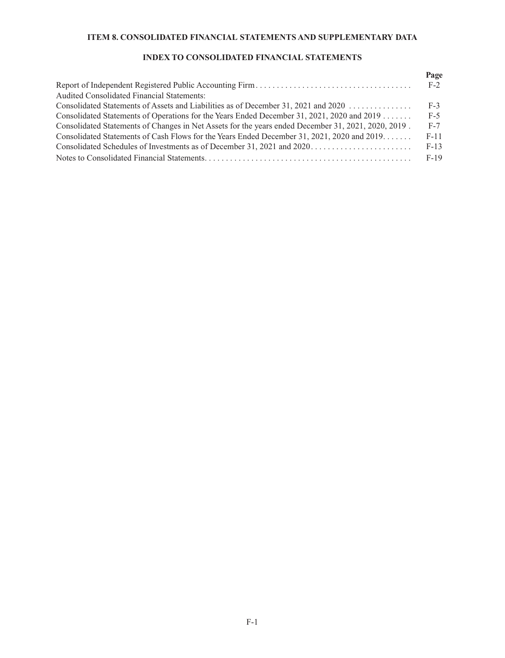# **ITEM 8. CONSOLIDATED FINANCIAL STATEMENTS AND SUPPLEMENTARY DATA**

# **INDEX TO CONSOLIDATED FINANCIAL STATEMENTS**

|                                                                                                     | Page   |
|-----------------------------------------------------------------------------------------------------|--------|
|                                                                                                     | $F-2$  |
| Audited Consolidated Financial Statements:                                                          |        |
| Consolidated Statements of Assets and Liabilities as of December 31, 2021 and 2020                  | $F-3$  |
| Consolidated Statements of Operations for the Years Ended December 31, 2021, 2020 and 2019          | $F-5$  |
| Consolidated Statements of Changes in Net Assets for the years ended December 31, 2021, 2020, 2019. | $F-7$  |
| Consolidated Statements of Cash Flows for the Years Ended December 31, 2021, 2020 and 2019          | $F-11$ |
| Consolidated Schedules of Investments as of December 31, 2021 and 2020                              | $F-13$ |
|                                                                                                     | $F-19$ |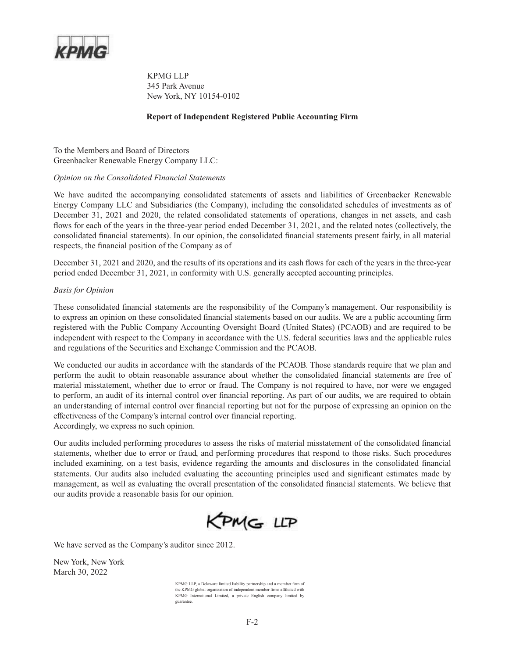

KPMG LLP 345 Park Avenue New York, NY 10154-0102

# **Report of Independent Registered Public Accounting Firm**

To the Members and Board of Directors Greenbacker Renewable Energy Company LLC:

# *Opinion on the Consolidated Financial Statements*

We have audited the accompanying consolidated statements of assets and liabilities of Greenbacker Renewable Energy Company LLC and Subsidiaries (the Company), including the consolidated schedules of investments as of December 31, 2021 and 2020, the related consolidated statements of operations, changes in net assets, and cash flows for each of the years in the three-year period ended December 31, 2021, and the related notes (collectively, the consolidated financial statements). In our opinion, the consolidated financial statements present fairly, in all material respects, the financial position of the Company as of

December 31, 2021 and 2020, and the results of its operations and its cash flows for each of the years in the three-year period ended December 31, 2021, in conformity with U.S. generally accepted accounting principles.

# *Basis for Opinion*

These consolidated financial statements are the responsibility of the Company's management. Our responsibility is to express an opinion on these consolidated financial statements based on our audits. We are a public accounting firm registered with the Public Company Accounting Oversight Board (United States) (PCAOB) and are required to be independent with respect to the Company in accordance with the U.S. federal securities laws and the applicable rules and regulations of the Securities and Exchange Commission and the PCAOB.

We conducted our audits in accordance with the standards of the PCAOB. Those standards require that we plan and perform the audit to obtain reasonable assurance about whether the consolidated financial statements are free of material misstatement, whether due to error or fraud. The Company is not required to have, nor were we engaged to perform, an audit of its internal control over financial reporting. As part of our audits, we are required to obtain an understanding of internal control over financial reporting but not for the purpose of expressing an opinion on the effectiveness of the Company's internal control over financial reporting. Accordingly, we express no such opinion.

Our audits included performing procedures to assess the risks of material misstatement of the consolidated financial statements, whether due to error or fraud, and performing procedures that respond to those risks. Such procedures included examining, on a test basis, evidence regarding the amounts and disclosures in the consolidated financial statements. Our audits also included evaluating the accounting principles used and significant estimates made by management, as well as evaluating the overall presentation of the consolidated financial statements. We believe that our audits provide a reasonable basis for our opinion.



We have served as the Company's auditor since 2012.

New York, New York March 30, 2022

> KPMG LLP, a Delaware limited liability partnership and a member firm of the KPMG global organization of independent member firms affiliated with KPMG International Limited, a private English company limited by guarantee.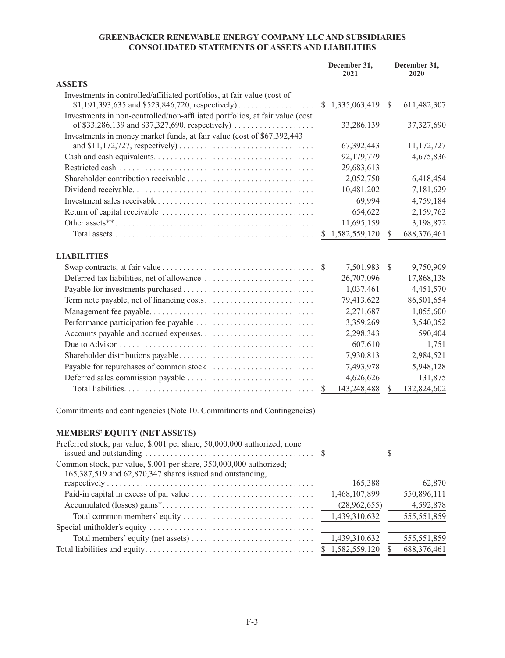# **GREENBACKER RENEWABLE ENERGY COMPANY LLC AND SUBSIDIARIES CONSOLIDATED STATEMENTS OF ASSETS AND LIABILITIES**

|                                                                              |              | December 31,<br>2021 |               | December 31,<br>2020 |
|------------------------------------------------------------------------------|--------------|----------------------|---------------|----------------------|
| <b>ASSETS</b>                                                                |              |                      |               |                      |
| Investments in controlled/affiliated portfolios, at fair value (cost of      |              | \$1,335,063,419      | <sup>S</sup>  | 611,482,307          |
| Investments in non-controlled/non-affiliated portfolios, at fair value (cost |              | 33,286,139           |               | 37,327,690           |
| Investments in money market funds, at fair value (cost of \$67,392,443)      |              | 67,392,443           |               | 11,172,727           |
|                                                                              |              | 92,179,779           |               | 4,675,836            |
|                                                                              |              | 29,683,613           |               |                      |
|                                                                              |              | 2,052,750            |               | 6,418,454            |
|                                                                              |              | 10,481,202           |               | 7,181,629            |
|                                                                              |              | 69,994               |               | 4,759,184            |
|                                                                              |              | 654,622              |               | 2,159,762            |
|                                                                              |              | 11,695,159           |               | 3,198,872            |
|                                                                              |              | 1,582,559,120        | \$            | 688,376,461          |
| <b>LIABILITIES</b>                                                           |              |                      |               |                      |
|                                                                              | <sup>S</sup> | 7,501,983            | <sup>\$</sup> | 9,750,909            |
|                                                                              |              | 26,707,096           |               | 17,868,138           |
|                                                                              |              | 1,037,461            |               | 4,451,570            |
|                                                                              |              | 79,413,622           |               | 86,501,654           |
|                                                                              |              | 2,271,687            |               | 1,055,600            |
|                                                                              |              | 3,359,269            |               | 3,540,052            |
|                                                                              |              | 2,298,343            |               | 590,404              |
|                                                                              |              | 607,610              |               | 1,751                |
|                                                                              |              | 7,930,813            |               | 2,984,521            |
|                                                                              |              | 7,493,978            |               | 5,948,128            |
|                                                                              |              | 4,626,626            |               | 131,875              |
|                                                                              | \$           | 143,248,488          | $\mathbb{S}$  | 132,824,602          |

Commitments and contingencies (Note 10. Commitments and Contingencies)

# **MEMBERS' EQUITY (NET ASSETS)**

| Preferred stock, par value, \$.001 per share, 50,000,000 authorized; none                  |                 |             |
|--------------------------------------------------------------------------------------------|-----------------|-------------|
| issued and outstanding $\dots \dots \dots \dots \dots \dots \dots \dots \dots \dots \dots$ |                 |             |
| Common stock, par value, \$.001 per share, 350,000,000 authorized;                         |                 |             |
| 165,387,519 and 62,870,347 shares issued and outstanding,                                  |                 |             |
|                                                                                            | 165,388         | 62,870      |
|                                                                                            | 1,468,107,899   | 550,896,111 |
|                                                                                            | (28,962,655)    | 4,592,878   |
|                                                                                            |                 | 555,551,859 |
|                                                                                            |                 |             |
|                                                                                            | 1,439,310,632   | 555,551,859 |
|                                                                                            | \$1,582,559,120 | 688,376,461 |
|                                                                                            |                 |             |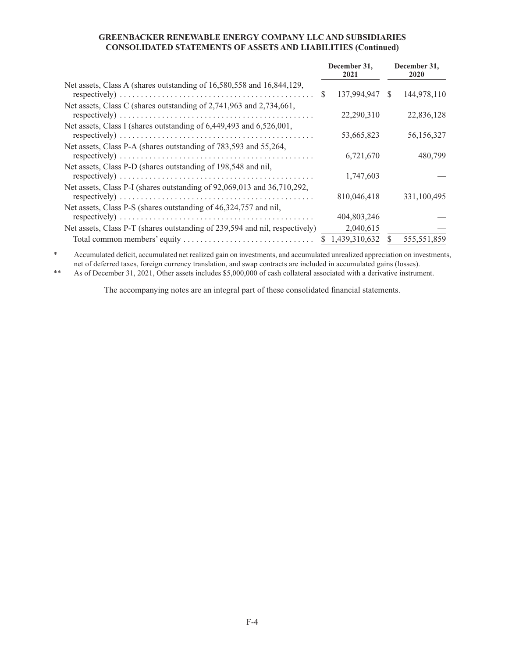# **GREENBACKER RENEWABLE ENERGY COMPANY LLC AND SUBSIDIARIES CONSOLIDATED STATEMENTS OF ASSETS AND LIABILITIES (Continued)**

|                                                                             | December 31.<br>2021 |              | December 31,<br>2020 |
|-----------------------------------------------------------------------------|----------------------|--------------|----------------------|
| Net assets, Class A (shares outstanding of 16,580,558 and 16,844,129,       | 137,994,947          | -S           | 144,978,110          |
| Net assets, Class C (shares outstanding of 2,741,963 and 2,734,661,         | 22,290,310           |              | 22,836,128           |
| Net assets, Class I (shares outstanding of 6,449,493 and 6,526,001,         | 53,665,823           |              | 56,156,327           |
| Net assets, Class P-A (shares outstanding of 783,593 and 55,264,            | 6,721,670            |              | 480,799              |
| Net assets, Class P-D (shares outstanding of 198,548 and nil,               | 1,747,603            |              |                      |
| Net assets, Class P-I (shares outstanding of 92,069,013 and 36,710,292,     | 810,046,418          |              | 331,100,495          |
| Net assets, Class P-S (shares outstanding of 46,324,757 and nil,            | 404,803,246          |              |                      |
| Net assets, Class P-T (shares outstanding of 239,594 and nil, respectively) | 2,040,615            |              |                      |
|                                                                             | \$1,439,310,632      | <sup>S</sup> | 555,551,859          |

\* Accumulated deficit, accumulated net realized gain on investments, and accumulated unrealized appreciation on investments, net of deferred taxes, foreign currency translation, and swap contracts are included in accumulated gains (losses).

\*\* As of December 31, 2021, Other assets includes \$5,000,000 of cash collateral associated with a derivative instrument.

The accompanying notes are an integral part of these consolidated financial statements.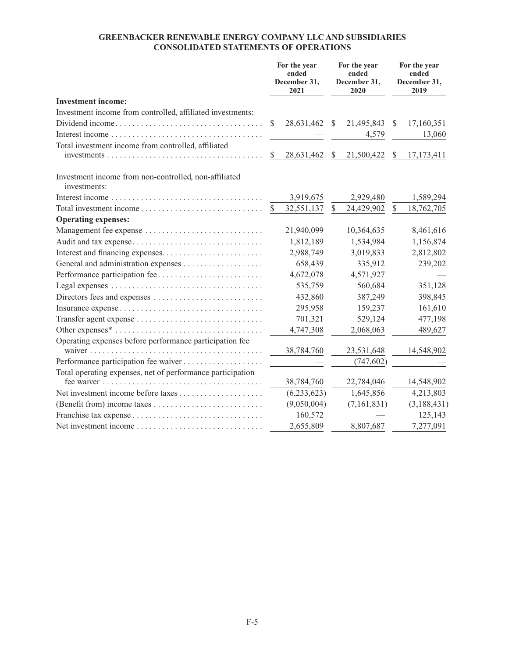# **GREENBACKER RENEWABLE ENERGY COMPANY LLC AND SUBSIDIARIES CONSOLIDATED STATEMENTS OF OPERATIONS**

|                                                                                     |    | For the year<br>ended<br>December 31,<br>2021 |               | For the year<br>ended<br>December 31,<br>2020 |               | For the year<br>ended<br>December 31,<br>2019 |
|-------------------------------------------------------------------------------------|----|-----------------------------------------------|---------------|-----------------------------------------------|---------------|-----------------------------------------------|
| <b>Investment income:</b>                                                           |    |                                               |               |                                               |               |                                               |
| Investment income from controlled, affiliated investments:                          |    |                                               |               |                                               |               |                                               |
| Dividend income                                                                     | S. | 28,631,462                                    | $\mathcal{S}$ | 21,495,843                                    | <sup>\$</sup> | 17,160,351                                    |
|                                                                                     |    |                                               |               | 4,579                                         |               | 13,060                                        |
| Total investment income from controlled, affiliated                                 |    |                                               |               |                                               |               |                                               |
| $investments \ldots \ldots \ldots \ldots \ldots \ldots \ldots \ldots \ldots \ldots$ | S. | 28,631,462                                    | <sup>\$</sup> | 21,500,422                                    | <sup>\$</sup> | 17, 173, 411                                  |
| Investment income from non-controlled, non-affiliated<br>investments:               |    |                                               |               |                                               |               |                                               |
|                                                                                     |    | 3,919,675                                     |               | 2,929,480                                     |               | 1,589,294                                     |
|                                                                                     |    | 32,551,137                                    | \$            | 24,429,902                                    | \$            | 18,762,705                                    |
| <b>Operating expenses:</b>                                                          |    |                                               |               |                                               |               |                                               |
|                                                                                     |    | 21,940,099                                    |               | 10,364,635                                    |               | 8,461,616                                     |
| Audit and tax expense                                                               |    | 1,812,189                                     |               | 1,534,984                                     |               | 1,156,874                                     |
|                                                                                     |    | 2,988,749                                     |               | 3,019,833                                     |               | 2,812,802                                     |
| General and administration expenses                                                 |    | 658,439                                       |               | 335,912                                       |               | 239,202                                       |
|                                                                                     |    | 4,672,078                                     |               | 4,571,927                                     |               |                                               |
|                                                                                     |    | 535,759                                       |               | 560,684                                       |               | 351,128                                       |
| Directors fees and expenses                                                         |    | 432,860                                       |               | 387,249                                       |               | 398,845                                       |
|                                                                                     |    | 295,958                                       |               | 159,237                                       |               | 161,610                                       |
|                                                                                     |    | 701,321                                       |               | 529,124                                       |               | 477,198                                       |
|                                                                                     |    | 4,747,308                                     |               | 2,068,063                                     |               | 489,627                                       |
| Operating expenses before performance participation fee                             |    |                                               |               |                                               |               |                                               |
|                                                                                     |    | 38,784,760                                    |               | 23,531,648                                    |               | 14,548,902                                    |
|                                                                                     |    |                                               |               | (747, 602)                                    |               |                                               |
| Total operating expenses, net of performance participation                          |    |                                               |               |                                               |               |                                               |
|                                                                                     |    | 38,784,760                                    |               | 22,784,046                                    |               | 14,548,902                                    |
|                                                                                     |    | (6,233,623)                                   |               | 1,645,856                                     |               | 4,213,803                                     |
|                                                                                     |    | (9,050,004)                                   |               | (7,161,831)                                   |               | (3, 188, 431)                                 |
|                                                                                     |    | 160,572                                       |               |                                               |               | 125,143                                       |
| Net investment income                                                               |    | 2,655,809                                     |               | 8,807,687                                     |               | 7,277,091                                     |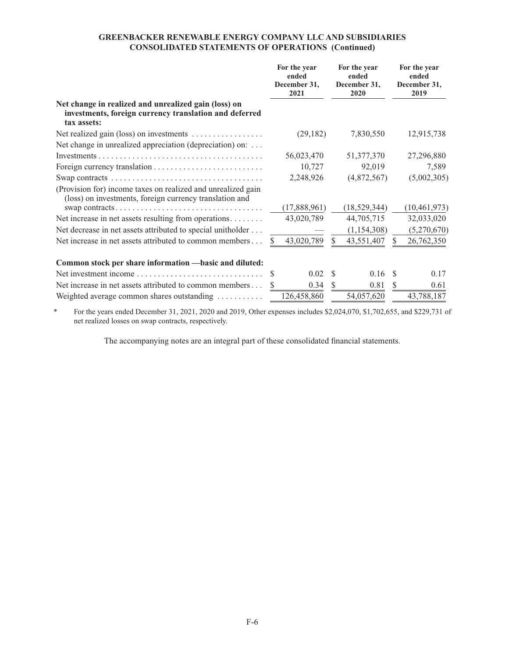# **GREENBACKER RENEWABLE ENERGY COMPANY LLC AND SUBSIDIARIES CONSOLIDATED STATEMENTS OF OPERATIONS (Continued)**

|                                                                                                                               | For the year<br>ended<br>December 31.<br>2021 | For the year<br>ended<br>December 31,<br>2020 | For the year<br>ended<br>December 31,<br>2019 |
|-------------------------------------------------------------------------------------------------------------------------------|-----------------------------------------------|-----------------------------------------------|-----------------------------------------------|
| Net change in realized and unrealized gain (loss) on<br>investments, foreign currency translation and deferred<br>tax assets: |                                               |                                               |                                               |
| Net realized gain (loss) on investments                                                                                       | (29, 182)                                     | 7,830,550                                     | 12,915,738                                    |
| Net change in unrealized appreciation (depreciation) on:                                                                      |                                               |                                               |                                               |
|                                                                                                                               | 56,023,470                                    | 51, 377, 370                                  | 27,296,880                                    |
|                                                                                                                               | 10,727                                        | 92,019                                        | 7,589                                         |
|                                                                                                                               | 2,248,926                                     | (4,872,567)                                   | (5,002,305)                                   |
| (Provision for) income taxes on realized and unrealized gain<br>(loss) on investments, foreign currency translation and       |                                               |                                               |                                               |
|                                                                                                                               | (17,888,961)                                  | (18, 529, 344)                                | (10, 461, 973)                                |
| Net increase in net assets resulting from operations                                                                          | 43,020,789                                    | 44,705,715                                    | 32,033,020                                    |
| Net decrease in net assets attributed to special unitholder                                                                   |                                               | (1,154,308)                                   | (5,270,670)                                   |
| Net increase in net assets attributed to common members                                                                       | 43,020,789                                    | 43,551,407<br>S.                              | 26,762,350                                    |
| Common stock per share information —basic and diluted:                                                                        |                                               |                                               |                                               |
| Net investment income $\ldots, \ldots, \ldots, \ldots, \ldots, \ldots, \ldots$                                                | $0.02 \quad$ \$<br>S                          | 0.16                                          | 0.17<br>-S                                    |
| Net increase in net assets attributed to common members                                                                       | 0.34                                          | 0.81<br><sup>\$</sup>                         | 0.61<br>S                                     |
| Weighted average common shares outstanding                                                                                    | 126,458,860                                   | 54,057,620                                    | 43,788,187                                    |

\* For the years ended December 31, 2021, 2020 and 2019, Other expenses includes \$2,024,070, \$1,702,655, and \$229,731 of net realized losses on swap contracts, respectively.

The accompanying notes are an integral part of these consolidated financial statements.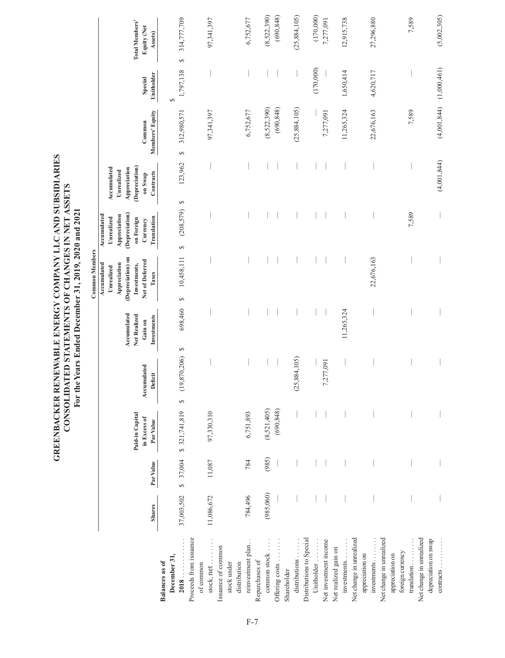|                                       |               |                             |                                              | Ē                      |                                                       | The rears Ended December 21, 2013, 2020 and 2021<br><b>Common Members</b>                                  |                                                                                                      |                                                                                     |                           |                       |                                                        |
|---------------------------------------|---------------|-----------------------------|----------------------------------------------|------------------------|-------------------------------------------------------|------------------------------------------------------------------------------------------------------------|------------------------------------------------------------------------------------------------------|-------------------------------------------------------------------------------------|---------------------------|-----------------------|--------------------------------------------------------|
|                                       | <b>Shares</b> | Par Value                   | Paid-in Capital<br>in Excess of<br>Par Value | Accumulated<br>Deficit | Accumulated<br>Net Realized<br>Investments<br>Gain on | (Depreciation) on<br>Net of Deferred<br>Appreciation<br>Investments,<br>Accumulated<br>Unrealized<br>Taxes | (Depreciation)<br>Accumulated<br>Appreciation<br>Unrealized<br>on Foreign<br>Translation<br>Currency | (Depreciation)<br>Appreciation<br>Accumulated<br>Unrealized<br>Contracts<br>on Swap | Members' Equity<br>Common | Unitholder<br>Special | <b>Total Members'</b><br><b>Equity (Net</b><br>Assets) |
| December 31,<br><b>Balances</b> as of |               |                             |                                              |                        |                                                       |                                                                                                            |                                                                                                      |                                                                                     |                           | 5                     |                                                        |
| 2018                                  | 37,003,502    | 37,004<br>$\leftrightarrow$ | \$321,741,819                                | (19, 870, 206)<br>↮    | 698,460<br>↮                                          | 10,458,111<br>5                                                                                            | (208, 579)<br>5                                                                                      | 123,962<br>↮                                                                        | 312,980,571<br>Ø          | 1,797,138             | 314,777,709<br>$\Theta$                                |
| Proceeds from issuance<br>of common   |               |                             |                                              |                        |                                                       |                                                                                                            |                                                                                                      |                                                                                     |                           |                       |                                                        |
| stock, net                            | 11,086,672    | 11,087                      | 97,330,310                                   |                        |                                                       |                                                                                                            |                                                                                                      |                                                                                     | 97,341,397                |                       | 97,341,397                                             |
| Issuance of common                    |               |                             |                                              |                        |                                                       |                                                                                                            |                                                                                                      |                                                                                     |                           |                       |                                                        |
| stock under<br>distribution           |               |                             |                                              |                        |                                                       |                                                                                                            |                                                                                                      |                                                                                     |                           |                       |                                                        |
| reinvestment plan.                    | 784,496       | 784                         | 6,751,893                                    |                        |                                                       |                                                                                                            |                                                                                                      |                                                                                     | 6,752,677                 |                       | 6,752,677                                              |
| Repurchases of                        |               |                             |                                              |                        |                                                       |                                                                                                            |                                                                                                      |                                                                                     |                           |                       |                                                        |
| common stock                          | (985,060)     | (985)                       | (8,521,405)                                  |                        |                                                       |                                                                                                            |                                                                                                      |                                                                                     | (8,522,390)               |                       | (8,522,390)                                            |
| Offering costs                        |               |                             | (690, 848)                                   |                        |                                                       |                                                                                                            |                                                                                                      |                                                                                     | (690, 848)                |                       | (690, 848)                                             |
| Shareholder                           |               |                             |                                              |                        |                                                       |                                                                                                            |                                                                                                      |                                                                                     |                           |                       |                                                        |
| distributions                         |               |                             |                                              | (25,884,105)           |                                                       |                                                                                                            |                                                                                                      |                                                                                     | (25,884,105)              |                       | (25,884,105)                                           |
| Distributions to Special              |               |                             |                                              |                        |                                                       |                                                                                                            |                                                                                                      |                                                                                     |                           |                       |                                                        |
| Unitholder                            |               |                             |                                              |                        |                                                       |                                                                                                            |                                                                                                      |                                                                                     |                           | (170,000)             | (170,000)                                              |
| Net investment income                 |               |                             |                                              | 7,277,091              |                                                       |                                                                                                            |                                                                                                      |                                                                                     | 7,277,091                 |                       | 7,277,091                                              |
| Net realized gain on                  |               |                             |                                              |                        |                                                       |                                                                                                            |                                                                                                      |                                                                                     |                           |                       |                                                        |
| investments                           |               |                             |                                              |                        | 11,265,324                                            |                                                                                                            |                                                                                                      |                                                                                     | 11,265,324                | 1,650,414             | 12,915,738                                             |
| Net change in unrealized              |               |                             |                                              |                        |                                                       |                                                                                                            |                                                                                                      |                                                                                     |                           |                       |                                                        |
| appreciation on                       |               |                             |                                              |                        |                                                       |                                                                                                            |                                                                                                      |                                                                                     |                           |                       |                                                        |
| investments                           |               |                             |                                              |                        |                                                       | 22,676,163                                                                                                 |                                                                                                      |                                                                                     | 22,676,163                | 4,620,717             | 27,296,880                                             |
| Net change in unrealized              |               |                             |                                              |                        |                                                       |                                                                                                            |                                                                                                      |                                                                                     |                           |                       |                                                        |
| appreciation on                       |               |                             |                                              |                        |                                                       |                                                                                                            |                                                                                                      |                                                                                     |                           |                       |                                                        |
| foreign currency                      |               |                             |                                              |                        |                                                       |                                                                                                            |                                                                                                      |                                                                                     |                           |                       |                                                        |
| translation                           |               |                             |                                              |                        |                                                       |                                                                                                            | 7,589                                                                                                |                                                                                     | 7,589                     |                       | 7,589                                                  |
| Net change in unrealized              |               |                             |                                              |                        |                                                       |                                                                                                            |                                                                                                      |                                                                                     |                           |                       |                                                        |
| depreciation on swap                  |               |                             |                                              |                        |                                                       |                                                                                                            |                                                                                                      |                                                                                     |                           |                       |                                                        |
| $contracts \ldots \ldots$             |               |                             |                                              |                        |                                                       |                                                                                                            |                                                                                                      | (4,001,844)                                                                         | (4,001,844)               | (1,000,461)           | (5,002,305)                                            |

**GREENBACKER RENEWABLE ENERGY COMPANY LLC AND SUBSIDIARIES<br>CONSOLIDATED STATEMENTS OF CHANGES IN NET ASSETS<br>For the Years Ended December 31, 2019, 2020 and 2021 GREENBACKER RENEWABLE ENERGY COMPANY LLC AND SUBSIDIARIES CONSOLIDATED STATEMENTS OF CHANGES IN NET ASSETS For the Years Ended December 31, 2019, 2020 and 2021**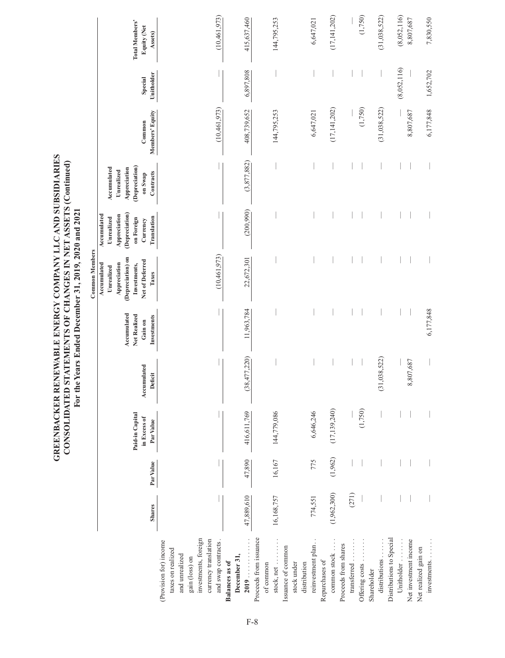|                                                                                                                                                       |               |           |                                              | For 1                  |                                                       | the Years Ended December 31, 2019, 2020 and 2021                                                                                    |                                                                                                      |                                                                                     |                           |                       |                                                 |
|-------------------------------------------------------------------------------------------------------------------------------------------------------|---------------|-----------|----------------------------------------------|------------------------|-------------------------------------------------------|-------------------------------------------------------------------------------------------------------------------------------------|------------------------------------------------------------------------------------------------------|-------------------------------------------------------------------------------------|---------------------------|-----------------------|-------------------------------------------------|
|                                                                                                                                                       | <b>Shares</b> | Par Value | Paid-in Capital<br>in Excess of<br>Par Value | Accumulated<br>Deficit | Accumulated<br>Net Realized<br>Investments<br>Gain on | <b>Common Members</b><br>(Depreciation) on<br>Net of Deferred<br>Accumulated<br>Appreciation<br>Investments,<br>Unrealized<br>Taxes | (Depreciation)<br>Accumulated<br>Appreciation<br>Unrealized<br>Translation<br>on Foreign<br>Currency | (Depreciation)<br>Accumulated<br>Appreciation<br>Unrealized<br>Contracts<br>on Swap | Members' Equity<br>Common | Unitholder<br>Special | <b>Total Members'</b><br>Equity (Net<br>Assets) |
| investments, foreign<br>currency translation<br>(Provision for) income<br>and swap contracts<br>taxes on realized<br>and unrealized<br>gain (loss) on |               |           |                                              |                        |                                                       | (10, 461, 973)                                                                                                                      |                                                                                                      |                                                                                     | (10, 461, 973)            |                       | (10, 461, 973)                                  |
| 2019<br>December 31,<br>Balances as of                                                                                                                | 47,889,610    | 47,890    | 416,611,769                                  | (38,477,220)           | 11,963,784                                            | 22,672,301                                                                                                                          | (200, 990)                                                                                           | (3,877,882)                                                                         | 408,739,652               | 6,897,808             | 415,637,460                                     |
| Proceeds from issuance<br>stock, net<br>of common                                                                                                     | 16,168,757    | 16,167    | 144,779,086                                  |                        |                                                       |                                                                                                                                     |                                                                                                      |                                                                                     | 144,795,253               |                       | 144,795,253                                     |
| reinvestment plan<br>Issuance of common<br>stock under<br>distribution                                                                                | 774,551       | 775       | 6,646,246                                    |                        |                                                       |                                                                                                                                     |                                                                                                      |                                                                                     | 6,647,021                 |                       | 6,647,021                                       |
| common stock<br>Repurchases of                                                                                                                        | (1,962,300)   | (1,962)   | (17, 139, 240)                               |                        |                                                       |                                                                                                                                     |                                                                                                      |                                                                                     | (17, 141, 202)            |                       | (17, 141, 202)                                  |
| transferred<br>Proceeds from shares                                                                                                                   | (271)         |           | (1,750)                                      |                        |                                                       |                                                                                                                                     |                                                                                                      |                                                                                     | (1,750)                   |                       | (1,750)                                         |
| Offering costs<br>distributions<br>Shareholder                                                                                                        |               |           |                                              | (31,038,522)           |                                                       |                                                                                                                                     |                                                                                                      |                                                                                     | (31,038,522)              |                       | (31,038,522)                                    |
| Distributions to Special<br>Net investment income<br>Unitholder                                                                                       |               |           |                                              | 8,807,687              |                                                       |                                                                                                                                     |                                                                                                      |                                                                                     | 8,807,687                 | (8,052,116)           | (8,052,116)<br>8,807,687                        |
| investments<br>Net realized gain on                                                                                                                   |               |           |                                              |                        | 6,177,848                                             |                                                                                                                                     |                                                                                                      |                                                                                     | 6,177,848                 | 1,652,702             | 7,830,550                                       |

**GREENBACKER RENEWABLE ENERGY COMPANY LLC AND SUBSIDIARIES CONSOLIDATED STATEMENTS OF CHANGES IN NET ASSETS (Continued)** 

GREENBACKER RENEWABLE ENERGY COMPANY LLC AND SUBSIDIARIES<br>CONSOLIDATED STATEMENTS OF CHANGES IN NET ASSETS (Continued)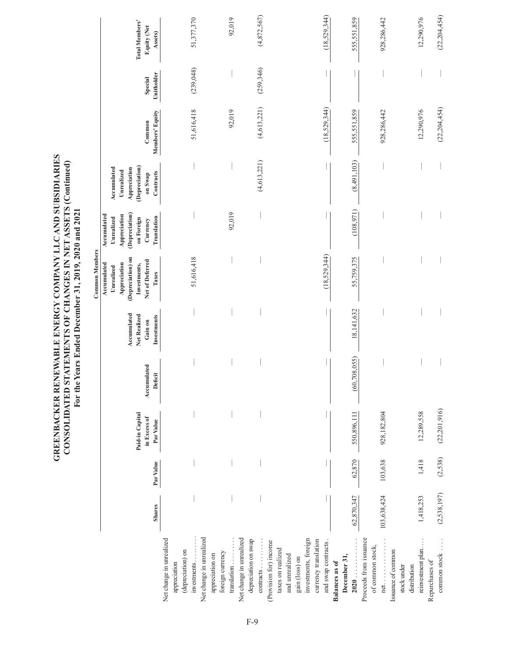GREENBACKER RENEWABLE ENERGY COMPANY LLC AND SUBSIDIARIES<br>CONSOLIDATED STATEMENTS OF CHANGES IN NET ASSETS (Continued)<br>For the Years Ended December 31, 2019, 2020 and 2021 **GREENBACKER RENEWABLE ENERGY COMPANY LLC AND SUBSIDIARIES CONSOLIDATED STATEMENTS OF CHANGES IN NET ASSETS (Continued) For the Years Ended December 31, 2019, 2020 and 2021**

|                                                                                                         |               |           |                                              |                        |                                                       | <b>Common Members</b>                                                                                      |                                                                                                      |                                                                                     |                           |                       |                                                 |
|---------------------------------------------------------------------------------------------------------|---------------|-----------|----------------------------------------------|------------------------|-------------------------------------------------------|------------------------------------------------------------------------------------------------------------|------------------------------------------------------------------------------------------------------|-------------------------------------------------------------------------------------|---------------------------|-----------------------|-------------------------------------------------|
|                                                                                                         | <b>Shares</b> | Par Value | Paid-in Capital<br>in Excess of<br>Par Value | Accumulated<br>Deficit | Accumulated<br>Net Realized<br>Investments<br>Gain on | (Depreciation) on<br>Net of Deferred<br>Accumulated<br>Appreciation<br>Investments,<br>Unrealized<br>Taxes | (Depreciation)<br>Accumulated<br>Appreciation<br>Unrealized<br>on Foreign<br>Translation<br>Currency | (Depreciation)<br>Accumulated<br>Appreciation<br>Unrealized<br>Contracts<br>on Swap | Members' Equity<br>Common | Unitholder<br>Special | <b>Total Members'</b><br>Equity (Net<br>Assets) |
| Net change in unrealized<br>(depreciation) on<br>appreciation                                           |               |           |                                              |                        |                                                       |                                                                                                            |                                                                                                      |                                                                                     |                           |                       |                                                 |
| Net change in unrealized<br>investments<br>appreciation on                                              |               |           |                                              |                        |                                                       | 51,616,418                                                                                                 |                                                                                                      |                                                                                     | 51,616,418                | (239, 048)            | 51,377,370                                      |
| Net change in unrealized<br>translation<br>foreign currency                                             |               |           |                                              |                        |                                                       |                                                                                                            | 92,019                                                                                               |                                                                                     | 92,019                    |                       | 92,019                                          |
| depreciation on swap<br>contracts                                                                       |               |           |                                              |                        |                                                       |                                                                                                            |                                                                                                      | (4, 613, 221)                                                                       | (4, 613, 221)             | (259,346)             | (4,872,567)                                     |
| investments, foreign<br>(Provision for) income<br>taxes on realized<br>and unrealized<br>gain (loss) on |               |           |                                              |                        |                                                       |                                                                                                            |                                                                                                      |                                                                                     |                           |                       |                                                 |
| currency translation<br>and swap contracts                                                              |               |           |                                              |                        |                                                       | (18,529,344)                                                                                               |                                                                                                      |                                                                                     | (18, 529, 344)            |                       | (18,529,344)                                    |
| 2020<br>December 31,<br><b>Balances</b> as of                                                           | 62,870,347    | 62,870    | 550,896,111                                  | (60, 708, 055)         | 18,141,632                                            | 55,759,375                                                                                                 | (108,971)                                                                                            | (8,491,103)                                                                         | 555,551,859               |                       | 555,551,859                                     |
| Proceeds from issuance<br>of common stock,<br>$net. \ldots \ldots$                                      | 103,638,424   | 103,638   | 928,182,804                                  |                        |                                                       |                                                                                                            |                                                                                                      |                                                                                     | 928,286,442               |                       | 928,286,442                                     |
| reinvestment plan<br>Issuance of common<br>distribution<br>stock under                                  | 1,418,253     | 1,418     | 12,289,558                                   |                        |                                                       |                                                                                                            |                                                                                                      |                                                                                     | 12,290,976                |                       | 12,290,976                                      |
| common stock<br>Repurchases of                                                                          | (2, 538, 197) | (2,538)   | (22, 201, 916)                               |                        |                                                       |                                                                                                            |                                                                                                      |                                                                                     | (22, 204, 454)            |                       | (22, 204, 454)                                  |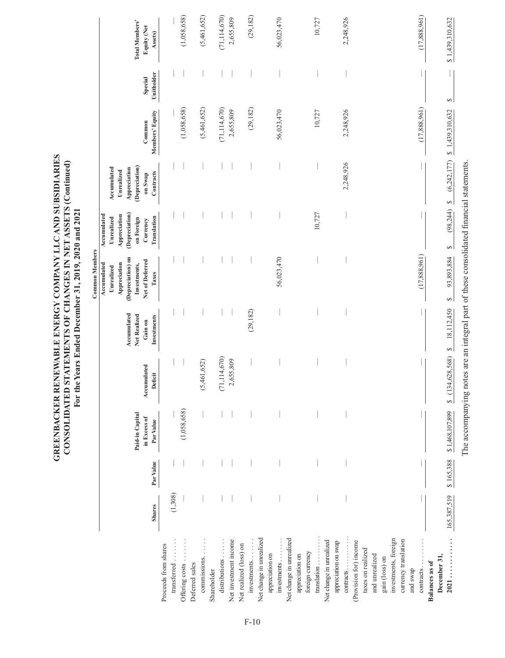|                                                  |               |           |                           |                                                                                         |                             | <b>Common Members</b>                                                          |                                                                           |                                                             |                           |                       |                               |
|--------------------------------------------------|---------------|-----------|---------------------------|-----------------------------------------------------------------------------------------|-----------------------------|--------------------------------------------------------------------------------|---------------------------------------------------------------------------|-------------------------------------------------------------|---------------------------|-----------------------|-------------------------------|
|                                                  |               |           | Paid-in Capital           |                                                                                         | Accumulated<br>Net Realized | (Depreciation) on<br>Accumulated<br>Appreciation<br>Investments,<br>Unrealized | (Depreciation)<br>Accumulated<br>Appreciation<br>Unrealized<br>on Foreign | (Depreciation)<br>Appreciation<br>Accumulated<br>Unrealized |                           |                       | <b>Total Members'</b>         |
|                                                  | <b>Shares</b> | Par Value | in Excess of<br>Par Value | Accumulated<br>Deficit                                                                  | Investments<br>Gain on      | Net of Deferred<br>Taxes                                                       | Translation<br>Currency                                                   | Contracts<br>on Swap                                        | Members' Equity<br>Common | Unitholder<br>Special | <b>Equity (Net</b><br>Assets) |
| Proceeds from shares                             |               |           |                           |                                                                                         |                             |                                                                                |                                                                           |                                                             |                           |                       |                               |
| transferred                                      | (1,308)       |           |                           |                                                                                         |                             |                                                                                |                                                                           |                                                             |                           |                       |                               |
| Deferred sales<br>Offering costs                 |               |           | (1,058,658)               |                                                                                         |                             |                                                                                |                                                                           |                                                             | (1,058,658)               |                       | (1,058,658)                   |
| commissions.                                     |               |           |                           | (5,461,652)                                                                             |                             |                                                                                |                                                                           |                                                             | (5,461,652)               |                       | (5,461,652)                   |
| Shareholder                                      |               |           |                           |                                                                                         |                             |                                                                                |                                                                           |                                                             |                           |                       |                               |
| distributions                                    |               |           |                           | (71, 114, 670)                                                                          |                             |                                                                                |                                                                           |                                                             | (71, 114, 670)            |                       | (71, 114, 670)                |
| Net investment income                            |               |           |                           | 2,655,809                                                                               |                             |                                                                                |                                                                           |                                                             | 2,655,809                 |                       | 2,655,809                     |
| Net realized (loss) on                           |               |           |                           |                                                                                         |                             |                                                                                |                                                                           |                                                             |                           |                       |                               |
| investments                                      |               |           |                           |                                                                                         | (29, 182)                   |                                                                                |                                                                           |                                                             | (29, 182)                 |                       | (29, 182)                     |
| Net change in unrealized                         |               |           |                           |                                                                                         |                             |                                                                                |                                                                           |                                                             |                           |                       |                               |
| appreciation on                                  |               |           |                           |                                                                                         |                             |                                                                                |                                                                           |                                                             |                           |                       |                               |
| investments.                                     |               |           |                           |                                                                                         |                             | 56,023,470                                                                     |                                                                           |                                                             | 56,023,470                |                       | 56,023,470                    |
| Net change in unrealized                         |               |           |                           |                                                                                         |                             |                                                                                |                                                                           |                                                             |                           |                       |                               |
| appreciation on                                  |               |           |                           |                                                                                         |                             |                                                                                |                                                                           |                                                             |                           |                       |                               |
| foreign currency                                 |               |           |                           |                                                                                         |                             |                                                                                |                                                                           |                                                             |                           |                       |                               |
| translation                                      |               |           |                           |                                                                                         |                             |                                                                                | 10,727                                                                    |                                                             | 10,727                    |                       | 10,727                        |
| Net change in unrealized<br>appreciation on swap |               |           |                           |                                                                                         |                             |                                                                                |                                                                           |                                                             |                           |                       |                               |
| contracts                                        |               |           |                           |                                                                                         |                             |                                                                                |                                                                           | 2,248,926                                                   | 2,248,926                 |                       | 2,248,926                     |
| (Provision for) income                           |               |           |                           |                                                                                         |                             |                                                                                |                                                                           |                                                             |                           |                       |                               |
| taxes on realized                                |               |           |                           |                                                                                         |                             |                                                                                |                                                                           |                                                             |                           |                       |                               |
| and unrealized                                   |               |           |                           |                                                                                         |                             |                                                                                |                                                                           |                                                             |                           |                       |                               |
| gain (loss) on                                   |               |           |                           |                                                                                         |                             |                                                                                |                                                                           |                                                             |                           |                       |                               |
| investments, foreign                             |               |           |                           |                                                                                         |                             |                                                                                |                                                                           |                                                             |                           |                       |                               |
| currency translation                             |               |           |                           |                                                                                         |                             |                                                                                |                                                                           |                                                             |                           |                       |                               |
| and swap                                         |               |           |                           |                                                                                         |                             |                                                                                |                                                                           |                                                             |                           |                       |                               |
| contracts.                                       |               |           |                           |                                                                                         |                             | (17,888,961)                                                                   |                                                                           |                                                             | (17,888,961)              |                       | (17,888,961)                  |
| December 31,<br>Balances as of                   |               |           |                           |                                                                                         |                             |                                                                                |                                                                           |                                                             |                           |                       |                               |
| 2021.                                            | 165,387,519   | \$165,388 | \$1,468,107,899           | 134,628,568)<br>S)                                                                      | 18,112,450<br>$\Theta$      | 93,893,884<br>$\Theta$                                                         | (98,244)<br>$\Theta$                                                      | (6,242,177)<br>$\Theta$                                     | \$1,439,310,632           | $\Theta$              | \$1,439,310,632               |
|                                                  |               |           |                           | The accompanying notes are an integral part of these consolidated financial statements. |                             |                                                                                |                                                                           |                                                             |                           |                       |                               |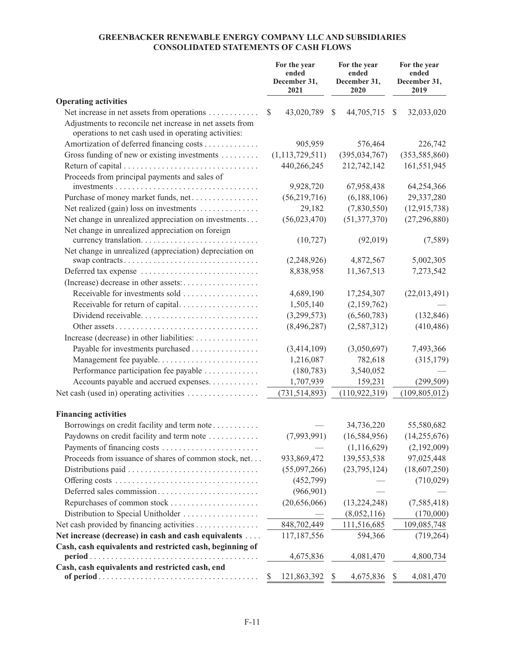# **GREENBACKER RENEWABLE ENERGY COMPANY LLC AND SUBSIDIARIES CONSOLIDATED STATEMENTS OF CASH FLOWS**

|                                                                                                                  |               | For the year<br>ended<br>December 31,<br>2021 | For the year<br>ended<br>December 31,<br>2020 | For the year<br>ended<br>December 31,<br>2019 |
|------------------------------------------------------------------------------------------------------------------|---------------|-----------------------------------------------|-----------------------------------------------|-----------------------------------------------|
| <b>Operating activities</b>                                                                                      |               |                                               |                                               |                                               |
| Net increase in net assets from operations                                                                       | <sup>\$</sup> | 43,020,789                                    | 44,705,715<br><sup>\$</sup>                   | 32,033,020<br>\$                              |
| Adjustments to reconcile net increase in net assets from<br>operations to net cash used in operating activities: |               |                                               |                                               |                                               |
| Amortization of deferred financing costs                                                                         |               | 905,959                                       | 576,464                                       | 226,742                                       |
| Gross funding of new or existing investments                                                                     |               | (1, 113, 729, 511)                            | (395, 034, 767)                               | (353, 585, 860)                               |
|                                                                                                                  |               | 440,266,245                                   | 212,742,142                                   | 161,551,945                                   |
| Proceeds from principal payments and sales of                                                                    |               | 9,928,720                                     | 67,958,438                                    | 64,254,366                                    |
| Purchase of money market funds, net                                                                              |               | (56,219,716)                                  | (6,188,106)                                   | 29,337,280                                    |
| Net realized (gain) loss on investments                                                                          |               | 29,182                                        | (7,830,550)                                   | (12, 915, 738)                                |
| Net change in unrealized appreciation on investments                                                             |               | (56,023,470)                                  | (51, 377, 370)                                | (27, 296, 880)                                |
| Net change in unrealized appreciation on foreign                                                                 |               | (10, 727)                                     | (92, 019)                                     | (7,589)                                       |
| Net change in unrealized (appreciation) depreciation on                                                          |               |                                               |                                               |                                               |
| swap contracts                                                                                                   |               | (2,248,926)                                   | 4,872,567                                     | 5,002,305                                     |
| Deferred tax expense                                                                                             |               | 8,838,958                                     | 11,367,513                                    | 7,273,542                                     |
|                                                                                                                  |               |                                               |                                               |                                               |
| Receivable for investments sold                                                                                  |               | 4,689,190                                     | 17,254,307                                    | (22,013,491)                                  |
| Receivable for return of capital                                                                                 |               | 1,505,140                                     | (2,159,762)                                   |                                               |
| Dividend receivable                                                                                              |               | (3,299,573)                                   | (6,560,783)                                   | (132, 846)                                    |
|                                                                                                                  |               | (8,496,287)                                   | (2, 587, 312)                                 | (410, 486)                                    |
| Increase (decrease) in other liabilities:                                                                        |               |                                               |                                               |                                               |
| Payable for investments purchased                                                                                |               | (3,414,109)                                   | (3,050,697)                                   | 7,493,366                                     |
| Management fee payable                                                                                           |               | 1,216,087                                     | 782,618                                       | (315, 179)                                    |
| Performance participation fee payable                                                                            |               | (180, 783)                                    | 3,540,052                                     |                                               |
| Accounts payable and accrued expenses.                                                                           |               | 1,707,939                                     | 159,231                                       | (299, 509)                                    |
| Net cash (used in) operating activities                                                                          |               | (731, 514, 893)                               | (110, 922, 319)                               | (109, 805, 012)                               |
| <b>Financing activities</b>                                                                                      |               |                                               |                                               |                                               |
| Borrowings on credit facility and term note                                                                      |               |                                               | 34,736,220                                    | 55,580,682                                    |
| Paydowns on credit facility and term note                                                                        |               | (7,993,991)                                   | (16, 584, 956)                                | (14, 255, 676)                                |
| Payments of financing costs                                                                                      |               |                                               | (1, 116, 629)                                 | (2,192,009)                                   |
| Proceeds from issuance of shares of common stock, net                                                            |               | 933,869,472                                   | 139,553,538                                   | 97,025,448                                    |
|                                                                                                                  |               | (55,097,266)                                  | (23, 795, 124)                                | (18,607,250)                                  |
|                                                                                                                  |               | (452,799)                                     |                                               | (710, 029)                                    |
| Deferred sales commission                                                                                        |               | (966, 901)                                    |                                               |                                               |
|                                                                                                                  |               | (20,656,066)                                  | (13, 224, 248)                                | (7, 585, 418)                                 |
| Distribution to Special Unitholder                                                                               |               |                                               | (8,052,116)                                   | (170,000)                                     |
| Net cash provided by financing activities                                                                        |               | 848,702,449                                   | 111,516,685                                   | 109,085,748                                   |
| Net increase (decrease) in cash and cash equivalents                                                             |               | 117,187,556                                   | 594,366                                       | (719, 264)                                    |
| Cash, cash equivalents and restricted cash, beginning of                                                         |               | 4,675,836                                     | 4,081,470                                     | 4,800,734                                     |
| Cash, cash equivalents and restricted cash, end                                                                  | \$            | 121,863,392                                   | 4,675,836<br>\$                               | 4,081,470<br>\$                               |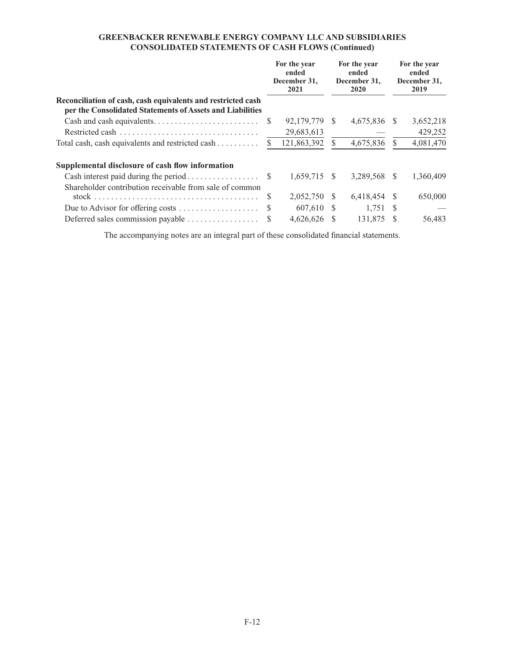# **GREENBACKER RENEWABLE ENERGY COMPANY LLC AND SUBSIDIARIES CONSOLIDATED STATEMENTS OF CASH FLOWS (Continued)**

|                                                                                                                           | For the year<br>ended<br>December 31,<br>2021 |     | For the year<br>ended<br>December 31,<br>2020 |     | For the year<br>ended<br>December 31,<br>2019 |
|---------------------------------------------------------------------------------------------------------------------------|-----------------------------------------------|-----|-----------------------------------------------|-----|-----------------------------------------------|
| Reconciliation of cash, cash equivalents and restricted cash<br>per the Consolidated Statements of Assets and Liabilities |                                               |     |                                               |     |                                               |
|                                                                                                                           | 92,179,779                                    | - S | 4,675,836 \$                                  |     | 3,652,218                                     |
|                                                                                                                           | 29,683,613                                    |     |                                               |     | 429,252                                       |
| Total cash, cash equivalents and restricted cash                                                                          | 121,863,392                                   |     | 4,675,836                                     |     | 4,081,470                                     |
| Supplemental disclosure of cash flow information                                                                          |                                               |     |                                               |     |                                               |
|                                                                                                                           | $1,659,715$ \$                                |     | 3,289,568                                     | - S | 1,360,409                                     |
| Shareholder contribution receivable from sale of common                                                                   |                                               |     |                                               |     |                                               |
|                                                                                                                           | 2,052,750 \$                                  |     | 6,418,454                                     | - S | 650,000                                       |
| Due to Advisor for offering costs                                                                                         | 607,610 \$                                    |     | $1,751$ \$                                    |     |                                               |
| Deferred sales commission payable                                                                                         | 4,626,626 \$                                  |     | 131,875                                       |     | 56,483                                        |

The accompanying notes are an integral part of these consolidated financial statements.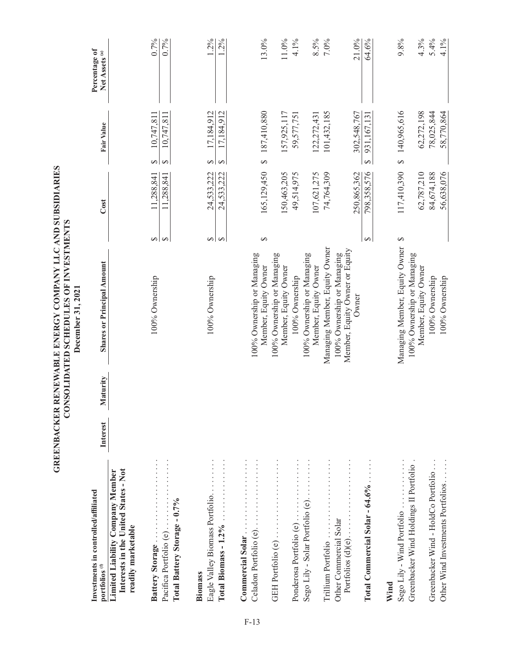|                                                                                                |          |          | ONSOLIDATED SCHEDULES OF INVESTMENTS<br>December 31, 2021             |                   |             |                                                      |                                            |
|------------------------------------------------------------------------------------------------|----------|----------|-----------------------------------------------------------------------|-------------------|-------------|------------------------------------------------------|--------------------------------------------|
| Investments in controlled/affiliated<br>portfolios <sup>(f)</sup>                              | Interest | Maturity | <b>Shares or Principal Amount</b>                                     |                   | Cost        | Fair Value                                           | Percentage of<br>Net Assets <sup>(a)</sup> |
| Interests in the United States - Not<br>Limited Liability Company Member<br>readily marketable |          |          |                                                                       |                   |             |                                                      |                                            |
| Battery Storage                                                                                |          |          | 100% Ownership                                                        | ⊷∣                | 11,288,841  | 10,747,811<br>$\Theta$                               | $0.7\%$                                    |
| Total Battery Storage - 0.7%<br>Pacifica Portfolio (e)                                         |          |          |                                                                       | $\leftrightarrow$ | 11,288,841  | 10,747,811<br>$\leftrightarrow$                      | $0.7\%$                                    |
| Eagle Valley Biomass Portfolio<br><b>Biomass</b>                                               |          |          |                                                                       |                   | 24,533,222  | 17,184,912                                           | 1.2%                                       |
| Total Biomass - 1.2%                                                                           |          |          | 100% Ownership                                                        | ↔ । ↔             | 24,533,222  | 17,184,912<br>$\leftrightarrow$<br>$\leftrightarrow$ | $2\%$                                      |
| Commercial Solar.                                                                              |          |          |                                                                       |                   |             |                                                      |                                            |
| Celadon Portfolio (e)                                                                          |          |          | 100% Ownership or Managing<br>Member, Equity Owner                    | ↔                 | 165,129,450 | 187,410,880<br>↔                                     | 13.0%                                      |
| GEH Portfolio (e)                                                                              |          |          | 100% Ownership or Managing<br>Member, Equity Owner                    |                   | 150,463,205 | 157,925,117                                          | 11.0%                                      |
| Ponderosa Portfolio (e)                                                                        |          |          | 100% Ownership                                                        |                   | 49,514,975  | 59,577,751                                           | 4.1%                                       |
| Sego Lily - Solar Portfolio (e)                                                                |          |          | 100% Ownership or Managing<br>Member, Equity Owner                    |                   | 107,621,275 | 122,272,431                                          | 8.5%                                       |
| Trillium Portfolio                                                                             |          |          | Managing Member, Equity Owner                                         |                   | 74,764,309  | 101,432,185                                          | 7.0%                                       |
| Other Commercial Solar<br>Portfolios $(d)(e)$                                                  |          |          | Member, Equity Owner or Equity<br>100% Ownership or Managing<br>Owner |                   | 250,865,362 | 302,548,767                                          | 21.0%                                      |
| Total Commercial Solar - 64.6%.                                                                |          |          |                                                                       | $\Theta$          | 798,358,576 | 931,167,131<br>$\leftrightarrow$                     | 64.6%                                      |
| Wind                                                                                           |          |          |                                                                       |                   |             |                                                      |                                            |
| Sego Lily - Wind Portfolio                                                                     |          |          | Managing Member, Equity Owner                                         | ↔                 | 117,410,390 | 140,965,616<br>$\leftrightarrow$                     | 9.8%                                       |
| Greenbacker Wind Holdings II Portfolio                                                         |          |          | 100% Ownership or Managing<br>Member, Equity Owner                    |                   | 62,787,210  | 62,272,198                                           | 4.3%                                       |
| Greenbacker Wind - HoldCo Portfolio.                                                           |          |          | 100% Ownership                                                        |                   | 84,674,188  | 78,025,844                                           | 5.4%                                       |
| Other Wind Investments Portfolios                                                              |          |          | 100% Ownership                                                        |                   | 56,638,076  | 58,770,864                                           | 4.1%                                       |

**GREENBACKER RENEWABLE ENERGY COMPANY LLC AND SUBSIDIARIES** 

GREENBACKER RENEWABLE ENERGY COMPANY LLC AND SUBSIDIARIES

F-13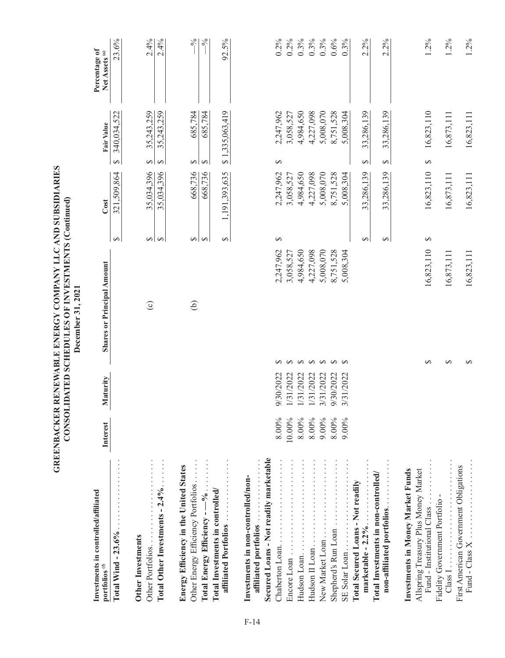|                                                                                                                |                   |                        | GREENBACKER RENEWABLE ENERGY COMPANY LLC AND SUBSIDIARIES<br>CONSOLIDATED SCHEDULES OF INVESTMENTS (Continued)<br>December 31, 2021 |                        |               |                          |                       |                          |                                            |
|----------------------------------------------------------------------------------------------------------------|-------------------|------------------------|-------------------------------------------------------------------------------------------------------------------------------------|------------------------|---------------|--------------------------|-----------------------|--------------------------|--------------------------------------------|
| Investments in controlled/affiliated<br>portfolios <sup>(f)</sup>                                              | Interest          | Maturity               | <b>Shares or Principal Amount</b>                                                                                                   |                        |               | Cost                     |                       | Fair Value               | Percentage of<br>Net Assets <sup>(a)</sup> |
| Total Wind - $23.6\%$                                                                                          |                   |                        |                                                                                                                                     |                        | $\bullet$     | ,509,864<br>321          | $\Theta$              | 340.034.522              | 23.6%                                      |
| Total Other Investments - $2.4\%$<br>Other Portfolios<br><b>Other Investments</b>                              |                   |                        |                                                                                                                                     | $\odot$                | ↔<br>↔        | 35,034,396<br>35,034,396 | $\Theta$<br>$\bullet$ | 35,243,259<br>35,243,259 | 2.4%<br>2.4%                               |
| Energy Efficiency in the United States<br>Other Energy Efficiency Portfolios<br>Total Energy Efficiency - -- % |                   |                        |                                                                                                                                     | $\Theta$               | $\Theta$<br>↮ | 668,736<br>668,736       | ⊷∣<br>$\Theta$        | 685,784<br>685,784       | $-\frac{6}{6}$<br>$\sim$                   |
| Total Investments in controlled/<br>affiliated Portfolios                                                      |                   |                        |                                                                                                                                     |                        | $\Theta$      | 1,191,393,635            | $\leftrightarrow$     | 1,335,063,419            | 92.5%                                      |
| Secured Loans - Not readily marketable<br>affiliated portfolios<br>Investments in non-controlled/non-          |                   |                        |                                                                                                                                     |                        |               |                          |                       |                          |                                            |
| Chaberton Loan                                                                                                 | 8.00%<br>10.00%   | 9/30/2022<br>1/31/2022 | ↔<br>$\Theta$                                                                                                                       | 2,247,962<br>3,058,527 | $\Theta$      | 2,247,962<br>3,058,527   | ↔                     | 2,247,962<br>3,058,527   | $0.2\%$<br>$0.2\%$                         |
| Hudson Loan                                                                                                    | $8.00\%$          | 1/31/2022              | $\rightarrow$                                                                                                                       | 4,984,650              |               | 4,984,650                |                       | 4,984,650                | $0.3\%$                                    |
| Hudson II Loan<br>New Market Loan                                                                              | $8.00\%$<br>9.00% | 1/31/2022<br>3/31/2022 | $\leftrightarrow$<br>$\leftrightarrow$                                                                                              | 4,227,098<br>5,008,070 |               | 4,227,098<br>5,008,070   |                       | 4,227,098<br>5,008,070   | $0.3\%$<br>$0.3\%$                         |
| Shepherd's Run Loan                                                                                            | 8.00%             | 9/30/2022              | $\Theta$ $\Theta$                                                                                                                   | 8,751,528              |               | 8,751,528                |                       | 8,751,528                | $0.6\%$                                    |
| $SL$ Solar Loan $\ldots \ldots \ldots$                                                                         | 9.00%             | 3/31/2022              |                                                                                                                                     | 5,008,304              |               | 5,008,304                |                       | 5,008,304                | 0.3%                                       |
| Total Secured Loans - Not readily<br>marketable $-2.2\%$                                                       |                   |                        |                                                                                                                                     |                        | ↔             | 33,286,139               | $\Theta$              | 33,286,139               | 2.2%                                       |
| Total Investments in non-controlled/<br>non-affiliated portfolios                                              |                   |                        |                                                                                                                                     |                        | $\Theta$      | 33,286,139               | $\rightarrow$         | 33,286,139               | 2.2%                                       |
| Investments in Money Market Funds<br>Allspring Treasury Plus Money Market<br>Fund - Institutional Class.       |                   |                        | ↔                                                                                                                                   | 16,823,110             | ↮             | 16,823,110               | $\Theta$              | 16,823,110               | 1.2%                                       |
| Fidelity Government Portfolio -<br>Class 1                                                                     |                   |                        | $\Theta$                                                                                                                            | 16,873,111             |               | 16,873,111               |                       | 16,873,111               | $1.2\%$                                    |
| First American Government Obligations                                                                          |                   |                        |                                                                                                                                     | 16,823,111             |               | 16,823,111               |                       | 16,823,111               | 1.2%                                       |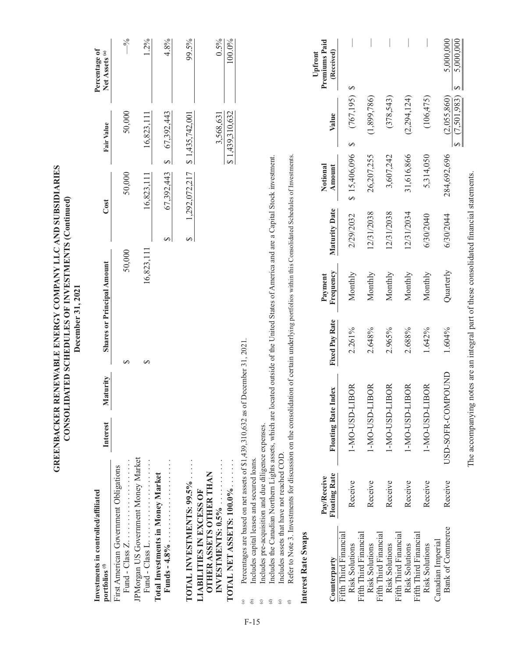|                                                                                                                         |                                                                                                                                                                                                                                                                                                                                                                                                                                                                                                                                            |                     |          | GREENBACKER RENEWABLE ENERGY COMPANY LLC AND SUBSIDIARIES<br>CONSOLIDATED SCHEDULES OF INVESTMENTS (Continued)<br>December 31, 2021 |                                   |               |                        |                                                       |                                            |
|-------------------------------------------------------------------------------------------------------------------------|--------------------------------------------------------------------------------------------------------------------------------------------------------------------------------------------------------------------------------------------------------------------------------------------------------------------------------------------------------------------------------------------------------------------------------------------------------------------------------------------------------------------------------------------|---------------------|----------|-------------------------------------------------------------------------------------------------------------------------------------|-----------------------------------|---------------|------------------------|-------------------------------------------------------|--------------------------------------------|
| Investments in controlled/affiliated<br>portfolios <sup>(f)</sup>                                                       |                                                                                                                                                                                                                                                                                                                                                                                                                                                                                                                                            | Interest            | Maturity |                                                                                                                                     | <b>Shares or Principal Amount</b> |               | Cost                   | Fair Value                                            | Percentage of<br>Net Assets <sup>(a)</sup> |
| First American Government Obligations<br>Fund - $\text{Class } Z \dots \dots \dots$                                     |                                                                                                                                                                                                                                                                                                                                                                                                                                                                                                                                            |                     |          | ↔                                                                                                                                   | 50,000                            |               | 50,000                 | 50,000                                                | $-9/6$                                     |
| JPMorgan US Government Money Market                                                                                     |                                                                                                                                                                                                                                                                                                                                                                                                                                                                                                                                            |                     |          | $\Theta$                                                                                                                            | 16,823,111                        |               | 16,823,111             | 16,823,111                                            | 1.2%                                       |
| <b>Total Investments in Money Market</b><br>Funds $-4.8\%$                                                              |                                                                                                                                                                                                                                                                                                                                                                                                                                                                                                                                            |                     |          |                                                                                                                                     |                                   | $\Theta$      | $\Theta$<br>67,392,443 | 67,392,443                                            | 4.8%                                       |
| TOTAL INVESTMENTS: 99.5%<br>LIABILITIES IN EXCESS OF                                                                    |                                                                                                                                                                                                                                                                                                                                                                                                                                                                                                                                            |                     |          |                                                                                                                                     |                                   | $\Theta$      | 1,292,072,217          | \$1,435,742,001                                       | 99.5%                                      |
| TOTAL NET ASSETS: 100.0%<br><b>OTHER ASSETS OTHER THAN</b><br>INVESTMENTS: 0.5%                                         |                                                                                                                                                                                                                                                                                                                                                                                                                                                                                                                                            |                     |          |                                                                                                                                     |                                   |               |                        | \$1,439,310,632<br>3,568,631                          | 0.5%<br>$100.0\%$                          |
| $\widehat{\mathrm{e}}$<br>$\widehat{\mathbf{c}}$<br>$_{\odot}$<br>$\overset{\odot}{\circ}$<br>$\widehat{a}$<br>$\oplus$ | Refer to Note 3. Investments for discussion on the consolidation of certain underlying portfolios within this Consolidated Schedules of Investments.<br>Includes the Canadian Northern Lights assets, which are located outside of the United States of America and are a Capital Stock investment.<br>Percentages are based on net assets of \$1,439,310,632 as of December 31, 2021.<br>Includes pre-acquisition and due diligence expenses.<br>Includes assets that have not reached COD.<br>Includes capital leases and secured loans. |                     |          |                                                                                                                                     |                                   |               |                        |                                                       |                                            |
| Interest Rate Swaps<br>Counterparty                                                                                     | <b>Floating Rate</b><br>Pay/Receive                                                                                                                                                                                                                                                                                                                                                                                                                                                                                                        | Floating Rate Index |          | <b>Fixed Pay Rate</b>                                                                                                               | Frequency<br>Payment              | Maturity Date | Notional<br>Amount     | Value                                                 | Premiums Paid<br>(Received)<br>Upfront     |
| Fifth Third Financial<br><b>Risk Solutions</b>                                                                          | Receive                                                                                                                                                                                                                                                                                                                                                                                                                                                                                                                                    | 1-MO-USD-LIBOR      |          | 2.261%                                                                                                                              | Monthly                           | 2/29/2032     | \$15,406,096           | (767, 195)<br>∽                                       | ∽                                          |
| Fifth Third Financial<br><b>Risk Solutions</b>                                                                          | Receive                                                                                                                                                                                                                                                                                                                                                                                                                                                                                                                                    | 1-MO-USD-LIBOR      |          | 2.648%                                                                                                                              | Monthly                           | 12/31/2038    | 26,207,255             | (1,899,786)                                           |                                            |
| Fifth Third Financial<br>Fifth Third Financial<br><b>Risk Solutions</b>                                                 | Receive                                                                                                                                                                                                                                                                                                                                                                                                                                                                                                                                    | 1-MO-USD-LIBOR      |          | 2.965%                                                                                                                              | Monthly                           | 12/31/2038    | 3,607,242              | (378,543)                                             |                                            |
| Fifth Third Financial<br><b>Risk Solutions</b>                                                                          | Receive                                                                                                                                                                                                                                                                                                                                                                                                                                                                                                                                    | 1-MO-USD-LIBOR      |          | 2.688%                                                                                                                              | Monthly                           | 12/31/2034    | 31,616,866             | (2,294,124)                                           |                                            |
| <b>Risk Solutions</b>                                                                                                   | Receive                                                                                                                                                                                                                                                                                                                                                                                                                                                                                                                                    | 1-MO-USD-LIBOR      |          | 1.642%                                                                                                                              | Monthly                           | 6/30/2040     | 5,314,050              | (106, 475)                                            |                                            |
| <b>Bank of Commerce</b><br>Canadian Imperial                                                                            | Receive                                                                                                                                                                                                                                                                                                                                                                                                                                                                                                                                    | USD-SOFR-COMPOUND   |          | 1.604%                                                                                                                              | Quarterly                         | 6/30/2044     | 284,692,696            | (2,055,860)<br>(7,501,983)<br>$\overline{\mathbf{e}}$ | 5,000,000<br>5,000,000<br>∣↔               |

The accompanying notes are an integral part of these consolidated financial statements. The accompanying notes are an integral part of these consolidated financial statements.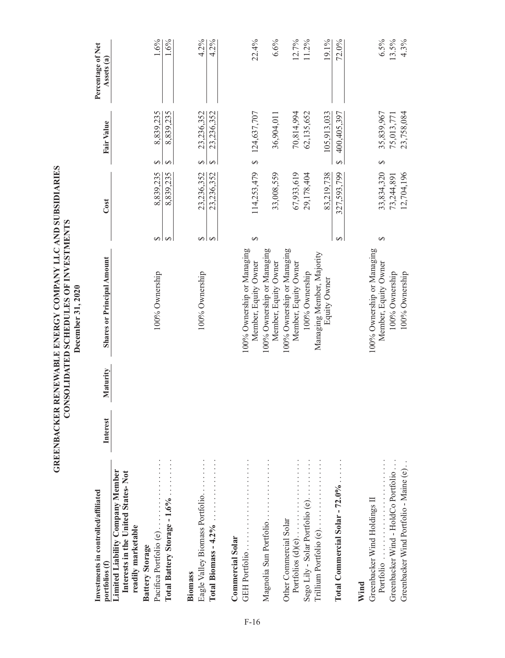|                                                                                                     |          |          | December 31, 2020                                  |          |             |                             |                                 |
|-----------------------------------------------------------------------------------------------------|----------|----------|----------------------------------------------------|----------|-------------|-----------------------------|---------------------------------|
| Investments in controlled/affiliated<br>portfolios (f)                                              | Interest | Maturity | <b>Shares or Principal Amount</b>                  |          | Cost        | Fair Value                  | Percentage of Net<br>Assets (a) |
| <b>Limited Liability Company Member</b><br>Interests in the United States-Not<br>readily marketable |          |          |                                                    |          |             |                             |                                 |
| Pacifica Portfolio (e)<br><b>Battery Storage</b>                                                    |          |          | 100% Ownership                                     | ↔        | 8,839,235   | 8,839,235<br>$\bullet$      | 1.6%                            |
| Total Battery Storage - 1.6%                                                                        |          |          |                                                    | $\Theta$ | 8,839,235   | 8,839,235<br>$\Theta$       | 1.6%                            |
| Eagle Valley Biomass Portfolio<br>Biomass                                                           |          |          | 100% Ownership                                     | ↔        | 23,236,352  | 23,236,352<br>$\Theta$      | 4.2%                            |
| Total Biomass $-4.2\%$                                                                              |          |          |                                                    | $\Theta$ | 23,236,352  | 23,236,352<br>$\rightarrow$ | 4.2%                            |
| <b>Commercial Solar</b>                                                                             |          |          |                                                    |          |             |                             |                                 |
| GEH Portfolio                                                                                       |          |          | 100% Ownership or Managing<br>Member, Equity Owner | $\Theta$ |             | 114,253,479 \$ 124,637,707  | 22.4%                           |
| Magnolia Sun Portfolio                                                                              |          |          | 100% Ownership or Managing<br>Member, Equity Owner |          | 33,008,559  | 36,904,011                  | 6.6%                            |
| Portfolios (d)(e)<br>Other Commercial Solar                                                         |          |          | 100% Ownership or Managing<br>Member, Equity Owner |          | 67,933,619  | 70,814,994                  | $12.7\%$                        |
| Sego Lily - Solar Portfolio (e). $\dots$                                                            |          |          | 100% Ownership                                     |          | 29,178,404  | 62,135,652                  | 11.2%                           |
| Trillium Portfolio (e)                                                                              |          |          | Managing Member, Majority<br>Equity Owner          |          | 83,219,738  | 105,913,033                 | 19.1%                           |
| Total Commercial Solar $-72.0\%$                                                                    |          |          |                                                    | ↔        | 327,593,799 | 400,405,397<br>Ø            | 72.0%                           |
| Wind                                                                                                |          |          |                                                    |          |             |                             |                                 |
| Greenbacker Wind Holdings II<br>Portfolio                                                           |          |          | 100% Ownership or Managing<br>Member, Equity Owner | ↔        | 33,834,320  | 35,839,967<br>↔             | 6.5%                            |
| Greenbacker Wind - HoldCo Portfolio                                                                 |          |          | 100% Ownership                                     |          | 73,244,891  | 75,013,771                  | 13.5%                           |
| Greenbacker Wind Portfolio - Maine (e)                                                              |          |          | 100% Ownership                                     |          | 12,704,196  | 23,758,084                  | 4.3%                            |

GREENBACKER RENEWABLE ENERGY COMPANY LLC AND SUBSIDIARIES<br>CONSOLIDATED SCHEDULES OF INVESTMENTS **GREENBACKER RENEWABLE ENERGY COMPANY LLC AND SUBSIDIARIES CONSOLIDATED SCHEDULES OF INVESTMENTS**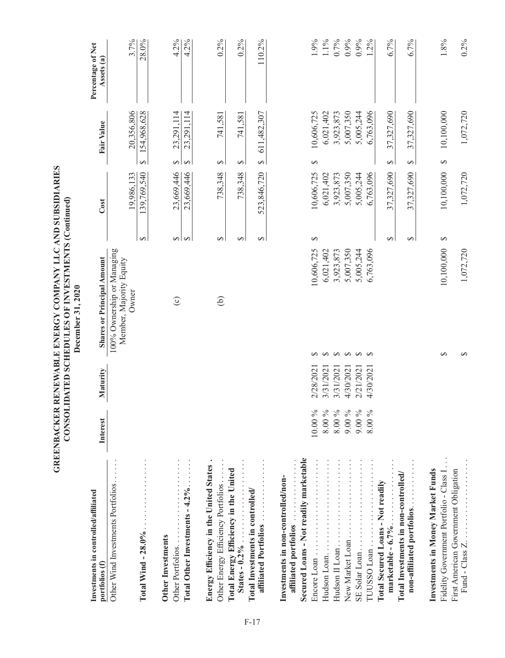|                                                                               |                     |                        | GREENBACKER RENEWABLE ENERGY COMPANY LLCAND SUBSIDIARIES<br>CONSOLIDATED SCHEDULES OF INVESTMENTS (Continued)<br>December 31, 2020 |                        |                        |                                  |                                 |
|-------------------------------------------------------------------------------|---------------------|------------------------|------------------------------------------------------------------------------------------------------------------------------------|------------------------|------------------------|----------------------------------|---------------------------------|
| Investments in controlled/affiliated<br>portfolios (f)                        | Interest            | Maturity               | <b>Shares or Principal Amount</b>                                                                                                  |                        | Cost                   | Fair Value                       | Percentage of Net<br>Assets (a) |
| Other Wind Investments Portfolios                                             |                     |                        | 100% Ownership or Managing<br>Member, Majority Equity<br>Owner                                                                     |                        | 19,986,133             | 20,356,806                       | 3.7%                            |
| Total Wind - $28.0\%$                                                         |                     |                        |                                                                                                                                    | $\Theta$               | 139,769,540            | 154,968,628<br>$\leftrightarrow$ | 28.0%                           |
| Other Portfolios.<br><b>Other Investments</b>                                 |                     |                        | $\odot$                                                                                                                            | ↔∣                     | 23,669,446             | 23,291,114<br>$\rightarrow$      | 4.2%                            |
| Total Other Investments - $4.2\%$                                             |                     |                        |                                                                                                                                    | $\rightarrow$          | 23,669,446             | 23,291,114<br>$\leftrightarrow$  | 4.2%                            |
| Energy Efficiency in the United States.<br>Other Energy Efficiency Portfolios |                     |                        | $\widehat{e}$                                                                                                                      | $\Theta$               | 738,348                | 741,581<br>$\Theta$              | $0.2\%$                         |
| Total Energy Efficiency in the United                                         |                     |                        |                                                                                                                                    | ↔                      | 738,348                | 741,581<br>↔                     | $0.2\%$                         |
| affiliated Portfolios<br>Total Investments in controlled/                     |                     |                        |                                                                                                                                    | $\Theta$               | 523,846,720            | 611,482,307<br>↔                 | 110.2%                          |
| affiliated portfolios<br>Investments in non-controlled/non-                   |                     |                        |                                                                                                                                    |                        |                        |                                  |                                 |
| Secured Loans - Not readily marketable                                        | 10.00%              | 2/28/2021              | ↮                                                                                                                                  | $\Theta$<br>10,606,725 | 10,606,725             | 10,606,725<br>$\Theta$           | 1.9%                            |
| .<br>Hudson Loan                                                              | $8.00\,\%$          | 3/31/2021              | $\Theta$                                                                                                                           | 6,021,402              | 6,021,402              | 6,021,402                        | 1.1%                            |
| Hudson II Loan                                                                | $8.00\,\%$<br>9.00% | 4/30/2021<br>3/31/2021 | $\leftrightarrow$<br>$\bullet$                                                                                                     | 5,007,350<br>3,923,873 | 5,007,350<br>3,923,873 | 5,007,350<br>3,923,873           | 0.7%<br>0.9%                    |
| $S1: \ldots \ldots \ldots \ldots \ldots \ldots \ldots \ldots \ldots$          | 9.00%               | 2/21/2021              | $\leftrightarrow$                                                                                                                  | 5,005,244              | 5,005,244              | 5,005,244                        | 0.9%                            |
| TUUSSO Loan                                                                   | 8.00%               | 4/30/2021              | $\leftrightarrow$                                                                                                                  | 6,763,096              | 6,763,096              | 6,763,096                        | $1.2\%$                         |
| Total Secured Loans - Not readily<br>marketable - $6.7\%$                     |                     |                        |                                                                                                                                    | ↔                      | 37,327,690             | 37,327,690<br>$\Theta$           | 6.7%                            |
| Total Investments in non-controlled/<br>non-affiliated portfolios             |                     |                        |                                                                                                                                    | $\Theta$               | 37,327,690             | 37,327,690<br>$\leftrightarrow$  | 6.7%                            |
| Fidelity Government Portfolio - Class I.<br>Investments in Money Market Funds |                     |                        | ↔                                                                                                                                  | ↔<br>10,100,000        | 10,100,000             | 10,100,000<br>$\leftrightarrow$  | $1.8\%$                         |
| First American Government Obligation                                          |                     |                        | ∽                                                                                                                                  | 1,072,720              | 1,072,720              | 1,072,720                        | $0.2\%$                         |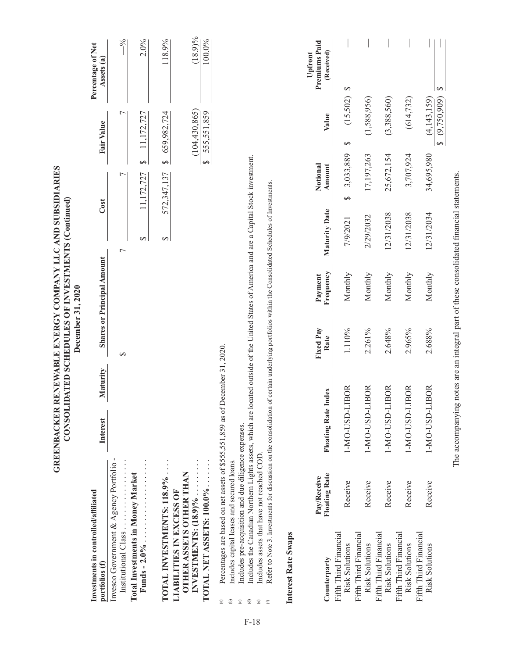|                                                                                                                   |                                                                                                                                                                                                                                                                                                                                                                                                                                                                                                                                         |                            |          | December 31, 2020 |                                   | GREENBACKER RENEWABLE ENERGY COMPANY LLC AND SUBSIDIARIES<br>CONSOLIDATED SCHEDULES OF INVESTMENTS (Continued) |                    |                                                     |               |                                        |
|-------------------------------------------------------------------------------------------------------------------|-----------------------------------------------------------------------------------------------------------------------------------------------------------------------------------------------------------------------------------------------------------------------------------------------------------------------------------------------------------------------------------------------------------------------------------------------------------------------------------------------------------------------------------------|----------------------------|----------|-------------------|-----------------------------------|----------------------------------------------------------------------------------------------------------------|--------------------|-----------------------------------------------------|---------------|----------------------------------------|
| Investments in controlled/affiliated<br>portfolios (f)                                                            |                                                                                                                                                                                                                                                                                                                                                                                                                                                                                                                                         | Interest                   | Maturity |                   | <b>Shares or Principal Amount</b> |                                                                                                                | Cost               | Fair Value                                          |               | Percentage of Net<br>Assets (a)        |
| Invesco Government & Agency Portfolio<br>Institutional Class                                                      |                                                                                                                                                                                                                                                                                                                                                                                                                                                                                                                                         |                            |          | ↔                 |                                   | 7                                                                                                              | ᡕ                  |                                                     | ᡕ             | $\frac{6}{6}$                          |
| <b>Total Investments in Money Market</b>                                                                          |                                                                                                                                                                                                                                                                                                                                                                                                                                                                                                                                         |                            |          |                   |                                   | ↔                                                                                                              | 11, 172, 727       | 11, 172, 727<br>$\leftrightarrow$                   |               | 2.0%                                   |
| TOTAL INVESTMENTS: 118.9%                                                                                         |                                                                                                                                                                                                                                                                                                                                                                                                                                                                                                                                         |                            |          |                   |                                   | ↔                                                                                                              | 572,347,137        | \$659,982,724                                       |               | 118.9%                                 |
| TOTAL NET ASSETS: 100.0%<br>INVESTMENTS: $(18.9)$ %<br><b>OTHER ASSETS OTHER THAN</b><br>LIABILITIES IN EXCESS OF |                                                                                                                                                                                                                                                                                                                                                                                                                                                                                                                                         |                            |          |                   |                                   |                                                                                                                |                    | (104, 430, 865)<br>555,551,859<br>$\leftrightarrow$ |               | $(18.9)\%$<br>100.0%                   |
| Interest Rate Swaps<br>ê<br>$\widehat{a}$<br>$\circ$<br>ਰ<br>$^\copyright$<br>$\oplus$                            | Includes the Canadian Northern Lights assets, which are located outside of the United States of America and are a Capital Stock investment.<br>Refer to Note 3. Investments for discussion on the consolidation of certain underlying portfolios within the Consolidated Schedules of Investments.<br>Percentages are based on net assets of \$555,551,859 as of December 31, 2020.<br>Includes pre-acquisition and due diligence expenses.<br>Includes assets that have not reached COD.<br>Includes capital leases and secured loans. |                            |          |                   |                                   |                                                                                                                |                    |                                                     |               |                                        |
| Counterparty                                                                                                      | <b>Floating Rate</b><br>Pay/Receive                                                                                                                                                                                                                                                                                                                                                                                                                                                                                                     | <b>Floating Rate Index</b> |          | Fixed Pay<br>Rate | Frequency<br>Payment              | Maturity Date                                                                                                  | Notional<br>Amount | Value                                               |               | Premiums Paid<br>(Received)<br>Upfront |
| Fifth Third Financial<br><b>Risk Solutions</b>                                                                    | Receive                                                                                                                                                                                                                                                                                                                                                                                                                                                                                                                                 | 1-MO-USD-LIBOR             |          | 1.110%            | Monthly                           | 7/9/2021                                                                                                       | 3,033,889<br>↔     | ↔                                                   | ↔<br>(15,502) |                                        |
| Fifth Third Financial<br>Risk Solutions                                                                           | Receive                                                                                                                                                                                                                                                                                                                                                                                                                                                                                                                                 | 1-MO-USD-LIBOR             |          | 2.261%            | Monthly                           | 2/29/2032                                                                                                      | 17,197,263         |                                                     | (1,588,956)   |                                        |
| Fifth Third Financial<br>Risk Solutions                                                                           | Receive                                                                                                                                                                                                                                                                                                                                                                                                                                                                                                                                 | 1-MO-USD-LIBOR             |          | 2.648%            | Monthly                           | 12/31/2038                                                                                                     | 25,672,154         |                                                     | (3,388,560)   |                                        |

The accompanying notes are an integral part of these consolidated financial statements. The accompanying notes are an integral part of these consolidated financial statements.

 $\overline{\phantom{a}}$ 

 $(614, 732)$ 

3,707,924

12/31/2038

Risk Solutions Receive 1-MO-USD-LIBOR 2.965% Monthly 12/31/2038 3,707,924 (614,732) —

2.965%

1-MO-USD-LIBOR

Receive

Monthly

Risk Solutions Receive 1-MO-USD-LIBOR 2.688% Monthly 12/31/2034 34,695,980 (4,143,159) —

2.688%

1-MO-USD-LIBOR

Receive

Monthly

 $\frac{1}{2}$  (9,750,909) \$

 $\leftrightarrow$ 

 $\frac{(4,143,159)}{8}$ 

34,695,980

12/31/2034

 $\begin{array}{c|c|c|c|c} \hline \multicolumn{1}{|c|}{0.00000} & \multicolumn{1}{|c|}{0.00000} & \multicolumn{1}{|c|}{0.00000} & \multicolumn{1}{|c|}{0.00000} & \multicolumn{1}{|c|}{0.00000} & \multicolumn{1}{|c|}{0.00000} & \multicolumn{1}{|c|}{0.00000} & \multicolumn{1}{|c|}{0.00000} & \multicolumn{1}{|c|}{0.00000} & \multicolumn{1}{|c|}{0.00000} & \mult$  $\begin{array}{c} \hline \end{array}$ 

Fifth Third Financial

Fifth Third Financial<br>Risk Solutions

Fifth Third Financial

Fifth Third Financial<br>Risk Solutions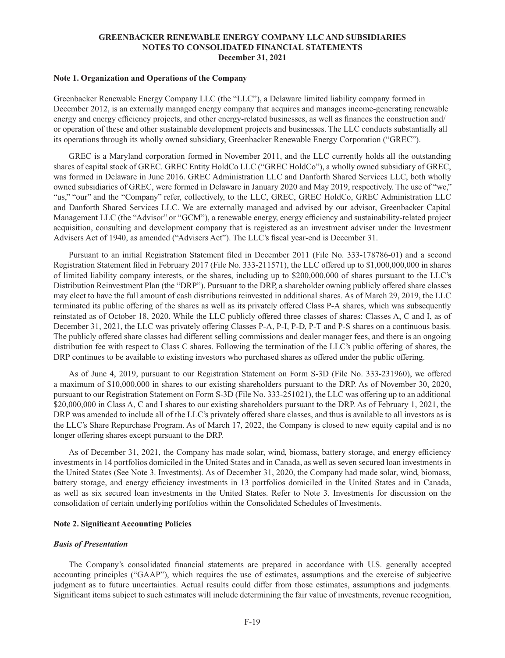#### **Note 1. Organization and Operations of the Company**

Greenbacker Renewable Energy Company LLC (the "LLC"), a Delaware limited liability company formed in December 2012, is an externally managed energy company that acquires and manages income-generating renewable energy and energy efficiency projects, and other energy-related businesses, as well as finances the construction and/ or operation of these and other sustainable development projects and businesses. The LLC conducts substantially all its operations through its wholly owned subsidiary, Greenbacker Renewable Energy Corporation ("GREC").

GREC is a Maryland corporation formed in November 2011, and the LLC currently holds all the outstanding shares of capital stock of GREC. GREC Entity HoldCo LLC ("GREC HoldCo"), a wholly owned subsidiary of GREC, was formed in Delaware in June 2016. GREC Administration LLC and Danforth Shared Services LLC, both wholly owned subsidiaries of GREC, were formed in Delaware in January 2020 and May 2019, respectively. The use of "we," "us," "our" and the "Company" refer, collectively, to the LLC, GREC, GREC HoldCo, GREC Administration LLC and Danforth Shared Services LLC. We are externally managed and advised by our advisor, Greenbacker Capital Management LLC (the "Advisor" or "GCM"), a renewable energy, energy efficiency and sustainability-related project acquisition, consulting and development company that is registered as an investment adviser under the Investment Advisers Act of 1940, as amended ("Advisers Act"). The LLC's fiscal year-end is December 31.

Pursuant to an initial Registration Statement filed in December 2011 (File No. 333-178786-01) and a second Registration Statement filed in February 2017 (File No. 333-211571), the LLC offered up to \$1,000,000,000 in shares of limited liability company interests, or the shares, including up to \$200,000,000 of shares pursuant to the LLC's Distribution Reinvestment Plan (the "DRP"). Pursuant to the DRP, a shareholder owning publicly offered share classes may elect to have the full amount of cash distributions reinvested in additional shares. As of March 29, 2019, the LLC terminated its public offering of the shares as well as its privately offered Class P-A shares, which was subsequently reinstated as of October 18, 2020. While the LLC publicly offered three classes of shares: Classes A, C and I, as of December 31, 2021, the LLC was privately offering Classes P-A, P-I, P-D, P-T and P-S shares on a continuous basis. The publicly offered share classes had different selling commissions and dealer manager fees, and there is an ongoing distribution fee with respect to Class C shares. Following the termination of the LLC's public offering of shares, the DRP continues to be available to existing investors who purchased shares as offered under the public offering.

As of June 4, 2019, pursuant to our Registration Statement on Form S-3D (File No. 333-231960), we offered a maximum of \$10,000,000 in shares to our existing shareholders pursuant to the DRP. As of November 30, 2020, pursuant to our Registration Statement on Form S-3D (File No. 333-251021), the LLC was offering up to an additional \$20,000,000 in Class A, C and I shares to our existing shareholders pursuant to the DRP. As of February 1, 2021, the DRP was amended to include all of the LLC's privately offered share classes, and thus is available to all investors as is the LLC's Share Repurchase Program. As of March 17, 2022, the Company is closed to new equity capital and is no longer offering shares except pursuant to the DRP.

As of December 31, 2021, the Company has made solar, wind, biomass, battery storage, and energy efficiency investments in 14 portfolios domiciled in the United States and in Canada, as well as seven secured loan investments in the United States (See Note 3. Investments). As of December 31, 2020, the Company had made solar, wind, biomass, battery storage, and energy efficiency investments in 13 portfolios domiciled in the United States and in Canada, as well as six secured loan investments in the United States. Refer to Note 3. Investments for discussion on the consolidation of certain underlying portfolios within the Consolidated Schedules of Investments.

#### **Note 2. Significant Accounting Policies**

#### *Basis of Presentation*

The Company's consolidated financial statements are prepared in accordance with U.S. generally accepted accounting principles ("GAAP"), which requires the use of estimates, assumptions and the exercise of subjective judgment as to future uncertainties. Actual results could differ from those estimates, assumptions and judgments. Significant items subject to such estimates will include determining the fair value of investments, revenue recognition,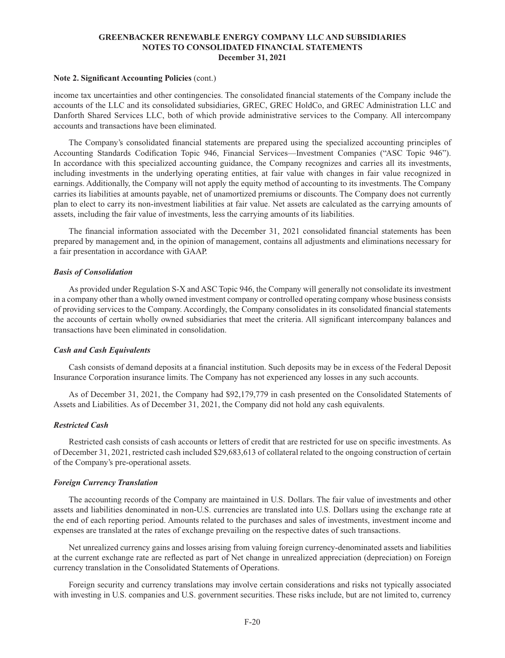#### **Note 2. Significant Accounting Policies** (cont.)

income tax uncertainties and other contingencies. The consolidated financial statements of the Company include the accounts of the LLC and its consolidated subsidiaries, GREC, GREC HoldCo, and GREC Administration LLC and Danforth Shared Services LLC, both of which provide administrative services to the Company. All intercompany accounts and transactions have been eliminated.

The Company's consolidated financial statements are prepared using the specialized accounting principles of Accounting Standards Codification Topic 946, Financial Services—Investment Companies ("ASC Topic 946"). In accordance with this specialized accounting guidance, the Company recognizes and carries all its investments, including investments in the underlying operating entities, at fair value with changes in fair value recognized in earnings. Additionally, the Company will not apply the equity method of accounting to its investments. The Company carries its liabilities at amounts payable, net of unamortized premiums or discounts. The Company does not currently plan to elect to carry its non-investment liabilities at fair value. Net assets are calculated as the carrying amounts of assets, including the fair value of investments, less the carrying amounts of its liabilities.

The financial information associated with the December 31, 2021 consolidated financial statements has been prepared by management and, in the opinion of management, contains all adjustments and eliminations necessary for a fair presentation in accordance with GAAP.

#### *Basis of Consolidation*

As provided under Regulation S-X and ASC Topic 946, the Company will generally not consolidate its investment in a company other than a wholly owned investment company or controlled operating company whose business consists of providing services to the Company. Accordingly, the Company consolidates in its consolidated financial statements the accounts of certain wholly owned subsidiaries that meet the criteria. All significant intercompany balances and transactions have been eliminated in consolidation.

### *Cash and Cash Equivalents*

Cash consists of demand deposits at a financial institution. Such deposits may be in excess of the Federal Deposit Insurance Corporation insurance limits. The Company has not experienced any losses in any such accounts.

As of December 31, 2021, the Company had \$92,179,779 in cash presented on the Consolidated Statements of Assets and Liabilities. As of December 31, 2021, the Company did not hold any cash equivalents.

#### *Restricted Cash*

Restricted cash consists of cash accounts or letters of credit that are restricted for use on specific investments. As of December 31, 2021, restricted cash included \$29,683,613 of collateral related to the ongoing construction of certain of the Company's pre-operational assets.

#### *Foreign Currency Translation*

The accounting records of the Company are maintained in U.S. Dollars. The fair value of investments and other assets and liabilities denominated in non-U.S. currencies are translated into U.S. Dollars using the exchange rate at the end of each reporting period. Amounts related to the purchases and sales of investments, investment income and expenses are translated at the rates of exchange prevailing on the respective dates of such transactions.

Net unrealized currency gains and losses arising from valuing foreign currency-denominated assets and liabilities at the current exchange rate are reflected as part of Net change in unrealized appreciation (depreciation) on Foreign currency translation in the Consolidated Statements of Operations.

Foreign security and currency translations may involve certain considerations and risks not typically associated with investing in U.S. companies and U.S. government securities. These risks include, but are not limited to, currency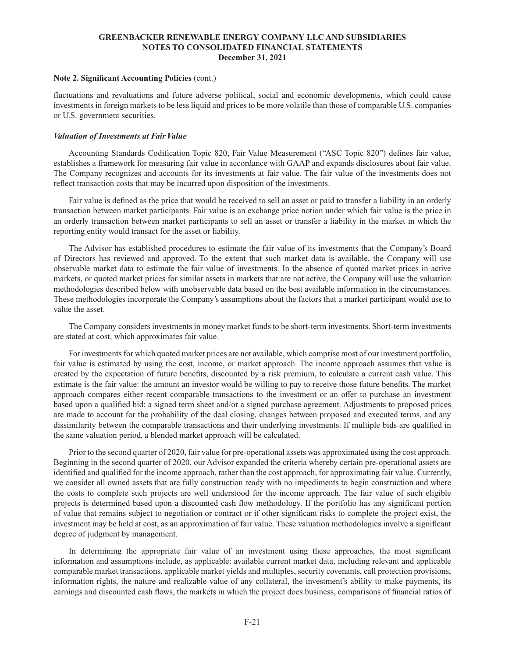#### **Note 2. Significant Accounting Policies** (cont.)

fluctuations and revaluations and future adverse political, social and economic developments, which could cause investments in foreign markets to be less liquid and prices to be more volatile than those of comparable U.S. companies or U.S. government securities.

#### *Valuation of Investments at Fair Value*

Accounting Standards Codification Topic 820, Fair Value Measurement ("ASC Topic 820") defines fair value, establishes a framework for measuring fair value in accordance with GAAP and expands disclosures about fair value. The Company recognizes and accounts for its investments at fair value. The fair value of the investments does not reflect transaction costs that may be incurred upon disposition of the investments.

Fair value is defined as the price that would be received to sell an asset or paid to transfer a liability in an orderly transaction between market participants. Fair value is an exchange price notion under which fair value is the price in an orderly transaction between market participants to sell an asset or transfer a liability in the market in which the reporting entity would transact for the asset or liability.

The Advisor has established procedures to estimate the fair value of its investments that the Company's Board of Directors has reviewed and approved. To the extent that such market data is available, the Company will use observable market data to estimate the fair value of investments. In the absence of quoted market prices in active markets, or quoted market prices for similar assets in markets that are not active, the Company will use the valuation methodologies described below with unobservable data based on the best available information in the circumstances. These methodologies incorporate the Company's assumptions about the factors that a market participant would use to value the asset.

The Company considers investments in money market funds to be short-term investments. Short-term investments are stated at cost, which approximates fair value.

For investments for which quoted market prices are not available, which comprise most of our investment portfolio, fair value is estimated by using the cost, income, or market approach. The income approach assumes that value is created by the expectation of future benefits, discounted by a risk premium, to calculate a current cash value. This estimate is the fair value: the amount an investor would be willing to pay to receive those future benefits. The market approach compares either recent comparable transactions to the investment or an offer to purchase an investment based upon a qualified bid: a signed term sheet and/or a signed purchase agreement. Adjustments to proposed prices are made to account for the probability of the deal closing, changes between proposed and executed terms, and any dissimilarity between the comparable transactions and their underlying investments. If multiple bids are qualified in the same valuation period, a blended market approach will be calculated.

Prior to the second quarter of 2020, fair value for pre-operational assets was approximated using the cost approach. Beginning in the second quarter of 2020, our Advisor expanded the criteria whereby certain pre-operational assets are identified and qualified for the income approach, rather than the cost approach, for approximating fair value. Currently, we consider all owned assets that are fully construction ready with no impediments to begin construction and where the costs to complete such projects are well understood for the income approach. The fair value of such eligible projects is determined based upon a discounted cash flow methodology. If the portfolio has any significant portion of value that remains subject to negotiation or contract or if other significant risks to complete the project exist, the investment may be held at cost, as an approximation of fair value. These valuation methodologies involve a significant degree of judgment by management.

In determining the appropriate fair value of an investment using these approaches, the most significant information and assumptions include, as applicable: available current market data, including relevant and applicable comparable market transactions, applicable market yields and multiples, security covenants, call protection provisions, information rights, the nature and realizable value of any collateral, the investment's ability to make payments, its earnings and discounted cash flows, the markets in which the project does business, comparisons of financial ratios of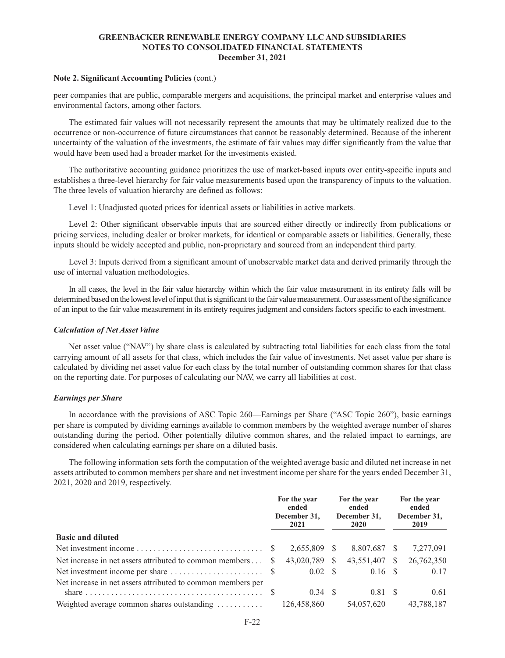#### **Note 2. Significant Accounting Policies** (cont.)

peer companies that are public, comparable mergers and acquisitions, the principal market and enterprise values and environmental factors, among other factors.

The estimated fair values will not necessarily represent the amounts that may be ultimately realized due to the occurrence or non-occurrence of future circumstances that cannot be reasonably determined. Because of the inherent uncertainty of the valuation of the investments, the estimate of fair values may differ significantly from the value that would have been used had a broader market for the investments existed.

The authoritative accounting guidance prioritizes the use of market-based inputs over entity-specific inputs and establishes a three-level hierarchy for fair value measurements based upon the transparency of inputs to the valuation. The three levels of valuation hierarchy are defined as follows:

Level 1: Unadjusted quoted prices for identical assets or liabilities in active markets.

Level 2: Other significant observable inputs that are sourced either directly or indirectly from publications or pricing services, including dealer or broker markets, for identical or comparable assets or liabilities. Generally, these inputs should be widely accepted and public, non-proprietary and sourced from an independent third party.

Level 3: Inputs derived from a significant amount of unobservable market data and derived primarily through the use of internal valuation methodologies.

In all cases, the level in the fair value hierarchy within which the fair value measurement in its entirety falls will be determined based on the lowest level of input that is significant to the fair value measurement. Our assessment of the significance of an input to the fair value measurement in its entirety requires judgment and considers factors specific to each investment.

#### *Calculation of Net Asset Value*

Net asset value ("NAV") by share class is calculated by subtracting total liabilities for each class from the total carrying amount of all assets for that class, which includes the fair value of investments. Net asset value per share is calculated by dividing net asset value for each class by the total number of outstanding common shares for that class on the reporting date. For purposes of calculating our NAV, we carry all liabilities at cost.

#### *Earnings per Share*

In accordance with the provisions of ASC Topic 260—Earnings per Share ("ASC Topic 260"), basic earnings per share is computed by dividing earnings available to common members by the weighted average number of shares outstanding during the period. Other potentially dilutive common shares, and the related impact to earnings, are considered when calculating earnings per share on a diluted basis.

The following information sets forth the computation of the weighted average basic and diluted net increase in net assets attributed to common members per share and net investment income per share for the years ended December 31, 2021, 2020 and 2019, respectively.

|                                                                                      | For the year<br>ended<br>December 31,<br>2021 |               | For the year<br>ended<br>December 31,<br>2020 |              |      | For the year<br>ended<br>December 31,<br>2019 |  |
|--------------------------------------------------------------------------------------|-----------------------------------------------|---------------|-----------------------------------------------|--------------|------|-----------------------------------------------|--|
| <b>Basic and diluted</b>                                                             |                                               |               |                                               |              |      |                                               |  |
|                                                                                      |                                               | 2,655,809 \$  |                                               | 8,807,687 \$ |      | 7,277,091                                     |  |
| Net increase in net assets attributed to common members                              | <b>S</b>                                      | 43,020,789 \$ |                                               | 43,551,407   | - \$ | 26,762,350                                    |  |
|                                                                                      |                                               |               |                                               | $0.16$ \$    |      | 0.17                                          |  |
| Net increase in net assets attributed to common members per                          |                                               |               |                                               |              |      |                                               |  |
| share $\ldots \ldots \ldots \ldots \ldots \ldots \ldots \ldots \ldots \ldots \ldots$ |                                               |               |                                               | 0.81 \$      |      | 0.61                                          |  |
| Weighted average common shares outstanding                                           |                                               | 126,458,860   |                                               | 54,057,620   |      | 43,788,187                                    |  |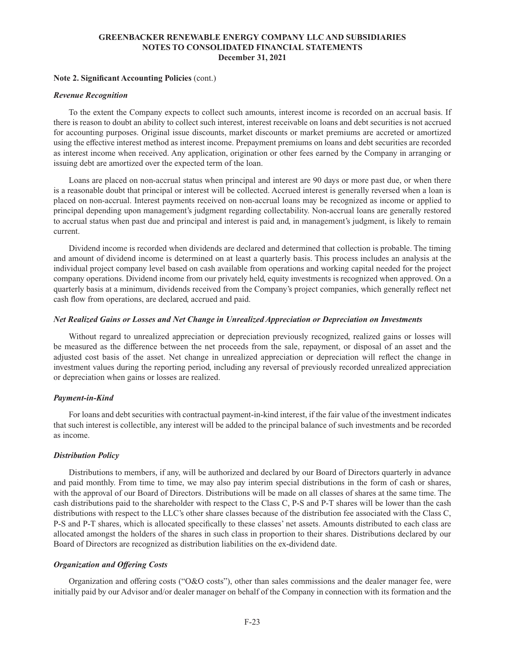#### **Note 2. Significant Accounting Policies** (cont.)

#### *Revenue Recognition*

To the extent the Company expects to collect such amounts, interest income is recorded on an accrual basis. If there is reason to doubt an ability to collect such interest, interest receivable on loans and debt securities is not accrued for accounting purposes. Original issue discounts, market discounts or market premiums are accreted or amortized using the effective interest method as interest income. Prepayment premiums on loans and debt securities are recorded as interest income when received. Any application, origination or other fees earned by the Company in arranging or issuing debt are amortized over the expected term of the loan.

Loans are placed on non-accrual status when principal and interest are 90 days or more past due, or when there is a reasonable doubt that principal or interest will be collected. Accrued interest is generally reversed when a loan is placed on non-accrual. Interest payments received on non-accrual loans may be recognized as income or applied to principal depending upon management's judgment regarding collectability. Non-accrual loans are generally restored to accrual status when past due and principal and interest is paid and, in management's judgment, is likely to remain current.

Dividend income is recorded when dividends are declared and determined that collection is probable. The timing and amount of dividend income is determined on at least a quarterly basis. This process includes an analysis at the individual project company level based on cash available from operations and working capital needed for the project company operations. Dividend income from our privately held, equity investments is recognized when approved. On a quarterly basis at a minimum, dividends received from the Company's project companies, which generally reflect net cash flow from operations, are declared, accrued and paid.

#### *Net Realized Gains or Losses and Net Change in Unrealized Appreciation or Depreciation on Investments*

Without regard to unrealized appreciation or depreciation previously recognized, realized gains or losses will be measured as the difference between the net proceeds from the sale, repayment, or disposal of an asset and the adjusted cost basis of the asset. Net change in unrealized appreciation or depreciation will reflect the change in investment values during the reporting period, including any reversal of previously recorded unrealized appreciation or depreciation when gains or losses are realized.

#### *Payment-in-Kind*

For loans and debt securities with contractual payment-in-kind interest, if the fair value of the investment indicates that such interest is collectible, any interest will be added to the principal balance of such investments and be recorded as income.

#### *Distribution Policy*

Distributions to members, if any, will be authorized and declared by our Board of Directors quarterly in advance and paid monthly. From time to time, we may also pay interim special distributions in the form of cash or shares, with the approval of our Board of Directors. Distributions will be made on all classes of shares at the same time. The cash distributions paid to the shareholder with respect to the Class C, P-S and P-T shares will be lower than the cash distributions with respect to the LLC's other share classes because of the distribution fee associated with the Class C, P-S and P-T shares, which is allocated specifically to these classes' net assets. Amounts distributed to each class are allocated amongst the holders of the shares in such class in proportion to their shares. Distributions declared by our Board of Directors are recognized as distribution liabilities on the ex-dividend date.

#### *Organization and Offering Costs*

Organization and offering costs ("O&O costs"), other than sales commissions and the dealer manager fee, were initially paid by our Advisor and/or dealer manager on behalf of the Company in connection with its formation and the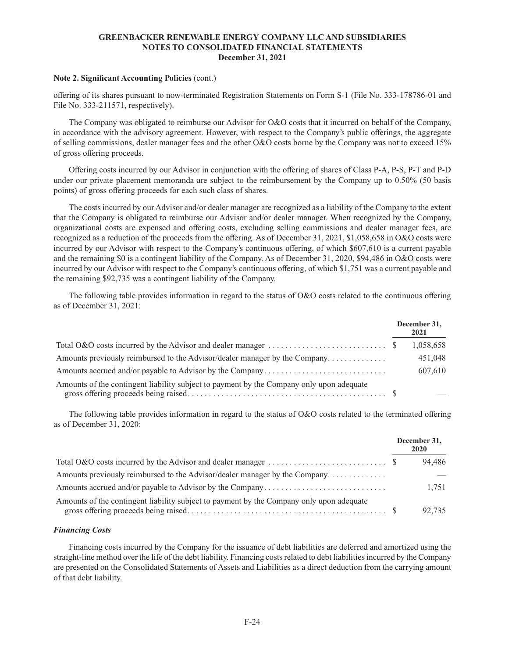#### **Note 2. Significant Accounting Policies** (cont.)

offering of its shares pursuant to now-terminated Registration Statements on Form S-1 (File No. 333-178786-01 and File No. 333-211571, respectively).

The Company was obligated to reimburse our Advisor for O&O costs that it incurred on behalf of the Company, in accordance with the advisory agreement. However, with respect to the Company's public offerings, the aggregate of selling commissions, dealer manager fees and the other O&O costs borne by the Company was not to exceed 15% of gross offering proceeds.

Offering costs incurred by our Advisor in conjunction with the offering of shares of Class P-A, P-S, P-T and P-D under our private placement memoranda are subject to the reimbursement by the Company up to 0.50% (50 basis points) of gross offering proceeds for each such class of shares.

The costs incurred by our Advisor and/or dealer manager are recognized as a liability of the Company to the extent that the Company is obligated to reimburse our Advisor and/or dealer manager. When recognized by the Company, organizational costs are expensed and offering costs, excluding selling commissions and dealer manager fees, are recognized as a reduction of the proceeds from the offering. As of December 31, 2021, \$1,058,658 in O&O costs were incurred by our Advisor with respect to the Company's continuous offering, of which \$607,610 is a current payable and the remaining \$0 is a contingent liability of the Company. As of December 31, 2020, \$94,486 in O&O costs were incurred by our Advisor with respect to the Company's continuous offering, of which \$1,751 was a current payable and the remaining \$92,735 was a contingent liability of the Company.

The following table provides information in regard to the status of O&O costs related to the continuous offering as of December 31, 2021:

|                                                                                          | December 31,<br>2021 |
|------------------------------------------------------------------------------------------|----------------------|
|                                                                                          | 1,058,658            |
| Amounts previously reimbursed to the Advisor/dealer manager by the Company               | 451,048              |
|                                                                                          | 607,610              |
| Amounts of the contingent liability subject to payment by the Company only upon adequate |                      |

The following table provides information in regard to the status of O&O costs related to the terminated offering as of December 31, 2020:

|                                                                                          | December 31,<br>2020 |
|------------------------------------------------------------------------------------------|----------------------|
|                                                                                          | 94.486               |
|                                                                                          |                      |
|                                                                                          | 1.751                |
| Amounts of the contingent liability subject to payment by the Company only upon adequate | 92.735               |

### *Financing Costs*

Financing costs incurred by the Company for the issuance of debt liabilities are deferred and amortized using the straight-line method over the life of the debt liability. Financing costs related to debt liabilities incurred by the Company are presented on the Consolidated Statements of Assets and Liabilities as a direct deduction from the carrying amount of that debt liability.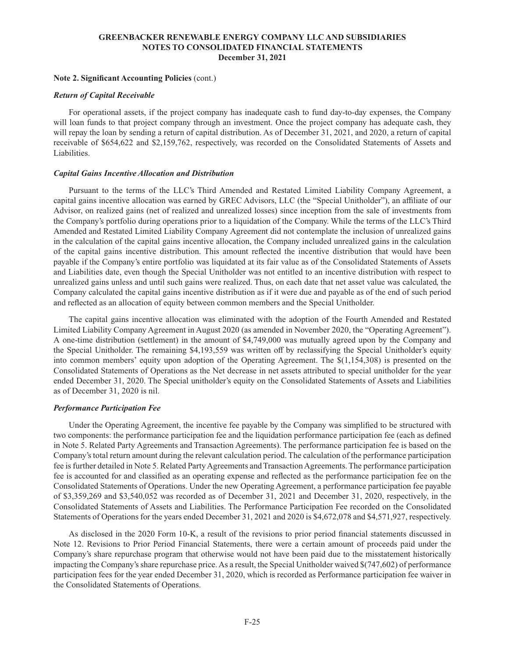#### **Note 2. Significant Accounting Policies** (cont.)

#### *Return of Capital Receivable*

For operational assets, if the project company has inadequate cash to fund day-to-day expenses, the Company will loan funds to that project company through an investment. Once the project company has adequate cash, they will repay the loan by sending a return of capital distribution. As of December 31, 2021, and 2020, a return of capital receivable of \$654,622 and \$2,159,762, respectively, was recorded on the Consolidated Statements of Assets and Liabilities.

#### *Capital Gains Incentive Allocation and Distribution*

Pursuant to the terms of the LLC's Third Amended and Restated Limited Liability Company Agreement, a capital gains incentive allocation was earned by GREC Advisors, LLC (the "Special Unitholder"), an affiliate of our Advisor, on realized gains (net of realized and unrealized losses) since inception from the sale of investments from the Company's portfolio during operations prior to a liquidation of the Company. While the terms of the LLC's Third Amended and Restated Limited Liability Company Agreement did not contemplate the inclusion of unrealized gains in the calculation of the capital gains incentive allocation, the Company included unrealized gains in the calculation of the capital gains incentive distribution. This amount reflected the incentive distribution that would have been payable if the Company's entire portfolio was liquidated at its fair value as of the Consolidated Statements of Assets and Liabilities date, even though the Special Unitholder was not entitled to an incentive distribution with respect to unrealized gains unless and until such gains were realized. Thus, on each date that net asset value was calculated, the Company calculated the capital gains incentive distribution as if it were due and payable as of the end of such period and reflected as an allocation of equity between common members and the Special Unitholder.

The capital gains incentive allocation was eliminated with the adoption of the Fourth Amended and Restated Limited Liability Company Agreement in August 2020 (as amended in November 2020, the "Operating Agreement"). A one-time distribution (settlement) in the amount of \$4,749,000 was mutually agreed upon by the Company and the Special Unitholder. The remaining \$4,193,559 was written off by reclassifying the Special Unitholder's equity into common members' equity upon adoption of the Operating Agreement. The \$(1,154,308) is presented on the Consolidated Statements of Operations as the Net decrease in net assets attributed to special unitholder for the year ended December 31, 2020. The Special unitholder's equity on the Consolidated Statements of Assets and Liabilities as of December 31, 2020 is nil.

#### *Performance Participation Fee*

Under the Operating Agreement, the incentive fee payable by the Company was simplified to be structured with two components: the performance participation fee and the liquidation performance participation fee (each as defined in Note 5. Related Party Agreements and Transaction Agreements). The performance participation fee is based on the Company's total return amount during the relevant calculation period. The calculation of the performance participation fee is further detailed in Note 5. Related Party Agreements and Transaction Agreements. The performance participation fee is accounted for and classified as an operating expense and reflected as the performance participation fee on the Consolidated Statements of Operations. Under the new Operating Agreement, a performance participation fee payable of \$3,359,269 and \$3,540,052 was recorded as of December 31, 2021 and December 31, 2020, respectively, in the Consolidated Statements of Assets and Liabilities. The Performance Participation Fee recorded on the Consolidated Statements of Operations for the years ended December 31, 2021 and 2020 is \$4,672,078 and \$4,571,927, respectively.

As disclosed in the 2020 Form 10-K, a result of the revisions to prior period financial statements discussed in Note 12. Revisions to Prior Period Financial Statements, there were a certain amount of proceeds paid under the Company's share repurchase program that otherwise would not have been paid due to the misstatement historically impacting the Company's share repurchase price. As a result, the Special Unitholder waived \$(747,602) of performance participation fees for the year ended December 31, 2020, which is recorded as Performance participation fee waiver in the Consolidated Statements of Operations.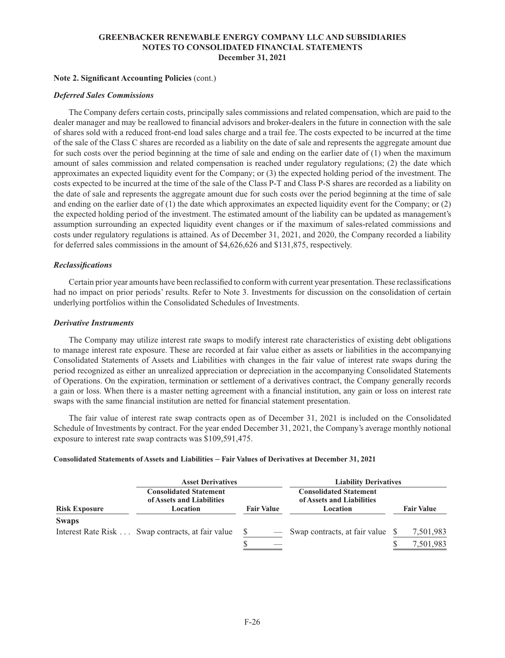### **Note 2. Significant Accounting Policies** (cont.)

### *Deferred Sales Commissions*

The Company defers certain costs, principally sales commissions and related compensation, which are paid to the dealer manager and may be reallowed to financial advisors and broker-dealers in the future in connection with the sale of shares sold with a reduced front-end load sales charge and a trail fee. The costs expected to be incurred at the time of the sale of the Class C shares are recorded as a liability on the date of sale and represents the aggregate amount due for such costs over the period beginning at the time of sale and ending on the earlier date of (1) when the maximum amount of sales commission and related compensation is reached under regulatory regulations; (2) the date which approximates an expected liquidity event for the Company; or (3) the expected holding period of the investment. The costs expected to be incurred at the time of the sale of the Class P-T and Class P-S shares are recorded as a liability on the date of sale and represents the aggregate amount due for such costs over the period beginning at the time of sale and ending on the earlier date of (1) the date which approximates an expected liquidity event for the Company; or (2) the expected holding period of the investment. The estimated amount of the liability can be updated as management's assumption surrounding an expected liquidity event changes or if the maximum of sales-related commissions and costs under regulatory regulations is attained. As of December 31, 2021, and 2020, the Company recorded a liability for deferred sales commissions in the amount of \$4,626,626 and \$131,875, respectively.

### *Reclassifications*

Certain prior year amounts have been reclassified to conform with current year presentation. These reclassifications had no impact on prior periods' results. Refer to Note 3. Investments for discussion on the consolidation of certain underlying portfolios within the Consolidated Schedules of Investments.

#### *Derivative Instruments*

The Company may utilize interest rate swaps to modify interest rate characteristics of existing debt obligations to manage interest rate exposure. These are recorded at fair value either as assets or liabilities in the accompanying Consolidated Statements of Assets and Liabilities with changes in the fair value of interest rate swaps during the period recognized as either an unrealized appreciation or depreciation in the accompanying Consolidated Statements of Operations. On the expiration, termination or settlement of a derivatives contract, the Company generally records a gain or loss. When there is a master netting agreement with a financial institution, any gain or loss on interest rate swaps with the same financial institution are netted for financial statement presentation.

The fair value of interest rate swap contracts open as of December 31, 2021 is included on the Consolidated Schedule of Investments by contract. For the year ended December 31, 2021, the Company's average monthly notional exposure to interest rate swap contracts was \$109,591,475.

#### **Consolidated Statements of Assets and Liabilities – Fair Values of Derivatives at December 31, 2021**

|                      | <b>Asset Derivatives</b>                                               |                   | <b>Liability Derivatives</b>                                           |                   |  |  |  |  |  |
|----------------------|------------------------------------------------------------------------|-------------------|------------------------------------------------------------------------|-------------------|--|--|--|--|--|
| <b>Risk Exposure</b> | <b>Consolidated Statement</b><br>of Assets and Liabilities<br>Location | <b>Fair Value</b> | <b>Consolidated Statement</b><br>of Assets and Liabilities<br>Location | <b>Fair Value</b> |  |  |  |  |  |
| <b>Swaps</b>         |                                                                        |                   |                                                                        |                   |  |  |  |  |  |
|                      | Interest Rate Risk Swap contracts, at fair value                       |                   | — Swap contracts, at fair value \$                                     | 7,501,983         |  |  |  |  |  |
|                      |                                                                        | S                 |                                                                        | 7,501,983         |  |  |  |  |  |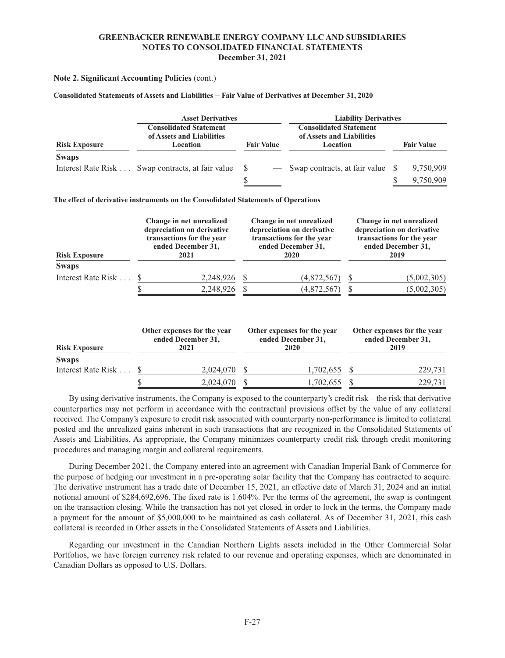### **Note 2. Significant Accounting Policies** (cont.)

#### **Consolidated Statements of Assets and Liabilities – Fair Value of Derivatives at December 31, 2020**

|                                                                                                | <b>Asset Derivatives</b>                         |                   | <b>Liability Derivatives</b>                                           |                   |  |  |  |  |  |
|------------------------------------------------------------------------------------------------|--------------------------------------------------|-------------------|------------------------------------------------------------------------|-------------------|--|--|--|--|--|
| <b>Consolidated Statement</b><br>of Assets and Liabilities<br><b>Risk Exposure</b><br>Location |                                                  | <b>Fair Value</b> | <b>Consolidated Statement</b><br>of Assets and Liabilities<br>Location | <b>Fair Value</b> |  |  |  |  |  |
| <b>Swaps</b>                                                                                   |                                                  |                   |                                                                        |                   |  |  |  |  |  |
|                                                                                                | Interest Rate Risk Swap contracts, at fair value |                   | — Swap contracts, at fair value                                        | 9,750,909         |  |  |  |  |  |
|                                                                                                |                                                  | S                 |                                                                        | 9,750,909         |  |  |  |  |  |

**The effect of derivative instruments on the Consolidated Statements of Operations**

| <b>Risk Exposure</b> | Change in net unrealized<br>depreciation on derivative<br>transactions for the year<br>ended December 31,<br>2021 |              | Change in net unrealized<br>depreciation on derivative<br>transactions for the year<br>ended December 31,<br>2020 | Change in net unrealized<br>depreciation on derivative<br>transactions for the year<br>ended December 31,<br>2019 |             |  |
|----------------------|-------------------------------------------------------------------------------------------------------------------|--------------|-------------------------------------------------------------------------------------------------------------------|-------------------------------------------------------------------------------------------------------------------|-------------|--|
| <b>Swaps</b>         |                                                                                                                   |              |                                                                                                                   |                                                                                                                   |             |  |
| Interest Rate Risk   |                                                                                                                   | 2,248,926 \$ | (4,872,567)                                                                                                       |                                                                                                                   | (5,002,305) |  |
|                      |                                                                                                                   | 2,248,926    | (4,872,567)                                                                                                       |                                                                                                                   | (5,002,305) |  |

| <b>Risk Exposure</b> | Other expenses for the year<br>ended December 31,<br>2021 | Other expenses for the year<br>ended December 31.<br>2020 | Other expenses for the year<br>ended December 31,<br>2019 |         |  |
|----------------------|-----------------------------------------------------------|-----------------------------------------------------------|-----------------------------------------------------------|---------|--|
| <b>Swaps</b>         |                                                           |                                                           |                                                           |         |  |
| Interest Rate Risk 9 | 2,024,070                                                 | 1,702,655 \$                                              |                                                           | 229.731 |  |
|                      | 2,024,070                                                 | 1,702,655                                                 |                                                           | 229,731 |  |

By using derivative instruments, the Company is exposed to the counterparty's credit risk **–** the risk that derivative counterparties may not perform in accordance with the contractual provisions offset by the value of any collateral received. The Company's exposure to credit risk associated with counterparty non-performance is limited to collateral posted and the unrealized gains inherent in such transactions that are recognized in the Consolidated Statements of Assets and Liabilities. As appropriate, the Company minimizes counterparty credit risk through credit monitoring procedures and managing margin and collateral requirements.

During December 2021, the Company entered into an agreement with Canadian Imperial Bank of Commerce for the purpose of hedging our investment in a pre-operating solar facility that the Company has contracted to acquire. The derivative instrument has a trade date of December 15, 2021, an effective date of March 31, 2024 and an initial notional amount of \$284,692,696. The fixed rate is 1.604%. Per the terms of the agreement, the swap is contingent on the transaction closing. While the transaction has not yet closed, in order to lock in the terms, the Company made a payment for the amount of \$5,000,000 to be maintained as cash collateral. As of December 31, 2021, this cash collateral is recorded in Other assets in the Consolidated Statements of Assets and Liabilities.

Regarding our investment in the Canadian Northern Lights assets included in the Other Commercial Solar Portfolios, we have foreign currency risk related to our revenue and operating expenses, which are denominated in Canadian Dollars as opposed to U.S. Dollars.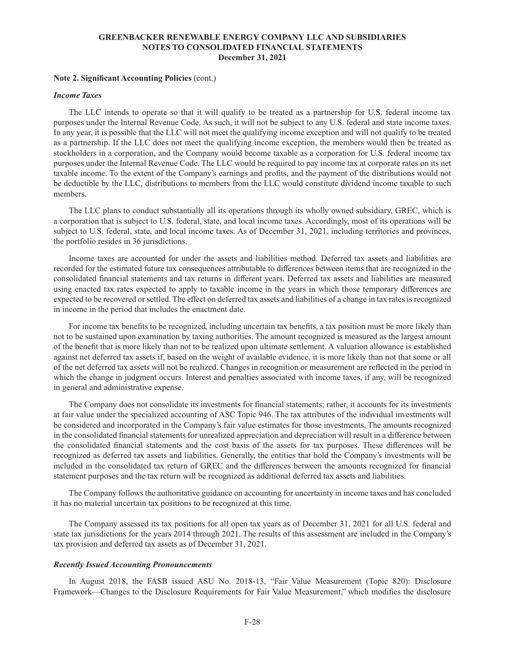#### **Note 2. Significant Accounting Policies** (cont.)

#### *Income Taxes*

The LLC intends to operate so that it will qualify to be treated as a partnership for U.S. federal income tax purposes under the Internal Revenue Code. As such, it will not be subject to any U.S. federal and state income taxes. In any year, it is possible that the LLC will not meet the qualifying income exception and will not qualify to be treated as a partnership. If the LLC does not meet the qualifying income exception, the members would then be treated as stockholders in a corporation, and the Company would become taxable as a corporation for U.S. federal income tax purposes under the Internal Revenue Code. The LLC would be required to pay income tax at corporate rates on its net taxable income. To the extent of the Company's earnings and profits, and the payment of the distributions would not be deductible by the LLC, distributions to members from the LLC would constitute dividend income taxable to such members.

The LLC plans to conduct substantially all its operations through its wholly owned subsidiary, GREC, which is a corporation that is subject to U.S. federal, state, and local income taxes. Accordingly, most of its operations will be subject to U.S. federal, state, and local income taxes. As of December 31, 2021, including territories and provinces, the portfolio resides in 36 jurisdictions.

Income taxes are accounted for under the assets and liabilities method. Deferred tax assets and liabilities are recorded for the estimated future tax consequences attributable to differences between items that are recognized in the consolidated financial statements and tax returns in different years. Deferred tax assets and liabilities are measured using enacted tax rates expected to apply to taxable income in the years in which those temporary differences are expected to be recovered or settled. The effect on deferred tax assets and liabilities of a change in tax rates is recognized in income in the period that includes the enactment date.

For income tax benefits to be recognized, including uncertain tax benefits, a tax position must be more likely than not to be sustained upon examination by taxing authorities. The amount recognized is measured as the largest amount of the benefit that is more likely than not to be realized upon ultimate settlement. A valuation allowance is established against net deferred tax assets if, based on the weight of available evidence, it is more likely than not that some or all of the net deferred tax assets will not be realized. Changes in recognition or measurement are reflected in the period in which the change in judgment occurs. Interest and penalties associated with income taxes, if any, will be recognized in general and administrative expense.

The Company does not consolidate its investments for financial statements; rather, it accounts for its investments at fair value under the specialized accounting of ASC Topic 946. The tax attributes of the individual investments will be considered and incorporated in the Company's fair value estimates for those investments. The amounts recognized in the consolidated financial statements for unrealized appreciation and depreciation will result in a difference between the consolidated financial statements and the cost basis of the assets for tax purposes. These differences will be recognized as deferred tax assets and liabilities. Generally, the entities that hold the Company's investments will be included in the consolidated tax return of GREC and the differences between the amounts recognized for financial statement purposes and the tax return will be recognized as additional deferred tax assets and liabilities.

The Company follows the authoritative guidance on accounting for uncertainty in income taxes and has concluded it has no material uncertain tax positions to be recognized at this time.

The Company assessed its tax positions for all open tax years as of December 31, 2021 for all U.S. federal and state tax jurisdictions for the years 2014 through 2021. The results of this assessment are included in the Company's tax provision and deferred tax assets as of December 31, 2021.

#### *Recently Issued Accounting Pronouncements*

In August 2018, the FASB issued ASU No. 2018-13, "Fair Value Measurement (Topic 820): Disclosure Framework—Changes to the Disclosure Requirements for Fair Value Measurement," which modifies the disclosure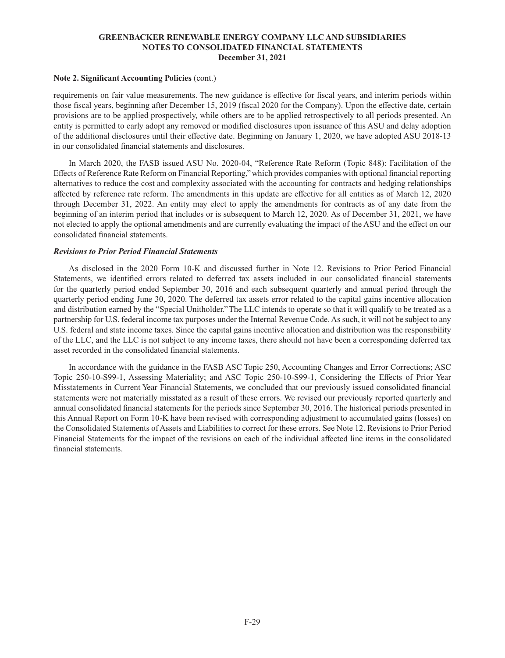### **Note 2. Significant Accounting Policies** (cont.)

requirements on fair value measurements. The new guidance is effective for fiscal years, and interim periods within those fiscal years, beginning after December 15, 2019 (fiscal 2020 for the Company). Upon the effective date, certain provisions are to be applied prospectively, while others are to be applied retrospectively to all periods presented. An entity is permitted to early adopt any removed or modified disclosures upon issuance of this ASU and delay adoption of the additional disclosures until their effective date. Beginning on January 1, 2020, we have adopted ASU 2018-13 in our consolidated financial statements and disclosures.

In March 2020, the FASB issued ASU No. 2020-04, "Reference Rate Reform (Topic 848): Facilitation of the Effects of Reference Rate Reform on Financial Reporting," which provides companies with optional financial reporting alternatives to reduce the cost and complexity associated with the accounting for contracts and hedging relationships affected by reference rate reform. The amendments in this update are effective for all entities as of March 12, 2020 through December 31, 2022. An entity may elect to apply the amendments for contracts as of any date from the beginning of an interim period that includes or is subsequent to March 12, 2020. As of December 31, 2021, we have not elected to apply the optional amendments and are currently evaluating the impact of the ASU and the effect on our consolidated financial statements.

### *Revisions to Prior Period Financial Statements*

As disclosed in the 2020 Form 10-K and discussed further in Note 12. Revisions to Prior Period Financial Statements, we identified errors related to deferred tax assets included in our consolidated financial statements for the quarterly period ended September 30, 2016 and each subsequent quarterly and annual period through the quarterly period ending June 30, 2020. The deferred tax assets error related to the capital gains incentive allocation and distribution earned by the "Special Unitholder." The LLC intends to operate so that it will qualify to be treated as a partnership for U.S. federal income tax purposes under the Internal Revenue Code. As such, it will not be subject to any U.S. federal and state income taxes. Since the capital gains incentive allocation and distribution was the responsibility of the LLC, and the LLC is not subject to any income taxes, there should not have been a corresponding deferred tax asset recorded in the consolidated financial statements.

In accordance with the guidance in the FASB ASC Topic 250, Accounting Changes and Error Corrections; ASC Topic 250-10-S99-1, Assessing Materiality; and ASC Topic 250-10-S99-1, Considering the Effects of Prior Year Misstatements in Current Year Financial Statements, we concluded that our previously issued consolidated financial statements were not materially misstated as a result of these errors. We revised our previously reported quarterly and annual consolidated financial statements for the periods since September 30, 2016. The historical periods presented in this Annual Report on Form 10-K have been revised with corresponding adjustment to accumulated gains (losses) on the Consolidated Statements of Assets and Liabilities to correct for these errors. See Note 12. Revisions to Prior Period Financial Statements for the impact of the revisions on each of the individual affected line items in the consolidated financial statements.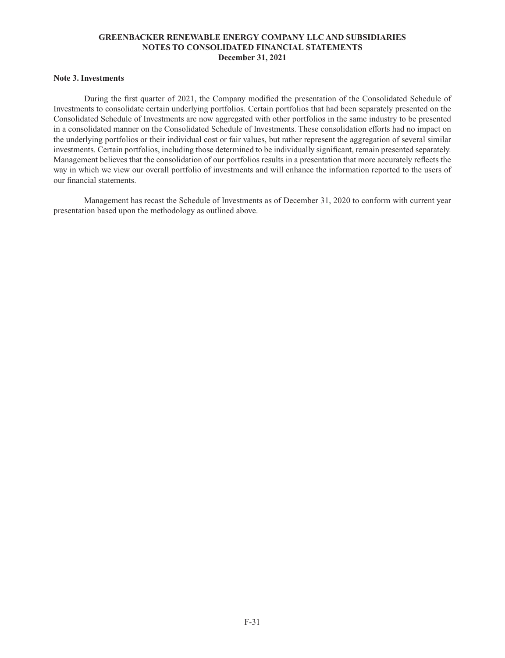# **Note 3. Investments**

During the first quarter of 2021, the Company modified the presentation of the Consolidated Schedule of Investments to consolidate certain underlying portfolios. Certain portfolios that had been separately presented on the Consolidated Schedule of Investments are now aggregated with other portfolios in the same industry to be presented in a consolidated manner on the Consolidated Schedule of Investments. These consolidation efforts had no impact on the underlying portfolios or their individual cost or fair values, but rather represent the aggregation of several similar investments. Certain portfolios, including those determined to be individually significant, remain presented separately. Management believes that the consolidation of our portfolios results in a presentation that more accurately reflects the way in which we view our overall portfolio of investments and will enhance the information reported to the users of our financial statements.

Management has recast the Schedule of Investments as of December 31, 2020 to conform with current year presentation based upon the methodology as outlined above.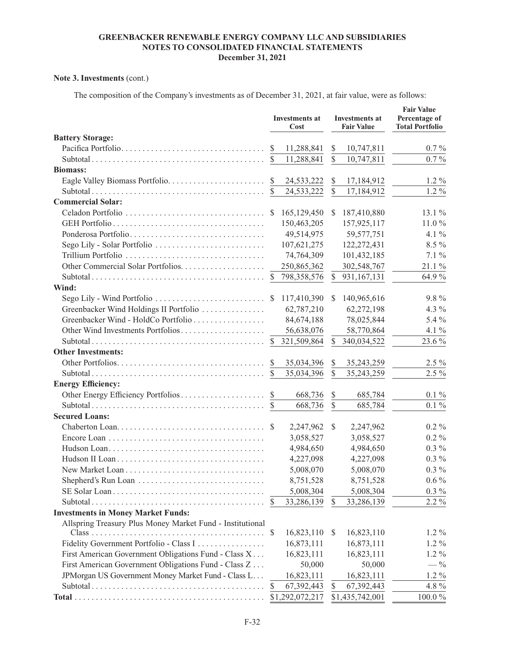# **Note 3. Investments** (cont.)

The composition of the Company's investments as of December 31, 2021, at fair value, were as follows:

|                                                           |               | <b>Investments at</b><br>Cost |                         | <b>Investments at</b><br><b>Fair Value</b> | <b>Fair Value</b><br>Percentage of<br><b>Total Portfolio</b> |  |
|-----------------------------------------------------------|---------------|-------------------------------|-------------------------|--------------------------------------------|--------------------------------------------------------------|--|
| <b>Battery Storage:</b>                                   |               |                               |                         |                                            |                                                              |  |
|                                                           | <sup>S</sup>  | 11,288,841                    | \$                      | 10,747,811                                 | $0.7\%$                                                      |  |
|                                                           | <sup>S</sup>  | 11,288,841                    | $\mathbb{S}$            | 10,747,811                                 | $0.7\%$                                                      |  |
| <b>Biomass:</b>                                           |               |                               |                         |                                            |                                                              |  |
|                                                           | $\mathcal{S}$ | 24,533,222                    | \$                      | 17,184,912                                 | $1.2\%$                                                      |  |
|                                                           |               | 24,533,222                    | $\mathbb{S}$            | 17,184,912                                 | $1.2\%$                                                      |  |
| <b>Commercial Solar:</b>                                  |               |                               |                         |                                            |                                                              |  |
|                                                           | <sup>S</sup>  | 165,129,450                   | S                       | 187,410,880                                | $13.1\%$                                                     |  |
|                                                           |               | 150,463,205                   |                         | 157,925,117                                | 11.0%                                                        |  |
| Ponderosa Portfolio                                       |               | 49,514,975                    |                         | 59, 577, 751                               | 4.1 $\%$                                                     |  |
| Sego Lily - Solar Portfolio                               |               | 107,621,275                   |                         | 122,272,431                                | 8.5 %                                                        |  |
|                                                           |               | 74,764,309                    |                         | 101,432,185                                | $7.1\%$                                                      |  |
|                                                           |               | 250,865,362                   |                         | 302,548,767                                | 21.1 %                                                       |  |
|                                                           | <sup>S</sup>  | 798,358,576                   | \$                      | 931,167,131                                | 64.9%                                                        |  |
| Wind:                                                     |               |                               |                         |                                            |                                                              |  |
|                                                           |               | 117,410,390                   | S.                      | 140,965,616                                | $9.8\%$                                                      |  |
| Greenbacker Wind Holdings II Portfolio                    |               | 62,787,210                    |                         | 62,272,198                                 | 4.3 %                                                        |  |
| Greenbacker Wind - HoldCo Portfolio                       |               | 84,674,188                    |                         | 78,025,844                                 | 5.4 %                                                        |  |
| Other Wind Investments Portfolios                         |               | 56,638,076                    |                         | 58,770,864                                 | 4.1 $\%$                                                     |  |
|                                                           |               | 321,509,864                   | \$                      | 340,034,522                                | 23.6 %                                                       |  |
| <b>Other Investments:</b>                                 |               |                               |                         |                                            |                                                              |  |
|                                                           | <sup>S</sup>  | 35,034,396                    | \$                      | 35,243,259                                 | $2.5\%$                                                      |  |
|                                                           | -S            | 35,034,396                    | $\mathbb{S}$            | 35,243,259                                 | $2.5\%$                                                      |  |
| <b>Energy Efficiency:</b>                                 |               |                               |                         |                                            |                                                              |  |
| Other Energy Efficiency Portfolios                        | <sup>S</sup>  | 668,736                       | \$                      | 685,784                                    | $0.1\%$                                                      |  |
|                                                           |               | 668,736                       | $\overline{\mathbb{S}}$ | 685,784                                    | $0.1\%$                                                      |  |
| <b>Secured Loans:</b>                                     |               |                               |                         |                                            |                                                              |  |
|                                                           |               | 2,247,962                     | $\mathcal{S}$           | 2,247,962                                  | $0.2\%$                                                      |  |
|                                                           |               | 3,058,527                     |                         | 3,058,527                                  | $0.2\%$                                                      |  |
|                                                           |               | 4,984,650                     |                         | 4,984,650                                  | $0.3\%$                                                      |  |
|                                                           |               | 4,227,098                     |                         | 4,227,098                                  | $0.3\%$                                                      |  |
|                                                           |               | 5,008,070                     |                         | 5,008,070                                  | $0.3\%$                                                      |  |
| Shepherd's Run Loan                                       |               | 8,751,528                     |                         | 8,751,528                                  | $0.6\%$                                                      |  |
|                                                           |               | 5,008,304                     |                         | 5,008,304                                  | $0.3\%$                                                      |  |
|                                                           | <sup>8</sup>  | 33,286,139                    | <sup>\$</sup>           | 33,286,139                                 | 2.2 %                                                        |  |
| <b>Investments in Money Market Funds:</b>                 |               |                               |                         |                                            |                                                              |  |
| Allspring Treasury Plus Money Market Fund - Institutional |               |                               |                         |                                            |                                                              |  |
|                                                           | $\mathbb{S}$  | 16,823,110                    | <sup>\$</sup>           | 16,823,110                                 | $1.2\%$                                                      |  |
| Fidelity Government Portfolio - Class I                   |               | 16,873,111                    |                         | 16,873,111                                 | $1.2\%$                                                      |  |
| First American Government Obligations Fund - Class X      |               | 16,823,111                    |                         | 16,823,111                                 | 1.2%                                                         |  |
| First American Government Obligations Fund - Class Z      |               | 50,000                        |                         | 50,000                                     | $-$ %                                                        |  |
| JPMorgan US Government Money Market Fund - Class L        |               | 16,823,111                    |                         | 16,823,111                                 | $1.2\%$                                                      |  |
|                                                           | \$            | 67,392,443                    | \$                      | 67,392,443                                 | 4.8 %                                                        |  |
|                                                           |               | \$1,292,072,217               |                         | \$1,435,742,001                            | $100.0\,\%$                                                  |  |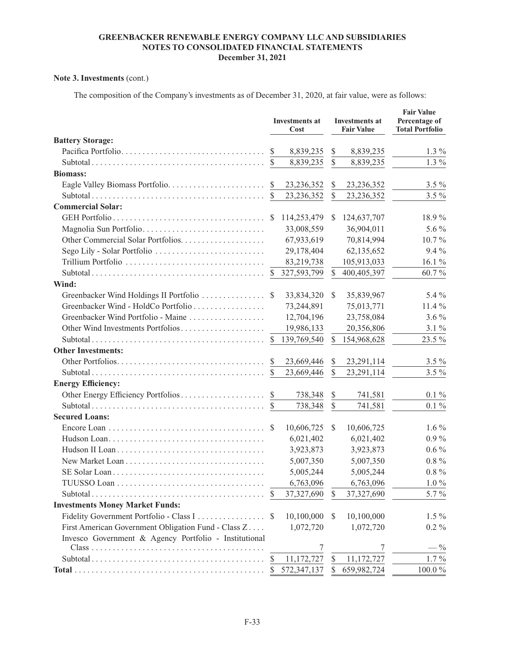# **Note 3. Investments** (cont.)

The composition of the Company's investments as of December 31, 2020, at fair value, were as follows:

|                                                       |               | <b>Investments at</b><br>Cost |               | <b>Investments at</b><br><b>Fair Value</b> | <b>Fair Value</b><br>Percentage of<br><b>Total Portfolio</b> |
|-------------------------------------------------------|---------------|-------------------------------|---------------|--------------------------------------------|--------------------------------------------------------------|
| <b>Battery Storage:</b>                               |               |                               |               |                                            |                                                              |
| Pacifica Portfolio                                    | <sup>S</sup>  | 8,839,235                     | \$            | 8,839,235                                  | $1.3\%$                                                      |
|                                                       |               | 8,839,235                     | $\mathbb{S}$  | 8,839,235                                  | $1.3\%$                                                      |
| <b>Biomass:</b>                                       |               |                               |               |                                            |                                                              |
|                                                       | <sup>\$</sup> | 23, 236, 352                  | \$            | 23, 236, 352                               | $3.5\%$                                                      |
|                                                       |               | 23, 236, 352                  | \$            | 23, 236, 352                               | $3.5\%$                                                      |
| <b>Commercial Solar:</b>                              |               |                               |               |                                            |                                                              |
|                                                       |               | 114,253,479                   | S             | 124,637,707                                | 18.9%                                                        |
| Magnolia Sun Portfolio                                |               | 33,008,559                    |               | 36,904,011                                 | 5.6 %                                                        |
|                                                       |               | 67,933,619                    |               | 70,814,994                                 | $10.7\%$                                                     |
| Sego Lily - Solar Portfolio                           |               | 29,178,404                    |               | 62,135,652                                 | 9.4 %                                                        |
|                                                       |               | 83,219,738                    |               | 105,913,033                                | 16.1 %                                                       |
|                                                       | <sup>S</sup>  | 327,593,799                   | \$            | 400,405,397                                | 60.7%                                                        |
| Wind:                                                 |               |                               |               |                                            |                                                              |
| Greenbacker Wind Holdings II Portfolio                | <sup>S</sup>  | 33,834,320                    | \$            | 35,839,967                                 | 5.4 %                                                        |
| Greenbacker Wind - HoldCo Portfolio                   |               | 73,244,891                    |               | 75,013,771                                 | 11.4 %                                                       |
| Greenbacker Wind Portfolio - Maine                    |               | 12,704,196                    |               | 23,758,084                                 | $3.6\%$                                                      |
| Other Wind Investments Portfolios                     |               | 19,986,133                    |               | 20,356,806                                 | $3.1\%$                                                      |
|                                                       | <sup>S</sup>  | 139,769,540                   | <sup>\$</sup> | 154,968,628                                | 23.5 %                                                       |
| <b>Other Investments:</b>                             |               |                               |               |                                            |                                                              |
|                                                       | <sup>S</sup>  | 23,669,446                    | \$            | 23,291,114                                 | $3.5\%$                                                      |
|                                                       |               | 23,669,446                    | $\mathbb{S}$  | 23,291,114                                 | $3.5\%$                                                      |
| <b>Energy Efficiency:</b>                             |               |                               |               |                                            |                                                              |
|                                                       |               | 738,348                       | \$            | 741,581                                    | $0.1\%$                                                      |
|                                                       | <sup>S</sup>  | 738,348                       | $\mathbb{S}$  | 741,581                                    | $0.1\%$                                                      |
| <b>Secured Loans:</b>                                 |               |                               |               |                                            |                                                              |
|                                                       | <sup>\$</sup> | 10,606,725                    | <sup>\$</sup> | 10,606,725                                 | $1.6\%$                                                      |
|                                                       |               | 6,021,402                     |               | 6,021,402                                  | $0.9\%$                                                      |
|                                                       |               | 3,923,873                     |               | 3,923,873                                  | $0.6\%$                                                      |
|                                                       |               | 5,007,350                     |               | 5,007,350                                  | $0.8\%$                                                      |
|                                                       |               | 5,005,244                     |               | 5,005,244                                  | $0.8\%$                                                      |
|                                                       |               | 6,763,096                     |               | 6,763,096                                  | $1.0\%$                                                      |
|                                                       | S             | 37,327,690                    | S             | 37,327,690                                 | 5.7 %                                                        |
| <b>Investments Money Market Funds:</b>                |               |                               |               |                                            |                                                              |
| Fidelity Government Portfolio - Class I               |               | 10,100,000                    | S             | 10,100,000                                 | $1.5\%$                                                      |
| First American Government Obligation Fund - Class Z   |               | 1,072,720                     |               | 1,072,720                                  | $0.2\%$                                                      |
| Invesco Government & Agency Portfolio - Institutional |               |                               |               |                                            |                                                              |
|                                                       |               | 7                             |               | 7                                          | $-$ %                                                        |
|                                                       | \$            | 11,172,727                    | \$            | 11,172,727                                 | $1.7\%$                                                      |
|                                                       | -S            | 572,347,137                   | \$            | 659,982,724                                | $100.0\,\%$                                                  |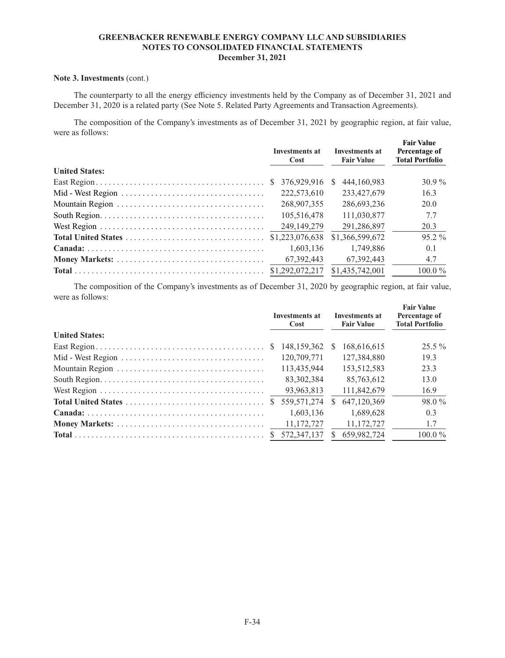### **Note 3. Investments** (cont.)

The counterparty to all the energy efficiency investments held by the Company as of December 31, 2021 and December 31, 2020 is a related party (See Note 5. Related Party Agreements and Transaction Agreements).

The composition of the Company's investments as of December 31, 2021 by geographic region, at fair value, were as follows: **Fair Value** 

|                       | <b>Investments at</b><br>Cost | <b>Investments at</b><br><b>Fair Value</b> | <b>Fair Value</b><br>Percentage of<br><b>Total Portfolio</b> |  |
|-----------------------|-------------------------------|--------------------------------------------|--------------------------------------------------------------|--|
| <b>United States:</b> |                               |                                            |                                                              |  |
|                       | 376.929.916<br><sup>S</sup>   | 444.160.983<br>-S                          | $30.9\%$                                                     |  |
|                       | 222,573,610                   | 233,427,679                                | 16.3                                                         |  |
|                       | 268,907,355                   | 286,693,236                                | 20.0                                                         |  |
|                       | 105,516,478                   | 111,030,877                                | 7.7                                                          |  |
|                       | 249, 149, 279                 | 291,286,897                                | 20.3                                                         |  |
|                       |                               | \$1,366,599,672                            | $95.2\%$                                                     |  |
|                       | 1.603.136                     | 1.749.886                                  | 0.1                                                          |  |
|                       | 67.392.443                    | 67.392.443                                 | 4.7                                                          |  |
|                       |                               |                                            | $100.0\%$                                                    |  |

The composition of the Company's investments as of December 31, 2020 by geographic region, at fair value, were as follows:

| Investments at<br>Cost |             | <b>Investments at</b><br><b>Fair Value</b> |             | <b>Fair Value</b><br>Percentage of<br><b>Total Portfolio</b> |  |
|------------------------|-------------|--------------------------------------------|-------------|--------------------------------------------------------------|--|
|                        |             |                                            |             |                                                              |  |
| -S                     |             | S.                                         | 168,616,615 | $25.5\%$                                                     |  |
|                        | 120,709,771 |                                            | 127,384,880 | 19.3                                                         |  |
|                        | 113,435,944 |                                            | 153,512,583 | 23.3                                                         |  |
|                        | 83.302.384  |                                            | 85,763,612  | 13.0                                                         |  |
|                        | 93,963,813  |                                            | 111,842,679 | 16.9                                                         |  |
| <sup>S</sup>           | 559,571,274 | S.                                         | 647,120,369 | $98.0\%$                                                     |  |
|                        | 1.603.136   |                                            | 1.689.628   | 0.3                                                          |  |
|                        | 11,172,727  |                                            | 11.172.727  | 1.7                                                          |  |
|                        | 572,347,137 |                                            | 659,982,724 | $100.0\%$                                                    |  |
|                        |             |                                            | 148.159.362 |                                                              |  |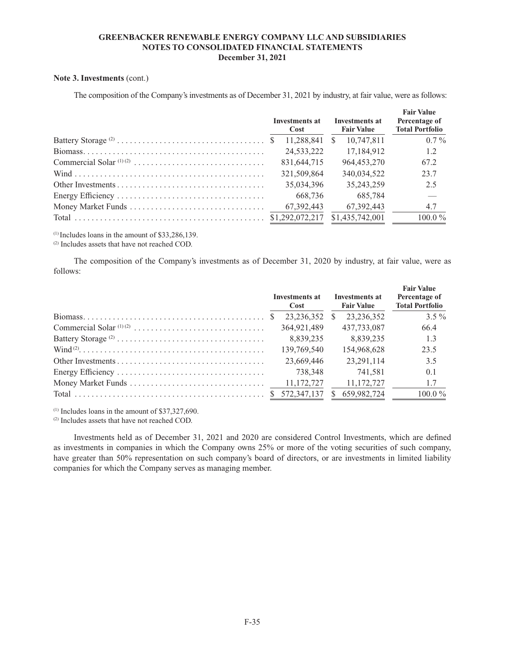### **Note 3. Investments** (cont.)

The composition of the Company's investments as of December 31, 2021 by industry, at fair value, were as follows:

|  | Investments at<br>Cost |   | Investments at<br><b>Fair Value</b> | <b>Fair Value</b><br>Percentage of<br><b>Total Portfolio</b> |
|--|------------------------|---|-------------------------------------|--------------------------------------------------------------|
|  | 11.288.841             | S | 10.747.811                          | $0.7\%$                                                      |
|  | 24,533,222             |   | 17,184,912                          | 1.2                                                          |
|  | 831,644,715            |   | 964, 453, 270                       | 67.2                                                         |
|  | 321,509,864            |   | 340,034,522                         | 23.7                                                         |
|  | 35.034.396             |   | 35,243,259                          | 2.5                                                          |
|  | 668.736                |   | 685.784                             |                                                              |
|  | 67, 392, 443           |   | 67, 392, 443                        | 4.7                                                          |
|  |                        |   | \$1,435,742,001                     | $100.0\%$                                                    |

 $(1)$  Includes loans in the amount of \$33,286,139.

(2) Includes assets that have not reached COD.

The composition of the Company's investments as of December 31, 2020 by industry, at fair value, were as follows:

|                                                                                                                      | <b>Investments at</b><br>Cost |    | <b>Investments at</b><br><b>Fair Value</b> | <b>Fair Value</b><br>Percentage of<br><b>Total Portfolio</b> |
|----------------------------------------------------------------------------------------------------------------------|-------------------------------|----|--------------------------------------------|--------------------------------------------------------------|
|                                                                                                                      | 23.236.352                    | -S | 23.236.352                                 | $3.5\%$                                                      |
|                                                                                                                      | 364,921,489                   |    | 437,733,087                                | 66.4                                                         |
|                                                                                                                      | 8,839,235                     |    | 8.839.235                                  | 1.3                                                          |
| $\text{Wind} \, \text{?} \ldots \ldots \ldots \ldots \ldots \ldots \ldots \ldots \ldots \ldots \ldots \ldots \ldots$ | 139,769,540                   |    | 154,968,628                                | 23.5                                                         |
|                                                                                                                      | 23,669,446                    |    | 23.291.114                                 | 3.5                                                          |
|                                                                                                                      | 738.348                       |    | 741.581                                    | 0.1                                                          |
|                                                                                                                      | 11,172,727                    |    | 11,172,727                                 | 1.7                                                          |
|                                                                                                                      |                               |    | 659,982,724                                | $100.0\%$                                                    |

 $(1)$  Includes loans in the amount of \$37,327,690.

(2) Includes assets that have not reached COD.

Investments held as of December 31, 2021 and 2020 are considered Control Investments, which are defined as investments in companies in which the Company owns 25% or more of the voting securities of such company, have greater than 50% representation on such company's board of directors, or are investments in limited liability companies for which the Company serves as managing member.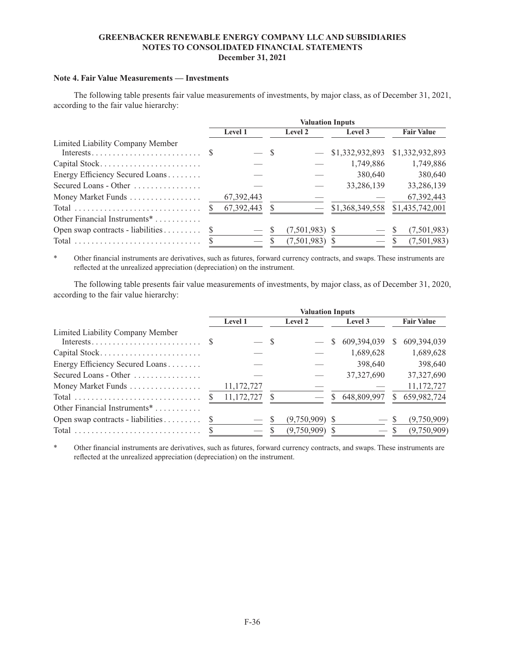### **Note 4. Fair Value Measurements — Investments**

The following table presents fair value measurements of investments, by major class, as of December 31, 2021, according to the fair value hierarchy:

|                                   |                           |              |         | <b>Valuation Inputs</b> |                 |                    |
|-----------------------------------|---------------------------|--------------|---------|-------------------------|-----------------|--------------------|
|                                   | <b>Level 1</b><br>Level 2 |              | Level 3 | <b>Fair Value</b>       |                 |                    |
| Limited Liability Company Member  |                           |              |         |                         |                 |                    |
|                                   |                           |              | - S     |                         | \$1,332,932,893 | \$1,332,932,893    |
| Capital Stock                     |                           |              |         |                         | 1,749,886       | 1,749,886          |
| Energy Efficiency Secured Loans   |                           |              |         |                         | 380,640         | 380,640            |
| Secured Loans - Other             |                           |              |         |                         | 33,286,139      | 33,286,139         |
| Money Market Funds                |                           | 67, 392, 443 |         |                         |                 | 67,392,443         |
|                                   |                           | 67,392,443   |         |                         | \$1,368,349,558 | \$1,435,742,001    |
| Other Financial Instruments*      |                           |              |         |                         |                 |                    |
| Open swap contracts - liabilities | <sup>S</sup>              |              |         | $(7,501,983)$ \$        |                 | (7,501,983)<br>- S |
|                                   |                           |              |         | $(7,501,983)$ \$        |                 | (7,501,983)<br>-SS |

\* Other financial instruments are derivatives, such as futures, forward currency contracts, and swaps. These instruments are reflected at the unrealized appreciation (depreciation) on the instrument.

The following table presents fair value measurements of investments, by major class, as of December 31, 2020, according to the fair value hierarchy:

|                                                   | <b>Valuation Inputs</b> |            |     |                  |              |              |              |                   |  |
|---------------------------------------------------|-------------------------|------------|-----|------------------|--------------|--------------|--------------|-------------------|--|
|                                                   | Level 1                 |            |     | Level 2          |              | Level 3      |              | <b>Fair Value</b> |  |
| Limited Liability Company Member                  |                         |            | - S |                  | <sup>S</sup> | 609,394,039  | <sup>S</sup> | 609,394,039       |  |
| Capital Stock                                     |                         |            |     |                  |              | 1,689,628    |              | 1,689,628         |  |
| Energy Efficiency Secured Loans                   |                         |            |     |                  |              | 398,640      |              | 398,640           |  |
| Secured Loans - Other $\dots\dots\dots\dots\dots$ |                         |            |     |                  |              | 37, 327, 690 |              | 37,327,690        |  |
| Money Market Funds                                |                         | 11,172,727 |     |                  |              |              |              | 11,172,727        |  |
|                                                   |                         | 11,172,727 |     |                  | S.           | 648,809,997  | S.           | 659,982,724       |  |
| Other Financial Instruments <sup>*</sup>          |                         |            |     |                  |              |              |              |                   |  |
| Open swap contracts - liabilities                 |                         |            |     | $(9,750,909)$ \$ |              | $-$ S        |              | (9,750,909)       |  |
|                                                   |                         |            |     | (9,750,909)      |              | $-$ S        |              | (9,750,909)       |  |

\* Other financial instruments are derivatives, such as futures, forward currency contracts, and swaps. These instruments are reflected at the unrealized appreciation (depreciation) on the instrument.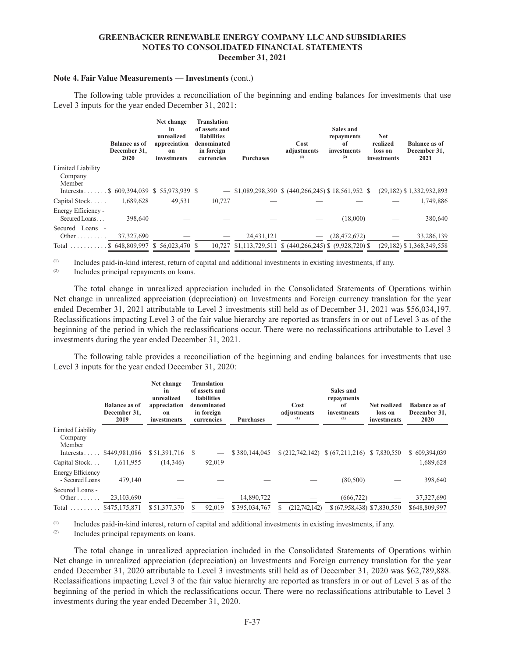#### **Note 4. Fair Value Measurements — Investments** (cont.)

The following table provides a reconciliation of the beginning and ending balances for investments that use Level 3 inputs for the year ended December 31, 2021:

|                                                     | <b>Balance as of</b><br>December 31,<br>2020 | Net change<br>in<br>unrealized<br>appreciation<br>on<br>investments | <b>Translation</b><br>of assets and<br><b>liabilities</b><br>denominated<br>in foreign<br>currencies | <b>Purchases</b> | Cost<br>adjustments<br>(1)                                  | Sales and<br>repayments<br>оf<br>investments<br>(2) | <b>Net</b><br>realized<br>loss on<br>investments | Balance as of<br>December 31,<br>2021 |
|-----------------------------------------------------|----------------------------------------------|---------------------------------------------------------------------|------------------------------------------------------------------------------------------------------|------------------|-------------------------------------------------------------|-----------------------------------------------------|--------------------------------------------------|---------------------------------------|
| Limited Liability                                   |                                              |                                                                     |                                                                                                      |                  |                                                             |                                                     |                                                  |                                       |
| Company                                             |                                              |                                                                     |                                                                                                      |                  |                                                             |                                                     |                                                  |                                       |
| Member<br>Interests \$ 609,394,039 \$ 55,973,939 \$ |                                              |                                                                     | $\overline{\phantom{a}}$                                                                             |                  | $$1,089,298,390 \text{ }$ \$ (440,266,245) \$ 18,561,952 \$ |                                                     |                                                  | $(29,182)$ \$ 1,332,932,893           |
| Capital Stock                                       | 1,689,628                                    | 49,531                                                              | 10,727                                                                                               |                  |                                                             |                                                     |                                                  | 1,749,886                             |
| Energy Efficiency -<br>Secured Loans                | 398,640                                      |                                                                     |                                                                                                      |                  |                                                             | (18,000)                                            |                                                  | 380,640                               |
| Secured Loans -                                     |                                              |                                                                     |                                                                                                      |                  |                                                             |                                                     |                                                  |                                       |
|                                                     | 37, 327, 690                                 |                                                                     |                                                                                                      | 24,431,121       |                                                             | (28, 472, 672)                                      |                                                  | 33,286,139                            |
| Total $\dots\dots\dots$                             |                                              | \$648,809,997 \$56,023,470 \$                                       |                                                                                                      |                  | 10,727 \$1,113,729,511 \$ (440,266,245) \$ (9,928,720) \$   |                                                     |                                                  | $(29, 182)$ \$ 1,368,349,558          |

(1) Includes paid-in-kind interest, return of capital and additional investments in existing investments, if any.

(2) Includes principal repayments on loans.

The total change in unrealized appreciation included in the Consolidated Statements of Operations within Net change in unrealized appreciation (depreciation) on Investments and Foreign currency translation for the year ended December 31, 2021 attributable to Level 3 investments still held as of December 31, 2021 was \$56,034,197. Reclassifications impacting Level 3 of the fair value hierarchy are reported as transfers in or out of Level 3 as of the beginning of the period in which the reclassifications occur. There were no reclassifications attributable to Level 3 investments during the year ended December 31, 2021.

The following table provides a reconciliation of the beginning and ending balances for investments that use Level 3 inputs for the year ended December 31, 2020:

|                                        | Net change<br>Translation<br>of assets and<br>in<br>liabilities<br>unrealized<br><b>Balance as of</b><br>appreciation<br>denominated<br>December 31,<br>in foreign<br>on<br>2019<br><b>Purchases</b><br>investments<br>currencies |                 |        | Cost<br>adjustments<br>(1) | Sales and<br>repayments<br>оf<br>investments<br>(2) | Net realized<br>loss on<br>investments       | <b>Balance as of</b><br>December 31,<br>2020 |               |
|----------------------------------------|-----------------------------------------------------------------------------------------------------------------------------------------------------------------------------------------------------------------------------------|-----------------|--------|----------------------------|-----------------------------------------------------|----------------------------------------------|----------------------------------------------|---------------|
| Limited Liability<br>Company<br>Member |                                                                                                                                                                                                                                   |                 |        |                            |                                                     |                                              |                                              |               |
| Interests                              | \$449,981,086                                                                                                                                                                                                                     | \$51,391,716 \$ |        | \$380,144,045              |                                                     | $(212,742,142)$ $(67,211,216)$ $(7,830,550)$ |                                              | \$609,394,039 |
| Capital Stock                          | 1,611,955                                                                                                                                                                                                                         | (14,346)        | 92,019 |                            |                                                     |                                              |                                              | 1,689,628     |
| Energy Efficiency<br>- Secured Loans   | 479,140                                                                                                                                                                                                                           |                 |        |                            |                                                     | (80, 500)                                    |                                              | 398,640       |
| Secured Loans -<br>Other $\dots$       | 23,103,690                                                                                                                                                                                                                        |                 |        | 14,890,722                 |                                                     | (666, 722)                                   |                                              | 37, 327, 690  |
| Total $$475,175,871$                   |                                                                                                                                                                                                                                   | \$51,377,370    | 92,019 | \$395,034,767              | (212.742.142)                                       | \$(67,958,438) \$7,830,550                   |                                              | \$648,809,997 |

(1) Includes paid-in-kind interest, return of capital and additional investments in existing investments, if any.<br>
Relates principal repayments on leaps

Includes principal repayments on loans.

The total change in unrealized appreciation included in the Consolidated Statements of Operations within Net change in unrealized appreciation (depreciation) on Investments and Foreign currency translation for the year ended December 31, 2020 attributable to Level 3 investments still held as of December 31, 2020 was \$62,789,888. Reclassifications impacting Level 3 of the fair value hierarchy are reported as transfers in or out of Level 3 as of the beginning of the period in which the reclassifications occur. There were no reclassifications attributable to Level 3 investments during the year ended December 31, 2020.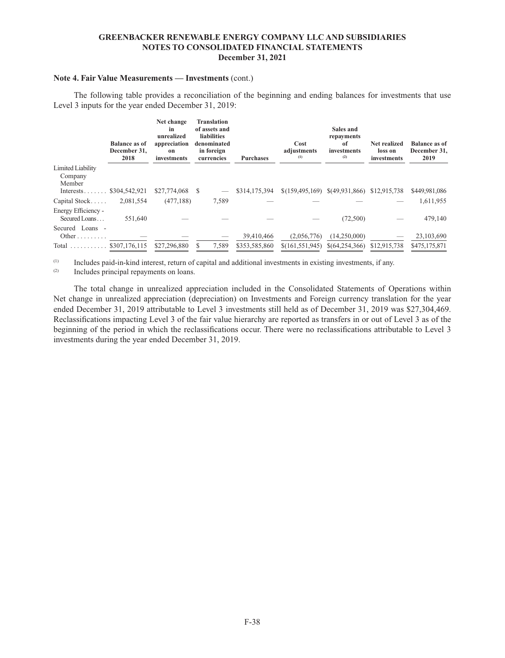### **Note 4. Fair Value Measurements — Investments** (cont.)

The following table provides a reconciliation of the beginning and ending balances for investments that use Level 3 inputs for the year ended December 31, 2019:

|                                        | <b>Balance as of</b><br>December 31,<br>2018 | Net change<br>in<br>unrealized<br>appreciation<br>on<br>investments | <b>Translation</b><br>of assets and<br><b>liabilities</b><br>denominated<br>in foreign<br>currencies | <b>Purchases</b> | Cost<br>adjustments<br>(1) | Sales and<br>repayments<br>of<br>investments<br>(2) | Net realized<br>loss on<br>investments | Balance as of<br>December 31,<br>2019 |
|----------------------------------------|----------------------------------------------|---------------------------------------------------------------------|------------------------------------------------------------------------------------------------------|------------------|----------------------------|-----------------------------------------------------|----------------------------------------|---------------------------------------|
| Limited Liability<br>Company<br>Member |                                              |                                                                     |                                                                                                      |                  |                            |                                                     |                                        |                                       |
| $Interests \ldots \ldots$              | \$304,542,921                                | \$27,774,068                                                        | -S                                                                                                   | \$314,175,394    | \$(159, 495, 169)          | \$(49,931,866)                                      | \$12,915,738                           | \$449,981,086                         |
| Capital Stock                          | 2,081,554                                    | (477, 188)                                                          | 7,589                                                                                                |                  |                            |                                                     |                                        | 1,611,955                             |
| Energy Efficiency -<br>Secured Loans   | 551.640                                      |                                                                     |                                                                                                      |                  |                            | (72,500)                                            |                                        | 479,140                               |
| Secured Loans -<br>Other               |                                              |                                                                     |                                                                                                      | 39,410,466       | (2,056,776)                | (14,250,000)                                        |                                        | 23,103,690                            |
| $Total \dots \dots$                    | \$307,176,115                                | \$27,296,880                                                        | 7,589                                                                                                | \$353,585,860    | \$(161, 551, 945)          | \$(64,254,366)                                      | \$12,915,738                           | \$475,175,871                         |

(1) Includes paid-in-kind interest, return of capital and additional investments in existing investments, if any.<br>  $\frac{1}{2}$  Includes principal repayments on loans.

Includes principal repayments on loans.

The total change in unrealized appreciation included in the Consolidated Statements of Operations within Net change in unrealized appreciation (depreciation) on Investments and Foreign currency translation for the year ended December 31, 2019 attributable to Level 3 investments still held as of December 31, 2019 was \$27,304,469. Reclassifications impacting Level 3 of the fair value hierarchy are reported as transfers in or out of Level 3 as of the beginning of the period in which the reclassifications occur. There were no reclassifications attributable to Level 3 investments during the year ended December 31, 2019.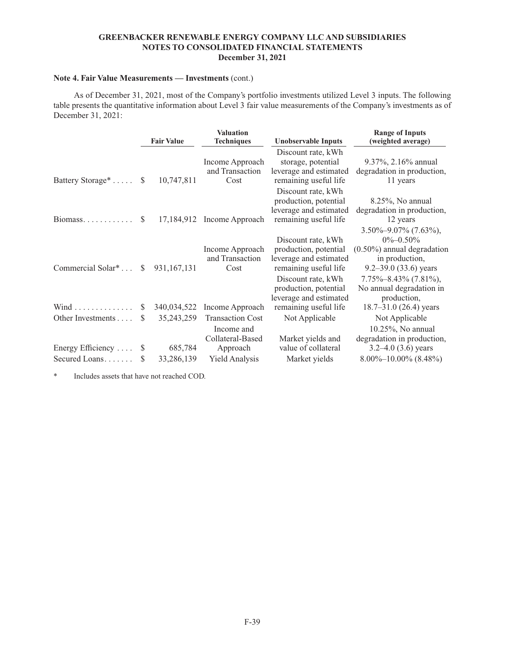### **Note 4. Fair Value Measurements — Investments** (cont.)

As of December 31, 2021, most of the Company's portfolio investments utilized Level 3 inputs. The following table presents the quantitative information about Level 3 fair value measurements of the Company's investments as of December 31, 2021:

|                                    |               | <b>Fair Value</b>     | <b>Valuation</b><br><b>Techniques</b>                 | <b>Unobservable Inputs</b>                                                                     | <b>Range of Inputs</b><br>(weighted average)                                                                               |
|------------------------------------|---------------|-----------------------|-------------------------------------------------------|------------------------------------------------------------------------------------------------|----------------------------------------------------------------------------------------------------------------------------|
| Battery Storage <sup>*</sup>       | <sup>S</sup>  | 10,747,811            | Income Approach<br>and Transaction<br>Cost            | Discount rate, kWh<br>storage, potential<br>leverage and estimated<br>remaining useful life    | $9.37\%, 2.16\%$ annual<br>degradation in production,<br>11 years                                                          |
| $\overline{\text{Biomass}}$        | <b>S</b>      | 17,184,912            | Income Approach                                       | Discount rate, kWh<br>production, potential<br>leverage and estimated<br>remaining useful life | $8.25\%$ , No annual<br>degradation in production,<br>12 years                                                             |
| Commercial Solar <sup>*</sup>      | <sup>\$</sup> | 931, 167, 131         | Income Approach<br>and Transaction<br>Cost            | Discount rate, kWh<br>production, potential<br>leverage and estimated<br>remaining useful life | $3.50\% - 9.07\%$ (7.63%),<br>$0\% - 0.50\%$<br>$(0.50\%)$ annual degradation<br>in production,<br>9.2–39.0 $(33.6)$ years |
| Wind                               | S             | 340,034,522           | Income Approach                                       | Discount rate, kWh<br>production, potential<br>leverage and estimated<br>remaining useful life | $7.75\% - 8.43\%$ $(7.81\%),$<br>No annual degradation in<br>production,<br>$18.7 - 31.0$ (26.4) years                     |
| Other Investments                  | S             | 35,243,259            | <b>Transaction Cost</b><br>Income and                 | Not Applicable                                                                                 | Not Applicable<br>10.25%, No annual                                                                                        |
| Energy Efficiency<br>Secured Loans | \$<br>\$.     | 685,784<br>33,286,139 | Collateral-Based<br>Approach<br><b>Yield Analysis</b> | Market yields and<br>value of collateral<br>Market yields                                      | degradation in production,<br>3.2–4.0 $(3.6)$ years<br>$8.00\% - 10.00\%$ (8.48%)                                          |

\* Includes assets that have not reached COD.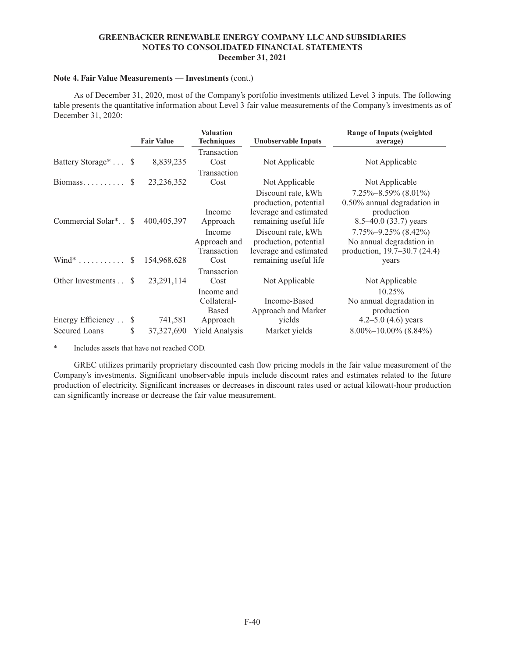### **Note 4. Fair Value Measurements — Investments** (cont.)

As of December 31, 2020, most of the Company's portfolio investments utilized Level 3 inputs. The following table presents the quantitative information about Level 3 fair value measurements of the Company's investments as of December 31, 2020:

|                                  |               | <b>Fair Value</b> | <b>Valuation</b><br><b>Techniques</b>                 | <b>Unobservable Inputs</b>                                                                     | <b>Range of Inputs (weighted</b><br>average)                                                        |
|----------------------------------|---------------|-------------------|-------------------------------------------------------|------------------------------------------------------------------------------------------------|-----------------------------------------------------------------------------------------------------|
| Battery Storage <sup>*</sup> \$  |               | 8,839,235         | Transaction<br>Cost                                   | Not Applicable                                                                                 | Not Applicable                                                                                      |
| $\overline{\text{Biomass}}$      | <sup>\$</sup> | 23, 236, 352      | Transaction<br>Cost                                   | Not Applicable                                                                                 | Not Applicable                                                                                      |
| Commercial Solar <sup>*</sup> \$ |               | 400, 405, 397     | Income<br>Approach                                    | Discount rate, kWh<br>production, potential<br>leverage and estimated<br>remaining useful life | $7.25\% - 8.59\%$ (8.01%)<br>0.50% annual degradation in<br>production<br>$8.5 - 40.0$ (33.7) years |
| $Wind^*$                         | <sup>S</sup>  | 154,968,628       | Income<br>Approach and<br>Transaction<br>Cost         | Discount rate, kWh<br>production, potential<br>leverage and estimated<br>remaining useful life | $7.75\% - 9.25\%$ (8.42%)<br>No annual degradation in<br>production, 19.7–30.7 (24.4)<br>years      |
| Other Investments                | S.            | 23, 291, 114      | Transaction<br>Cost                                   | Not Applicable                                                                                 | Not Applicable                                                                                      |
| Energy Efficiency                | S             | 741,581           | Income and<br>Collateral-<br><b>Based</b><br>Approach | Income-Based<br>Approach and Market<br>yields                                                  | 10.25%<br>No annual degradation in<br>production<br>4.2–5.0 $(4.6)$ years                           |
| <b>Secured Loans</b>             | S             | 37, 327, 690      | <b>Yield Analysis</b>                                 | Market yields                                                                                  | $8.00\% - 10.00\%$ (8.84%)                                                                          |

\* Includes assets that have not reached COD.

GREC utilizes primarily proprietary discounted cash flow pricing models in the fair value measurement of the Company's investments. Significant unobservable inputs include discount rates and estimates related to the future production of electricity. Significant increases or decreases in discount rates used or actual kilowatt-hour production can significantly increase or decrease the fair value measurement.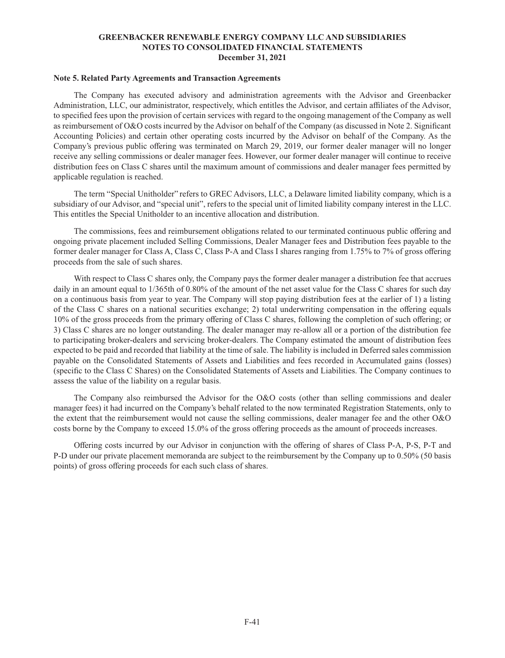#### **Note 5. Related Party Agreements and Transaction Agreements**

The Company has executed advisory and administration agreements with the Advisor and Greenbacker Administration, LLC, our administrator, respectively, which entitles the Advisor, and certain affiliates of the Advisor, to specified fees upon the provision of certain services with regard to the ongoing management of the Company as well as reimbursement of O&O costs incurred by the Advisor on behalf of the Company (as discussed in Note 2. Significant Accounting Policies) and certain other operating costs incurred by the Advisor on behalf of the Company. As the Company's previous public offering was terminated on March 29, 2019, our former dealer manager will no longer receive any selling commissions or dealer manager fees. However, our former dealer manager will continue to receive distribution fees on Class C shares until the maximum amount of commissions and dealer manager fees permitted by applicable regulation is reached.

The term "Special Unitholder" refers to GREC Advisors, LLC, a Delaware limited liability company, which is a subsidiary of our Advisor, and "special unit", refers to the special unit of limited liability company interest in the LLC. This entitles the Special Unitholder to an incentive allocation and distribution.

The commissions, fees and reimbursement obligations related to our terminated continuous public offering and ongoing private placement included Selling Commissions, Dealer Manager fees and Distribution fees payable to the former dealer manager for Class A, Class C, Class P-A and Class I shares ranging from 1.75% to 7% of gross offering proceeds from the sale of such shares.

With respect to Class C shares only, the Company pays the former dealer manager a distribution fee that accrues daily in an amount equal to  $1/365$ th of 0.80% of the amount of the net asset value for the Class C shares for such day on a continuous basis from year to year. The Company will stop paying distribution fees at the earlier of 1) a listing of the Class C shares on a national securities exchange; 2) total underwriting compensation in the offering equals 10% of the gross proceeds from the primary offering of Class C shares, following the completion of such offering; or 3) Class C shares are no longer outstanding. The dealer manager may re-allow all or a portion of the distribution fee to participating broker-dealers and servicing broker-dealers. The Company estimated the amount of distribution fees expected to be paid and recorded that liability at the time of sale. The liability is included in Deferred sales commission payable on the Consolidated Statements of Assets and Liabilities and fees recorded in Accumulated gains (losses) (specific to the Class C Shares) on the Consolidated Statements of Assets and Liabilities. The Company continues to assess the value of the liability on a regular basis.

The Company also reimbursed the Advisor for the O&O costs (other than selling commissions and dealer manager fees) it had incurred on the Company's behalf related to the now terminated Registration Statements, only to the extent that the reimbursement would not cause the selling commissions, dealer manager fee and the other O&O costs borne by the Company to exceed 15.0% of the gross offering proceeds as the amount of proceeds increases.

Offering costs incurred by our Advisor in conjunction with the offering of shares of Class P-A, P-S, P-T and P-D under our private placement memoranda are subject to the reimbursement by the Company up to 0.50% (50 basis points) of gross offering proceeds for each such class of shares.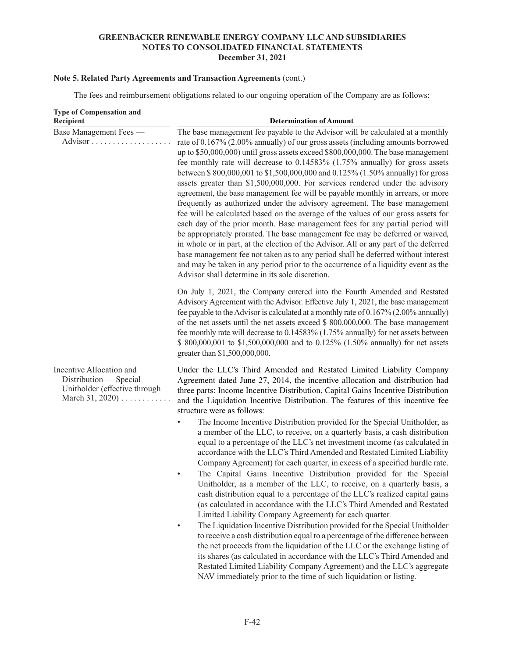# **Note 5. Related Party Agreements and Transaction Agreements** (cont.)

The fees and reimbursement obligations related to our ongoing operation of the Company are as follows:

| <b>Type of Compensation and</b><br>Recipient                                                                    | <b>Determination of Amount</b>                                                                                                                                                                                                                                                                                                                                                                                                                                                                                                                                                                                                                                                                                                                                                                                                                                                                                                                                                                                                                                                                                                                                                                                                                                                                                                                                                                                                                                                                                                                                                                        |
|-----------------------------------------------------------------------------------------------------------------|-------------------------------------------------------------------------------------------------------------------------------------------------------------------------------------------------------------------------------------------------------------------------------------------------------------------------------------------------------------------------------------------------------------------------------------------------------------------------------------------------------------------------------------------------------------------------------------------------------------------------------------------------------------------------------------------------------------------------------------------------------------------------------------------------------------------------------------------------------------------------------------------------------------------------------------------------------------------------------------------------------------------------------------------------------------------------------------------------------------------------------------------------------------------------------------------------------------------------------------------------------------------------------------------------------------------------------------------------------------------------------------------------------------------------------------------------------------------------------------------------------------------------------------------------------------------------------------------------------|
| Base Management Fees -                                                                                          | The base management fee payable to the Advisor will be calculated at a monthly<br>rate of 0.167% (2.00% annually) of our gross assets (including amounts borrowed<br>up to \$50,000,000) until gross assets exceed \$800,000,000. The base management<br>fee monthly rate will decrease to 0.14583% (1.75% annually) for gross assets<br>between \$800,000,001 to \$1,500,000,000 and 0.125% (1.50% annually) for gross<br>assets greater than \$1,500,000,000. For services rendered under the advisory<br>agreement, the base management fee will be payable monthly in arrears, or more<br>frequently as authorized under the advisory agreement. The base management<br>fee will be calculated based on the average of the values of our gross assets for<br>each day of the prior month. Base management fees for any partial period will<br>be appropriately prorated. The base management fee may be deferred or waived,<br>in whole or in part, at the election of the Advisor. All or any part of the deferred<br>base management fee not taken as to any period shall be deferred without interest<br>and may be taken in any period prior to the occurrence of a liquidity event as the<br>Advisor shall determine in its sole discretion.                                                                                                                                                                                                                                                                                                                                                 |
|                                                                                                                 | On July 1, 2021, the Company entered into the Fourth Amended and Restated<br>Advisory Agreement with the Advisor. Effective July 1, 2021, the base management<br>fee payable to the Advisor is calculated at a monthly rate of $0.167\%$ (2.00% annually)<br>of the net assets until the net assets exceed \$ 800,000,000. The base management<br>fee monthly rate will decrease to 0.14583% (1.75% annually) for net assets between<br>\$ 800,000,001 to \$1,500,000,000 and to 0.125% (1.50% annually) for net assets<br>greater than \$1,500,000,000.                                                                                                                                                                                                                                                                                                                                                                                                                                                                                                                                                                                                                                                                                                                                                                                                                                                                                                                                                                                                                                              |
| Incentive Allocation and<br>Distribution — Special<br>Unitholder (effective through<br>March 31, 2020) $\ldots$ | Under the LLC's Third Amended and Restated Limited Liability Company<br>Agreement dated June 27, 2014, the incentive allocation and distribution had<br>three parts: Income Incentive Distribution, Capital Gains Incentive Distribution<br>and the Liquidation Incentive Distribution. The features of this incentive fee<br>structure were as follows:<br>The Income Incentive Distribution provided for the Special Unitholder, as<br>a member of the LLC, to receive, on a quarterly basis, a cash distribution<br>equal to a percentage of the LLC's net investment income (as calculated in<br>accordance with the LLC's Third Amended and Restated Limited Liability<br>Company Agreement) for each quarter, in excess of a specified hurdle rate.<br>The Capital Gains Incentive Distribution provided for the Special<br>Unitholder, as a member of the LLC, to receive, on a quarterly basis, a<br>cash distribution equal to a percentage of the LLC's realized capital gains<br>(as calculated in accordance with the LLC's Third Amended and Restated<br>Limited Liability Company Agreement) for each quarter.<br>The Liquidation Incentive Distribution provided for the Special Unitholder<br>to receive a cash distribution equal to a percentage of the difference between<br>the net proceeds from the liquidation of the LLC or the exchange listing of<br>its shares (as calculated in accordance with the LLC's Third Amended and<br>Restated Limited Liability Company Agreement) and the LLC's aggregate<br>NAV immediately prior to the time of such liquidation or listing. |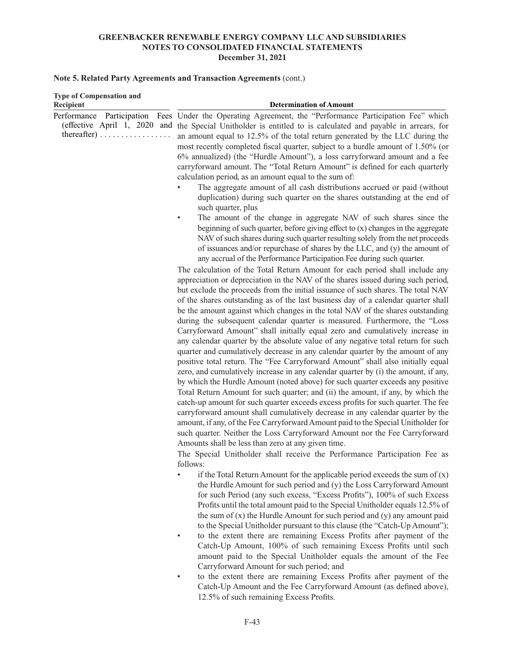### **Note 5. Related Party Agreements and Transaction Agreements** (cont.)

| <b>Type of Compensation and</b>                          |                                                                                                                                                                                                                                                                                                                                                                                                                                                                                                                                                                                                                                                                                                                                                                                                                                                                                                                                                                                                                                                                                                                                                                                                                                                                                                                                                                                                                                                                                                                                                                                                                                                                                                                                                                                                                                                                                                                                                                                                                                                                                                                                                                                                                                                                                                                                                                                                                                                                                                                                                                                                                                                                                                                                                                                                                                                                                                                                                                                                                                                                                                                                                                                                                                                      |
|----------------------------------------------------------|------------------------------------------------------------------------------------------------------------------------------------------------------------------------------------------------------------------------------------------------------------------------------------------------------------------------------------------------------------------------------------------------------------------------------------------------------------------------------------------------------------------------------------------------------------------------------------------------------------------------------------------------------------------------------------------------------------------------------------------------------------------------------------------------------------------------------------------------------------------------------------------------------------------------------------------------------------------------------------------------------------------------------------------------------------------------------------------------------------------------------------------------------------------------------------------------------------------------------------------------------------------------------------------------------------------------------------------------------------------------------------------------------------------------------------------------------------------------------------------------------------------------------------------------------------------------------------------------------------------------------------------------------------------------------------------------------------------------------------------------------------------------------------------------------------------------------------------------------------------------------------------------------------------------------------------------------------------------------------------------------------------------------------------------------------------------------------------------------------------------------------------------------------------------------------------------------------------------------------------------------------------------------------------------------------------------------------------------------------------------------------------------------------------------------------------------------------------------------------------------------------------------------------------------------------------------------------------------------------------------------------------------------------------------------------------------------------------------------------------------------------------------------------------------------------------------------------------------------------------------------------------------------------------------------------------------------------------------------------------------------------------------------------------------------------------------------------------------------------------------------------------------------------------------------------------------------------------------------------------------------|
| Recipient<br>thereafter) $\dots \dots \dots \dots \dots$ | <b>Determination of Amount</b><br>Performance Participation Fees Under the Operating Agreement, the "Performance Participation Fee" which<br>(effective April 1, 2020 and the Special Unitholder is entitled to is calculated and payable in arrears, for<br>an amount equal to 12.5% of the total return generated by the LLC during the<br>most recently completed fiscal quarter, subject to a hurdle amount of 1.50% (or<br>6% annualized) (the "Hurdle Amount"), a loss carryforward amount and a fee<br>carryforward amount. The "Total Return Amount" is defined for each quarterly<br>calculation period, as an amount equal to the sum of:<br>The aggregate amount of all cash distributions accrued or paid (without<br>duplication) during such quarter on the shares outstanding at the end of<br>such quarter, plus<br>The amount of the change in aggregate NAV of such shares since the<br>beginning of such quarter, before giving effect to (x) changes in the aggregate<br>NAV of such shares during such quarter resulting solely from the net proceeds<br>of issuances and/or repurchase of shares by the LLC, and (y) the amount of<br>any accrual of the Performance Participation Fee during such quarter.<br>The calculation of the Total Return Amount for each period shall include any<br>appreciation or depreciation in the NAV of the shares issued during such period,<br>but exclude the proceeds from the initial issuance of such shares. The total NAV<br>of the shares outstanding as of the last business day of a calendar quarter shall<br>be the amount against which changes in the total NAV of the shares outstanding<br>during the subsequent calendar quarter is measured. Furthermore, the "Loss<br>Carryforward Amount" shall initially equal zero and cumulatively increase in<br>any calendar quarter by the absolute value of any negative total return for such<br>quarter and cumulatively decrease in any calendar quarter by the amount of any<br>positive total return. The "Fee Carryforward Amount" shall also initially equal<br>zero, and cumulatively increase in any calendar quarter by (i) the amount, if any,<br>by which the Hurdle Amount (noted above) for such quarter exceeds any positive<br>Total Return Amount for such quarter; and (ii) the amount, if any, by which the<br>catch-up amount for such quarter exceeds excess profits for such quarter. The fee<br>carryforward amount shall cumulatively decrease in any calendar quarter by the<br>amount, if any, of the Fee Carryforward Amount paid to the Special Unitholder for<br>such quarter. Neither the Loss Carryforward Amount nor the Fee Carryforward<br>Amounts shall be less than zero at any given time.<br>The Special Unitholder shall receive the Performance Participation Fee as<br>follows:<br>if the Total Return Amount for the applicable period exceeds the sum of $(x)$<br>the Hurdle Amount for such period and (y) the Loss Carryforward Amount<br>for such Period (any such excess, "Excess Profits"), 100% of such Excess<br>Profits until the total amount paid to the Special Unitholder equals 12.5% of<br>the sum of $(x)$ the Hurdle Amount for such period and $(y)$ any amount paid |
|                                                          | to the Special Unitholder pursuant to this clause (the "Catch-Up Amount");<br>to the extent there are remaining Excess Profits after nayment of the                                                                                                                                                                                                                                                                                                                                                                                                                                                                                                                                                                                                                                                                                                                                                                                                                                                                                                                                                                                                                                                                                                                                                                                                                                                                                                                                                                                                                                                                                                                                                                                                                                                                                                                                                                                                                                                                                                                                                                                                                                                                                                                                                                                                                                                                                                                                                                                                                                                                                                                                                                                                                                                                                                                                                                                                                                                                                                                                                                                                                                                                                                  |

- to the extent there are remaining Excess Profits after payment of the Catch-Up Amount, 100% of such remaining Excess Profits until such amount paid to the Special Unitholder equals the amount of the Fee Carryforward Amount for such period; and
- to the extent there are remaining Excess Profits after payment of the Catch-Up Amount and the Fee Carryforward Amount (as defined above), 12.5% of such remaining Excess Profits.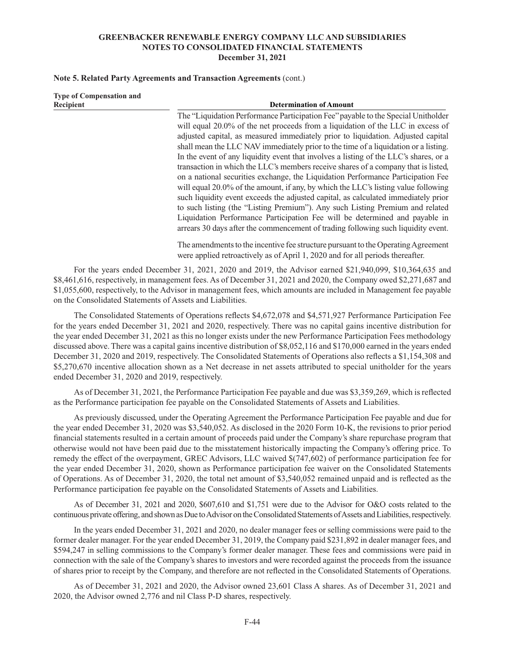### **Note 5. Related Party Agreements and Transaction Agreements** (cont.)

ended December 31, 2020 and 2019, respectively.

| <b>Type of Compensation and</b><br>Recipient              | <b>Determination of Amount</b>                                                                                                                                                                                                                                                                                                                                                                                                                                                                                                                                                                                                                                                           |  |  |  |  |  |  |
|-----------------------------------------------------------|------------------------------------------------------------------------------------------------------------------------------------------------------------------------------------------------------------------------------------------------------------------------------------------------------------------------------------------------------------------------------------------------------------------------------------------------------------------------------------------------------------------------------------------------------------------------------------------------------------------------------------------------------------------------------------------|--|--|--|--|--|--|
|                                                           | The "Liquidation Performance Participation Fee" payable to the Special Unitholder                                                                                                                                                                                                                                                                                                                                                                                                                                                                                                                                                                                                        |  |  |  |  |  |  |
|                                                           | will equal 20.0% of the net proceeds from a liquidation of the LLC in excess of                                                                                                                                                                                                                                                                                                                                                                                                                                                                                                                                                                                                          |  |  |  |  |  |  |
|                                                           | adjusted capital, as measured immediately prior to liquidation. Adjusted capital                                                                                                                                                                                                                                                                                                                                                                                                                                                                                                                                                                                                         |  |  |  |  |  |  |
|                                                           | shall mean the LLC NAV immediately prior to the time of a liquidation or a listing.                                                                                                                                                                                                                                                                                                                                                                                                                                                                                                                                                                                                      |  |  |  |  |  |  |
|                                                           | In the event of any liquidity event that involves a listing of the LLC's shares, or a                                                                                                                                                                                                                                                                                                                                                                                                                                                                                                                                                                                                    |  |  |  |  |  |  |
|                                                           | transaction in which the LLC's members receive shares of a company that is listed,                                                                                                                                                                                                                                                                                                                                                                                                                                                                                                                                                                                                       |  |  |  |  |  |  |
|                                                           | on a national securities exchange, the Liquidation Performance Participation Fee<br>will equal 20.0% of the amount, if any, by which the LLC's listing value following<br>such liquidity event exceeds the adjusted capital, as calculated immediately prior<br>to such listing (the "Listing Premium"). Any such Listing Premium and related<br>Liquidation Performance Participation Fee will be determined and payable in<br>arrears 30 days after the commencement of trading following such liquidity event.<br>The amendments to the incentive fee structure pursuant to the Operating Agreement<br>were applied retroactively as of April 1, 2020 and for all periods thereafter. |  |  |  |  |  |  |
| on the Consolidated Statements of Assets and Liabilities. | For the years ended December 31, 2021, 2020 and 2019, the Advisor earned \$21,940,099, \$10,364,635 and<br>\$8,461,616, respectively, in management fees. As of December 31, 2021 and 2020, the Company owed \$2,271,687 and<br>\$1,055,600, respectively, to the Advisor in management fees, which amounts are included in Management fee payable                                                                                                                                                                                                                                                                                                                                       |  |  |  |  |  |  |
|                                                           | The Consolidated Statements of Operations reflects \$4,672,078 and \$4,571,927 Performance Participation Fee                                                                                                                                                                                                                                                                                                                                                                                                                                                                                                                                                                             |  |  |  |  |  |  |
|                                                           | for the years ended December 31, 2021 and 2020, respectively. There was no capital gains incentive distribution for                                                                                                                                                                                                                                                                                                                                                                                                                                                                                                                                                                      |  |  |  |  |  |  |
|                                                           | the year ended December 31, 2021 as this no longer exists under the new Performance Participation Fees methodology                                                                                                                                                                                                                                                                                                                                                                                                                                                                                                                                                                       |  |  |  |  |  |  |
|                                                           | discussed above. There was a capital gains incentive distribution of \$8,052,116 and \$170,000 earned in the years ended                                                                                                                                                                                                                                                                                                                                                                                                                                                                                                                                                                 |  |  |  |  |  |  |
|                                                           | December 31, 2020 and 2019, respectively. The Consolidated Statements of Operations also reflects a \$1,154,308 and                                                                                                                                                                                                                                                                                                                                                                                                                                                                                                                                                                      |  |  |  |  |  |  |

As of December 31, 2021, the Performance Participation Fee payable and due was \$3,359,269, which is reflected as the Performance participation fee payable on the Consolidated Statements of Assets and Liabilities.

\$5,270,670 incentive allocation shown as a Net decrease in net assets attributed to special unitholder for the years

As previously discussed, under the Operating Agreement the Performance Participation Fee payable and due for the year ended December 31, 2020 was \$3,540,052. As disclosed in the 2020 Form 10-K, the revisions to prior period financial statements resulted in a certain amount of proceeds paid under the Company's share repurchase program that otherwise would not have been paid due to the misstatement historically impacting the Company's offering price. To remedy the effect of the overpayment, GREC Advisors, LLC waived \$(747,602) of performance participation fee for the year ended December 31, 2020, shown as Performance participation fee waiver on the Consolidated Statements of Operations. As of December 31, 2020, the total net amount of \$3,540,052 remained unpaid and is reflected as the Performance participation fee payable on the Consolidated Statements of Assets and Liabilities.

As of December 31, 2021 and 2020, \$607,610 and \$1,751 were due to the Advisor for O&O costs related to the continuous private offering, and shown as Due to Advisor on the Consolidated Statements of Assets and Liabilities, respectively.

In the years ended December 31, 2021 and 2020, no dealer manager fees or selling commissions were paid to the former dealer manager. For the year ended December 31, 2019, the Company paid \$231,892 in dealer manager fees, and \$594,247 in selling commissions to the Company's former dealer manager. These fees and commissions were paid in connection with the sale of the Company's shares to investors and were recorded against the proceeds from the issuance of shares prior to receipt by the Company, and therefore are not reflected in the Consolidated Statements of Operations.

As of December 31, 2021 and 2020, the Advisor owned 23,601 Class A shares. As of December 31, 2021 and 2020, the Advisor owned 2,776 and nil Class P-D shares, respectively.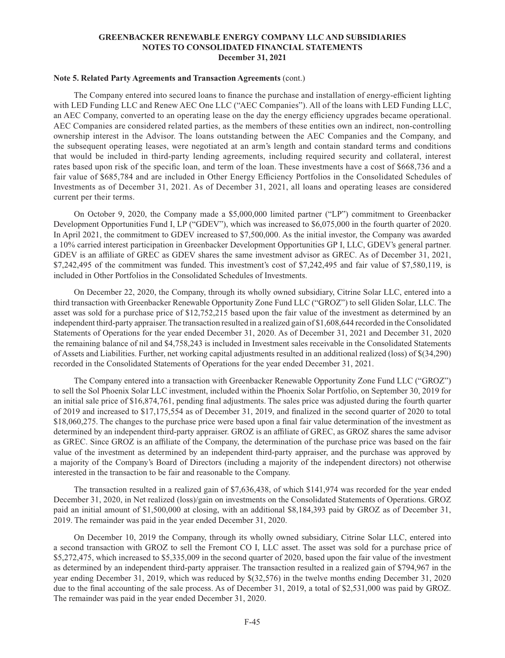#### **Note 5. Related Party Agreements and Transaction Agreements** (cont.)

The Company entered into secured loans to finance the purchase and installation of energy-efficient lighting with LED Funding LLC and Renew AEC One LLC ("AEC Companies"). All of the loans with LED Funding LLC, an AEC Company, converted to an operating lease on the day the energy efficiency upgrades became operational. AEC Companies are considered related parties, as the members of these entities own an indirect, non-controlling ownership interest in the Advisor. The loans outstanding between the AEC Companies and the Company, and the subsequent operating leases, were negotiated at an arm's length and contain standard terms and conditions that would be included in third-party lending agreements, including required security and collateral, interest rates based upon risk of the specific loan, and term of the loan. These investments have a cost of \$668,736 and a fair value of \$685,784 and are included in Other Energy Efficiency Portfolios in the Consolidated Schedules of Investments as of December 31, 2021. As of December 31, 2021, all loans and operating leases are considered current per their terms.

On October 9, 2020, the Company made a \$5,000,000 limited partner ("LP") commitment to Greenbacker Development Opportunities Fund I, LP ("GDEV"), which was increased to \$6,075,000 in the fourth quarter of 2020. In April 2021, the commitment to GDEV increased to \$7,500,000. As the initial investor, the Company was awarded a 10% carried interest participation in Greenbacker Development Opportunities GP I, LLC, GDEV's general partner. GDEV is an affiliate of GREC as GDEV shares the same investment advisor as GREC. As of December 31, 2021, \$7,242,495 of the commitment was funded. This investment's cost of \$7,242,495 and fair value of \$7,580,119, is included in Other Portfolios in the Consolidated Schedules of Investments.

On December 22, 2020, the Company, through its wholly owned subsidiary, Citrine Solar LLC, entered into a third transaction with Greenbacker Renewable Opportunity Zone Fund LLC ("GROZ") to sell Gliden Solar, LLC. The asset was sold for a purchase price of \$12,752,215 based upon the fair value of the investment as determined by an independent third-party appraiser. The transaction resulted in a realized gain of \$1,608,644 recorded in the Consolidated Statements of Operations for the year ended December 31, 2020. As of December 31, 2021 and December 31, 2020 the remaining balance of nil and \$4,758,243 is included in Investment sales receivable in the Consolidated Statements of Assets and Liabilities. Further, net working capital adjustments resulted in an additional realized (loss) of \$(34,290) recorded in the Consolidated Statements of Operations for the year ended December 31, 2021.

The Company entered into a transaction with Greenbacker Renewable Opportunity Zone Fund LLC ("GROZ") to sell the Sol Phoenix Solar LLC investment, included within the Phoenix Solar Portfolio, on September 30, 2019 for an initial sale price of \$16,874,761, pending final adjustments. The sales price was adjusted during the fourth quarter of 2019 and increased to \$17,175,554 as of December 31, 2019, and finalized in the second quarter of 2020 to total \$18,060,275. The changes to the purchase price were based upon a final fair value determination of the investment as determined by an independent third-party appraiser. GROZ is an affiliate of GREC, as GROZ shares the same advisor as GREC. Since GROZ is an affiliate of the Company, the determination of the purchase price was based on the fair value of the investment as determined by an independent third-party appraiser, and the purchase was approved by a majority of the Company's Board of Directors (including a majority of the independent directors) not otherwise interested in the transaction to be fair and reasonable to the Company.

The transaction resulted in a realized gain of \$7,636,438, of which \$141,974 was recorded for the year ended December 31, 2020, in Net realized (loss)/gain on investments on the Consolidated Statements of Operations. GROZ paid an initial amount of \$1,500,000 at closing, with an additional \$8,184,393 paid by GROZ as of December 31, 2019. The remainder was paid in the year ended December 31, 2020.

On December 10, 2019 the Company, through its wholly owned subsidiary, Citrine Solar LLC, entered into a second transaction with GROZ to sell the Fremont CO I, LLC asset. The asset was sold for a purchase price of \$5,272,475, which increased to \$5,335,009 in the second quarter of 2020, based upon the fair value of the investment as determined by an independent third-party appraiser. The transaction resulted in a realized gain of \$794,967 in the year ending December 31, 2019, which was reduced by \$(32,576) in the twelve months ending December 31, 2020 due to the final accounting of the sale process. As of December 31, 2019, a total of \$2,531,000 was paid by GROZ. The remainder was paid in the year ended December 31, 2020.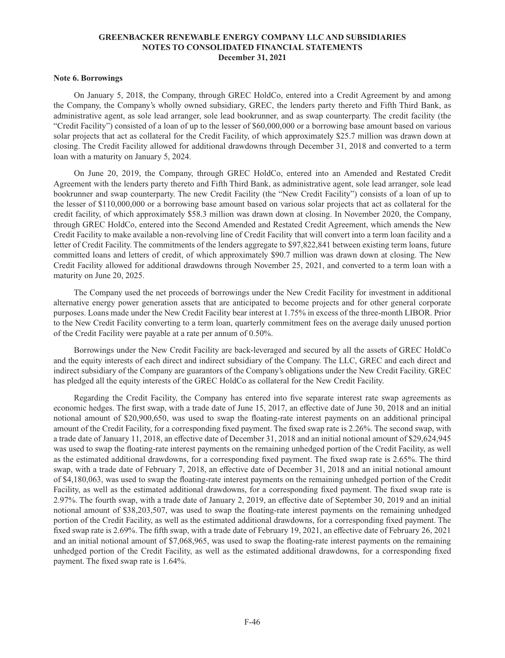#### **Note 6. Borrowings**

On January 5, 2018, the Company, through GREC HoldCo, entered into a Credit Agreement by and among the Company, the Company's wholly owned subsidiary, GREC, the lenders party thereto and Fifth Third Bank, as administrative agent, as sole lead arranger, sole lead bookrunner, and as swap counterparty. The credit facility (the "Credit Facility") consisted of a loan of up to the lesser of \$60,000,000 or a borrowing base amount based on various solar projects that act as collateral for the Credit Facility, of which approximately \$25.7 million was drawn down at closing. The Credit Facility allowed for additional drawdowns through December 31, 2018 and converted to a term loan with a maturity on January 5, 2024.

On June 20, 2019, the Company, through GREC HoldCo, entered into an Amended and Restated Credit Agreement with the lenders party thereto and Fifth Third Bank, as administrative agent, sole lead arranger, sole lead bookrunner and swap counterparty. The new Credit Facility (the "New Credit Facility") consists of a loan of up to the lesser of \$110,000,000 or a borrowing base amount based on various solar projects that act as collateral for the credit facility, of which approximately \$58.3 million was drawn down at closing. In November 2020, the Company, through GREC HoldCo, entered into the Second Amended and Restated Credit Agreement, which amends the New Credit Facility to make available a non-revolving line of Credit Facility that will convert into a term loan facility and a letter of Credit Facility. The commitments of the lenders aggregate to \$97,822,841 between existing term loans, future committed loans and letters of credit, of which approximately \$90.7 million was drawn down at closing. The New Credit Facility allowed for additional drawdowns through November 25, 2021, and converted to a term loan with a maturity on June 20, 2025.

The Company used the net proceeds of borrowings under the New Credit Facility for investment in additional alternative energy power generation assets that are anticipated to become projects and for other general corporate purposes. Loans made under the New Credit Facility bear interest at 1.75% in excess of the three-month LIBOR. Prior to the New Credit Facility converting to a term loan, quarterly commitment fees on the average daily unused portion of the Credit Facility were payable at a rate per annum of 0.50%.

Borrowings under the New Credit Facility are back-leveraged and secured by all the assets of GREC HoldCo and the equity interests of each direct and indirect subsidiary of the Company. The LLC, GREC and each direct and indirect subsidiary of the Company are guarantors of the Company's obligations under the New Credit Facility. GREC has pledged all the equity interests of the GREC HoldCo as collateral for the New Credit Facility.

Regarding the Credit Facility, the Company has entered into five separate interest rate swap agreements as economic hedges. The first swap, with a trade date of June 15, 2017, an effective date of June 30, 2018 and an initial notional amount of \$20,900,650, was used to swap the floating-rate interest payments on an additional principal amount of the Credit Facility, for a corresponding fixed payment. The fixed swap rate is 2.26%. The second swap, with a trade date of January 11, 2018, an effective date of December 31, 2018 and an initial notional amount of \$29,624,945 was used to swap the floating-rate interest payments on the remaining unhedged portion of the Credit Facility, as well as the estimated additional drawdowns, for a corresponding fixed payment. The fixed swap rate is 2.65%. The third swap, with a trade date of February 7, 2018, an effective date of December 31, 2018 and an initial notional amount of \$4,180,063, was used to swap the floating-rate interest payments on the remaining unhedged portion of the Credit Facility, as well as the estimated additional drawdowns, for a corresponding fixed payment. The fixed swap rate is 2.97%. The fourth swap, with a trade date of January 2, 2019, an effective date of September 30, 2019 and an initial notional amount of \$38,203,507, was used to swap the floating-rate interest payments on the remaining unhedged portion of the Credit Facility, as well as the estimated additional drawdowns, for a corresponding fixed payment. The fixed swap rate is 2.69%. The fifth swap, with a trade date of February 19, 2021, an effective date of February 26, 2021 and an initial notional amount of \$7,068,965, was used to swap the floating-rate interest payments on the remaining unhedged portion of the Credit Facility, as well as the estimated additional drawdowns, for a corresponding fixed payment. The fixed swap rate is 1.64%.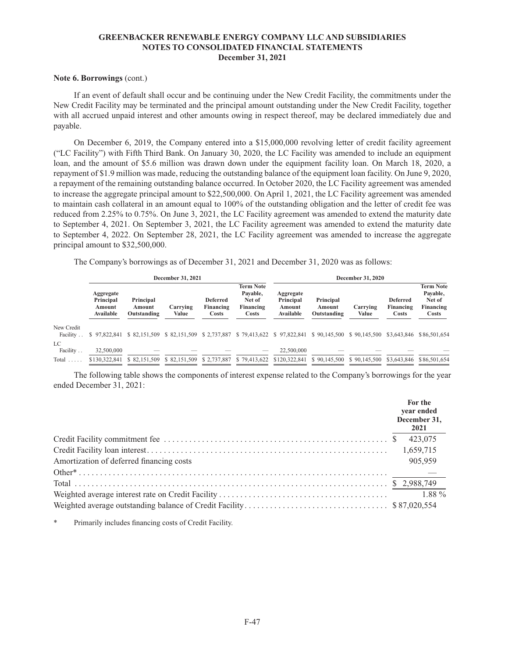### **Note 6. Borrowings** (cont.)

If an event of default shall occur and be continuing under the New Credit Facility, the commitments under the New Credit Facility may be terminated and the principal amount outstanding under the New Credit Facility, together with all accrued unpaid interest and other amounts owing in respect thereof, may be declared immediately due and payable.

On December 6, 2019, the Company entered into a \$15,000,000 revolving letter of credit facility agreement ("LC Facility") with Fifth Third Bank. On January 30, 2020, the LC Facility was amended to include an equipment loan, and the amount of \$5.6 million was drawn down under the equipment facility loan. On March 18, 2020, a repayment of \$1.9 million was made, reducing the outstanding balance of the equipment loan facility. On June 9, 2020, a repayment of the remaining outstanding balance occurred. In October 2020, the LC Facility agreement was amended to increase the aggregate principal amount to \$22,500,000. On April 1, 2021, the LC Facility agreement was amended to maintain cash collateral in an amount equal to 100% of the outstanding obligation and the letter of credit fee was reduced from 2.25% to 0.75%. On June 3, 2021, the LC Facility agreement was amended to extend the maturity date to September 4, 2021. On September 3, 2021, the LC Facility agreement was amended to extend the maturity date to September 4, 2022. On September 28, 2021, the LC Facility agreement was amended to increase the aggregate principal amount to \$32,500,000.

The Company's borrowings as of December 31, 2021 and December 31, 2020 was as follows:

|                                  |                                               |                                    | December 31, 2021        |                                       |                                                              | December 31, 2020                                      |                                    |                           |                                       |                                                              |  |
|----------------------------------|-----------------------------------------------|------------------------------------|--------------------------|---------------------------------------|--------------------------------------------------------------|--------------------------------------------------------|------------------------------------|---------------------------|---------------------------------------|--------------------------------------------------------------|--|
|                                  | Aggregate<br>Principal<br>Amount<br>Available | Principal<br>Amount<br>Outstanding | Carrying<br><b>Value</b> | <b>Deferred</b><br>Financing<br>Costs | <b>Term Note</b><br>Pavable,<br>Net of<br>Financing<br>Costs | Aggregate<br>Principal<br>Amount<br>Available          | Principal<br>Amount<br>Outstanding | Carrying<br>Value         | <b>Deferred</b><br>Financing<br>Costs | <b>Term Note</b><br>Pavable,<br>Net of<br>Financing<br>Costs |  |
| New Credit<br>Facility           | \$97,822,841                                  | \$ 82,151,509                      |                          |                                       |                                                              | \$ 82,151,509 \$ 2,737,887 \$ 79,413,622 \$ 97,822,841 |                                    | \$90,145,500 \$90,145,500 | \$3,643,846                           | \$86,501,654                                                 |  |
| LC.<br>Facility<br>Total $\dots$ | 32,500,000<br>\$130,322,841                   | \$82,151,509                       | \$ 82,151,509            | \$2,737,887                           | \$79,413,622                                                 | 22,500,000<br>\$120,322,841                            | \$90,145,500                       | \$90,145,500              | \$3,643,846                           | \$86,501,654                                                 |  |

The following table shows the components of interest expense related to the Company's borrowings for the year ended December 31, 2021:

|                                          | For the<br>year ended<br>December 31,<br>2021 |
|------------------------------------------|-----------------------------------------------|
|                                          | 423,075                                       |
|                                          |                                               |
| Amortization of deferred financing costs | 905,959                                       |
|                                          |                                               |
|                                          |                                               |
|                                          |                                               |
|                                          |                                               |

Primarily includes financing costs of Credit Facility.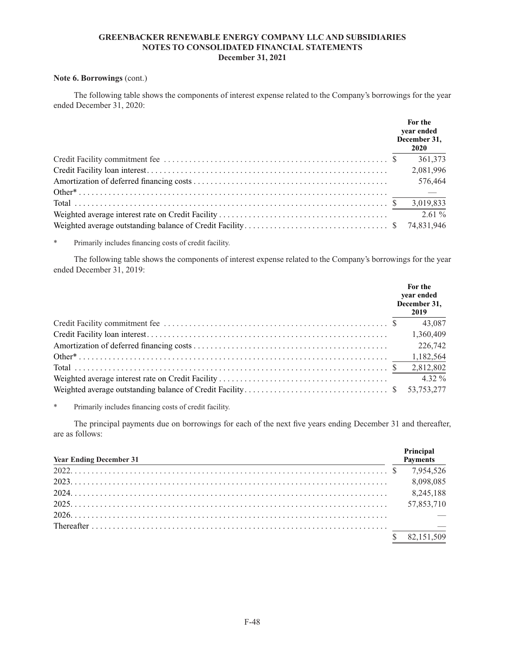### **Note 6. Borrowings** (cont.)

The following table shows the components of interest expense related to the Company's borrowings for the year ended December 31, 2020:

|  | For the<br>year ended<br>December 31,<br>2020 |
|--|-----------------------------------------------|
|  | 361,373                                       |
|  | 2,081,996                                     |
|  | 576,464                                       |
|  |                                               |
|  |                                               |
|  | $2.61\%$                                      |
|  | 74,831,946                                    |

\* Primarily includes financing costs of credit facility.

The following table shows the components of interest expense related to the Company's borrowings for the year ended December 31, 2019:

|  | For the<br>vear ended<br>December 31,<br>2019 |
|--|-----------------------------------------------|
|  | 43,087                                        |
|  | 1,360,409                                     |
|  | 226,742                                       |
|  | 1,182,564                                     |
|  | 2,812,802                                     |
|  | $4.32\%$                                      |
|  | 53.753.277                                    |

Primarily includes financing costs of credit facility.

The principal payments due on borrowings for each of the next five years ending December 31 and thereafter, are as follows:

| <b>Year Ending December 31</b> | Principal<br><b>Payments</b> |
|--------------------------------|------------------------------|
|                                |                              |
|                                | 8,098,085                    |
|                                | 8,245,188                    |
|                                | 57,853,710                   |
|                                |                              |
|                                |                              |
|                                | 82,151,509                   |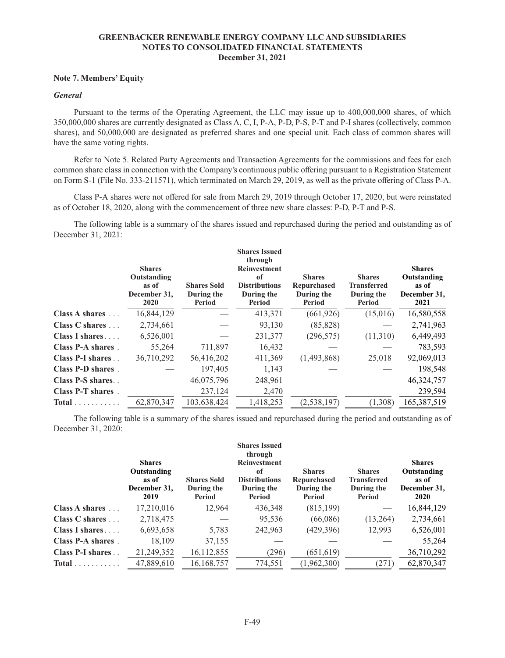### **Note 7. Members' Equity**

# *General*

Pursuant to the terms of the Operating Agreement, the LLC may issue up to 400,000,000 shares, of which 350,000,000 shares are currently designated as Class A, C, I, P-A, P-D, P-S, P-T and P-I shares (collectively, common shares), and 50,000,000 are designated as preferred shares and one special unit. Each class of common shares will have the same voting rights.

Refer to Note 5. Related Party Agreements and Transaction Agreements for the commissions and fees for each common share class in connection with the Company's continuous public offering pursuant to a Registration Statement on Form S-1 (File No. 333-211571), which terminated on March 29, 2019, as well as the private offering of Class P-A.

Class P-A shares were not offered for sale from March 29, 2019 through October 17, 2020, but were reinstated as of October 18, 2020, along with the commencement of three new share classes: P-D, P-T and P-S.

The following table is a summary of the shares issued and repurchased during the period and outstanding as of December 31, 2021:

|                         | <b>Shares</b><br>Outstanding<br>as of<br>December 31,<br>2020 | <b>Shares Sold</b><br>During the<br>Period | <b>Shares Issued</b><br>through<br><b>Reinvestment</b><br>of<br><b>Distributions</b><br>During the<br>Period | <b>Shares</b><br><b>Repurchased</b><br>During the<br>Period | <b>Shares</b><br><b>Transferred</b><br>During the<br>Period | <b>Shares</b><br>Outstanding<br>as of<br>December 31,<br>2021 |
|-------------------------|---------------------------------------------------------------|--------------------------------------------|--------------------------------------------------------------------------------------------------------------|-------------------------------------------------------------|-------------------------------------------------------------|---------------------------------------------------------------|
| Class A shares          | 16,844,129                                                    |                                            | 413,371                                                                                                      | (661, 926)                                                  | (15,016)                                                    | 16,580,558                                                    |
| Class C shares          | 2,734,661                                                     |                                            | 93,130                                                                                                       | (85, 828)                                                   |                                                             | 2,741,963                                                     |
| Class I shares $\ldots$ | 6,526,001                                                     |                                            | 231,377                                                                                                      | (296, 575)                                                  | (11,310)                                                    | 6,449,493                                                     |
| Class P-A shares.       | 55,264                                                        | 711,897                                    | 16,432                                                                                                       |                                                             |                                                             | 783,593                                                       |
| Class P-I shares        | 36,710,292                                                    | 56,416,202                                 | 411,369                                                                                                      | (1,493,868)                                                 | 25,018                                                      | 92,069,013                                                    |
| Class P-D shares.       |                                                               | 197,405                                    | 1,143                                                                                                        |                                                             |                                                             | 198,548                                                       |
| Class P-S shares        |                                                               | 46,075,796                                 | 248,961                                                                                                      |                                                             |                                                             | 46,324,757                                                    |
| Class P-T shares.       |                                                               | 237,124                                    | 2,470                                                                                                        |                                                             |                                                             | 239,594                                                       |
| $Total \dots \dots$     | 62,870,347                                                    | 103,638,424                                | 1,418,253                                                                                                    | (2, 538, 197)                                               | (1,308)                                                     | 165,387,519                                                   |

The following table is a summary of the shares issued and repurchased during the period and outstanding as of December 31, 2020:

|                        | <b>Shares</b><br>Outstanding<br>as of<br>December 31,<br>2019 | <b>Shares Sold</b><br>During the<br>Period | <b>Shares Issued</b><br>through<br><b>Reinvestment</b><br>0f<br><b>Distributions</b><br>During the<br>Period | <b>Shares</b><br>Repurchased<br>During the<br>Period | <b>Shares</b><br><b>Transferred</b><br>During the<br>Period | <b>Shares</b><br>Outstanding<br>as of<br>December 31,<br>2020 |
|------------------------|---------------------------------------------------------------|--------------------------------------------|--------------------------------------------------------------------------------------------------------------|------------------------------------------------------|-------------------------------------------------------------|---------------------------------------------------------------|
| Class A shares         | 17,210,016                                                    | 12,964                                     | 436,348                                                                                                      | (815, 199)                                           |                                                             | 16,844,129                                                    |
| Class C shares $\dots$ | 2,718,475                                                     |                                            | 95,536                                                                                                       | (66,086)                                             | (13,264)                                                    | 2,734,661                                                     |
| Class I shares         | 6,693,658                                                     | 5,783                                      | 242,963                                                                                                      | (429, 396)                                           | 12,993                                                      | 6,526,001                                                     |
| Class P-A shares.      | 18.109                                                        | 37,155                                     |                                                                                                              |                                                      |                                                             | 55,264                                                        |
| Class P-I shares       | 21,249,352                                                    | 16,112,855                                 | (296)                                                                                                        | (651, 619)                                           |                                                             | 36,710,292                                                    |
| $Total$                | 47,889,610                                                    | 16,168,757                                 | 774,551                                                                                                      | (1,962,300)                                          | (271)                                                       | 62,870,347                                                    |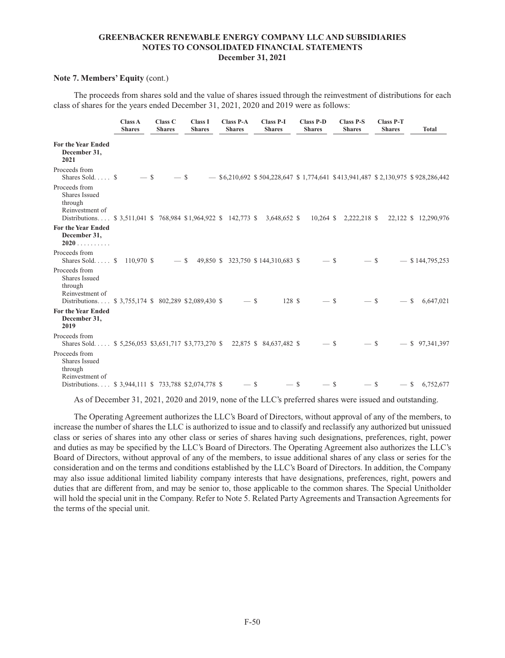### **Note 7. Members' Equity** (cont.)

The proceeds from shares sold and the value of shares issued through the reinvestment of distributions for each class of shares for the years ended December 31, 2021, 2020 and 2019 were as follows:

|                                                                                                                                              | Class A<br><b>Shares</b> | Class C<br><b>Shares</b> | <b>Class I</b><br><b>Shares</b> | <b>Class P-A</b><br><b>Shares</b> | <b>Class P-I</b><br><b>Shares</b>   | <b>Class P-D</b><br><b>Shares</b> | <b>Class P-S</b><br><b>Shares</b> | <b>Class P-T</b><br><b>Shares</b> | <b>Total</b>                                                                      |
|----------------------------------------------------------------------------------------------------------------------------------------------|--------------------------|--------------------------|---------------------------------|-----------------------------------|-------------------------------------|-----------------------------------|-----------------------------------|-----------------------------------|-----------------------------------------------------------------------------------|
| <b>For the Year Ended</b><br>December 31,<br>2021                                                                                            |                          |                          |                                 |                                   |                                     |                                   |                                   |                                   |                                                                                   |
| Proceeds from<br>Shares Sold $\$\$                                                                                                           | $-$ \$                   | $-$ \$                   |                                 |                                   |                                     |                                   |                                   |                                   | $-$ \$6,210,692 \$504,228,647 \$1,774,641 \$413,941,487 \$2,130,975 \$928,286,442 |
| Proceeds from<br>Shares Issued<br>through<br>Reinvestment of<br>Distributions \$ 3,511,041 \$ 768,984 \$1,964,922 \$ 142,773 \$ 3,648,652 \$ |                          |                          |                                 |                                   |                                     |                                   |                                   |                                   | 10,264 \$ 2,222,218 \$ 22,122 \$ 12,290,976                                       |
| <b>For the Year Ended</b><br>December 31,<br>2020                                                                                            |                          |                          |                                 |                                   |                                     |                                   |                                   |                                   |                                                                                   |
| Proceeds from<br>Shares Sold \$ 110,970 \$                                                                                                   |                          | $-$ \$                   |                                 |                                   | 49,850 \$ 323,750 \$ 144,310,683 \$ | $-$ \$                            | $-$ \$                            |                                   | $-$ \$144,795,253                                                                 |
| Proceeds from<br>Shares Issued<br>through<br>Reinvestment of<br>Distributions \$ 3,755,174 \$ 802,289 \$2,089,430 \$                         |                          |                          |                                 | $-$ \$                            | 128 \$                              | $-$ \$                            | $-$ \$                            | $-$ \$                            | 6,647,021                                                                         |
| <b>For the Year Ended</b><br>December 31,<br>2019                                                                                            |                          |                          |                                 |                                   |                                     |                                   |                                   |                                   |                                                                                   |
| Proceeds from<br>Shares Sold \$5,256,053 \$3,651,717 \$3,773,270 \$22,875 \$84,637,482 \$                                                    |                          |                          |                                 |                                   |                                     | $-$ \$                            | $-$ \$                            |                                   | $-$ \$ 97,341,397                                                                 |
| Proceeds from<br>Shares Issued<br>through<br>Reinvestment of<br>Distributions \$3,944,111 \$733,788 \$2,074,778 \$                           |                          |                          |                                 | $-$ \$                            | $-$ \$                              | $-$ \$                            | $-$ \$                            |                                   | $-$ \$ 6,752,677                                                                  |

As of December 31, 2021, 2020 and 2019, none of the LLC's preferred shares were issued and outstanding.

The Operating Agreement authorizes the LLC's Board of Directors, without approval of any of the members, to increase the number of shares the LLC is authorized to issue and to classify and reclassify any authorized but unissued class or series of shares into any other class or series of shares having such designations, preferences, right, power and duties as may be specified by the LLC's Board of Directors. The Operating Agreement also authorizes the LLC's Board of Directors, without approval of any of the members, to issue additional shares of any class or series for the consideration and on the terms and conditions established by the LLC's Board of Directors. In addition, the Company may also issue additional limited liability company interests that have designations, preferences, right, powers and duties that are different from, and may be senior to, those applicable to the common shares. The Special Unitholder will hold the special unit in the Company. Refer to Note 5. Related Party Agreements and Transaction Agreements for the terms of the special unit.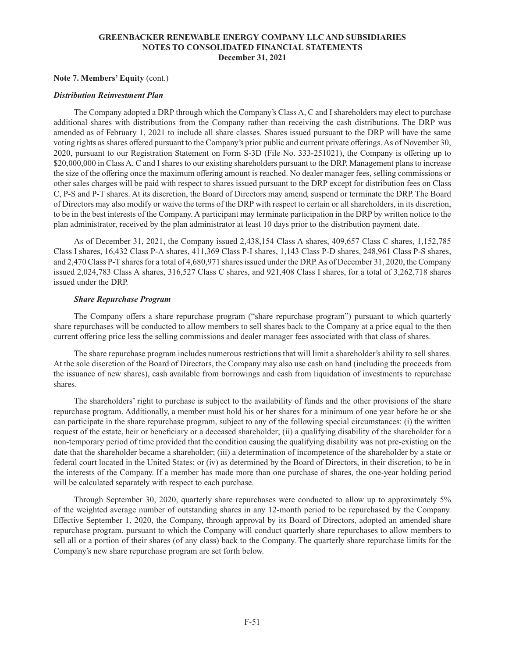### **Note 7. Members' Equity** (cont.)

### *Distribution Reinvestment Plan*

The Company adopted a DRP through which the Company's Class A, C and I shareholders may elect to purchase additional shares with distributions from the Company rather than receiving the cash distributions. The DRP was amended as of February 1, 2021 to include all share classes. Shares issued pursuant to the DRP will have the same voting rights as shares offered pursuant to the Company's prior public and current private offerings. As of November 30, 2020, pursuant to our Registration Statement on Form S-3D (File No. 333-251021), the Company is offering up to \$20,000,000 in Class A, C and I shares to our existing shareholders pursuant to the DRP. Management plans to increase the size of the offering once the maximum offering amount is reached. No dealer manager fees, selling commissions or other sales charges will be paid with respect to shares issued pursuant to the DRP except for distribution fees on Class C, P-S and P-T shares. At its discretion, the Board of Directors may amend, suspend or terminate the DRP. The Board of Directors may also modify or waive the terms of the DRP with respect to certain or all shareholders, in its discretion, to be in the best interests of the Company. A participant may terminate participation in the DRP by written notice to the plan administrator, received by the plan administrator at least 10 days prior to the distribution payment date.

As of December 31, 2021, the Company issued 2,438,154 Class A shares, 409,657 Class C shares, 1,152,785 Class I shares, 16,432 Class P-A shares, 411,369 Class P-I shares, 1,143 Class P-D shares, 248,961 Class P-S shares, and 2,470 Class P-T shares for a total of 4,680,971 shares issued under the DRP. As of December 31, 2020, the Company issued 2,024,783 Class A shares, 316,527 Class C shares, and 921,408 Class I shares, for a total of 3,262,718 shares issued under the DRP.

### *Share Repurchase Program*

The Company offers a share repurchase program ("share repurchase program") pursuant to which quarterly share repurchases will be conducted to allow members to sell shares back to the Company at a price equal to the then current offering price less the selling commissions and dealer manager fees associated with that class of shares.

The share repurchase program includes numerous restrictions that will limit a shareholder's ability to sell shares. At the sole discretion of the Board of Directors, the Company may also use cash on hand (including the proceeds from the issuance of new shares), cash available from borrowings and cash from liquidation of investments to repurchase shares.

The shareholders' right to purchase is subject to the availability of funds and the other provisions of the share repurchase program. Additionally, a member must hold his or her shares for a minimum of one year before he or she can participate in the share repurchase program, subject to any of the following special circumstances: (i) the written request of the estate, heir or beneficiary or a deceased shareholder; (ii) a qualifying disability of the shareholder for a non-temporary period of time provided that the condition causing the qualifying disability was not pre-existing on the date that the shareholder became a shareholder; (iii) a determination of incompetence of the shareholder by a state or federal court located in the United States; or (iv) as determined by the Board of Directors, in their discretion, to be in the interests of the Company. If a member has made more than one purchase of shares, the one-year holding period will be calculated separately with respect to each purchase.

Through September 30, 2020, quarterly share repurchases were conducted to allow up to approximately 5% of the weighted average number of outstanding shares in any 12-month period to be repurchased by the Company. Effective September 1, 2020, the Company, through approval by its Board of Directors, adopted an amended share repurchase program, pursuant to which the Company will conduct quarterly share repurchases to allow members to sell all or a portion of their shares (of any class) back to the Company. The quarterly share repurchase limits for the Company's new share repurchase program are set forth below.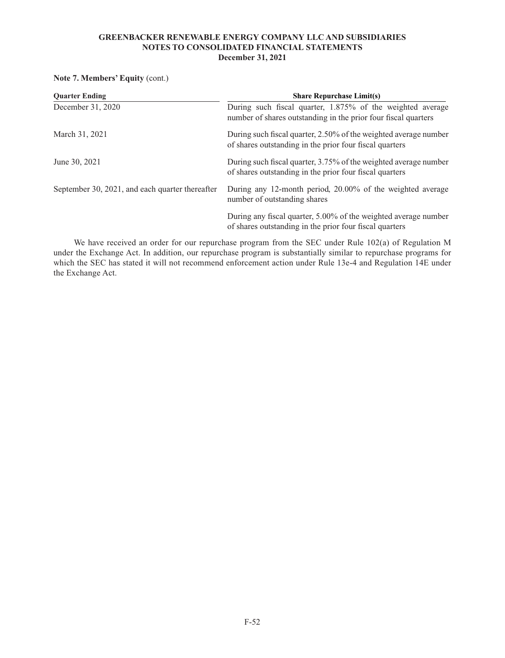# **Note 7. Members' Equity** (cont.)

| <b>Ouarter Ending</b>                           | <b>Share Repurchase Limit(s)</b>                                                                                             |
|-------------------------------------------------|------------------------------------------------------------------------------------------------------------------------------|
| December 31, 2020                               | During such fiscal quarter, 1.875% of the weighted average<br>number of shares outstanding in the prior four fiscal quarters |
| March 31, 2021                                  | During such fiscal quarter, 2.50% of the weighted average number<br>of shares outstanding in the prior four fiscal quarters  |
| June 30, 2021                                   | During such fiscal quarter, 3.75% of the weighted average number<br>of shares outstanding in the prior four fiscal quarters  |
| September 30, 2021, and each quarter thereafter | During any 12-month period, 20.00% of the weighted average<br>number of outstanding shares                                   |
|                                                 | During any fiscal quarter, 5.00% of the weighted average number<br>of shares outstanding in the prior four fiscal quarters   |

We have received an order for our repurchase program from the SEC under Rule 102(a) of Regulation M under the Exchange Act. In addition, our repurchase program is substantially similar to repurchase programs for which the SEC has stated it will not recommend enforcement action under Rule 13e-4 and Regulation 14E under the Exchange Act.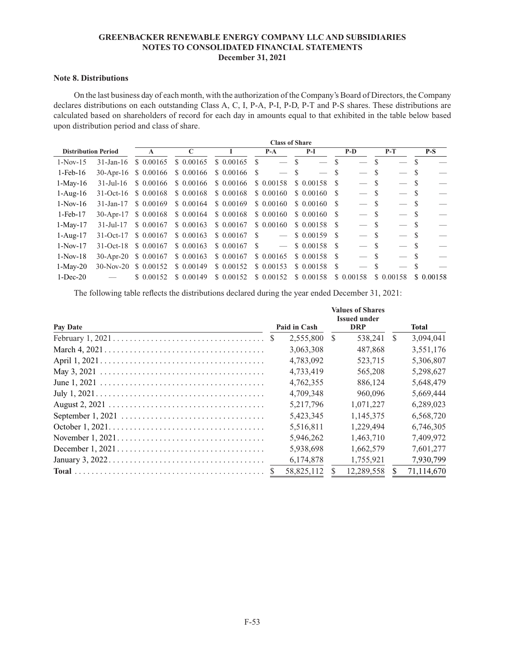### **Note 8. Distributions**

On the last business day of each month, with the authorization of the Company's Board of Directors, the Company declares distributions on each outstanding Class A, C, I, P-A, P-I, P-D, P-T and P-S shares. These distributions are calculated based on shareholders of record for each day in amounts equal to that exhibited in the table below based upon distribution period and class of share.

|                            |                        | <b>Class of Share</b> |            |               |                          |            |      |            |      |                          |          |            |
|----------------------------|------------------------|-----------------------|------------|---------------|--------------------------|------------|------|------------|------|--------------------------|----------|------------|
| <b>Distribution Period</b> |                        | $\mathbf{A}$          | C          |               | $P-A$                    | $P-I$      |      | $P-D$      |      | $P-T$                    |          | $P-S$      |
| $1-Nov-15$                 | $31$ -Jan-16           | \$ 0.00165            | \$0.00165  | \$0.00165     | - S                      | S          | S    |            | S    |                          | S        |            |
| $1$ -Feb- $16$             |                        | 30-Apr-16 \$ 0.00166  | \$0.00166  | $$0.00166$ \$ | $-$ \$                   |            |      |            |      |                          |          |            |
| $1-Mav-16$                 | $31 - \text{Jul} - 16$ | \$0.00166             | \$0.00166  | \$0.00166     | \$ 0.00158               | \$ 0.00158 | -S   |            | - \$ |                          |          |            |
| $1-Aug-16$                 | $31-Oct-16$            | \$0.00168             | \$ 0.00168 | \$0.00168     | \$0.00160                | \$ 0.00160 | -S   |            | -S   | $\overline{\phantom{a}}$ |          |            |
| $1-Nov-16$                 | $31 - Jan - 17$        | \$0.00169             | \$0.00164  | \$0.00169     | \$ 0.00160               | \$ 0.00160 | -S   |            | - \$ | $\overline{\phantom{0}}$ | <b>S</b> |            |
| $1-Feb-17$                 | $30$ -Apr-17           | \$0.00168             | \$0.00164  | \$0.00168     | \$0.00160                | \$ 0.00160 | -8   | $-$ \$     |      |                          | -S       |            |
| $1-May-17$                 | $31 - \text{Jul} - 17$ | \$ 0.00167            | \$0.00163  | \$ 0.00167    | \$0.00160                | \$ 0.00158 | - \$ | $-$ \$     |      | $\overline{\phantom{a}}$ |          |            |
| $1-Aug-17$                 | $31-Oct-17$            | \$ 0.00167            | \$0.00163  | $$0.00167$ \$ | $\overline{\phantom{a}}$ | \$0.00159  | - \$ | $-$ \$     |      |                          |          |            |
| $1-Nov-17$                 | $31-Oct-18$            | \$ 0.00167            | \$0.00163  | \$0.00167 S   | $\overline{\phantom{a}}$ | \$ 0.00158 | -8   |            | - \$ |                          | <b>S</b> |            |
| $1-Nov-18$                 |                        | 30-Apr-20 \$ 0.00167  | \$0.00163  | \$0.00167     | \$0.00165                | \$ 0.00158 | - \$ |            | -S   |                          | <b>S</b> |            |
| $1-May-20$                 | $30-Nov-20$            | \$ 0.00152            | \$ 0.00149 | \$ 0.00152    | \$0.00153                | \$0.00158  | -S   |            |      |                          |          |            |
| $1-Dec-20$                 |                        | \$ 0.00152            | \$ 0.00149 | \$ 0.00152    | \$ 0.00152               | \$ 0.00158 |      | \$ 0.00158 |      | \$ 0.00158               |          | \$ 0.00158 |

The following table reflects the distributions declared during the year ended December 31, 2021:

|                                                                                              |  |              |            | <b>Values of Shares</b><br><b>Issued under</b> |    |            |
|----------------------------------------------------------------------------------------------|--|--------------|------------|------------------------------------------------|----|------------|
| Pay Date                                                                                     |  | Paid in Cash | <b>DRP</b> |                                                |    | Total      |
|                                                                                              |  | 2,555,800    | S.         | 538,241                                        | S. | 3,094,041  |
|                                                                                              |  | 3,063,308    |            | 487.868                                        |    | 3,551,176  |
|                                                                                              |  | 4,783,092    |            | 523,715                                        |    | 5,306,807  |
|                                                                                              |  | 4,733,419    |            | 565,208                                        |    | 5,298,627  |
|                                                                                              |  | 4,762,355    |            | 886,124                                        |    | 5,648,479  |
| July $1, 2021. \ldots \ldots \ldots \ldots \ldots \ldots \ldots \ldots \ldots \ldots \ldots$ |  | 4.709.348    |            | 960,096                                        |    | 5,669,444  |
|                                                                                              |  | 5,217,796    |            | 1,071,227                                      |    | 6,289,023  |
|                                                                                              |  | 5,423,345    |            | 1,145,375                                      |    | 6,568,720  |
|                                                                                              |  | 5.516.811    |            | 1.229.494                                      |    | 6,746,305  |
|                                                                                              |  | 5,946,262    |            | 1,463,710                                      |    | 7,409,972  |
|                                                                                              |  | 5,938,698    |            | 1,662,579                                      |    | 7,601,277  |
|                                                                                              |  | 6,174,878    |            | 1,755,921                                      |    | 7,930,799  |
|                                                                                              |  | 58,825,112   |            | 12,289,558                                     |    | 71,114,670 |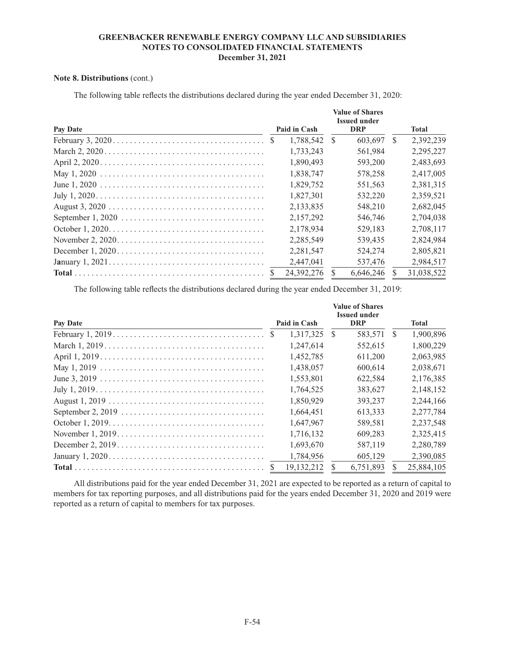# **Note 8. Distributions** (cont.)

| Pay Date | Paid in Cash | <b>Value of Shares</b><br><b>Issued under</b><br><b>DRP</b> |           |               | <b>Total</b> |  |
|----------|--------------|-------------------------------------------------------------|-----------|---------------|--------------|--|
|          | 1,788,542    | -S                                                          | 603,697   | <sup>\$</sup> | 2,392,239    |  |
|          | 1,733,243    |                                                             | 561.984   |               | 2,295,227    |  |
|          | 1,890,493    |                                                             | 593,200   |               | 2,483,693    |  |
|          | 1.838.747    |                                                             | 578,258   |               | 2,417,005    |  |
|          | 1.829.752    |                                                             | 551.563   |               | 2,381,315    |  |
|          | 1.827.301    |                                                             | 532,220   |               | 2,359,521    |  |
|          | 2,133,835    |                                                             | 548,210   |               | 2,682,045    |  |
|          | 2,157,292    |                                                             | 546,746   |               | 2,704,038    |  |
|          | 2.178.934    |                                                             | 529.183   |               | 2.708.117    |  |
|          | 2,285,549    |                                                             | 539,435   |               | 2,824,984    |  |
|          | 2,281,547    |                                                             | 524,274   |               | 2,805,821    |  |
|          | 2,447,041    |                                                             | 537,476   |               | 2,984,517    |  |
|          | 24.392.276   |                                                             | 6.646.246 |               | 31.038.522   |  |

The following table reflects the distributions declared during the year ended December 31, 2020:

The following table reflects the distributions declared during the year ended December 31, 2019:

|          |              |    | <b>Value of Shares</b><br><b>Issued under</b> |    |              |
|----------|--------------|----|-----------------------------------------------|----|--------------|
| Pay Date | Paid in Cash |    | <b>DRP</b>                                    |    | <b>Total</b> |
|          | 1.317.325    | -S | 583,571                                       | -S | 1,900,896    |
|          | 1.247.614    |    | 552.615                                       |    | 1,800,229    |
|          | 1,452,785    |    | 611,200                                       |    | 2,063,985    |
|          | 1,438,057    |    | 600,614                                       |    | 2,038,671    |
|          | 1,553,801    |    | 622,584                                       |    | 2,176,385    |
|          | 1,764,525    |    | 383.627                                       |    | 2,148,152    |
|          | 1.850.929    |    | 393,237                                       |    | 2,244,166    |
|          | 1.664.451    |    | 613.333                                       |    | 2,277,784    |
|          | 1,647,967    |    | 589,581                                       |    | 2,237,548    |
|          | 1,716,132    |    | 609.283                                       |    | 2,325,415    |
|          | 1,693,670    |    | 587,119                                       |    | 2.280.789    |
|          | 1,784,956    |    | 605,129                                       |    | 2,390,085    |
|          | 19, 132, 212 |    | 6,751,893                                     |    | 25,884,105   |

All distributions paid for the year ended December 31, 2021 are expected to be reported as a return of capital to members for tax reporting purposes, and all distributions paid for the years ended December 31, 2020 and 2019 were reported as a return of capital to members for tax purposes.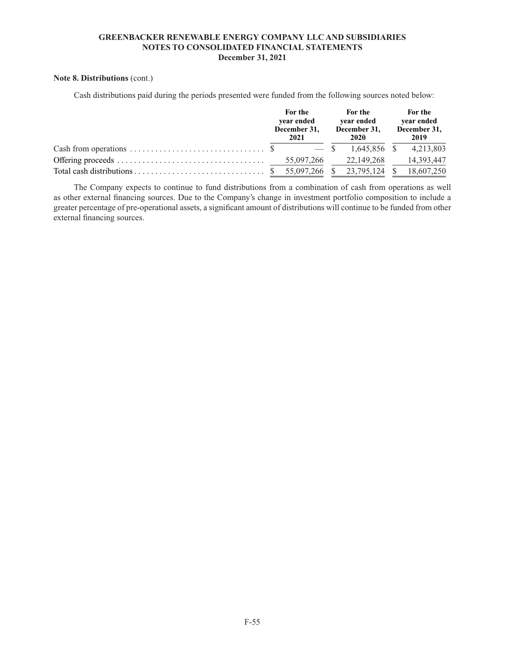### **Note 8. Distributions** (cont.)

Cash distributions paid during the periods presented were funded from the following sources noted below:

| For the<br>year ended<br>December 31.<br>2021 |  | For the<br>vear ended<br>December 31,<br>2020 |  | For the<br>year ended<br>December 31,<br>2019 |            |
|-----------------------------------------------|--|-----------------------------------------------|--|-----------------------------------------------|------------|
|                                               |  |                                               |  |                                               | 4,213,803  |
|                                               |  |                                               |  |                                               | 14,393,447 |
|                                               |  |                                               |  |                                               |            |

The Company expects to continue to fund distributions from a combination of cash from operations as well as other external financing sources. Due to the Company's change in investment portfolio composition to include a greater percentage of pre-operational assets, a significant amount of distributions will continue to be funded from other external financing sources.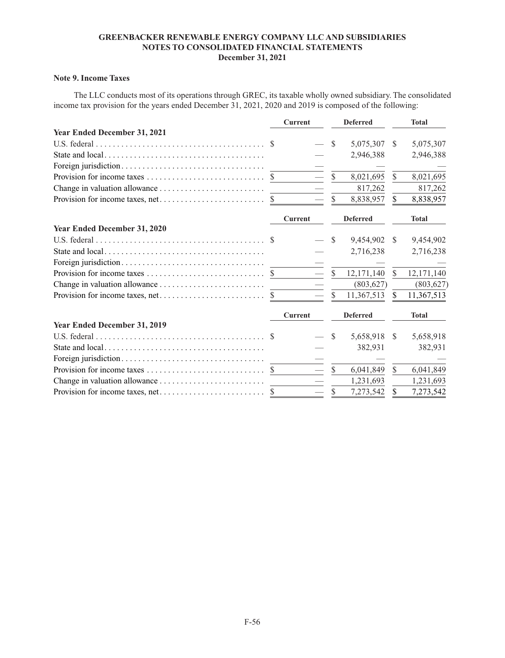# **Note 9. Income Taxes**

The LLC conducts most of its operations through GREC, its taxable wholly owned subsidiary. The consolidated income tax provision for the years ended December 31, 2021, 2020 and 2019 is composed of the following:

|                                                                                                                 | <b>Current</b> |               | <b>Deferred</b> |               | <b>Total</b> |
|-----------------------------------------------------------------------------------------------------------------|----------------|---------------|-----------------|---------------|--------------|
| <b>Year Ended December 31, 2021</b>                                                                             |                |               |                 |               |              |
|                                                                                                                 |                | <sup>\$</sup> | 5,075,307       | S             | 5,075,307    |
|                                                                                                                 |                |               | 2,946,388       |               | 2,946,388    |
|                                                                                                                 |                |               |                 |               |              |
|                                                                                                                 |                | $\mathcal{S}$ | 8,021,695       | $\mathcal{S}$ | 8,021,695    |
|                                                                                                                 |                |               | 817,262         |               | 817,262      |
|                                                                                                                 |                |               | 8,838,957       | $\mathcal{S}$ | 8,838,957    |
|                                                                                                                 | <b>Current</b> |               | <b>Deferred</b> |               | <b>Total</b> |
| Year Ended December 31, 2020                                                                                    |                |               |                 |               |              |
| U.S. federal $\ldots$ $\ldots$ $\ldots$ $\ldots$ $\ldots$ $\ldots$ $\ldots$ $\ldots$ $\ldots$ $\ldots$ $\ldots$ |                | S             | 9,454,902       | <sup>\$</sup> | 9,454,902    |
|                                                                                                                 |                |               | 2,716,238       |               | 2,716,238    |
|                                                                                                                 |                |               |                 |               |              |
|                                                                                                                 |                | <sup>\$</sup> | 12,171,140      | <sup>\$</sup> | 12,171,140   |
|                                                                                                                 |                |               | (803, 627)      |               | (803, 627)   |
|                                                                                                                 |                | \$            | 11,367,513      | \$            | 11,367,513   |
|                                                                                                                 | <b>Current</b> |               | <b>Deferred</b> |               | <b>Total</b> |
| Year Ended December 31, 2019                                                                                    |                |               |                 |               |              |
|                                                                                                                 |                | S             | 5,658,918       | S             | 5,658,918    |
|                                                                                                                 |                |               | 382,931         |               | 382,931      |
|                                                                                                                 |                |               |                 |               |              |
|                                                                                                                 |                | $\mathcal{S}$ | 6,041,849       | $\mathcal{S}$ | 6,041,849    |
|                                                                                                                 |                |               | 1,231,693       |               | 1,231,693    |
|                                                                                                                 |                | S             | 7,273,542       | S             | 7,273,542    |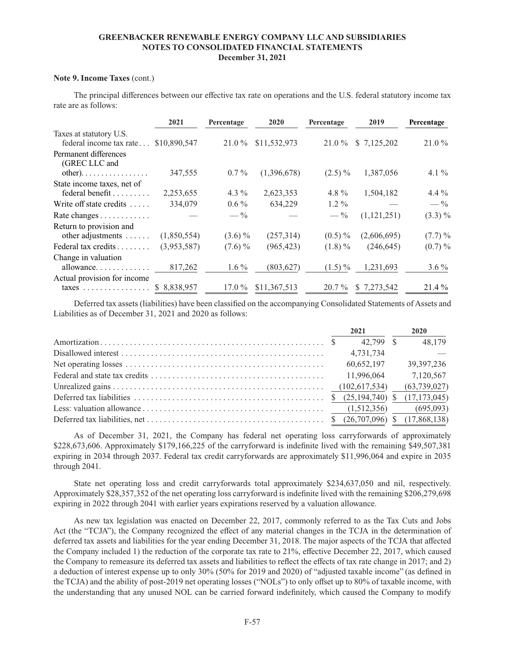### **Note 9. Income Taxes** (cont.)

The principal differences between our effective tax rate on operations and the U.S. federal statutory income tax rate are as follows:

|                                                    | 2021         | Percentage      | 2020         | Percentage      | 2019        | Percentage      |
|----------------------------------------------------|--------------|-----------------|--------------|-----------------|-------------|-----------------|
| Taxes at statutory U.S.<br>federal income tax rate | \$10,890,547 | $21.0\%$        | \$11,532,973 | 21.0 %          | \$7,125,202 | $21.0\%$        |
| Permanent differences<br>(GREC LLC and             |              |                 |              |                 |             |                 |
| $other)$                                           | 347,555      | $0.7\%$         | (1,396,678)  | $(2.5)\%$       | 1,387,056   | 4.1 $\%$        |
| State income taxes, net of                         |              |                 |              |                 |             |                 |
| federal benefit                                    | 2,253,655    | 4.3 $\%$        | 2,623,353    | 4.8 $\%$        | 1,504,182   | 4.4 $%$         |
| Write off state credits                            | 334,079      | $0.6\%$         | 634,229      | $1.2\%$         |             | $- \frac{6}{9}$ |
| Rate changes                                       |              | $- \frac{0}{0}$ |              | $- \frac{0}{0}$ | (1,121,251) | $(3.3)\%$       |
| Return to provision and                            |              |                 |              |                 |             |                 |
| other adjustments                                  | (1,850,554)  | $(3.6)\%$       | (257,314)    | $(0.5) \%$      | (2,606,695) | $(7.7) \%$      |
| Federal tax credits                                | (3,953,587)  | $(7.6) \%$      | (965, 423)   | $(1.8)\%$       | (246, 645)  | $(0.7) \%$      |
| Change in valuation                                |              |                 |              |                 |             |                 |
| allowance                                          | 817,262      | $1.6\%$         | (803, 627)   | $(1.5)\%$       | 1,231,693   | $3.6\%$         |
| Actual provision for income                        |              |                 |              |                 |             |                 |
| $\text{taxes} \dots \dots \dots \dots \dots$       | \$8,838,957  | $17.0\%$        | \$11,367,513 | $20.7\%$        | \$7,273,542 | $21.4\%$        |

Deferred tax assets (liabilities) have been classified on the accompanying Consolidated Statements of Assets and Liabilities as of December 31, 2021 and 2020 as follows:

|  | 2021       | 2020           |
|--|------------|----------------|
|  | 42,799 \$  | 48,179         |
|  | 4,731,734  |                |
|  | 60,652,197 | 39, 397, 236   |
|  |            | 7,120,567      |
|  |            | (63, 739, 027) |
|  |            |                |
|  |            |                |
|  |            |                |

As of December 31, 2021, the Company has federal net operating loss carryforwards of approximately \$228,673,606. Approximately \$179,166,225 of the carryforward is indefinite lived with the remaining \$49,507,381 expiring in 2034 through 2037. Federal tax credit carryforwards are approximately \$11,996,064 and expire in 2035 through 2041.

State net operating loss and credit carryforwards total approximately \$234,637,050 and nil, respectively. Approximately \$28,357,352 of the net operating loss carryforward is indefinite lived with the remaining \$206,279,698 expiring in 2022 through 2041 with earlier years expirations reserved by a valuation allowance.

As new tax legislation was enacted on December 22, 2017, commonly referred to as the Tax Cuts and Jobs Act (the "TCJA"), the Company recognized the effect of any material changes in the TCJA in the determination of deferred tax assets and liabilities for the year ending December 31, 2018. The major aspects of the TCJA that affected the Company included 1) the reduction of the corporate tax rate to 21%, effective December 22, 2017, which caused the Company to remeasure its deferred tax assets and liabilities to reflect the effects of tax rate change in 2017; and 2) a deduction of interest expense up to only 30% (50% for 2019 and 2020) of "adjusted taxable income" (as defined in the TCJA) and the ability of post-2019 net operating losses ("NOLs") to only offset up to 80% of taxable income, with the understanding that any unused NOL can be carried forward indefinitely, which caused the Company to modify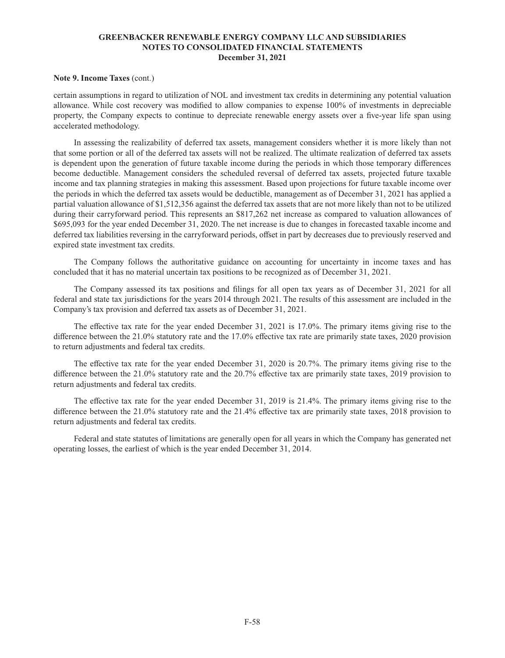### **Note 9. Income Taxes** (cont.)

certain assumptions in regard to utilization of NOL and investment tax credits in determining any potential valuation allowance. While cost recovery was modified to allow companies to expense 100% of investments in depreciable property, the Company expects to continue to depreciate renewable energy assets over a five-year life span using accelerated methodology.

In assessing the realizability of deferred tax assets, management considers whether it is more likely than not that some portion or all of the deferred tax assets will not be realized. The ultimate realization of deferred tax assets is dependent upon the generation of future taxable income during the periods in which those temporary differences become deductible. Management considers the scheduled reversal of deferred tax assets, projected future taxable income and tax planning strategies in making this assessment. Based upon projections for future taxable income over the periods in which the deferred tax assets would be deductible, management as of December 31, 2021 has applied a partial valuation allowance of \$1,512,356 against the deferred tax assets that are not more likely than not to be utilized during their carryforward period. This represents an \$817,262 net increase as compared to valuation allowances of \$695,093 for the year ended December 31, 2020. The net increase is due to changes in forecasted taxable income and deferred tax liabilities reversing in the carryforward periods, offset in part by decreases due to previously reserved and expired state investment tax credits.

The Company follows the authoritative guidance on accounting for uncertainty in income taxes and has concluded that it has no material uncertain tax positions to be recognized as of December 31, 2021.

The Company assessed its tax positions and filings for all open tax years as of December 31, 2021 for all federal and state tax jurisdictions for the years 2014 through 2021. The results of this assessment are included in the Company's tax provision and deferred tax assets as of December 31, 2021.

The effective tax rate for the year ended December 31, 2021 is 17.0%. The primary items giving rise to the difference between the 21.0% statutory rate and the 17.0% effective tax rate are primarily state taxes, 2020 provision to return adjustments and federal tax credits.

The effective tax rate for the year ended December 31, 2020 is 20.7%. The primary items giving rise to the difference between the 21.0% statutory rate and the 20.7% effective tax are primarily state taxes, 2019 provision to return adjustments and federal tax credits.

The effective tax rate for the year ended December 31, 2019 is 21.4%. The primary items giving rise to the difference between the 21.0% statutory rate and the 21.4% effective tax are primarily state taxes, 2018 provision to return adjustments and federal tax credits.

Federal and state statutes of limitations are generally open for all years in which the Company has generated net operating losses, the earliest of which is the year ended December 31, 2014.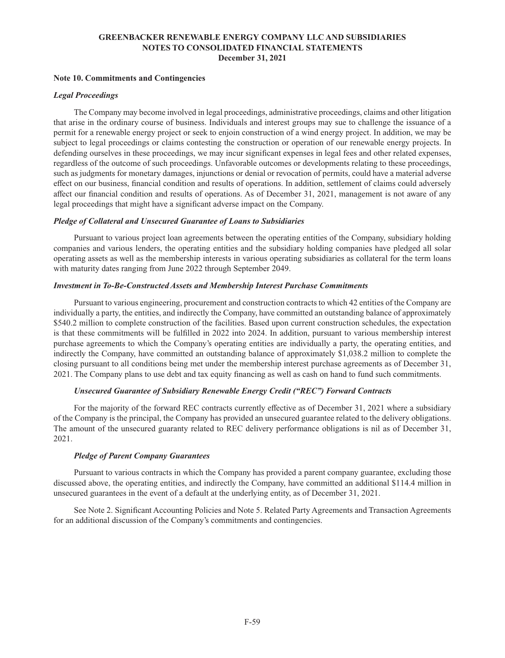### **Note 10. Commitments and Contingencies**

### *Legal Proceedings*

The Company may become involved in legal proceedings, administrative proceedings, claims and other litigation that arise in the ordinary course of business. Individuals and interest groups may sue to challenge the issuance of a permit for a renewable energy project or seek to enjoin construction of a wind energy project. In addition, we may be subject to legal proceedings or claims contesting the construction or operation of our renewable energy projects. In defending ourselves in these proceedings, we may incur significant expenses in legal fees and other related expenses, regardless of the outcome of such proceedings. Unfavorable outcomes or developments relating to these proceedings, such as judgments for monetary damages, injunctions or denial or revocation of permits, could have a material adverse effect on our business, financial condition and results of operations. In addition, settlement of claims could adversely affect our financial condition and results of operations. As of December 31, 2021, management is not aware of any legal proceedings that might have a significant adverse impact on the Company.

### *Pledge of Collateral and Unsecured Guarantee of Loans to Subsidiaries*

Pursuant to various project loan agreements between the operating entities of the Company, subsidiary holding companies and various lenders, the operating entities and the subsidiary holding companies have pledged all solar operating assets as well as the membership interests in various operating subsidiaries as collateral for the term loans with maturity dates ranging from June 2022 through September 2049.

### *Investment in To-Be-Constructed Assets and Membership Interest Purchase Commitments*

Pursuant to various engineering, procurement and construction contracts to which 42 entities of the Company are individually a party, the entities, and indirectly the Company, have committed an outstanding balance of approximately \$540.2 million to complete construction of the facilities. Based upon current construction schedules, the expectation is that these commitments will be fulfilled in 2022 into 2024. In addition, pursuant to various membership interest purchase agreements to which the Company's operating entities are individually a party, the operating entities, and indirectly the Company, have committed an outstanding balance of approximately \$1,038.2 million to complete the closing pursuant to all conditions being met under the membership interest purchase agreements as of December 31, 2021. The Company plans to use debt and tax equity financing as well as cash on hand to fund such commitments.

## *Unsecured Guarantee of Subsidiary Renewable Energy Credit ("REC") Forward Contracts*

For the majority of the forward REC contracts currently effective as of December 31, 2021 where a subsidiary of the Company is the principal, the Company has provided an unsecured guarantee related to the delivery obligations. The amount of the unsecured guaranty related to REC delivery performance obligations is nil as of December 31, 2021.

### *Pledge of Parent Company Guarantees*

Pursuant to various contracts in which the Company has provided a parent company guarantee, excluding those discussed above, the operating entities, and indirectly the Company, have committed an additional \$114.4 million in unsecured guarantees in the event of a default at the underlying entity, as of December 31, 2021.

See Note 2. Significant Accounting Policies and Note 5. Related Party Agreements and Transaction Agreements for an additional discussion of the Company's commitments and contingencies.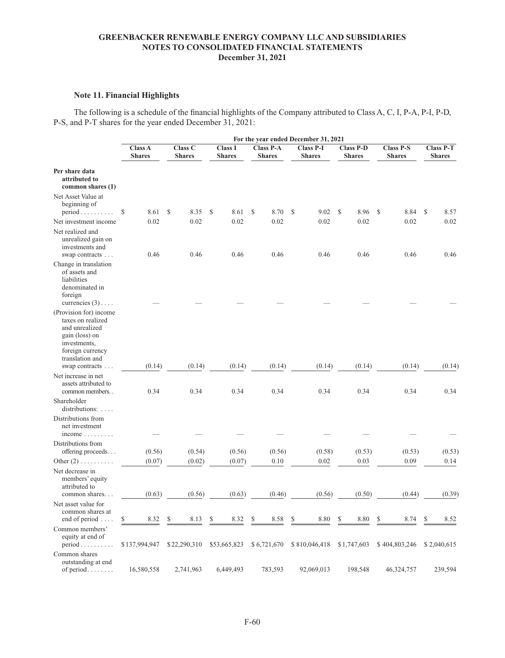# **Note 11. Financial Highlights**

The following is a schedule of the financial highlights of the Company attributed to Class A, C, I, P-A, P-I, P-D, P-S, and P-T shares for the year ended December 31, 2021:

|                                                                                                                                                          |                          |                                 |                                 |                                   |               | For the year ended December 31, 2021 |                                   |                                   |                                   |
|----------------------------------------------------------------------------------------------------------------------------------------------------------|--------------------------|---------------------------------|---------------------------------|-----------------------------------|---------------|--------------------------------------|-----------------------------------|-----------------------------------|-----------------------------------|
|                                                                                                                                                          | Class A<br><b>Shares</b> | <b>Class C</b><br><b>Shares</b> | <b>Class I</b><br><b>Shares</b> | <b>Class P-A</b><br><b>Shares</b> |               | <b>Class P-I</b><br><b>Shares</b>    | <b>Class P-D</b><br><b>Shares</b> | <b>Class P-S</b><br><b>Shares</b> | <b>Class P-T</b><br><b>Shares</b> |
| Per share data<br>attributed to<br>common shares (1)                                                                                                     |                          |                                 |                                 |                                   |               |                                      |                                   |                                   |                                   |
| Net Asset Value at<br>beginning of<br>$period \dots \dots \dots$                                                                                         | \$<br>8.61               | \$<br>8.35                      | \$<br>8.61                      | \$<br>8.70                        | <sup>\$</sup> | 9.02                                 | 8.96<br>\$                        | \$<br>8.84                        | 8.57<br>S                         |
| Net investment income                                                                                                                                    | 0.02                     | 0.02                            | 0.02                            | 0.02                              |               | 0.02                                 | 0.02                              | 0.02                              | 0.02                              |
| Net realized and<br>unrealized gain on<br>investments and<br>swap contracts                                                                              | 0.46                     | 0.46                            | 0.46                            | 0.46                              |               | 0.46                                 | 0.46                              | 0.46                              | 0.46                              |
| Change in translation<br>of assets and<br>liabilities<br>denominated in<br>foreign<br>currencies $(3)$                                                   |                          |                                 |                                 |                                   |               |                                      |                                   |                                   |                                   |
| (Provision for) income<br>taxes on realized<br>and unrealized<br>gain (loss) on<br>investments,<br>foreign currency<br>translation and<br>swap contracts | (0.14)                   | (0.14)                          | (0.14)                          | (0.14)                            |               | (0.14)                               | (0.14)                            | (0.14)                            | (0.14)                            |
| Net increase in net<br>assets attributed to<br>common members                                                                                            | 0.34                     | 0.34                            | 0.34                            | 0.34                              |               | 0.34                                 | 0.34                              | 0.34                              | 0.34                              |
| Shareholder<br>distributions:                                                                                                                            |                          |                                 |                                 |                                   |               |                                      |                                   |                                   |                                   |
| Distributions from<br>net investment<br>$income \ldots \ldots$                                                                                           |                          |                                 |                                 |                                   |               |                                      |                                   |                                   |                                   |
| Distributions from<br>offering proceeds                                                                                                                  | (0.56)                   | (0.54)                          | (0.56)                          | (0.56)                            |               | (0.58)                               | (0.53)                            | (0.53)                            | (0.53)                            |
| Other $(2)$                                                                                                                                              | (0.07)                   | (0.02)                          | (0.07)                          | 0.10                              |               | 0.02                                 | 0.03                              | 0.09                              | 0.14                              |
| Net decrease in<br>members' equity<br>attributed to<br>common shares                                                                                     | (0.63)                   | (0.56)                          | (0.63)                          | (0.46)                            |               | (0.56)                               | (0.50)                            | (0.44)                            | (0.39)                            |
| Net asset value for<br>common shares at<br>end of period $\dots$                                                                                         | \$<br>8.32               | \$<br>8.13                      | \$<br>8.32                      | \$<br>8.58                        | S             | 8.80                                 | \$<br>8.80                        | \$<br>8.74                        | 8.52<br>S                         |
| Common members'<br>equity at end of<br>$period \dots \dots \dots$                                                                                        | \$137,994,947            | \$22,290,310                    | \$53,665,823                    | \$6,721,670                       |               | \$810,046,418                        | \$1,747,603                       | \$404,803,246                     | \$2,040,615                       |
| Common shares<br>outstanding at end<br>of period                                                                                                         | 16,580,558               | 2,741,963                       | 6,449,493                       | 783,593                           |               | 92,069,013                           | 198,548                           | 46,324,757                        | 239,594                           |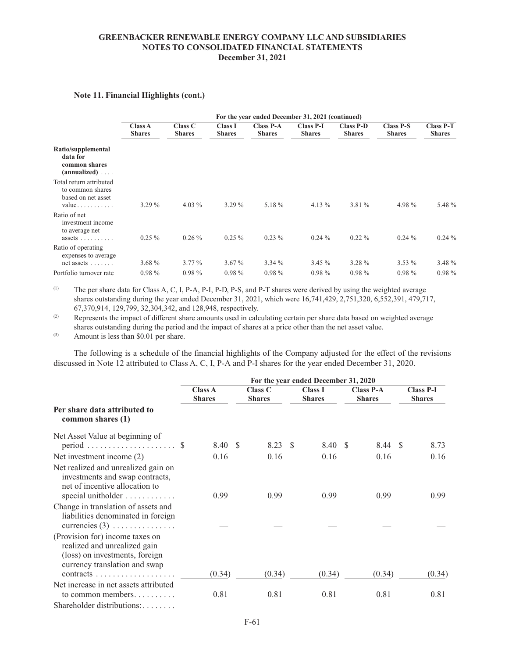# **Note 11. Financial Highlights (cont.)**

|                                                                                                | For the year ended December 31, 2021 (continued) |                          |                                 |                                   |                                   |                                   |                                   |                                   |  |  |  |  |
|------------------------------------------------------------------------------------------------|--------------------------------------------------|--------------------------|---------------------------------|-----------------------------------|-----------------------------------|-----------------------------------|-----------------------------------|-----------------------------------|--|--|--|--|
|                                                                                                | Class A<br><b>Shares</b>                         | Class C<br><b>Shares</b> | <b>Class I</b><br><b>Shares</b> | <b>Class P-A</b><br><b>Shares</b> | <b>Class P-I</b><br><b>Shares</b> | <b>Class P-D</b><br><b>Shares</b> | <b>Class P-S</b><br><b>Shares</b> | <b>Class P-T</b><br><b>Shares</b> |  |  |  |  |
| Ratio/supplemental<br>data for<br>common shares<br>$(annualized) \ldots$                       |                                                  |                          |                                 |                                   |                                   |                                   |                                   |                                   |  |  |  |  |
| Total return attributed<br>to common shares<br>based on net asset<br>$value \dots \dots \dots$ | $3.29\%$                                         | 4.03 $%$                 | $3.29\%$                        | 5.18 %                            | 4.13 $%$                          | $3.81\%$                          | 4.98 $%$                          | 5.48 %                            |  |  |  |  |
| Ratio of net<br>investment income<br>to average net<br>assets $\ldots$ ,                       | $0.25\%$                                         | $0.26\%$                 | $0.25 \%$                       | $0.23\%$                          | $0.24\%$                          | $0.22\%$                          | $0.24\%$                          | $0.24\%$                          |  |  |  |  |
| Ratio of operating<br>expenses to average<br>net assets $\dots$                                | $3.68\%$                                         | $3.77\%$                 | $3.67\%$                        | $3.34\%$                          | $3.45\%$                          | $3.28 \%$                         | $3.53\%$                          | 3.48 %                            |  |  |  |  |
| Portfolio turnover rate                                                                        | $0.98\%$                                         | $0.98\%$                 | $0.98\%$                        | $0.98\%$                          | $0.98\%$                          | $0.98\%$                          | $0.98\%$                          | $0.98\%$                          |  |  |  |  |

(1) The per share data for Class A, C, I, P-A, P-I, P-D, P-S, and P-T shares were derived by using the weighted average shares outstanding during the year ended December 31, 2021, which were 16,741,429, 2,751,320, 6,552,391, 479,717, 67,370,914, 129,799, 32,304,342, and 128,948, respectively.

(2) Represents the impact of different share amounts used in calculating certain per share data based on weighted average shares outstanding during the period and the impact of shares at a price other than the net asset value.

(3) Amount is less than \$0.01 per share.

The following is a schedule of the financial highlights of the Company adjusted for the effect of the revisions discussed in Note 12 attributed to Class A, C, I, P-A and P-I shares for the year ended December 31, 2020.

|                                                                                                                                                                                      | For the year ended December 31, 2020 |  |                                 |     |                                 |     |                                   |  |                                   |  |
|--------------------------------------------------------------------------------------------------------------------------------------------------------------------------------------|--------------------------------------|--|---------------------------------|-----|---------------------------------|-----|-----------------------------------|--|-----------------------------------|--|
|                                                                                                                                                                                      | <b>Class A</b><br><b>Shares</b>      |  | <b>Class C</b><br><b>Shares</b> |     | <b>Class I</b><br><b>Shares</b> |     | <b>Class P-A</b><br><b>Shares</b> |  | <b>Class P-I</b><br><b>Shares</b> |  |
| Per share data attributed to<br>common shares (1)                                                                                                                                    |                                      |  |                                 |     |                                 |     |                                   |  |                                   |  |
| Net Asset Value at beginning of                                                                                                                                                      | 8.40 \$                              |  | 8.23                            | - S | 8.40                            | - S | 8.44 \$                           |  | 8.73                              |  |
| Net investment income (2)                                                                                                                                                            | 0.16                                 |  | 0.16                            |     | 0.16                            |     | 0.16                              |  | 0.16                              |  |
| Net realized and unrealized gain on<br>investments and swap contracts,<br>net of incentive allocation to<br>special unitholder                                                       | 0.99                                 |  | 0.99                            |     | 0.99                            |     | 0.99                              |  | 0.99                              |  |
| Change in translation of assets and<br>liabilities denominated in foreign<br>currencies $(3)$                                                                                        |                                      |  |                                 |     |                                 |     |                                   |  |                                   |  |
| (Provision for) income taxes on<br>realized and unrealized gain<br>(loss) on investments, foreign<br>currency translation and swap<br>$contracts \ldots \ldots \ldots \ldots \ldots$ | (0.34)                               |  | (0.34)                          |     | (0.34)                          |     | (0.34)                            |  | (0.34)                            |  |
| Net increase in net assets attributed<br>to common members<br>Shareholder distributions:                                                                                             | 0.81                                 |  | 0.81                            |     | 0.81                            |     | 0.81                              |  | 0.81                              |  |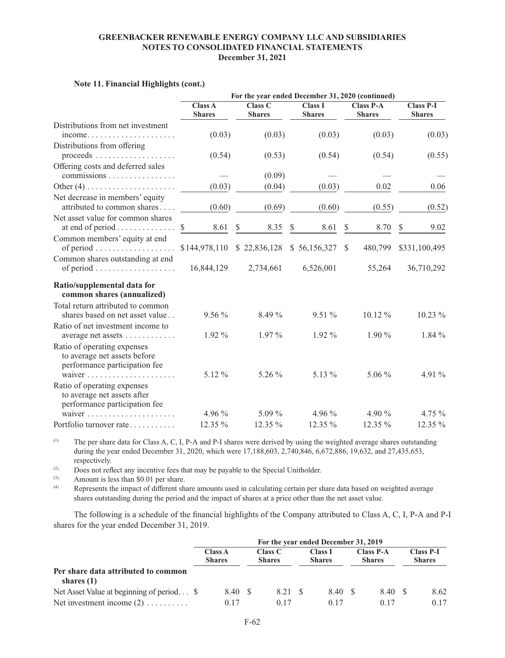|                                                                                              | For the year ended December 31, 2020 (continued) |                                         |                                 |                                   |                                   |  |  |  |  |  |
|----------------------------------------------------------------------------------------------|--------------------------------------------------|-----------------------------------------|---------------------------------|-----------------------------------|-----------------------------------|--|--|--|--|--|
|                                                                                              | <b>Class A</b><br><b>Shares</b>                  | <b>Class C</b><br><b>Shares</b>         | <b>Class I</b><br><b>Shares</b> | <b>Class P-A</b><br><b>Shares</b> | <b>Class P-I</b><br><b>Shares</b> |  |  |  |  |  |
| Distributions from net investment<br>income                                                  | (0.03)                                           | (0.03)                                  | (0.03)                          | (0.03)                            | (0.03)                            |  |  |  |  |  |
| Distributions from offering                                                                  | (0.54)                                           | (0.53)                                  | (0.54)                          | (0.54)                            | (0.55)                            |  |  |  |  |  |
| Offering costs and deferred sales<br>$commissions \ldots \ldots \ldots \ldots \ldots$        |                                                  | (0.09)                                  |                                 |                                   |                                   |  |  |  |  |  |
|                                                                                              | (0.03)                                           | (0.04)                                  | (0.03)                          | 0.02                              | 0.06                              |  |  |  |  |  |
| Net decrease in members' equity<br>attributed to common shares                               | (0.60)                                           | (0.69)                                  | (0.60)                          | (0.55)                            | (0.52)                            |  |  |  |  |  |
| Net asset value for common shares<br>at end of period $\dots \dots \dots \dots$              | $\mathbb{S}$<br>8.61                             | \$<br>8.35                              | $\mathbb{S}$<br>8.61            | \$<br>8.70                        | $\mathbb{S}$<br>9.02              |  |  |  |  |  |
| Common members' equity at end<br>of period $\ldots \ldots \ldots \ldots \ldots$              |                                                  | \$144,978,110 \$22,836,128 \$56,156,327 |                                 | 480,799<br><sup>S</sup>           | \$331,100,495                     |  |  |  |  |  |
| Common shares outstanding at end<br>of period                                                | 16,844,129                                       | 2,734,661                               | 6,526,001                       | 55,264                            | 36,710,292                        |  |  |  |  |  |
| Ratio/supplemental data for<br>common shares (annualized)                                    |                                                  |                                         |                                 |                                   |                                   |  |  |  |  |  |
| Total return attributed to common<br>shares based on net asset value                         | $9.56\%$                                         | $8.49\%$                                | $9.51\%$                        | $10.12\%$                         | $10.23\%$                         |  |  |  |  |  |
| Ratio of net investment income to<br>average net assets                                      | $1.92\%$                                         | $1.97\%$                                | $1.92\%$                        | $1.90\%$                          | $1.84\%$                          |  |  |  |  |  |
| Ratio of operating expenses<br>to average net assets before<br>performance participation fee |                                                  |                                         |                                 |                                   |                                   |  |  |  |  |  |
|                                                                                              | 5.12 %                                           | 5.26 %                                  | 5.13 %                          | 5.06 %                            | 4.91 %                            |  |  |  |  |  |
| Ratio of operating expenses<br>to average net assets after<br>performance participation fee  |                                                  |                                         |                                 |                                   |                                   |  |  |  |  |  |
|                                                                                              | 4.96 $%$                                         | $5.09\%$                                | 4.96 $%$                        | 4.90 $%$                          | 4.75 %                            |  |  |  |  |  |
| Portfolio turnover rate                                                                      | 12.35 %                                          | 12.35 %                                 | 12.35 %                         | $12.35\%$                         | 12.35 %                           |  |  |  |  |  |

### **Note 11. Financial Highlights (cont.)**

(1) The per share data for Class A, C, I, P-A and P-I shares were derived by using the weighted average shares outstanding during the year ended December 31, 2020, which were 17,188,603, 2,740,846, 6,672,886, 19,632, and 27,435,653, respectively.

(2) Does not reflect any incentive fees that may be payable to the Special Unitholder.<br>Amount is less than \$0.01 per share

(3) Amount is less than \$0.01 per share.<br>
Represents the impact of different ship-

Represents the impact of different share amounts used in calculating certain per share data based on weighted average shares outstanding during the period and the impact of shares at a price other than the net asset value.

The following is a schedule of the financial highlights of the Company attributed to Class A, C, I, P-A and P-I shares for the year ended December 31, 2019.

|                                                     | For the year ended December 31, 2019 |                                 |  |                          |  |                                 |      |                                   |  |                                   |  |
|-----------------------------------------------------|--------------------------------------|---------------------------------|--|--------------------------|--|---------------------------------|------|-----------------------------------|--|-----------------------------------|--|
|                                                     |                                      | <b>Class A</b><br><b>Shares</b> |  | Class C<br><b>Shares</b> |  | <b>Class I</b><br><b>Shares</b> |      | <b>Class P-A</b><br><b>Shares</b> |  | <b>Class P-I</b><br><b>Shares</b> |  |
| Per share data attributed to common<br>shares $(1)$ |                                      |                                 |  |                          |  |                                 |      |                                   |  |                                   |  |
| Net Asset Value at beginning of period \$           |                                      | 8.40 \$                         |  | 8.21 S                   |  | 8.40                            | - \$ | 8.40                              |  | 8.62                              |  |
| Net investment income $(2)$                         |                                      | 0.17                            |  | 0 <sub>17</sub>          |  | 0 <sub>17</sub>                 |      | 0 <sub>17</sub>                   |  | 0.17                              |  |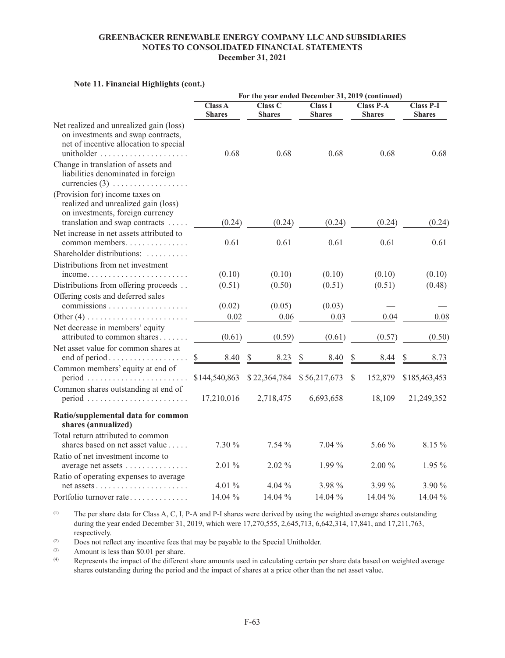|                                                                                                                                       |                                 |                          | For the year ended December 31, 2019 (continued) |                                   |                                   |
|---------------------------------------------------------------------------------------------------------------------------------------|---------------------------------|--------------------------|--------------------------------------------------|-----------------------------------|-----------------------------------|
|                                                                                                                                       | <b>Class A</b><br><b>Shares</b> | Class C<br><b>Shares</b> | <b>Class I</b><br><b>Shares</b>                  | <b>Class P-A</b><br><b>Shares</b> | <b>Class P-I</b><br><b>Shares</b> |
| Net realized and unrealized gain (loss)<br>on investments and swap contracts,<br>net of incentive allocation to special<br>unitholder | 0.68                            | 0.68                     | 0.68                                             | 0.68                              | 0.68                              |
| Change in translation of assets and<br>liabilities denominated in foreign<br>currencies $(3)$                                         |                                 |                          |                                                  |                                   |                                   |
| (Provision for) income taxes on<br>realized and unrealized gain (loss)<br>on investments, foreign currency                            |                                 |                          |                                                  |                                   |                                   |
| translation and swap contracts                                                                                                        | (0.24)                          | (0.24)                   | (0.24)                                           | (0.24)                            | (0.24)                            |
| Net increase in net assets attributed to<br>common members                                                                            | 0.61                            | 0.61                     | 0.61                                             | 0.61                              | 0.61                              |
| Shareholder distributions:                                                                                                            |                                 |                          |                                                  |                                   |                                   |
| Distributions from net investment                                                                                                     |                                 |                          |                                                  |                                   |                                   |
| $income. \ldots \ldots \ldots \ldots \ldots \ldots \ldots$                                                                            | (0.10)                          | (0.10)                   | (0.10)                                           | (0.10)                            | (0.10)                            |
| Distributions from offering proceeds                                                                                                  | (0.51)                          | (0.50)                   | (0.51)                                           | (0.51)                            | (0.48)                            |
| Offering costs and deferred sales                                                                                                     | (0.02)                          | (0.05)                   | (0.03)                                           |                                   |                                   |
|                                                                                                                                       | 0.02                            | 0.06                     | 0.03                                             | 0.04                              | 0.08                              |
| Net decrease in members' equity<br>attributed to common shares                                                                        | (0.61)                          | (0.59)                   | (0.61)                                           | (0.57)                            | (0.50)                            |
| Net asset value for common shares at                                                                                                  | \$<br>8.40                      | S<br>8.23                | 8.40<br>S                                        | S<br>8.44                         | S<br>8.73                         |
| Common members' equity at end of<br>$period \dots \dots \dots \dots \dots \dots \dots \dots$                                          | \$144,540,863                   | \$22,364,784             | \$56,217,673                                     | 152,879<br><sup>S</sup>           | \$185,463,453                     |
| Common shares outstanding at end of<br>$period \dots \dots \dots \dots \dots \dots \dots \dots$                                       | 17,210,016                      | 2,718,475                | 6,693,658                                        | 18,109                            | 21,249,352                        |
| Ratio/supplemental data for common<br>shares (annualized)                                                                             |                                 |                          |                                                  |                                   |                                   |
| Total return attributed to common<br>shares based on net asset value                                                                  | $7.30\%$                        | 7.54%                    | $7.04\%$                                         | 5.66 $\%$                         | 8.15 %                            |
| Ratio of net investment income to                                                                                                     |                                 |                          |                                                  |                                   |                                   |
| average net assets                                                                                                                    | $2.01\%$                        | $2.02\%$                 | $1.99\%$                                         | $2.00\%$                          | $1.95\%$                          |
| Ratio of operating expenses to average                                                                                                |                                 |                          |                                                  |                                   |                                   |
|                                                                                                                                       | 4.01 %                          | $4.04\%$                 | 3.98 %                                           | 3.99 %                            | 3.90 %                            |
| Portfolio turnover rate                                                                                                               | 14.04 %                         | 14.04 %                  | 14.04 %                                          | 14.04 %                           | 14.04 %                           |

### **Note 11. Financial Highlights (cont.)**

(1) The per share data for Class A, C, I, P-A and P-I shares were derived by using the weighted average shares outstanding during the year ended December 31, 2019, which were 17,270,555, 2,645,713, 6,642,314, 17,841, and 17,211,763, respectively.

(2) Does not reflect any incentive fees that may be payable to the Special Unitholder.<br>Amount is less than \$0.01 per share

(3) Amount is less than \$0.01 per share.<br>
Represents the impact of the difference

Represents the impact of the different share amounts used in calculating certain per share data based on weighted average shares outstanding during the period and the impact of shares at a price other than the net asset value.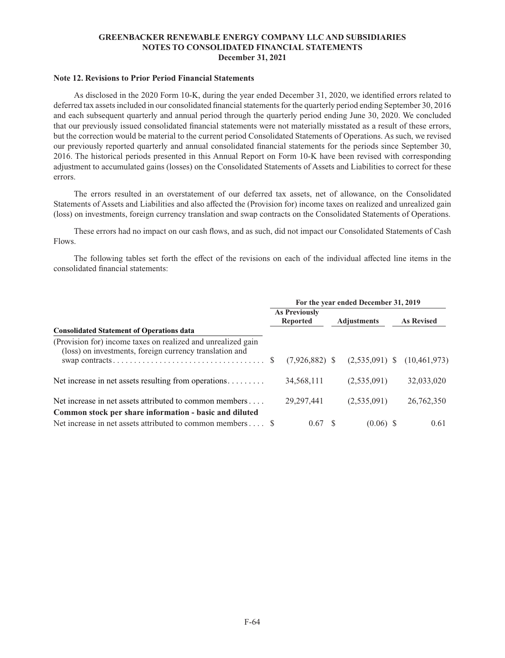## **Note 12. Revisions to Prior Period Financial Statements**

As disclosed in the 2020 Form 10-K, during the year ended December 31, 2020, we identified errors related to deferred tax assets included in our consolidated financial statements for the quarterly period ending September 30, 2016 and each subsequent quarterly and annual period through the quarterly period ending June 30, 2020. We concluded that our previously issued consolidated financial statements were not materially misstated as a result of these errors, but the correction would be material to the current period Consolidated Statements of Operations. As such, we revised our previously reported quarterly and annual consolidated financial statements for the periods since September 30, 2016. The historical periods presented in this Annual Report on Form 10-K have been revised with corresponding adjustment to accumulated gains (losses) on the Consolidated Statements of Assets and Liabilities to correct for these errors.

The errors resulted in an overstatement of our deferred tax assets, net of allowance, on the Consolidated Statements of Assets and Liabilities and also affected the (Provision for) income taxes on realized and unrealized gain (loss) on investments, foreign currency translation and swap contracts on the Consolidated Statements of Operations.

These errors had no impact on our cash flows, and as such, did not impact our Consolidated Statements of Cash Flows.

The following tables set forth the effect of the revisions on each of the individual affected line items in the consolidated financial statements:

|                                                                                                                         | For the year ended December 31, 2019 |                                         |  |                    |  |                   |  |
|-------------------------------------------------------------------------------------------------------------------------|--------------------------------------|-----------------------------------------|--|--------------------|--|-------------------|--|
|                                                                                                                         |                                      | <b>As Previously</b><br><b>Reported</b> |  | <b>Adjustments</b> |  | <b>As Revised</b> |  |
| <b>Consolidated Statement of Operations data</b>                                                                        |                                      |                                         |  |                    |  |                   |  |
| (Provision for) income taxes on realized and unrealized gain<br>(loss) on investments, foreign currency translation and |                                      |                                         |  |                    |  |                   |  |
|                                                                                                                         |                                      | $(7,926,882)$ \$                        |  | $(2,535,091)$ \$   |  | (10, 461, 973)    |  |
| Net increase in net assets resulting from operations                                                                    |                                      | 34,568,111                              |  | (2,535,091)        |  | 32,033,020        |  |
| Net increase in net assets attributed to common members                                                                 |                                      | 29, 297, 441                            |  | (2,535,091)        |  | 26,762,350        |  |
| Common stock per share information - basic and diluted                                                                  |                                      |                                         |  |                    |  |                   |  |
| Net increase in net assets attributed to common members $\dots$ \$                                                      |                                      | 0.67 S                                  |  | $(0.06)$ \$        |  | 0.61              |  |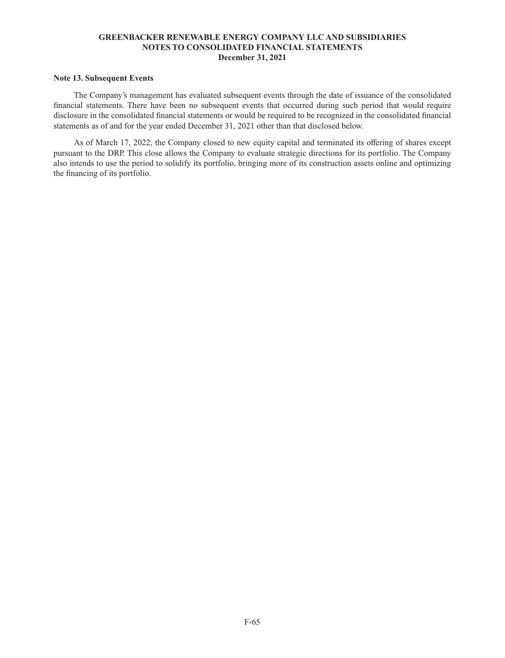## **Note 13. Subsequent Events**

The Company's management has evaluated subsequent events through the date of issuance of the consolidated financial statements. There have been no subsequent events that occurred during such period that would require disclosure in the consolidated financial statements or would be required to be recognized in the consolidated financial statements as of and for the year ended December 31, 2021 other than that disclosed below.

As of March 17, 2022, the Company closed to new equity capital and terminated its offering of shares except pursuant to the DRP. This close allows the Company to evaluate strategic directions for its portfolio. The Company also intends to use the period to solidify its portfolio, bringing more of its construction assets online and optimizing the financing of its portfolio.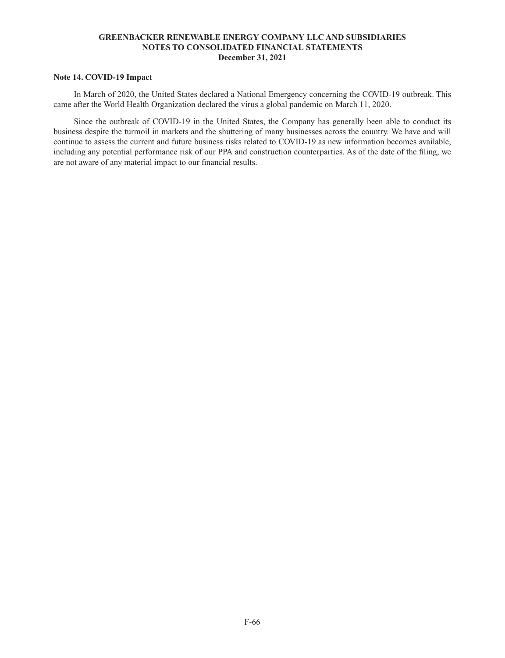## **Note 14. COVID-19 Impact**

In March of 2020, the United States declared a National Emergency concerning the COVID-19 outbreak. This came after the World Health Organization declared the virus a global pandemic on March 11, 2020.

Since the outbreak of COVID-19 in the United States, the Company has generally been able to conduct its business despite the turmoil in markets and the shuttering of many businesses across the country. We have and will continue to assess the current and future business risks related to COVID-19 as new information becomes available, including any potential performance risk of our PPA and construction counterparties. As of the date of the filing, we are not aware of any material impact to our financial results.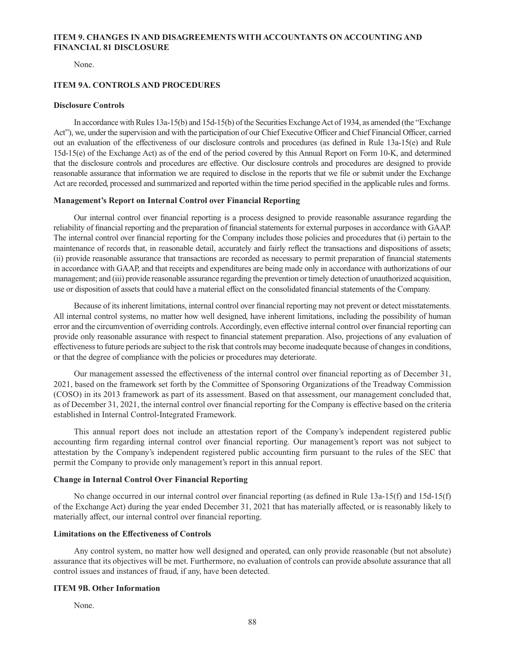## **ITEM 9. CHANGES IN AND DISAGREEMENTS WITH ACCOUNTANTS ON ACCOUNTING AND FINANCIAL 81 DISCLOSURE**

None.

### **ITEM 9A. CONTROLS AND PROCEDURES**

#### **Disclosure Controls**

In accordance with Rules 13a-15(b) and 15d-15(b) of the Securities Exchange Act of 1934, as amended (the "Exchange Act"), we, under the supervision and with the participation of our Chief Executive Officer and Chief Financial Officer, carried out an evaluation of the effectiveness of our disclosure controls and procedures (as defined in Rule 13a-15(e) and Rule 15d-15(e) of the Exchange Act) as of the end of the period covered by this Annual Report on Form 10-K, and determined that the disclosure controls and procedures are effective. Our disclosure controls and procedures are designed to provide reasonable assurance that information we are required to disclose in the reports that we file or submit under the Exchange Act are recorded, processed and summarized and reported within the time period specified in the applicable rules and forms.

### **Management's Report on Internal Control over Financial Reporting**

Our internal control over financial reporting is a process designed to provide reasonable assurance regarding the reliability of financial reporting and the preparation of financial statements for external purposes in accordance with GAAP. The internal control over financial reporting for the Company includes those policies and procedures that (i) pertain to the maintenance of records that, in reasonable detail, accurately and fairly reflect the transactions and dispositions of assets; (ii) provide reasonable assurance that transactions are recorded as necessary to permit preparation of financial statements in accordance with GAAP, and that receipts and expenditures are being made only in accordance with authorizations of our management; and (iii) provide reasonable assurance regarding the prevention or timely detection of unauthorized acquisition, use or disposition of assets that could have a material effect on the consolidated financial statements of the Company.

Because of its inherent limitations, internal control over financial reporting may not prevent or detect misstatements. All internal control systems, no matter how well designed, have inherent limitations, including the possibility of human error and the circumvention of overriding controls. Accordingly, even effective internal control over financial reporting can provide only reasonable assurance with respect to financial statement preparation. Also, projections of any evaluation of effectiveness to future periods are subject to the risk that controls may become inadequate because of changes in conditions, or that the degree of compliance with the policies or procedures may deteriorate.

Our management assessed the effectiveness of the internal control over financial reporting as of December 31, 2021, based on the framework set forth by the Committee of Sponsoring Organizations of the Treadway Commission (COSO) in its 2013 framework as part of its assessment. Based on that assessment, our management concluded that, as of December 31, 2021, the internal control over financial reporting for the Company is effective based on the criteria established in Internal Control-Integrated Framework.

This annual report does not include an attestation report of the Company's independent registered public accounting firm regarding internal control over financial reporting. Our management's report was not subject to attestation by the Company's independent registered public accounting firm pursuant to the rules of the SEC that permit the Company to provide only management's report in this annual report.

### **Change in Internal Control Over Financial Reporting**

No change occurred in our internal control over financial reporting (as defined in Rule 13a-15(f) and 15d-15(f) of the Exchange Act) during the year ended December 31, 2021 that has materially affected, or is reasonably likely to materially affect, our internal control over financial reporting.

# **Limitations on the Effectiveness of Controls**

Any control system, no matter how well designed and operated, can only provide reasonable (but not absolute) assurance that its objectives will be met. Furthermore, no evaluation of controls can provide absolute assurance that all control issues and instances of fraud, if any, have been detected.

### **ITEM 9B. Other Information**

None.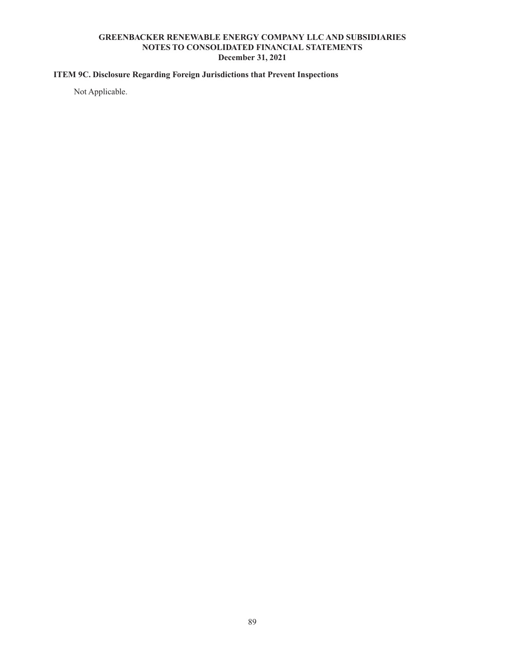# **ITEM 9C. Disclosure Regarding Foreign Jurisdictions that Prevent Inspections**

Not Applicable.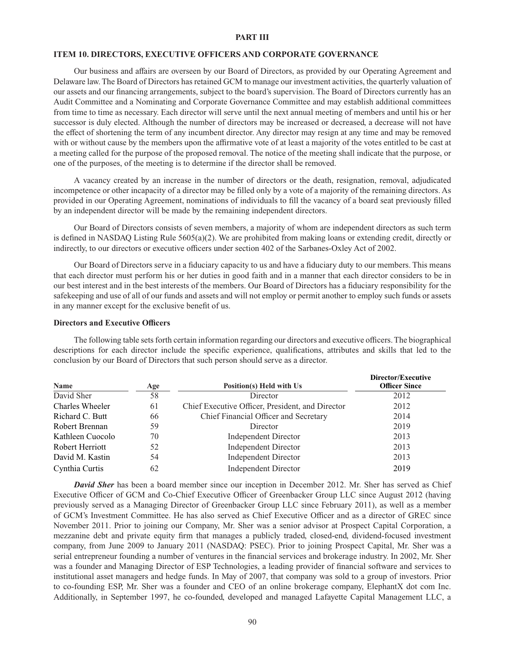### **PART III**

### **ITEM 10. DIRECTORS, EXECUTIVE OFFICERS AND CORPORATE GOVERNANCE**

Our business and affairs are overseen by our Board of Directors, as provided by our Operating Agreement and Delaware law. The Board of Directors has retained GCM to manage our investment activities, the quarterly valuation of our assets and our financing arrangements, subject to the board's supervision. The Board of Directors currently has an Audit Committee and a Nominating and Corporate Governance Committee and may establish additional committees from time to time as necessary. Each director will serve until the next annual meeting of members and until his or her successor is duly elected. Although the number of directors may be increased or decreased, a decrease will not have the effect of shortening the term of any incumbent director. Any director may resign at any time and may be removed with or without cause by the members upon the affirmative vote of at least a majority of the votes entitled to be cast at a meeting called for the purpose of the proposed removal. The notice of the meeting shall indicate that the purpose, or one of the purposes, of the meeting is to determine if the director shall be removed.

A vacancy created by an increase in the number of directors or the death, resignation, removal, adjudicated incompetence or other incapacity of a director may be filled only by a vote of a majority of the remaining directors. As provided in our Operating Agreement, nominations of individuals to fill the vacancy of a board seat previously filled by an independent director will be made by the remaining independent directors.

Our Board of Directors consists of seven members, a majority of whom are independent directors as such term is defined in NASDAQ Listing Rule 5605(a)(2). We are prohibited from making loans or extending credit, directly or indirectly, to our directors or executive officers under section 402 of the Sarbanes-Oxley Act of 2002.

Our Board of Directors serve in a fiduciary capacity to us and have a fiduciary duty to our members. This means that each director must perform his or her duties in good faith and in a manner that each director considers to be in our best interest and in the best interests of the members. Our Board of Directors has a fiduciary responsibility for the safekeeping and use of all of our funds and assets and will not employ or permit another to employ such funds or assets in any manner except for the exclusive benefit of us.

#### **Directors and Executive Officers**

The following table sets forth certain information regarding our directors and executive officers. The biographical descriptions for each director include the specific experience, qualifications, attributes and skills that led to the conclusion by our Board of Directors that such person should serve as a director.

| Name             | Age | Position(s) Held with Us                         | Director/Executive<br><b>Officer Since</b> |
|------------------|-----|--------------------------------------------------|--------------------------------------------|
| David Sher       | 58  | Director                                         | 2012                                       |
| Charles Wheeler  | 61  | Chief Executive Officer, President, and Director | 2012                                       |
| Richard C. Butt  | 66  | Chief Financial Officer and Secretary            | 2014                                       |
| Robert Brennan   | 59  | Director                                         | 2019                                       |
| Kathleen Cuocolo | 70  | <b>Independent Director</b>                      | 2013                                       |
| Robert Herriott  | 52  | <b>Independent Director</b>                      | 2013                                       |
| David M. Kastin  | 54  | <b>Independent Director</b>                      | 2013                                       |
| Cynthia Curtis   | 62  | <b>Independent Director</b>                      | 2019                                       |

*David Sher* has been a board member since our inception in December 2012. Mr. Sher has served as Chief Executive Officer of GCM and Co-Chief Executive Officer of Greenbacker Group LLC since August 2012 (having previously served as a Managing Director of Greenbacker Group LLC since February 2011), as well as a member of GCM's Investment Committee. He has also served as Chief Executive Officer and as a director of GREC since November 2011. Prior to joining our Company, Mr. Sher was a senior advisor at Prospect Capital Corporation, a mezzanine debt and private equity firm that manages a publicly traded, closed-end, dividend-focused investment company, from June 2009 to January 2011 (NASDAQ: PSEC). Prior to joining Prospect Capital, Mr. Sher was a serial entrepreneur founding a number of ventures in the financial services and brokerage industry. In 2002, Mr. Sher was a founder and Managing Director of ESP Technologies, a leading provider of financial software and services to institutional asset managers and hedge funds. In May of 2007, that company was sold to a group of investors. Prior to co-founding ESP, Mr. Sher was a founder and CEO of an online brokerage company, ElephantX dot com Inc. Additionally, in September 1997, he co-founded, developed and managed Lafayette Capital Management LLC, a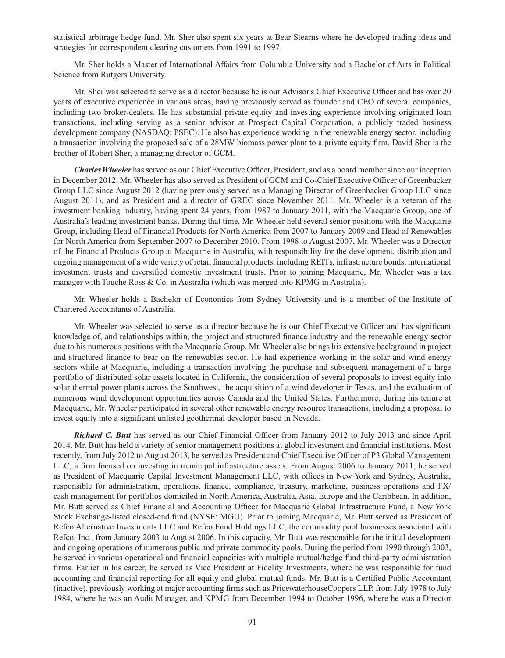statistical arbitrage hedge fund. Mr. Sher also spent six years at Bear Stearns where he developed trading ideas and strategies for correspondent clearing customers from 1991 to 1997.

Mr. Sher holds a Master of International Affairs from Columbia University and a Bachelor of Arts in Political Science from Rutgers University.

Mr. Sher was selected to serve as a director because he is our Advisor's Chief Executive Officer and has over 20 years of executive experience in various areas, having previously served as founder and CEO of several companies, including two broker-dealers. He has substantial private equity and investing experience involving originated loan transactions, including serving as a senior advisor at Prospect Capital Corporation, a publicly traded business development company (NASDAQ: PSEC). He also has experience working in the renewable energy sector, including a transaction involving the proposed sale of a 28MW biomass power plant to a private equity firm. David Sher is the brother of Robert Sher, a managing director of GCM.

*Charles Wheeler* has served as our Chief Executive Officer, President, and as a board member since our inception in December 2012. Mr. Wheeler has also served as President of GCM and Co-Chief Executive Officer of Greenbacker Group LLC since August 2012 (having previously served as a Managing Director of Greenbacker Group LLC since August 2011), and as President and a director of GREC since November 2011. Mr. Wheeler is a veteran of the investment banking industry, having spent 24 years, from 1987 to January 2011, with the Macquarie Group, one of Australia's leading investment banks. During that time, Mr. Wheeler held several senior positions with the Macquarie Group, including Head of Financial Products for North America from 2007 to January 2009 and Head of Renewables for North America from September 2007 to December 2010. From 1998 to August 2007, Mr. Wheeler was a Director of the Financial Products Group at Macquarie in Australia, with responsibility for the development, distribution and ongoing management of a wide variety of retail financial products, including REITs, infrastructure bonds, international investment trusts and diversified domestic investment trusts. Prior to joining Macquarie, Mr. Wheeler was a tax manager with Touche Ross & Co. in Australia (which was merged into KPMG in Australia).

Mr. Wheeler holds a Bachelor of Economics from Sydney University and is a member of the Institute of Chartered Accountants of Australia.

Mr. Wheeler was selected to serve as a director because he is our Chief Executive Officer and has significant knowledge of, and relationships within, the project and structured finance industry and the renewable energy sector due to his numerous positions with the Macquarie Group. Mr. Wheeler also brings his extensive background in project and structured finance to bear on the renewables sector. He had experience working in the solar and wind energy sectors while at Macquarie, including a transaction involving the purchase and subsequent management of a large portfolio of distributed solar assets located in California, the consideration of several proposals to invest equity into solar thermal power plants across the Southwest, the acquisition of a wind developer in Texas, and the evaluation of numerous wind development opportunities across Canada and the United States. Furthermore, during his tenure at Macquarie, Mr. Wheeler participated in several other renewable energy resource transactions, including a proposal to invest equity into a significant unlisted geothermal developer based in Nevada.

*Richard C. Butt* has served as our Chief Financial Officer from January 2012 to July 2013 and since April 2014. Mr. Butt has held a variety of senior management positions at global investment and financial institutions. Most recently, from July 2012 to August 2013, he served as President and Chief Executive Officer of P3 Global Management LLC, a firm focused on investing in municipal infrastructure assets. From August 2006 to January 2011, he served as President of Macquarie Capital Investment Management LLC, with offices in New York and Sydney, Australia, responsible for administration, operations, finance, compliance, treasury, marketing, business operations and FX/ cash management for portfolios domiciled in North America, Australia, Asia, Europe and the Caribbean. In addition, Mr. Butt served as Chief Financial and Accounting Officer for Macquarie Global Infrastructure Fund, a New York Stock Exchange-listed closed-end fund (NYSE: MGU). Prior to joining Macquarie, Mr. Butt served as President of Refco Alternative Investments LLC and Refco Fund Holdings LLC, the commodity pool businesses associated with Refco, Inc., from January 2003 to August 2006. In this capacity, Mr. Butt was responsible for the initial development and ongoing operations of numerous public and private commodity pools. During the period from 1990 through 2003, he served in various operational and financial capacities with multiple mutual/hedge fund third-party administration firms. Earlier in his career, he served as Vice President at Fidelity Investments, where he was responsible for fund accounting and financial reporting for all equity and global mutual funds. Mr. Butt is a Certified Public Accountant (inactive), previously working at major accounting firms such as PricewaterhouseCoopers LLP, from July 1978 to July 1984, where he was an Audit Manager, and KPMG from December 1994 to October 1996, where he was a Director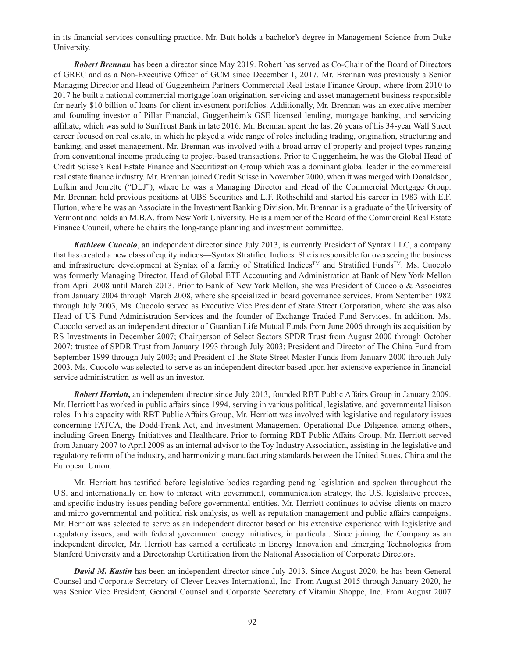in its financial services consulting practice. Mr. Butt holds a bachelor's degree in Management Science from Duke University.

*Robert Brennan* has been a director since May 2019. Robert has served as Co-Chair of the Board of Directors of GREC and as a Non-Executive Officer of GCM since December 1, 2017. Mr. Brennan was previously a Senior Managing Director and Head of Guggenheim Partners Commercial Real Estate Finance Group, where from 2010 to 2017 he built a national commercial mortgage loan origination, servicing and asset management business responsible for nearly \$10 billion of loans for client investment portfolios. Additionally, Mr. Brennan was an executive member and founding investor of Pillar Financial, Guggenheim's GSE licensed lending, mortgage banking, and servicing affiliate, which was sold to SunTrust Bank in late 2016. Mr. Brennan spent the last 26 years of his 34-year Wall Street career focused on real estate, in which he played a wide range of roles including trading, origination, structuring and banking, and asset management. Mr. Brennan was involved with a broad array of property and project types ranging from conventional income producing to project-based transactions. Prior to Guggenheim, he was the Global Head of Credit Suisse's Real Estate Finance and Securitization Group which was a dominant global leader in the commercial real estate finance industry. Mr. Brennan joined Credit Suisse in November 2000, when it was merged with Donaldson, Lufkin and Jenrette ("DLJ"), where he was a Managing Director and Head of the Commercial Mortgage Group. Mr. Brennan held previous positions at UBS Securities and L.F. Rothschild and started his career in 1983 with E.F. Hutton, where he was an Associate in the Investment Banking Division. Mr. Brennan is a graduate of the University of Vermont and holds an M.B.A. from New York University. He is a member of the Board of the Commercial Real Estate Finance Council, where he chairs the long-range planning and investment committee.

*Kathleen Cuocolo*, an independent director since July 2013, is currently President of Syntax LLC, a company that has created a new class of equity indices—Syntax Stratified Indices. She is responsible for overseeing the business and infrastructure development at Syntax of a family of Stratified Indices™ and Stratified Funds™. Ms. Cuocolo was formerly Managing Director, Head of Global ETF Accounting and Administration at Bank of New York Mellon from April 2008 until March 2013. Prior to Bank of New York Mellon, she was President of Cuocolo & Associates from January 2004 through March 2008, where she specialized in board governance services. From September 1982 through July 2003, Ms. Cuocolo served as Executive Vice President of State Street Corporation, where she was also Head of US Fund Administration Services and the founder of Exchange Traded Fund Services. In addition, Ms. Cuocolo served as an independent director of Guardian Life Mutual Funds from June 2006 through its acquisition by RS Investments in December 2007; Chairperson of Select Sectors SPDR Trust from August 2000 through October 2007; trustee of SPDR Trust from January 1993 through July 2003; President and Director of The China Fund from September 1999 through July 2003; and President of the State Street Master Funds from January 2000 through July 2003. Ms. Cuocolo was selected to serve as an independent director based upon her extensive experience in financial service administration as well as an investor.

*Robert Herriott***,** an independent director since July 2013, founded RBT Public Affairs Group in January 2009. Mr. Herriott has worked in public affairs since 1994, serving in various political, legislative, and governmental liaison roles. In his capacity with RBT Public Affairs Group, Mr. Herriott was involved with legislative and regulatory issues concerning FATCA, the Dodd-Frank Act, and Investment Management Operational Due Diligence, among others, including Green Energy Initiatives and Healthcare. Prior to forming RBT Public Affairs Group, Mr. Herriott served from January 2007 to April 2009 as an internal advisor to the Toy Industry Association, assisting in the legislative and regulatory reform of the industry, and harmonizing manufacturing standards between the United States, China and the European Union.

Mr. Herriott has testified before legislative bodies regarding pending legislation and spoken throughout the U.S. and internationally on how to interact with government, communication strategy, the U.S. legislative process, and specific industry issues pending before governmental entities. Mr. Herriott continues to advise clients on macro and micro governmental and political risk analysis, as well as reputation management and public affairs campaigns. Mr. Herriott was selected to serve as an independent director based on his extensive experience with legislative and regulatory issues, and with federal government energy initiatives, in particular. Since joining the Company as an independent director, Mr. Herriott has earned a certificate in Energy Innovation and Emerging Technologies from Stanford University and a Directorship Certification from the National Association of Corporate Directors.

*David M. Kastin* has been an independent director since July 2013. Since August 2020, he has been General Counsel and Corporate Secretary of Clever Leaves International, Inc. From August 2015 through January 2020, he was Senior Vice President, General Counsel and Corporate Secretary of Vitamin Shoppe, Inc. From August 2007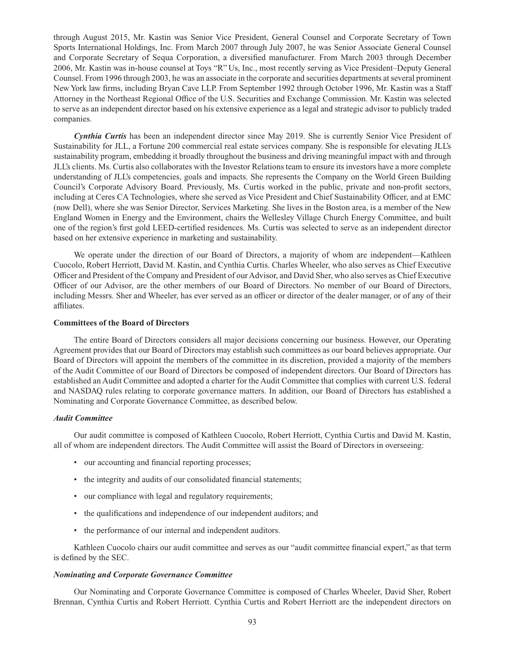through August 2015, Mr. Kastin was Senior Vice President, General Counsel and Corporate Secretary of Town Sports International Holdings, Inc. From March 2007 through July 2007, he was Senior Associate General Counsel and Corporate Secretary of Sequa Corporation, a diversified manufacturer. From March 2003 through December 2006, Mr. Kastin was in-house counsel at Toys "R" Us, Inc., most recently serving as Vice President–Deputy General Counsel. From 1996 through 2003, he was an associate in the corporate and securities departments at several prominent New York law firms, including Bryan Cave LLP. From September 1992 through October 1996, Mr. Kastin was a Staff Attorney in the Northeast Regional Office of the U.S. Securities and Exchange Commission. Mr. Kastin was selected to serve as an independent director based on his extensive experience as a legal and strategic advisor to publicly traded companies.

*Cynthia Curtis* has been an independent director since May 2019. She is currently Senior Vice President of Sustainability for JLL, a Fortune 200 commercial real estate services company. She is responsible for elevating JLL's sustainability program, embedding it broadly throughout the business and driving meaningful impact with and through JLL's clients. Ms. Curtis also collaborates with the Investor Relations team to ensure its investors have a more complete understanding of JLL's competencies, goals and impacts. She represents the Company on the World Green Building Council's Corporate Advisory Board. Previously, Ms. Curtis worked in the public, private and non-profit sectors, including at Ceres CA Technologies, where she served as Vice President and Chief Sustainability Officer, and at EMC (now Dell), where she was Senior Director, Services Marketing. She lives in the Boston area, is a member of the New England Women in Energy and the Environment, chairs the Wellesley Village Church Energy Committee, and built one of the region's first gold LEED-certified residences. Ms. Curtis was selected to serve as an independent director based on her extensive experience in marketing and sustainability.

We operate under the direction of our Board of Directors, a majority of whom are independent—Kathleen Cuocolo, Robert Herriott, David M. Kastin, and Cynthia Curtis. Charles Wheeler, who also serves as Chief Executive Officer and President of the Company and President of our Advisor, and David Sher, who also serves as Chief Executive Officer of our Advisor, are the other members of our Board of Directors. No member of our Board of Directors, including Messrs. Sher and Wheeler, has ever served as an officer or director of the dealer manager, or of any of their affiliates.

#### **Committees of the Board of Directors**

The entire Board of Directors considers all major decisions concerning our business. However, our Operating Agreement provides that our Board of Directors may establish such committees as our board believes appropriate. Our Board of Directors will appoint the members of the committee in its discretion, provided a majority of the members of the Audit Committee of our Board of Directors be composed of independent directors. Our Board of Directors has established an Audit Committee and adopted a charter for the Audit Committee that complies with current U.S. federal and NASDAQ rules relating to corporate governance matters. In addition, our Board of Directors has established a Nominating and Corporate Governance Committee, as described below.

#### *Audit Committee*

Our audit committee is composed of Kathleen Cuocolo, Robert Herriott, Cynthia Curtis and David M. Kastin, all of whom are independent directors. The Audit Committee will assist the Board of Directors in overseeing:

- our accounting and financial reporting processes;
- the integrity and audits of our consolidated financial statements;
- our compliance with legal and regulatory requirements;
- the qualifications and independence of our independent auditors; and
- the performance of our internal and independent auditors.

Kathleen Cuocolo chairs our audit committee and serves as our "audit committee financial expert," as that term is defined by the SEC.

### *Nominating and Corporate Governance Committee*

Our Nominating and Corporate Governance Committee is composed of Charles Wheeler, David Sher, Robert Brennan, Cynthia Curtis and Robert Herriott. Cynthia Curtis and Robert Herriott are the independent directors on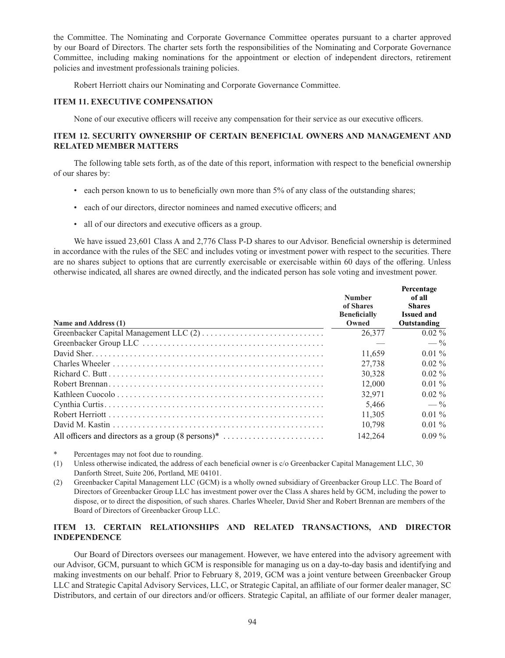the Committee. The Nominating and Corporate Governance Committee operates pursuant to a charter approved by our Board of Directors. The charter sets forth the responsibilities of the Nominating and Corporate Governance Committee, including making nominations for the appointment or election of independent directors, retirement policies and investment professionals training policies.

Robert Herriott chairs our Nominating and Corporate Governance Committee.

### **ITEM 11. EXECUTIVE COMPENSATION**

None of our executive officers will receive any compensation for their service as our executive officers.

## **ITEM 12. SECURITY OWNERSHIP OF CERTAIN BENEFICIAL OWNERS AND MANAGEMENT AND RELATED MEMBER MATTERS**

The following table sets forth, as of the date of this report, information with respect to the beneficial ownership of our shares by:

- each person known to us to beneficially own more than 5% of any class of the outstanding shares;
- each of our directors, director nominees and named executive officers; and
- all of our directors and executive officers as a group.

We have issued 23,601 Class A and 2,776 Class P-D shares to our Advisor. Beneficial ownership is determined in accordance with the rules of the SEC and includes voting or investment power with respect to the securities. There are no shares subject to options that are currently exercisable or exercisable within 60 days of the offering. Unless otherwise indicated, all shares are owned directly, and the indicated person has sole voting and investment power.

| Name and Address (1) | <b>Number</b><br>of Shares<br><b>Beneficially</b><br>Owned | Percentage<br>of all<br><b>Shares</b><br><b>Issued and</b><br>Outstanding |
|----------------------|------------------------------------------------------------|---------------------------------------------------------------------------|
|                      | 26,377                                                     | $0.02\%$                                                                  |
|                      |                                                            | $-$ %                                                                     |
|                      | 11.659                                                     | $0.01\%$                                                                  |
|                      | 27,738                                                     | $0.02\%$                                                                  |
|                      | 30.328                                                     | $0.02\%$                                                                  |
|                      | 12,000                                                     | $0.01\%$                                                                  |
|                      | 32,971                                                     | $0.02\%$                                                                  |
|                      | 5,466                                                      | $-$ %                                                                     |
|                      | 11.305                                                     | $0.01\%$                                                                  |
|                      | 10.798                                                     | $0.01\%$                                                                  |
|                      | 142,264                                                    | $0.09\%$                                                                  |

\* Percentages may not foot due to rounding.

- (1) Unless otherwise indicated, the address of each beneficial owner is c/o Greenbacker Capital Management LLC, 30 Danforth Street, Suite 206, Portland, ME 04101.
- (2) Greenbacker Capital Management LLC (GCM) is a wholly owned subsidiary of Greenbacker Group LLC. The Board of Directors of Greenbacker Group LLC has investment power over the Class A shares held by GCM, including the power to dispose, or to direct the disposition, of such shares. Charles Wheeler, David Sher and Robert Brennan are members of the Board of Directors of Greenbacker Group LLC.

# **ITEM 13. CERTAIN RELATIONSHIPS AND RELATED TRANSACTIONS, AND DIRECTOR INDEPENDENCE**

Our Board of Directors oversees our management. However, we have entered into the advisory agreement with our Advisor, GCM, pursuant to which GCM is responsible for managing us on a day-to-day basis and identifying and making investments on our behalf. Prior to February 8, 2019, GCM was a joint venture between Greenbacker Group LLC and Strategic Capital Advisory Services, LLC, or Strategic Capital, an affiliate of our former dealer manager, SC Distributors, and certain of our directors and/or officers. Strategic Capital, an affiliate of our former dealer manager,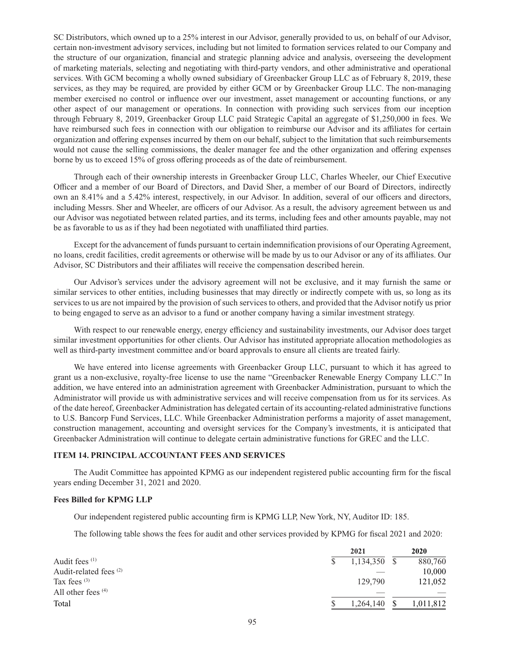SC Distributors, which owned up to a 25% interest in our Advisor, generally provided to us, on behalf of our Advisor, certain non-investment advisory services, including but not limited to formation services related to our Company and the structure of our organization, financial and strategic planning advice and analysis, overseeing the development of marketing materials, selecting and negotiating with third-party vendors, and other administrative and operational services. With GCM becoming a wholly owned subsidiary of Greenbacker Group LLC as of February 8, 2019, these services, as they may be required, are provided by either GCM or by Greenbacker Group LLC. The non-managing member exercised no control or influence over our investment, asset management or accounting functions, or any other aspect of our management or operations. In connection with providing such services from our inception through February 8, 2019, Greenbacker Group LLC paid Strategic Capital an aggregate of \$1,250,000 in fees. We have reimbursed such fees in connection with our obligation to reimburse our Advisor and its affiliates for certain organization and offering expenses incurred by them on our behalf, subject to the limitation that such reimbursements would not cause the selling commissions, the dealer manager fee and the other organization and offering expenses borne by us to exceed 15% of gross offering proceeds as of the date of reimbursement.

Through each of their ownership interests in Greenbacker Group LLC, Charles Wheeler, our Chief Executive Officer and a member of our Board of Directors, and David Sher, a member of our Board of Directors, indirectly own an 8.41% and a 5.42% interest, respectively, in our Advisor. In addition, several of our officers and directors, including Messrs. Sher and Wheeler, are officers of our Advisor. As a result, the advisory agreement between us and our Advisor was negotiated between related parties, and its terms, including fees and other amounts payable, may not be as favorable to us as if they had been negotiated with unaffiliated third parties.

Except for the advancement of funds pursuant to certain indemnification provisions of our Operating Agreement, no loans, credit facilities, credit agreements or otherwise will be made by us to our Advisor or any of its affiliates. Our Advisor, SC Distributors and their affiliates will receive the compensation described herein.

Our Advisor's services under the advisory agreement will not be exclusive, and it may furnish the same or similar services to other entities, including businesses that may directly or indirectly compete with us, so long as its services to us are not impaired by the provision of such services to others, and provided that the Advisor notify us prior to being engaged to serve as an advisor to a fund or another company having a similar investment strategy.

With respect to our renewable energy, energy efficiency and sustainability investments, our Advisor does target similar investment opportunities for other clients. Our Advisor has instituted appropriate allocation methodologies as well as third-party investment committee and/or board approvals to ensure all clients are treated fairly.

We have entered into license agreements with Greenbacker Group LLC, pursuant to which it has agreed to grant us a non-exclusive, royalty-free license to use the name "Greenbacker Renewable Energy Company LLC." In addition, we have entered into an administration agreement with Greenbacker Administration, pursuant to which the Administrator will provide us with administrative services and will receive compensation from us for its services. As of the date hereof, Greenbacker Administration has delegated certain of its accounting-related administrative functions to U.S. Bancorp Fund Services, LLC. While Greenbacker Administration performs a majority of asset management, construction management, accounting and oversight services for the Company's investments, it is anticipated that Greenbacker Administration will continue to delegate certain administrative functions for GREC and the LLC.

### **ITEM 14. PRINCIPAL ACCOUNTANT FEES AND SERVICES**

The Audit Committee has appointed KPMG as our independent registered public accounting firm for the fiscal years ending December 31, 2021 and 2020.

### **Fees Billed for KPMG LLP**

Our independent registered public accounting firm is KPMG LLP, New York, NY, Auditor ID: 185.

The following table shows the fees for audit and other services provided by KPMG for fiscal 2021 and 2020:

|                                   | 2021         | 2020      |
|-----------------------------------|--------------|-----------|
| Audit fees <sup>(1)</sup>         | 1,134,350 \$ | 880,760   |
| Audit-related fees <sup>(2)</sup> |              | 10,000    |
| Tax fees $(3)$                    | 129,790      | 121,052   |
| All other fees $(4)$              |              |           |
| Total                             | 1,264,140    | 1,011,812 |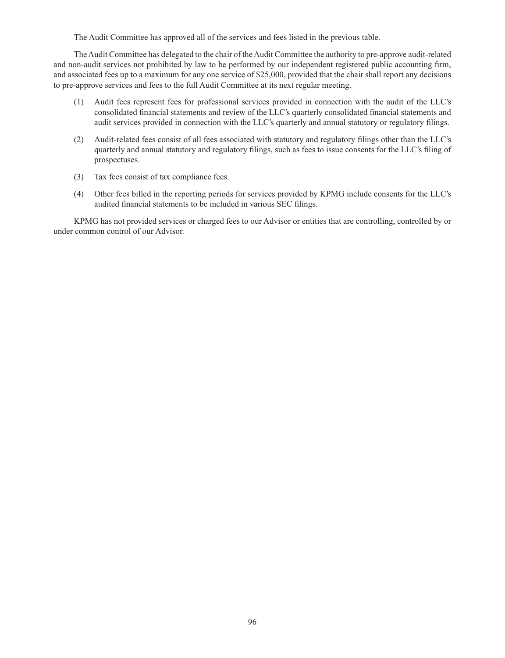The Audit Committee has approved all of the services and fees listed in the previous table.

The Audit Committee has delegated to the chair of the Audit Committee the authority to pre-approve audit-related and non-audit services not prohibited by law to be performed by our independent registered public accounting firm, and associated fees up to a maximum for any one service of \$25,000, provided that the chair shall report any decisions to pre-approve services and fees to the full Audit Committee at its next regular meeting.

- (1) Audit fees represent fees for professional services provided in connection with the audit of the LLC's consolidated financial statements and review of the LLC's quarterly consolidated financial statements and audit services provided in connection with the LLC's quarterly and annual statutory or regulatory filings.
- (2) Audit-related fees consist of all fees associated with statutory and regulatory filings other than the LLC's quarterly and annual statutory and regulatory filings, such as fees to issue consents for the LLC's filing of prospectuses.
- (3) Tax fees consist of tax compliance fees.
- (4) Other fees billed in the reporting periods for services provided by KPMG include consents for the LLC's audited financial statements to be included in various SEC filings.

KPMG has not provided services or charged fees to our Advisor or entities that are controlling, controlled by or under common control of our Advisor.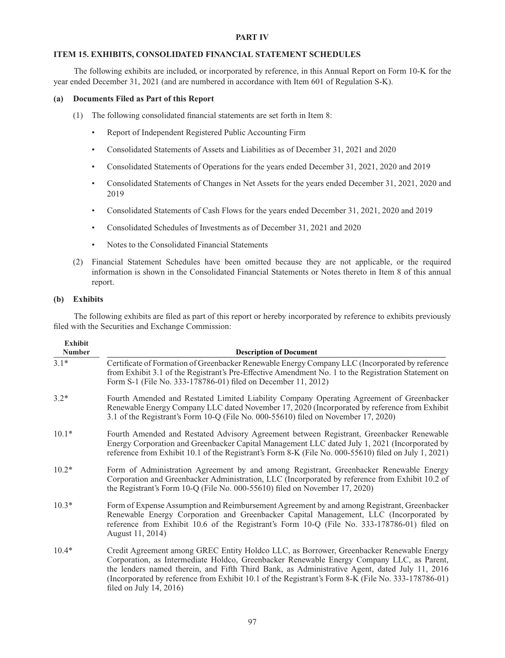### **PART IV**

## **ITEM 15. EXHIBITS, CONSOLIDATED FINANCIAL STATEMENT SCHEDULES**

The following exhibits are included, or incorporated by reference, in this Annual Report on Form 10-K for the year ended December 31, 2021 (and are numbered in accordance with Item 601 of Regulation S-K).

### **(a) Documents Filed as Part of this Report**

- (1) The following consolidated financial statements are set forth in Item 8:
	- Report of Independent Registered Public Accounting Firm
	- Consolidated Statements of Assets and Liabilities as of December 31, 2021 and 2020
	- Consolidated Statements of Operations for the years ended December 31, 2021, 2020 and 2019
	- Consolidated Statements of Changes in Net Assets for the years ended December 31, 2021, 2020 and 2019
	- Consolidated Statements of Cash Flows for the years ended December 31, 2021, 2020 and 2019
	- Consolidated Schedules of Investments as of December 31, 2021 and 2020
	- Notes to the Consolidated Financial Statements
- (2) Financial Statement Schedules have been omitted because they are not applicable, or the required information is shown in the Consolidated Financial Statements or Notes thereto in Item 8 of this annual report.

### **(b) Exhibits**

**Exhibit** 

The following exhibits are filed as part of this report or hereby incorporated by reference to exhibits previously filed with the Securities and Exchange Commission:

| Exhibit<br><b>Number</b> | <b>Description of Document</b>                                                                                                                                                                                                                                                                                                                                                                                             |  |  |
|--------------------------|----------------------------------------------------------------------------------------------------------------------------------------------------------------------------------------------------------------------------------------------------------------------------------------------------------------------------------------------------------------------------------------------------------------------------|--|--|
| $3.1*$                   | Certificate of Formation of Greenbacker Renewable Energy Company LLC (Incorporated by reference<br>from Exhibit 3.1 of the Registrant's Pre-Effective Amendment No. 1 to the Registration Statement on<br>Form S-1 (File No. 333-178786-01) filed on December 11, 2012)                                                                                                                                                    |  |  |
| $3.2*$                   | Fourth Amended and Restated Limited Liability Company Operating Agreement of Greenbacker<br>Renewable Energy Company LLC dated November 17, 2020 (Incorporated by reference from Exhibit<br>3.1 of the Registrant's Form 10-Q (File No. 000-55610) filed on November 17, 2020)                                                                                                                                             |  |  |
| $10.1*$                  | Fourth Amended and Restated Advisory Agreement between Registrant, Greenbacker Renewable<br>Energy Corporation and Greenbacker Capital Management LLC dated July 1, 2021 (Incorporated by<br>reference from Exhibit 10.1 of the Registrant's Form 8-K (File No. 000-55610) filed on July 1, 2021)                                                                                                                          |  |  |
| $10.2*$                  | Form of Administration Agreement by and among Registrant, Greenbacker Renewable Energy<br>Corporation and Greenbacker Administration, LLC (Incorporated by reference from Exhibit 10.2 of<br>the Registrant's Form 10-Q (File No. 000-55610) filed on November 17, 2020)                                                                                                                                                   |  |  |
| $10.3*$                  | Form of Expense Assumption and Reimbursement Agreement by and among Registrant, Greenbacker<br>Renewable Energy Corporation and Greenbacker Capital Management, LLC (Incorporated by<br>reference from Exhibit 10.6 of the Registrant's Form 10-Q (File No. 333-178786-01) filed on<br>August 11, 2014)                                                                                                                    |  |  |
| $10.4*$                  | Credit Agreement among GREC Entity Holdco LLC, as Borrower, Greenbacker Renewable Energy<br>Corporation, as Intermediate Holdco, Greenbacker Renewable Energy Company LLC, as Parent,<br>the lenders named therein, and Fifth Third Bank, as Administrative Agent, dated July 11, 2016<br>(Incorporated by reference from Exhibit 10.1 of the Registrant's Form 8-K (File No. 333-178786-01)<br>filed on July $14, 2016$ ) |  |  |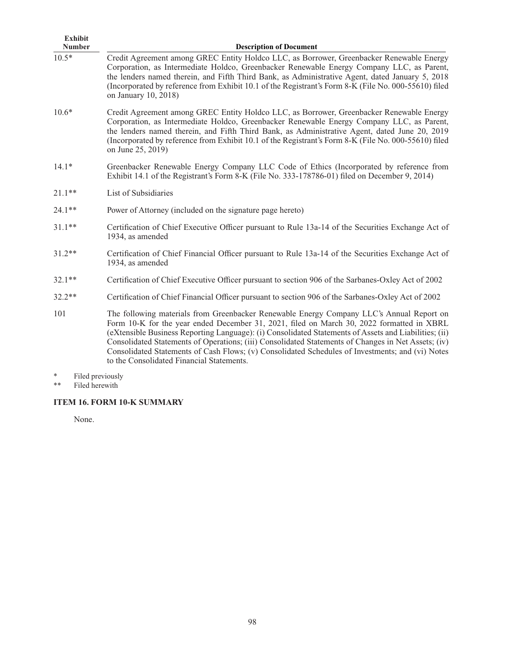| <b>Exhibit</b><br><b>Number</b> | <b>Description of Document</b>                                                                                                                                                                                                                                                                                                                                                                                                                                                                                                                         |
|---------------------------------|--------------------------------------------------------------------------------------------------------------------------------------------------------------------------------------------------------------------------------------------------------------------------------------------------------------------------------------------------------------------------------------------------------------------------------------------------------------------------------------------------------------------------------------------------------|
| $10.5*$                         | Credit Agreement among GREC Entity Holdco LLC, as Borrower, Greenbacker Renewable Energy<br>Corporation, as Intermediate Holdco, Greenbacker Renewable Energy Company LLC, as Parent,<br>the lenders named therein, and Fifth Third Bank, as Administrative Agent, dated January 5, 2018<br>(Incorporated by reference from Exhibit 10.1 of the Registrant's Form 8-K (File No. 000-55610) filed<br>on January 10, 2018)                                                                                                                               |
| $10.6*$                         | Credit Agreement among GREC Entity Holdco LLC, as Borrower, Greenbacker Renewable Energy<br>Corporation, as Intermediate Holdco, Greenbacker Renewable Energy Company LLC, as Parent,<br>the lenders named therein, and Fifth Third Bank, as Administrative Agent, dated June 20, 2019<br>(Incorporated by reference from Exhibit 10.1 of the Registrant's Form 8-K (File No. 000-55610) filed<br>on June 25, 2019)                                                                                                                                    |
| $14.1*$                         | Greenbacker Renewable Energy Company LLC Code of Ethics (Incorporated by reference from<br>Exhibit 14.1 of the Registrant's Form 8-K (File No. 333-178786-01) filed on December 9, 2014)                                                                                                                                                                                                                                                                                                                                                               |
| $21.1**$                        | List of Subsidiaries                                                                                                                                                                                                                                                                                                                                                                                                                                                                                                                                   |
| $24.1**$                        | Power of Attorney (included on the signature page hereto)                                                                                                                                                                                                                                                                                                                                                                                                                                                                                              |
| $31.1**$                        | Certification of Chief Executive Officer pursuant to Rule 13a-14 of the Securities Exchange Act of<br>1934, as amended                                                                                                                                                                                                                                                                                                                                                                                                                                 |
| $31.2**$                        | Certification of Chief Financial Officer pursuant to Rule 13a-14 of the Securities Exchange Act of<br>1934, as amended                                                                                                                                                                                                                                                                                                                                                                                                                                 |
| $32.1**$                        | Certification of Chief Executive Officer pursuant to section 906 of the Sarbanes-Oxley Act of 2002                                                                                                                                                                                                                                                                                                                                                                                                                                                     |
| $32.2**$                        | Certification of Chief Financial Officer pursuant to section 906 of the Sarbanes-Oxley Act of 2002                                                                                                                                                                                                                                                                                                                                                                                                                                                     |
| 101                             | The following materials from Greenbacker Renewable Energy Company LLC's Annual Report on<br>Form 10-K for the year ended December 31, 2021, filed on March 30, 2022 formatted in XBRL<br>(eXtensible Business Reporting Language): (i) Consolidated Statements of Assets and Liabilities; (ii)<br>Consolidated Statements of Operations; (iii) Consolidated Statements of Changes in Net Assets; (iv)<br>Consolidated Statements of Cash Flows; (v) Consolidated Schedules of Investments; and (vi) Notes<br>to the Consolidated Financial Statements. |

- \* Filed previously
- \*\* Filed herewith

# **ITEM 16. FORM 10-K SUMMARY**

None.